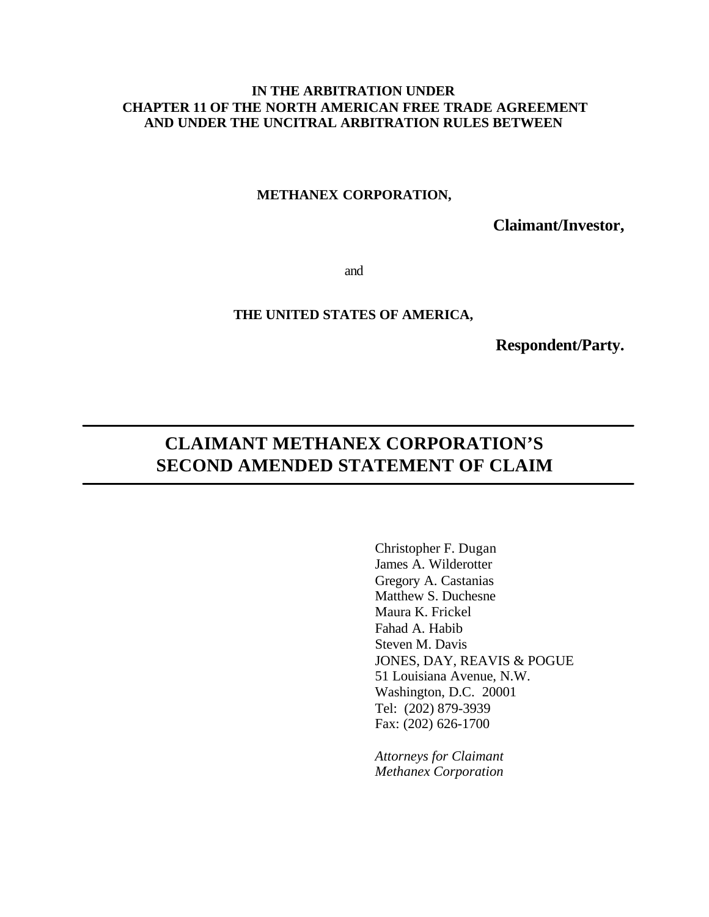## **IN THE ARBITRATION UNDER CHAPTER 11 OF THE NORTH AMERICAN FREE TRADE AGREEMENT AND UNDER THE UNCITRAL ARBITRATION RULES BETWEEN**

#### **METHANEX CORPORATION,**

**Claimant/Investor,**

and

### **THE UNITED STATES OF AMERICA,**

**Respondent/Party.**

# **CLAIMANT METHANEX CORPORATION'S SECOND AMENDED STATEMENT OF CLAIM**

Christopher F. Dugan James A. Wilderotter Gregory A. Castanias Matthew S. Duchesne Maura K. Frickel Fahad A. Habib Steven M. Davis JONES, DAY, REAVIS & POGUE 51 Louisiana Avenue, N.W. Washington, D.C. 20001 Tel: (202) 879-3939 Fax: (202) 626-1700

*Attorneys for Claimant Methanex Corporation*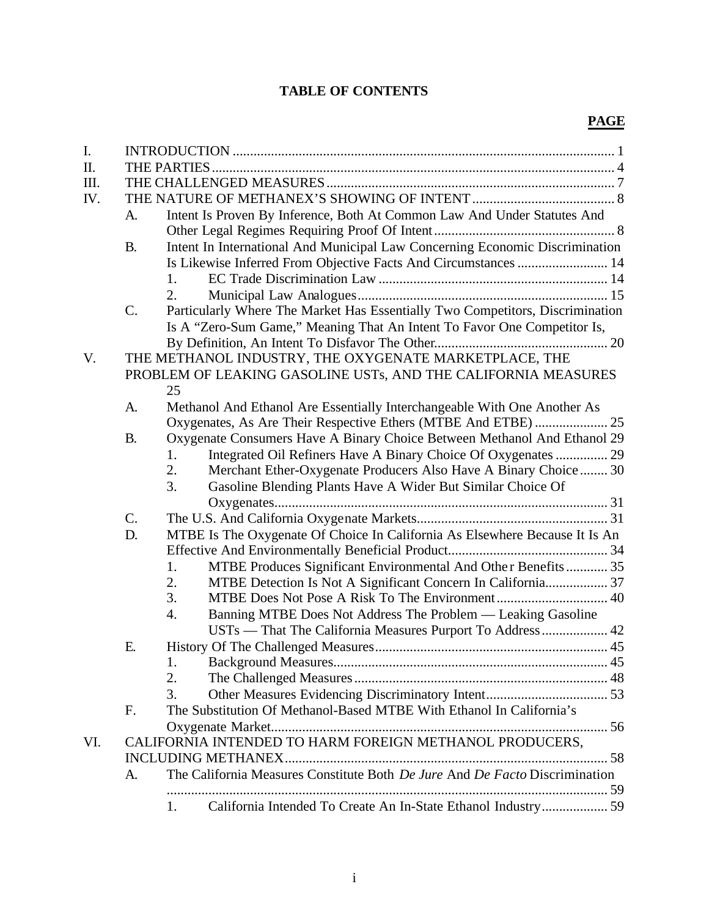## **TABLE OF CONTENTS**

## **PAGE**

| I.  |                 |                  |                                                                               |  |  |  |
|-----|-----------------|------------------|-------------------------------------------------------------------------------|--|--|--|
| II. |                 |                  |                                                                               |  |  |  |
| Ш.  |                 |                  |                                                                               |  |  |  |
| IV. |                 |                  |                                                                               |  |  |  |
|     | A.              |                  | Intent Is Proven By Inference, Both At Common Law And Under Statutes And      |  |  |  |
|     |                 |                  |                                                                               |  |  |  |
|     | <b>B.</b>       |                  | Intent In International And Municipal Law Concerning Economic Discrimination  |  |  |  |
|     |                 |                  | Is Likewise Inferred From Objective Facts And Circumstances  14               |  |  |  |
|     |                 | 1.               |                                                                               |  |  |  |
|     |                 | 2.               |                                                                               |  |  |  |
|     | $\mathcal{C}$ . |                  | Particularly Where The Market Has Essentially Two Competitors, Discrimination |  |  |  |
|     |                 |                  | Is A "Zero-Sum Game," Meaning That An Intent To Favor One Competitor Is,      |  |  |  |
|     |                 |                  |                                                                               |  |  |  |
| V.  |                 |                  | THE METHANOL INDUSTRY, THE OXYGENATE MARKETPLACE, THE                         |  |  |  |
|     |                 |                  | PROBLEM OF LEAKING GASOLINE USTs, AND THE CALIFORNIA MEASURES                 |  |  |  |
|     |                 | 25               |                                                                               |  |  |  |
|     | A.              |                  | Methanol And Ethanol Are Essentially Interchangeable With One Another As      |  |  |  |
|     |                 |                  | Oxygenates, As Are Their Respective Ethers (MTBE And ETBE)  25                |  |  |  |
|     | <b>B.</b>       |                  | Oxygenate Consumers Have A Binary Choice Between Methanol And Ethanol 29      |  |  |  |
|     |                 | 1.               | Integrated Oil Refiners Have A Binary Choice Of Oxygenates  29                |  |  |  |
|     |                 | 2.               | Merchant Ether-Oxygenate Producers Also Have A Binary Choice  30              |  |  |  |
|     |                 | 3.               | Gasoline Blending Plants Have A Wider But Similar Choice Of                   |  |  |  |
|     |                 |                  |                                                                               |  |  |  |
|     | $\mathbf{C}$ .  |                  |                                                                               |  |  |  |
|     | D.              |                  | MTBE Is The Oxygenate Of Choice In California As Elsewhere Because It Is An   |  |  |  |
|     |                 |                  |                                                                               |  |  |  |
|     |                 | 1.               | MTBE Produces Significant Environmental And Other Benefits 35                 |  |  |  |
|     |                 | 2.               | MTBE Detection Is Not A Significant Concern In California 37                  |  |  |  |
|     |                 | 3.               |                                                                               |  |  |  |
|     |                 | $\overline{4}$ . | Banning MTBE Does Not Address The Problem — Leaking Gasoline                  |  |  |  |
|     |                 |                  | USTs — That The California Measures Purport To Address  42                    |  |  |  |
|     | E.              |                  |                                                                               |  |  |  |
|     |                 | 1.               |                                                                               |  |  |  |
|     |                 | 2.               |                                                                               |  |  |  |
|     |                 | 3.               |                                                                               |  |  |  |
|     | F.              |                  | The Substitution Of Methanol-Based MTBE With Ethanol In California's          |  |  |  |
|     |                 |                  |                                                                               |  |  |  |
| VI. |                 |                  | CALIFORNIA INTENDED TO HARM FOREIGN METHANOL PRODUCERS,                       |  |  |  |
|     |                 |                  |                                                                               |  |  |  |
|     | A.              |                  | The California Measures Constitute Both De Jure And De Facto Discrimination   |  |  |  |
|     |                 | 1.               | California Intended To Create An In-State Ethanol Industry 59                 |  |  |  |
|     |                 |                  |                                                                               |  |  |  |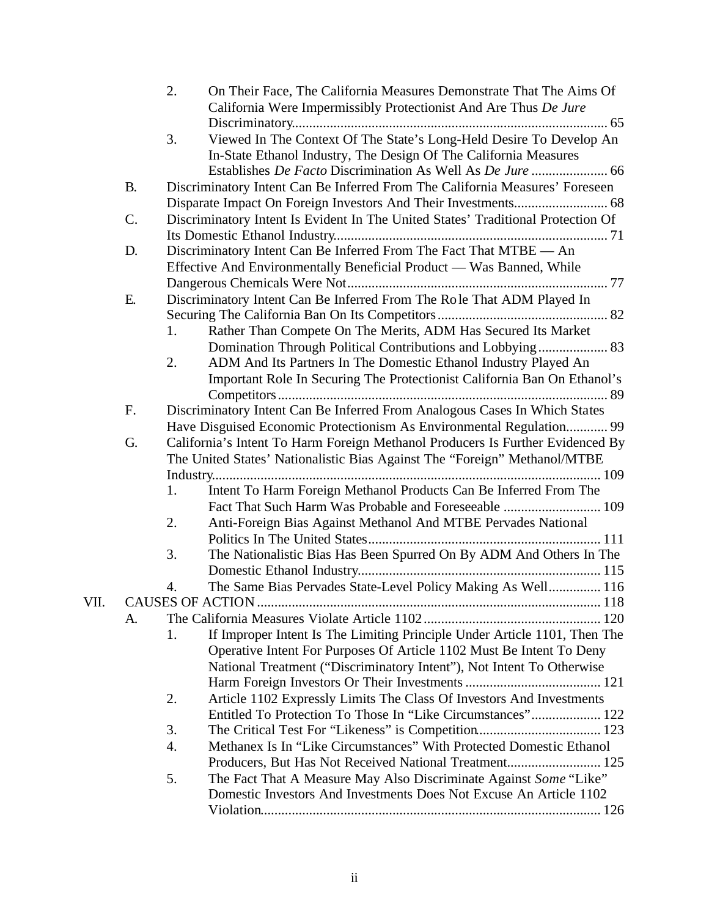|      |           | 2. | On Their Face, The California Measures Demonstrate That The Aims Of<br>California Were Impermissibly Protectionist And Are Thus De Jure |
|------|-----------|----|-----------------------------------------------------------------------------------------------------------------------------------------|
|      |           |    |                                                                                                                                         |
|      |           | 3. | Viewed In The Context Of The State's Long-Held Desire To Develop An<br>In-State Ethanol Industry, The Design Of The California Measures |
|      |           |    | Establishes De Facto Discrimination As Well As De Jure  66                                                                              |
|      | <b>B.</b> |    | Discriminatory Intent Can Be Inferred From The California Measures' Foreseen                                                            |
|      |           |    |                                                                                                                                         |
|      | C.        |    | Discriminatory Intent Is Evident In The United States' Traditional Protection Of                                                        |
|      |           |    |                                                                                                                                         |
|      | D.        |    | Discriminatory Intent Can Be Inferred From The Fact That MTBE - An                                                                      |
|      |           |    | Effective And Environmentally Beneficial Product — Was Banned, While                                                                    |
|      |           |    |                                                                                                                                         |
|      | Ε.        |    | Discriminatory Intent Can Be Inferred From The Role That ADM Played In                                                                  |
|      |           |    |                                                                                                                                         |
|      |           | 1. | Rather Than Compete On The Merits, ADM Has Secured Its Market                                                                           |
|      |           |    | Domination Through Political Contributions and Lobbying 83                                                                              |
|      |           | 2. | ADM And Its Partners In The Domestic Ethanol Industry Played An                                                                         |
|      |           |    | Important Role In Securing The Protectionist California Ban On Ethanol's                                                                |
|      |           |    |                                                                                                                                         |
|      | F.        |    | Discriminatory Intent Can Be Inferred From Analogous Cases In Which States                                                              |
|      |           |    | Have Disguised Economic Protectionism As Environmental Regulation 99                                                                    |
|      | G.        |    | California's Intent To Harm Foreign Methanol Producers Is Further Evidenced By                                                          |
|      |           |    | The United States' Nationalistic Bias Against The "Foreign" Methanol/MTBE                                                               |
|      |           |    |                                                                                                                                         |
|      |           | 1. | Intent To Harm Foreign Methanol Products Can Be Inferred From The                                                                       |
|      |           |    | Fact That Such Harm Was Probable and Foreseeable  109                                                                                   |
|      |           | 2. | Anti-Foreign Bias Against Methanol And MTBE Pervades National                                                                           |
|      |           | 3. |                                                                                                                                         |
|      |           |    | The Nationalistic Bias Has Been Spurred On By ADM And Others In The                                                                     |
|      |           | 4. | The Same Bias Pervades State-Level Policy Making As Well 116                                                                            |
| VII. |           |    |                                                                                                                                         |
|      | A.        |    |                                                                                                                                         |
|      |           | 1. | If Improper Intent Is The Limiting Principle Under Article 1101, Then The                                                               |
|      |           |    | Operative Intent For Purposes Of Article 1102 Must Be Intent To Deny                                                                    |
|      |           |    | National Treatment ("Discriminatory Intent"), Not Intent To Otherwise                                                                   |
|      |           |    |                                                                                                                                         |
|      |           | 2. | Article 1102 Expressly Limits The Class Of Investors And Investments                                                                    |
|      |           |    | Entitled To Protection To Those In "Like Circumstances" 122                                                                             |
|      |           | 3. |                                                                                                                                         |
|      |           | 4. | Methanex Is In "Like Circumstances" With Protected Domestic Ethanol                                                                     |
|      |           |    | Producers, But Has Not Received National Treatment 125                                                                                  |
|      |           | 5. | The Fact That A Measure May Also Discriminate Against Some "Like"                                                                       |
|      |           |    | Domestic Investors And Investments Does Not Excuse An Article 1102                                                                      |
|      |           |    |                                                                                                                                         |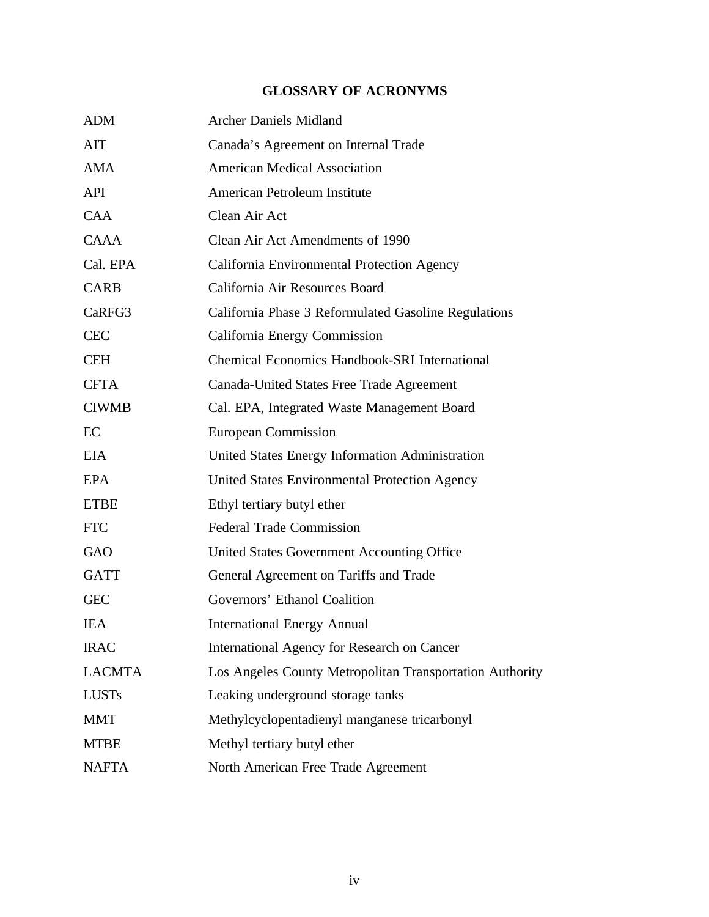## **GLOSSARY OF ACRONYMS**

| <b>ADM</b>    | <b>Archer Daniels Midland</b>                            |
|---------------|----------------------------------------------------------|
| AIT           | Canada's Agreement on Internal Trade                     |
| AMA           | <b>American Medical Association</b>                      |
| <b>API</b>    | American Petroleum Institute                             |
| <b>CAA</b>    | Clean Air Act                                            |
| <b>CAAA</b>   | Clean Air Act Amendments of 1990                         |
| Cal. EPA      | California Environmental Protection Agency               |
| <b>CARB</b>   | California Air Resources Board                           |
| CaRFG3        | California Phase 3 Reformulated Gasoline Regulations     |
| <b>CEC</b>    | California Energy Commission                             |
| <b>CEH</b>    | Chemical Economics Handbook-SRI International            |
| <b>CFTA</b>   | Canada-United States Free Trade Agreement                |
| <b>CIWMB</b>  | Cal. EPA, Integrated Waste Management Board              |
| EC            | <b>European Commission</b>                               |
| <b>EIA</b>    | United States Energy Information Administration          |
| <b>EPA</b>    | United States Environmental Protection Agency            |
| <b>ETBE</b>   | Ethyl tertiary butyl ether                               |
| <b>FTC</b>    | <b>Federal Trade Commission</b>                          |
| <b>GAO</b>    | United States Government Accounting Office               |
| <b>GATT</b>   | General Agreement on Tariffs and Trade                   |
| <b>GEC</b>    | Governors' Ethanol Coalition                             |
| <b>IEA</b>    | <b>International Energy Annual</b>                       |
| <b>IRAC</b>   | International Agency for Research on Cancer              |
| <b>LACMTA</b> | Los Angeles County Metropolitan Transportation Authority |
| <b>LUSTs</b>  | Leaking underground storage tanks                        |
| <b>MMT</b>    | Methylcyclopentadienyl manganese tricarbonyl             |
| <b>MTBE</b>   | Methyl tertiary butyl ether                              |
| <b>NAFTA</b>  | North American Free Trade Agreement                      |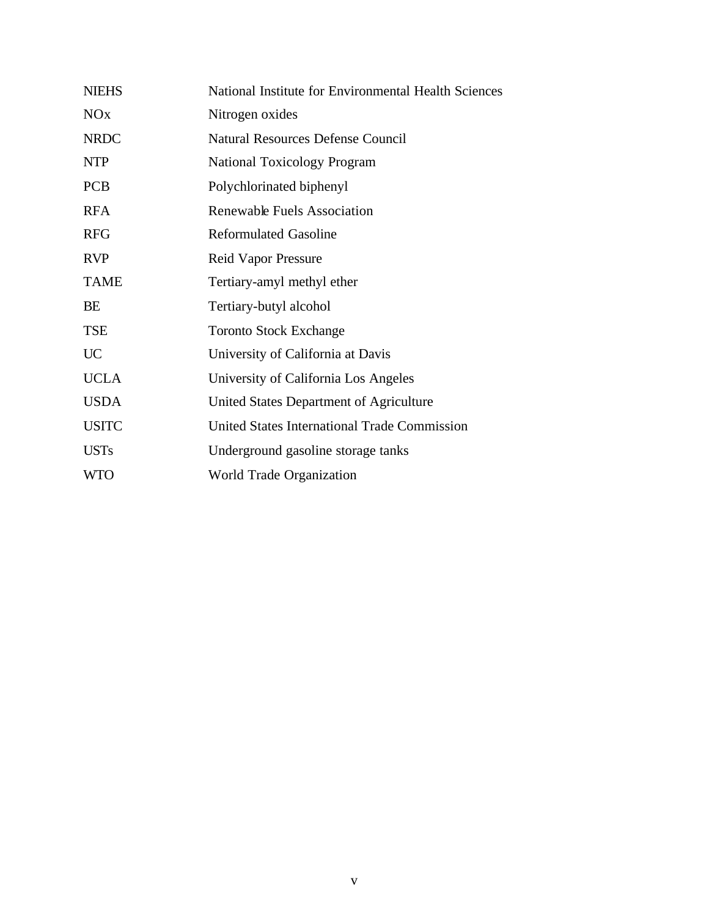| <b>NIEHS</b>          | National Institute for Environmental Health Sciences |
|-----------------------|------------------------------------------------------|
| <b>NO<sub>x</sub></b> | Nitrogen oxides                                      |
| <b>NRDC</b>           | <b>Natural Resources Defense Council</b>             |
| <b>NTP</b>            | <b>National Toxicology Program</b>                   |
| <b>PCB</b>            | Polychlorinated biphenyl                             |
| <b>RFA</b>            | Renewable Fuels Association                          |
| <b>RFG</b>            | <b>Reformulated Gasoline</b>                         |
| <b>RVP</b>            | <b>Reid Vapor Pressure</b>                           |
| <b>TAME</b>           | Tertiary-amyl methyl ether                           |
| BE                    | Tertiary-butyl alcohol                               |
| <b>TSE</b>            | <b>Toronto Stock Exchange</b>                        |
| <b>UC</b>             | University of California at Davis                    |
| <b>UCLA</b>           | University of California Los Angeles                 |
| <b>USDA</b>           | United States Department of Agriculture              |
| <b>USITC</b>          | <b>United States International Trade Commission</b>  |
| <b>USTs</b>           | Underground gasoline storage tanks                   |
| <b>WTO</b>            | World Trade Organization                             |
|                       |                                                      |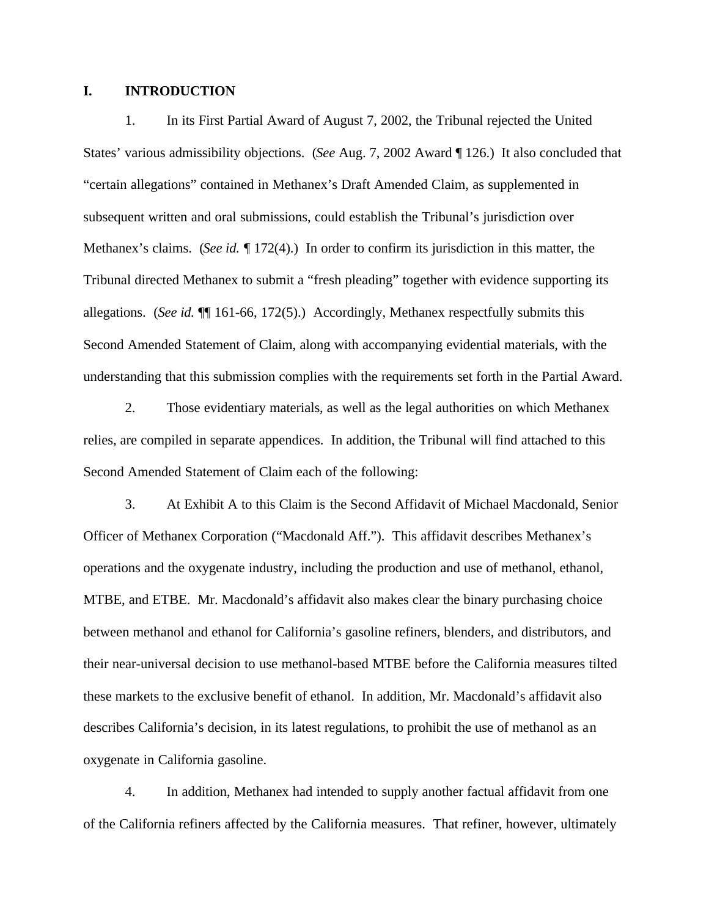#### **I. INTRODUCTION**

1. In its First Partial Award of August 7, 2002, the Tribunal rejected the United States' various admissibility objections. (*See* Aug. 7, 2002 Award ¶ 126.) It also concluded that "certain allegations" contained in Methanex's Draft Amended Claim, as supplemented in subsequent written and oral submissions, could establish the Tribunal's jurisdiction over Methanex's claims. (*See id.* ¶ 172(4).) In order to confirm its jurisdiction in this matter, the Tribunal directed Methanex to submit a "fresh pleading" together with evidence supporting its allegations.(*See id.* ¶¶ 161-66, 172(5).) Accordingly, Methanex respectfully submits this Second Amended Statement of Claim, along with accompanying evidential materials, with the understanding that this submission complies with the requirements set forth in the Partial Award.

2. Those evidentiary materials, as well as the legal authorities on which Methanex relies, are compiled in separate appendices. In addition, the Tribunal will find attached to this Second Amended Statement of Claim each of the following:

3. At Exhibit A to this Claim is the Second Affidavit of Michael Macdonald, Senior Officer of Methanex Corporation ("Macdonald Aff."). This affidavit describes Methanex's operations and the oxygenate industry, including the production and use of methanol, ethanol, MTBE, and ETBE. Mr. Macdonald's affidavit also makes clear the binary purchasing choice between methanol and ethanol for California's gasoline refiners, blenders, and distributors, and their near-universal decision to use methanol-based MTBE before the California measures tilted these markets to the exclusive benefit of ethanol. In addition, Mr. Macdonald's affidavit also describes California's decision, in its latest regulations, to prohibit the use of methanol as an oxygenate in California gasoline.

4. In addition, Methanex had intended to supply another factual affidavit from one of the California refiners affected by the California measures. That refiner, however, ultimately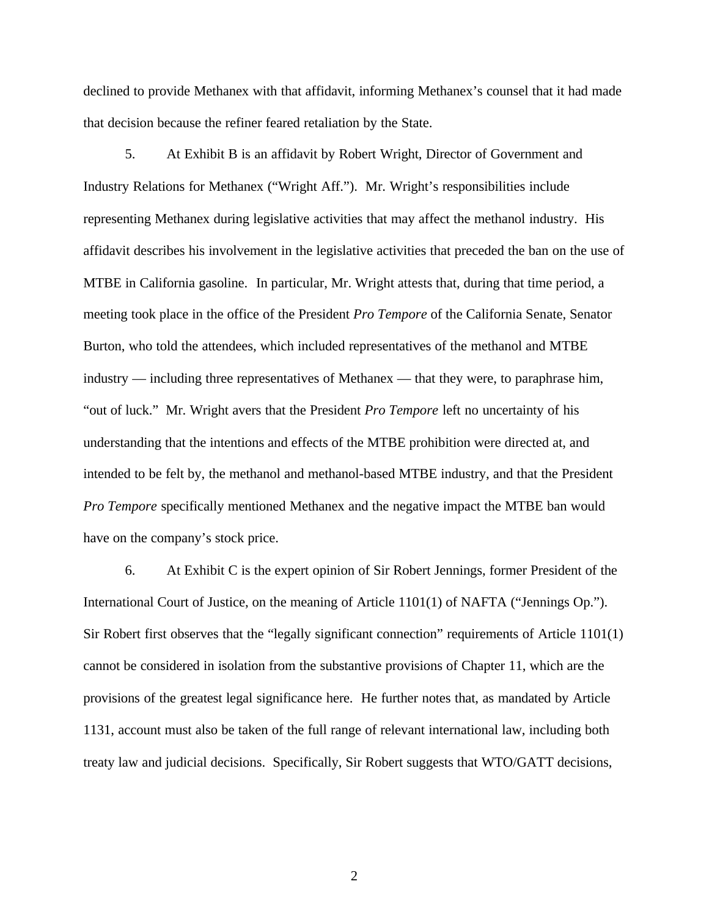declined to provide Methanex with that affidavit, informing Methanex's counsel that it had made that decision because the refiner feared retaliation by the State.

5. At Exhibit B is an affidavit by Robert Wright, Director of Government and Industry Relations for Methanex ("Wright Aff."). Mr. Wright's responsibilities include representing Methanex during legislative activities that may affect the methanol industry. His affidavit describes his involvement in the legislative activities that preceded the ban on the use of MTBE in California gasoline. In particular, Mr. Wright attests that, during that time period, a meeting took place in the office of the President *Pro Tempore* of the California Senate, Senator Burton, who told the attendees, which included representatives of the methanol and MTBE industry — including three representatives of Methanex — that they were, to paraphrase him, "out of luck." Mr. Wright avers that the President *Pro Tempore* left no uncertainty of his understanding that the intentions and effects of the MTBE prohibition were directed at, and intended to be felt by, the methanol and methanol-based MTBE industry, and that the President *Pro Tempore* specifically mentioned Methanex and the negative impact the MTBE ban would have on the company's stock price.

6. At Exhibit C is the expert opinion of Sir Robert Jennings, former President of the International Court of Justice, on the meaning of Article 1101(1) of NAFTA ("Jennings Op."). Sir Robert first observes that the "legally significant connection" requirements of Article 1101(1) cannot be considered in isolation from the substantive provisions of Chapter 11, which are the provisions of the greatest legal significance here. He further notes that, as mandated by Article 1131, account must also be taken of the full range of relevant international law, including both treaty law and judicial decisions. Specifically, Sir Robert suggests that WTO/GATT decisions,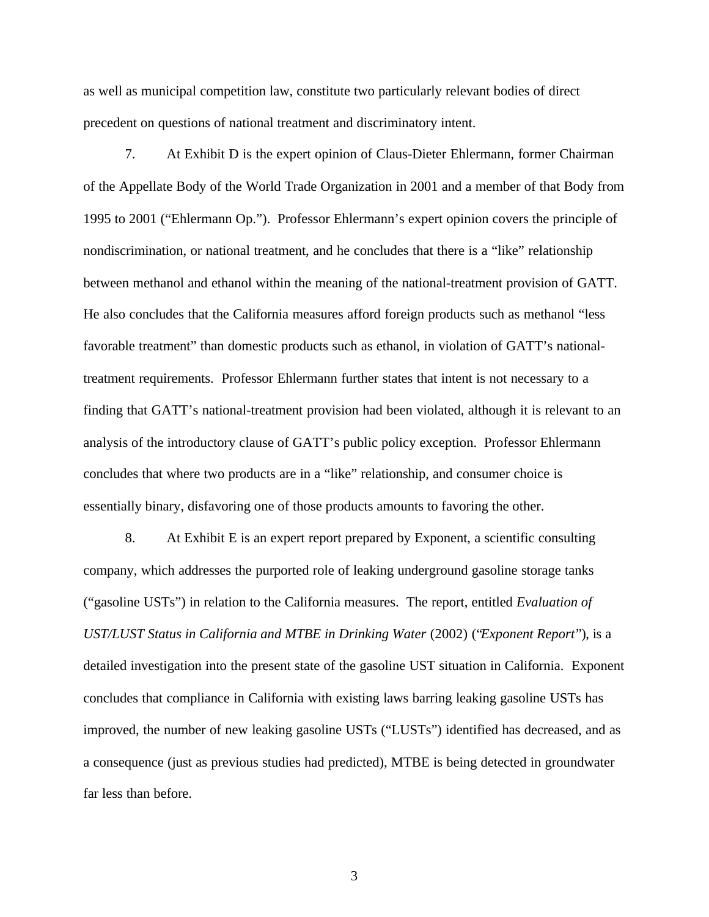as well as municipal competition law, constitute two particularly relevant bodies of direct precedent on questions of national treatment and discriminatory intent.

7. At Exhibit D is the expert opinion of Claus-Dieter Ehlermann, former Chairman of the Appellate Body of the World Trade Organization in 2001 and a member of that Body from 1995 to 2001 ("Ehlermann Op."). Professor Ehlermann's expert opinion covers the principle of nondiscrimination, or national treatment, and he concludes that there is a "like" relationship between methanol and ethanol within the meaning of the national-treatment provision of GATT. He also concludes that the California measures afford foreign products such as methanol "less favorable treatment" than domestic products such as ethanol, in violation of GATT's nationaltreatment requirements. Professor Ehlermann further states that intent is not necessary to a finding that GATT's national-treatment provision had been violated, although it is relevant to an analysis of the introductory clause of GATT's public policy exception. Professor Ehlermann concludes that where two products are in a "like" relationship, and consumer choice is essentially binary, disfavoring one of those products amounts to favoring the other.

8. At Exhibit E is an expert report prepared by Exponent, a scientific consulting company, which addresses the purported role of leaking underground gasoline storage tanks ("gasoline USTs") in relation to the California measures. The report, entitled *Evaluation of UST/LUST Status in California and MTBE in Drinking Water* (2002) ("*Exponent Report*"), is a detailed investigation into the present state of the gasoline UST situation in California. Exponent concludes that compliance in California with existing laws barring leaking gasoline USTs has improved, the number of new leaking gasoline USTs ("LUSTs") identified has decreased, and as a consequence (just as previous studies had predicted), MTBE is being detected in groundwater far less than before.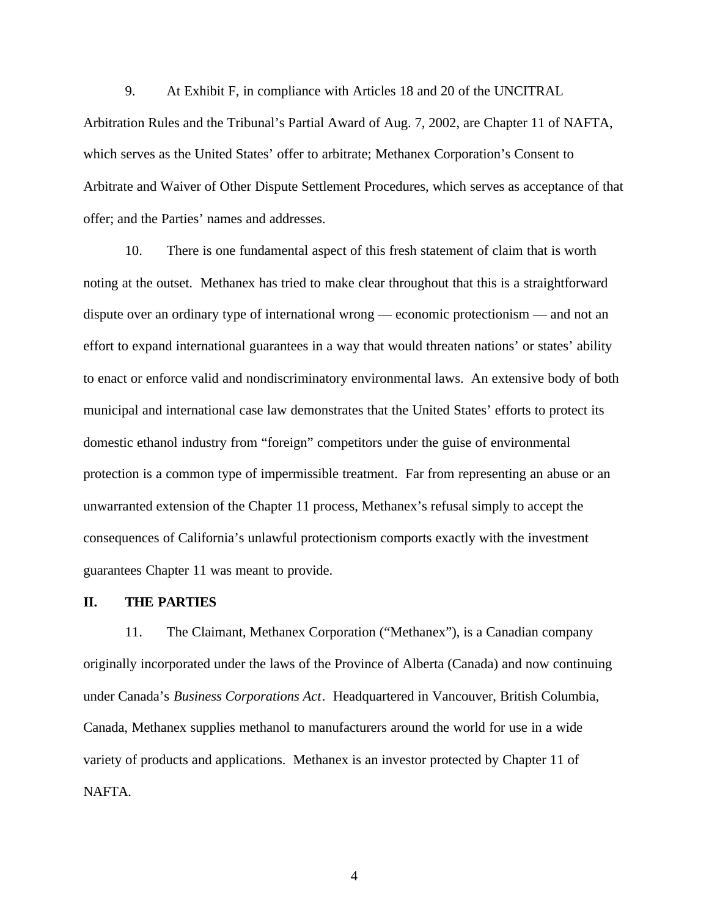9. At Exhibit F, in compliance with Articles 18 and 20 of the UNCITRAL Arbitration Rules and the Tribunal's Partial Award of Aug. 7, 2002, are Chapter 11 of NAFTA, which serves as the United States' offer to arbitrate; Methanex Corporation's Consent to Arbitrate and Waiver of Other Dispute Settlement Procedures, which serves as acceptance of that offer; and the Parties' names and addresses.

10. There is one fundamental aspect of this fresh statement of claim that is worth noting at the outset. Methanex has tried to make clear throughout that this is a straightforward dispute over an ordinary type of international wrong — economic protectionism — and not an effort to expand international guarantees in a way that would threaten nations' or states' ability to enact or enforce valid and nondiscriminatory environmental laws. An extensive body of both municipal and international case law demonstrates that the United States' efforts to protect its domestic ethanol industry from "foreign" competitors under the guise of environmental protection is a common type of impermissible treatment. Far from representing an abuse or an unwarranted extension of the Chapter 11 process, Methanex's refusal simply to accept the consequences of California's unlawful protectionism comports exactly with the investment guarantees Chapter 11 was meant to provide.

#### **II. THE PARTIES**

11. The Claimant, Methanex Corporation ("Methanex"), is a Canadian company originally incorporated under the laws of the Province of Alberta (Canada) and now continuing under Canada's *Business Corporations Act*. Headquartered in Vancouver, British Columbia, Canada, Methanex supplies methanol to manufacturers around the world for use in a wide variety of products and applications. Methanex is an investor protected by Chapter 11 of NAFTA.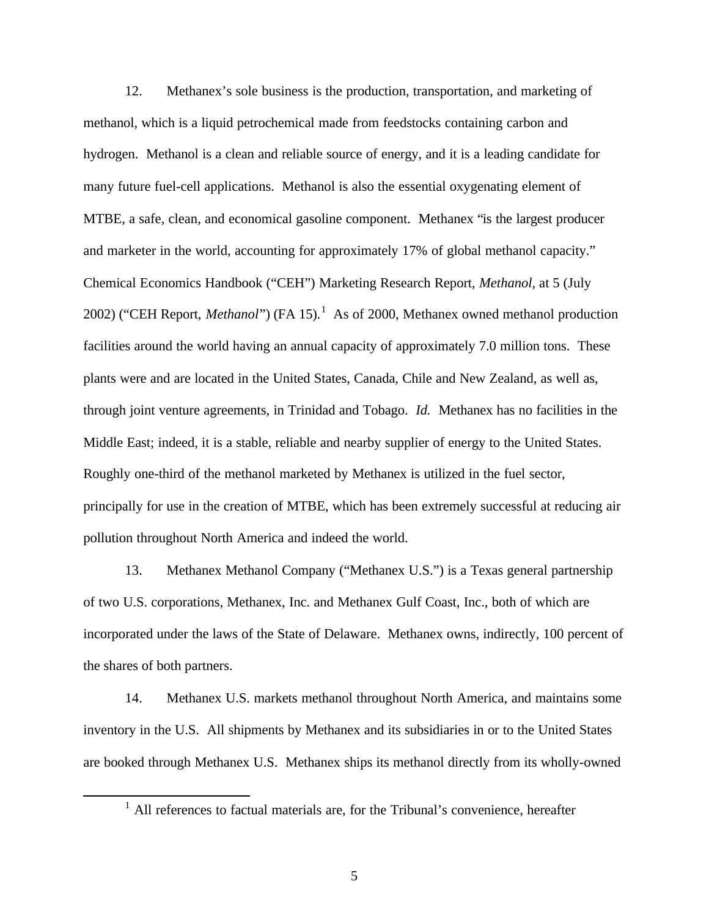12. Methanex's sole business is the production, transportation, and marketing of methanol, which is a liquid petrochemical made from feedstocks containing carbon and hydrogen. Methanol is a clean and reliable source of energy, and it is a leading candidate for many future fuel-cell applications. Methanol is also the essential oxygenating element of MTBE, a safe, clean, and economical gasoline component. Methanex "is the largest producer and marketer in the world, accounting for approximately 17% of global methanol capacity." Chemical Economics Handbook ("CEH") Marketing Research Report, *Methanol*, at 5 (July 2002) ("CEH Report, *Methanol*") (FA 15).<sup>1</sup> As of 2000, Methanex owned methanol production facilities around the world having an annual capacity of approximately 7.0 million tons. These plants were and are located in the United States, Canada, Chile and New Zealand, as well as, through joint venture agreements, in Trinidad and Tobago. *Id.* Methanex has no facilities in the Middle East; indeed, it is a stable, reliable and nearby supplier of energy to the United States. Roughly one-third of the methanol marketed by Methanex is utilized in the fuel sector, principally for use in the creation of MTBE, which has been extremely successful at reducing air pollution throughout North America and indeed the world.

13. Methanex Methanol Company ("Methanex U.S.") is a Texas general partnership of two U.S. corporations, Methanex, Inc. and Methanex Gulf Coast, Inc., both of which are incorporated under the laws of the State of Delaware. Methanex owns, indirectly, 100 percent of the shares of both partners.

14. Methanex U.S. markets methanol throughout North America, and maintains some inventory in the U.S. All shipments by Methanex and its subsidiaries in or to the United States are booked through Methanex U.S. Methanex ships its methanol directly from its wholly-owned

 $\overline{a}$ 

<sup>&</sup>lt;sup>1</sup> All references to factual materials are, for the Tribunal's convenience, hereafter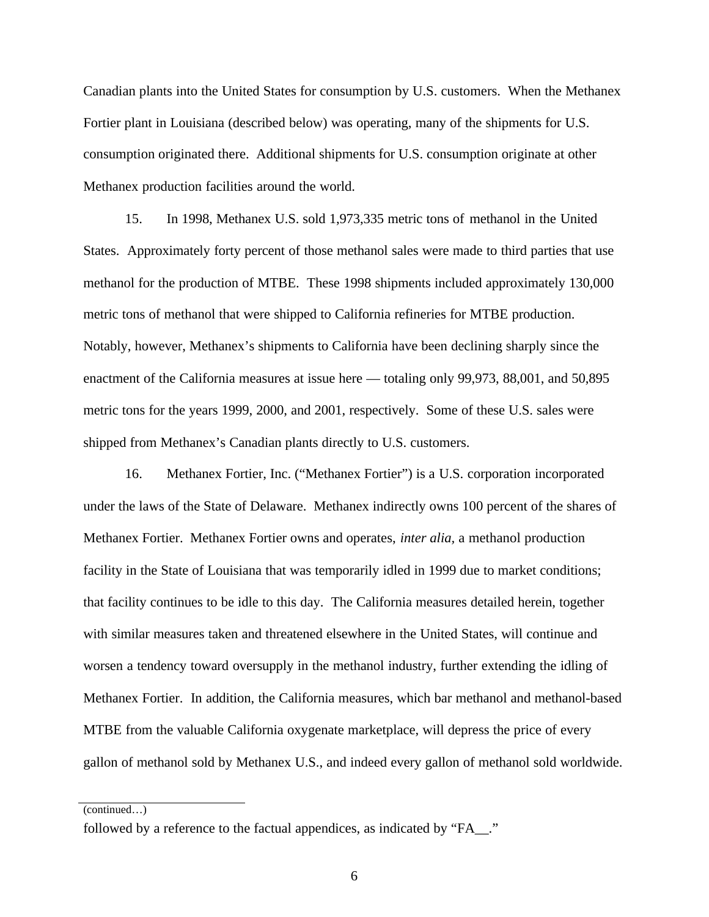Canadian plants into the United States for consumption by U.S. customers. When the Methanex Fortier plant in Louisiana (described below) was operating, many of the shipments for U.S. consumption originated there. Additional shipments for U.S. consumption originate at other Methanex production facilities around the world.

15. In 1998, Methanex U.S. sold 1,973,335 metric tons of methanol in the United States. Approximately forty percent of those methanol sales were made to third parties that use methanol for the production of MTBE. These 1998 shipments included approximately 130,000 metric tons of methanol that were shipped to California refineries for MTBE production. Notably, however, Methanex's shipments to California have been declining sharply since the enactment of the California measures at issue here — totaling only 99,973, 88,001, and 50,895 metric tons for the years 1999, 2000, and 2001, respectively. Some of these U.S. sales were shipped from Methanex's Canadian plants directly to U.S. customers.

16. Methanex Fortier, Inc. ("Methanex Fortier") is a U.S. corporation incorporated under the laws of the State of Delaware. Methanex indirectly owns 100 percent of the shares of Methanex Fortier. Methanex Fortier owns and operates, *inter alia,* a methanol production facility in the State of Louisiana that was temporarily idled in 1999 due to market conditions; that facility continues to be idle to this day. The California measures detailed herein, together with similar measures taken and threatened elsewhere in the United States, will continue and worsen a tendency toward oversupply in the methanol industry, further extending the idling of Methanex Fortier. In addition, the California measures, which bar methanol and methanol-based MTBE from the valuable California oxygenate marketplace, will depress the price of every gallon of methanol sold by Methanex U.S., and indeed every gallon of methanol sold worldwide.

(continued…)

followed by a reference to the factual appendices, as indicated by "FA\_\_."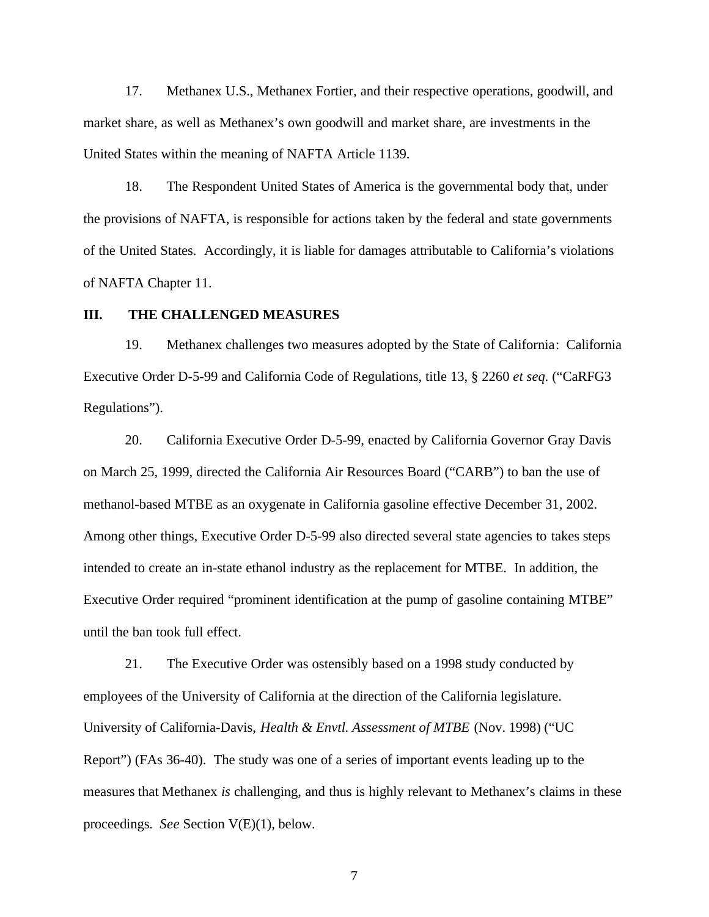17. Methanex U.S., Methanex Fortier, and their respective operations, goodwill, and market share, as well as Methanex's own goodwill and market share, are investments in the United States within the meaning of NAFTA Article 1139.

18. The Respondent United States of America is the governmental body that, under the provisions of NAFTA, is responsible for actions taken by the federal and state governments of the United States. Accordingly, it is liable for damages attributable to California's violations of NAFTA Chapter 11.

## **III. THE CHALLENGED MEASURES**

19. Methanex challenges two measures adopted by the State of California: California Executive Order D-5-99 and California Code of Regulations, title 13, § 2260 *et seq.* ("CaRFG3 Regulations").

20. California Executive Order D-5-99, enacted by California Governor Gray Davis on March 25, 1999, directed the California Air Resources Board ("CARB") to ban the use of methanol-based MTBE as an oxygenate in California gasoline effective December 31, 2002. Among other things, Executive Order D-5-99 also directed several state agencies to takes steps intended to create an in-state ethanol industry as the replacement for MTBE. In addition, the Executive Order required "prominent identification at the pump of gasoline containing MTBE" until the ban took full effect.

21. The Executive Order was ostensibly based on a 1998 study conducted by employees of the University of California at the direction of the California legislature. University of California-Davis, *Health & Envtl. Assessment of MTBE* (Nov. 1998) ("UC Report") (FAs 36-40). The study was one of a series of important events leading up to the measures that Methanex *is* challenging, and thus is highly relevant to Methanex's claims in these proceedings. *See* Section V(E)(1), below.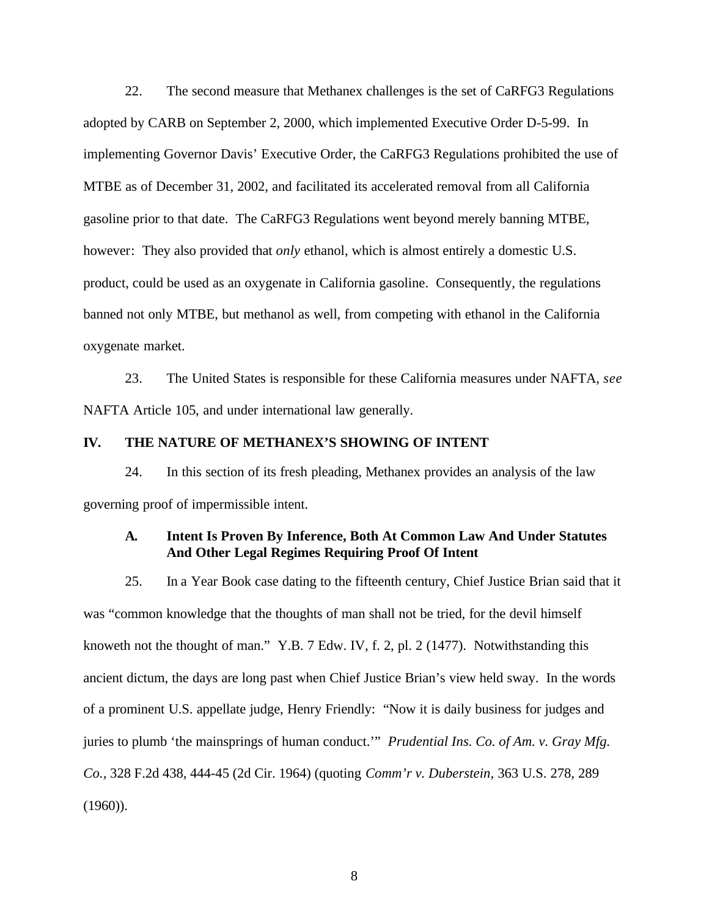22. The second measure that Methanex challenges is the set of CaRFG3 Regulations adopted by CARB on September 2, 2000, which implemented Executive Order D-5-99. In implementing Governor Davis' Executive Order, the CaRFG3 Regulations prohibited the use of MTBE as of December 31, 2002, and facilitated its accelerated removal from all California gasoline prior to that date. The CaRFG3 Regulations went beyond merely banning MTBE, however: They also provided that *only* ethanol, which is almost entirely a domestic U.S. product, could be used as an oxygenate in California gasoline. Consequently, the regulations banned not only MTBE, but methanol as well, from competing with ethanol in the California oxygenate market.

23. The United States is responsible for these California measures under NAFTA, *see* NAFTA Article 105, and under international law generally.

## **IV. THE NATURE OF METHANEX'S SHOWING OF INTENT**

24. In this section of its fresh pleading, Methanex provides an analysis of the law governing proof of impermissible intent.

## **A. Intent Is Proven By Inference, Both At Common Law And Under Statutes And Other Legal Regimes Requiring Proof Of Intent**

25. In a Year Book case dating to the fifteenth century, Chief Justice Brian said that it was "common knowledge that the thoughts of man shall not be tried, for the devil himself knoweth not the thought of man." Y.B. 7 Edw. IV, f. 2, pl. 2 (1477). Notwithstanding this ancient dictum, the days are long past when Chief Justice Brian's view held sway. In the words of a prominent U.S. appellate judge, Henry Friendly: "Now it is daily business for judges and juries to plumb 'the mainsprings of human conduct.'" *Prudential Ins. Co. of Am. v. Gray Mfg. Co.,* 328 F.2d 438, 444-45 (2d Cir. 1964) (quoting *Comm'r v. Duberstein,* 363 U.S. 278, 289 (1960)).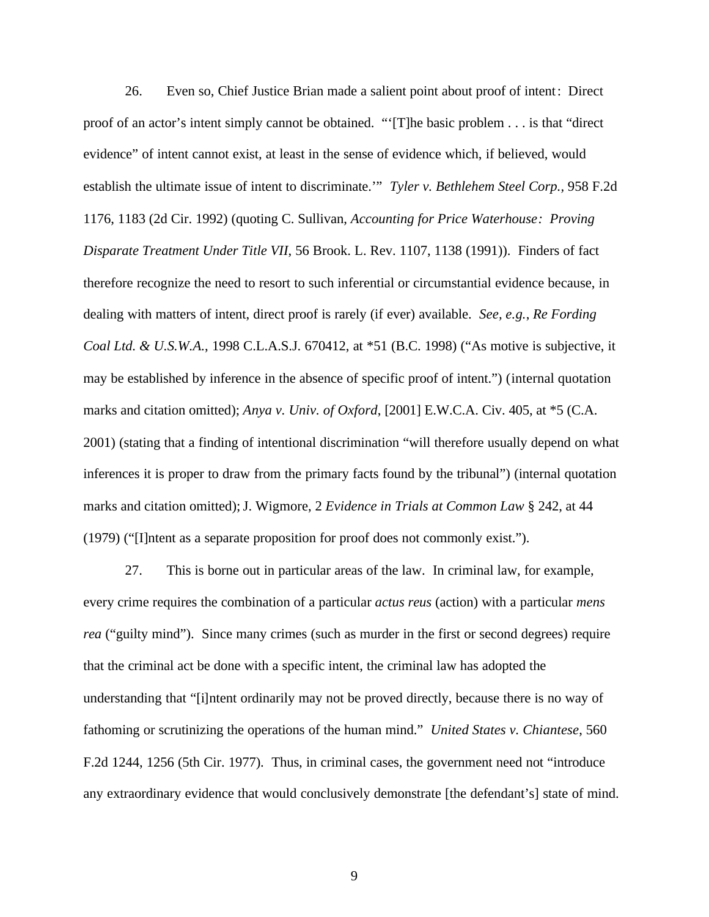26. Even so, Chief Justice Brian made a salient point about proof of intent: Direct proof of an actor's intent simply cannot be obtained. "'[T]he basic problem . . . is that "direct evidence" of intent cannot exist, at least in the sense of evidence which, if believed, would establish the ultimate issue of intent to discriminate.'" *Tyler v. Bethlehem Steel Corp.,* 958 F.2d 1176, 1183 (2d Cir. 1992) (quoting C. Sullivan, *Accounting for Price Waterhouse: Proving Disparate Treatment Under Title VII*, 56 Brook. L. Rev. 1107, 1138 (1991)). Finders of fact therefore recognize the need to resort to such inferential or circumstantial evidence because, in dealing with matters of intent, direct proof is rarely (if ever) available. *See, e.g.*, *Re Fording Coal Ltd. & U.S.W.A.*, 1998 C.L.A.S.J. 670412, at \*51 (B.C. 1998) ("As motive is subjective, it may be established by inference in the absence of specific proof of intent.") (internal quotation marks and citation omitted); *Anya v. Univ. of Oxford*, [2001] E.W.C.A. Civ. 405, at \*5 (C.A. 2001) (stating that a finding of intentional discrimination "will therefore usually depend on what inferences it is proper to draw from the primary facts found by the tribunal") (internal quotation marks and citation omitted); J. Wigmore, 2 *Evidence in Trials at Common Law* § 242, at 44 (1979) ("[I]ntent as a separate proposition for proof does not commonly exist.").

27. This is borne out in particular areas of the law. In criminal law, for example, every crime requires the combination of a particular *actus reus* (action) with a particular *mens rea* ("guilty mind"). Since many crimes (such as murder in the first or second degrees) require that the criminal act be done with a specific intent, the criminal law has adopted the understanding that "[i]ntent ordinarily may not be proved directly, because there is no way of fathoming or scrutinizing the operations of the human mind." *United States v. Chiantese*, 560 F.2d 1244, 1256 (5th Cir. 1977). Thus, in criminal cases, the government need not "introduce any extraordinary evidence that would conclusively demonstrate [the defendant's] state of mind.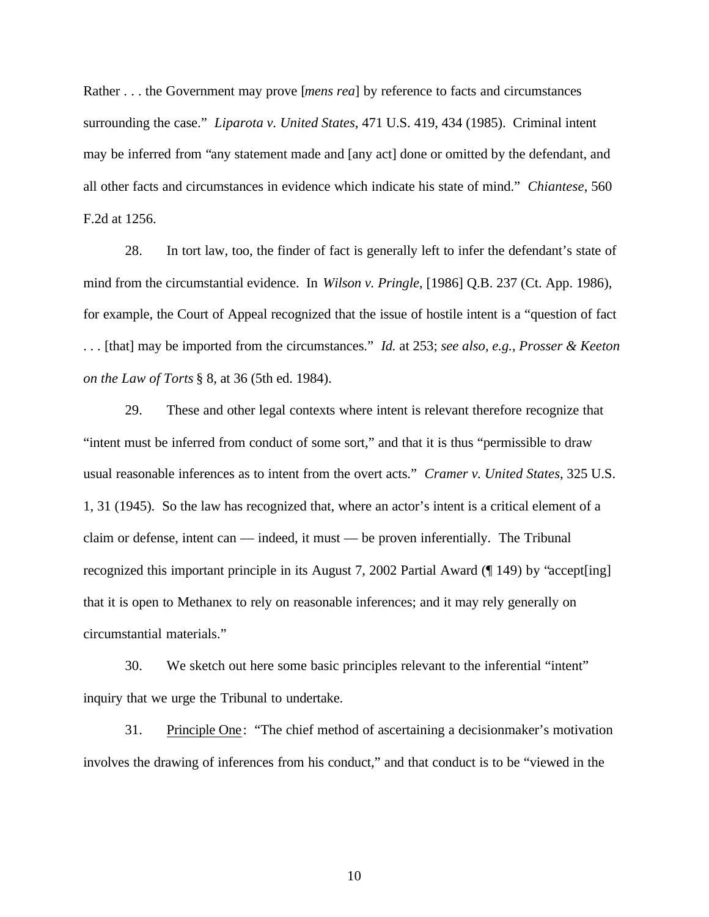Rather . . . the Government may prove [*mens rea*] by reference to facts and circumstances surrounding the case." *Liparota v. United States*, 471 U.S. 419, 434 (1985). Criminal intent may be inferred from "any statement made and [any act] done or omitted by the defendant, and all other facts and circumstances in evidence which indicate his state of mind." *Chiantese*, 560 F.2d at 1256.

28. In tort law, too, the finder of fact is generally left to infer the defendant's state of mind from the circumstantial evidence. In *Wilson v. Pringle*, [1986] Q.B. 237 (Ct. App. 1986), for example, the Court of Appeal recognized that the issue of hostile intent is a "question of fact . . . [that] may be imported from the circumstances." *Id.* at 253; *see also, e.g.*, *Prosser & Keeton on the Law of Torts* § 8, at 36 (5th ed. 1984).

29. These and other legal contexts where intent is relevant therefore recognize that "intent must be inferred from conduct of some sort," and that it is thus "permissible to draw usual reasonable inferences as to intent from the overt acts." *Cramer v. United States*, 325 U.S. 1, 31 (1945). So the law has recognized that, where an actor's intent is a critical element of a claim or defense, intent can — indeed, it must — be proven inferentially. The Tribunal recognized this important principle in its August 7, 2002 Partial Award (¶ 149) by "accept[ing] that it is open to Methanex to rely on reasonable inferences; and it may rely generally on circumstantial materials."

30. We sketch out here some basic principles relevant to the inferential "intent" inquiry that we urge the Tribunal to undertake.

31. Principle One : "The chief method of ascertaining a decisionmaker's motivation involves the drawing of inferences from his conduct," and that conduct is to be "viewed in the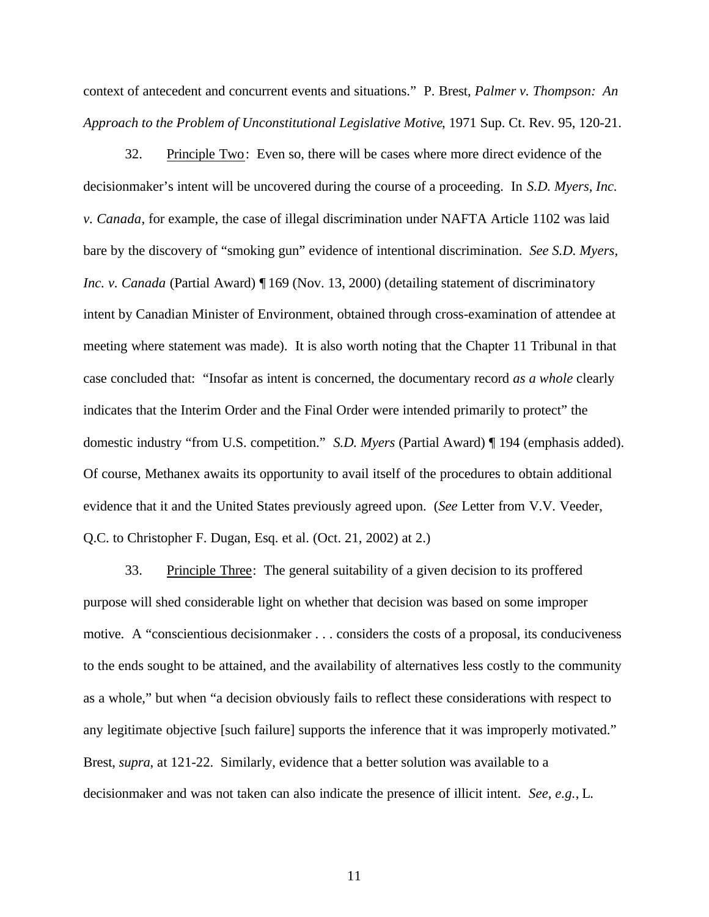context of antecedent and concurrent events and situations." P. Brest, *Palmer v. Thompson: An Approach to the Problem of Unconstitutional Legislative Motive*, 1971 Sup. Ct. Rev. 95, 120-21.

32. Principle Two: Even so, there will be cases where more direct evidence of the decisionmaker's intent will be uncovered during the course of a proceeding. In *S.D. Myers, Inc. v. Canada*, for example, the case of illegal discrimination under NAFTA Article 1102 was laid bare by the discovery of "smoking gun" evidence of intentional discrimination. *See S.D. Myers, Inc. v. Canada* (Partial Award) ¶ 169 (Nov. 13, 2000) (detailing statement of discriminatory intent by Canadian Minister of Environment, obtained through cross-examination of attendee at meeting where statement was made). It is also worth noting that the Chapter 11 Tribunal in that case concluded that: "Insofar as intent is concerned, the documentary record *as a whole* clearly indicates that the Interim Order and the Final Order were intended primarily to protect" the domestic industry "from U.S. competition." *S.D. Myers* (Partial Award) ¶ 194 (emphasis added). Of course, Methanex awaits its opportunity to avail itself of the procedures to obtain additional evidence that it and the United States previously agreed upon. (*See* Letter from V.V. Veeder, Q.C. to Christopher F. Dugan, Esq. et al. (Oct. 21, 2002) at 2.)

33. Principle Three: The general suitability of a given decision to its proffered purpose will shed considerable light on whether that decision was based on some improper motive. A "conscientious decisionmaker . . . considers the costs of a proposal, its conduciveness to the ends sought to be attained, and the availability of alternatives less costly to the community as a whole," but when "a decision obviously fails to reflect these considerations with respect to any legitimate objective [such failure] supports the inference that it was improperly motivated." Brest, *supra*, at 121-22. Similarly, evidence that a better solution was available to a decisionmaker and was not taken can also indicate the presence of illicit intent. *See, e.g.*, L.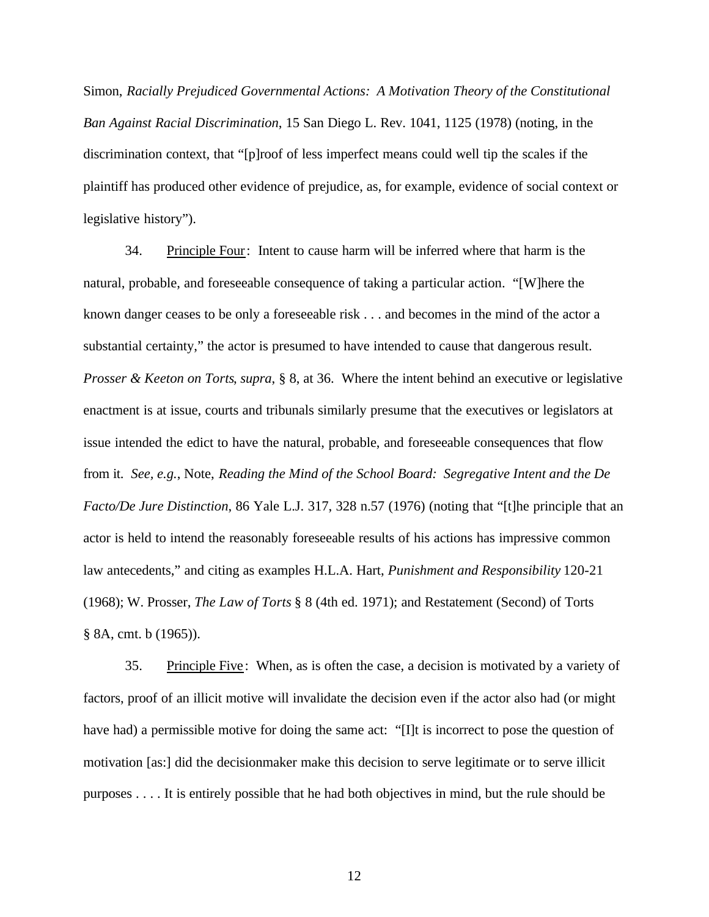Simon, *Racially Prejudiced Governmental Actions: A Motivation Theory of the Constitutional Ban Against Racial Discrimination*, 15 San Diego L. Rev. 1041, 1125 (1978) (noting, in the discrimination context, that "[p]roof of less imperfect means could well tip the scales if the plaintiff has produced other evidence of prejudice, as, for example, evidence of social context or legislative history").

34. Principle Four: Intent to cause harm will be inferred where that harm is the natural, probable, and foreseeable consequence of taking a particular action. "[W]here the known danger ceases to be only a foreseeable risk . . . and becomes in the mind of the actor a substantial certainty," the actor is presumed to have intended to cause that dangerous result. *Prosser & Keeton on Torts*, *supra*, § 8, at 36. Where the intent behind an executive or legislative enactment is at issue, courts and tribunals similarly presume that the executives or legislators at issue intended the edict to have the natural, probable, and foreseeable consequences that flow from it. *See, e.g.*, Note, *Reading the Mind of the School Board: Segregative Intent and the De Facto/De Jure Distinction*, 86 Yale L.J. 317, 328 n.57 (1976) (noting that "[t]he principle that an actor is held to intend the reasonably foreseeable results of his actions has impressive common law antecedents," and citing as examples H.L.A. Hart, *Punishment and Responsibility* 120-21 (1968); W. Prosser, *The Law of Torts* § 8 (4th ed. 1971); and Restatement (Second) of Torts § 8A, cmt. b (1965)).

35. Principle Five : When, as is often the case, a decision is motivated by a variety of factors, proof of an illicit motive will invalidate the decision even if the actor also had (or might have had) a permissible motive for doing the same act: "[I]t is incorrect to pose the question of motivation [as:] did the decisionmaker make this decision to serve legitimate or to serve illicit purposes . . . . It is entirely possible that he had both objectives in mind, but the rule should be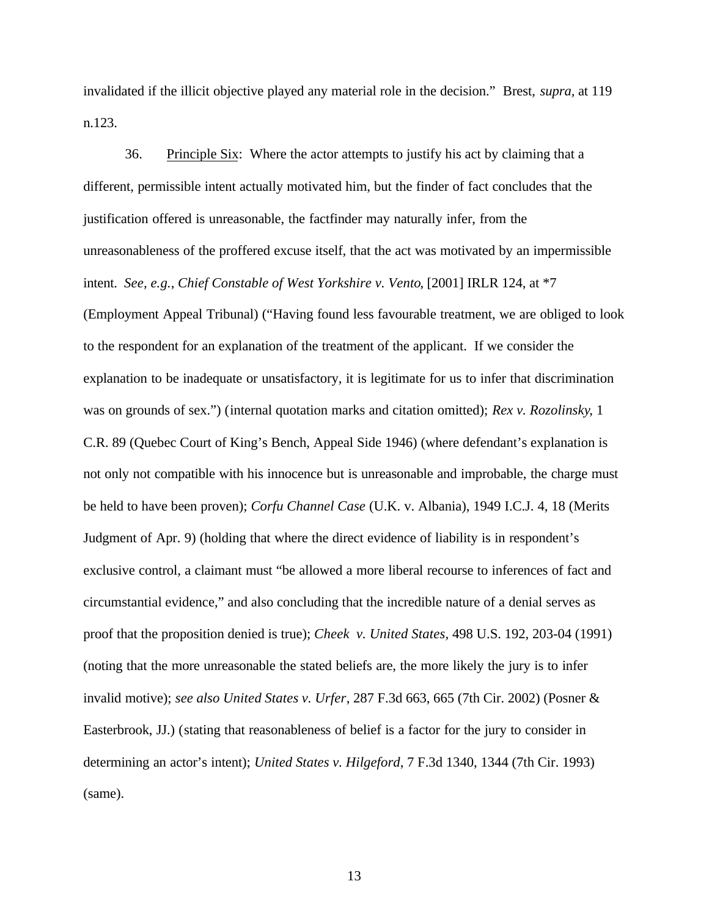invalidated if the illicit objective played any material role in the decision." Brest, *supra,* at 119 n.123.

36. Principle Six: Where the actor attempts to justify his act by claiming that a different, permissible intent actually motivated him, but the finder of fact concludes that the justification offered is unreasonable, the factfinder may naturally infer, from the unreasonableness of the proffered excuse itself, that the act was motivated by an impermissible intent. *See, e.g.*, *Chief Constable of West Yorkshire v. Vento*, [2001] IRLR 124, at \*7 (Employment Appeal Tribunal) ("Having found less favourable treatment, we are obliged to look to the respondent for an explanation of the treatment of the applicant. If we consider the explanation to be inadequate or unsatisfactory, it is legitimate for us to infer that discrimination was on grounds of sex.") (internal quotation marks and citation omitted); *Rex v. Rozolinsky*, 1 C.R. 89 (Quebec Court of King's Bench, Appeal Side 1946) (where defendant's explanation is not only not compatible with his innocence but is unreasonable and improbable, the charge must be held to have been proven); *Corfu Channel Case* (U.K. v. Albania), 1949 I.C.J. 4, 18 (Merits Judgment of Apr. 9) (holding that where the direct evidence of liability is in respondent's exclusive control, a claimant must "be allowed a more liberal recourse to inferences of fact and circumstantial evidence," and also concluding that the incredible nature of a denial serves as proof that the proposition denied is true); *Cheek v. United States,* 498 U.S. 192, 203-04 (1991) (noting that the more unreasonable the stated beliefs are, the more likely the jury is to infer invalid motive); *see also United States v. Urfer*, 287 F.3d 663, 665 (7th Cir. 2002) (Posner & Easterbrook, JJ.) (stating that reasonableness of belief is a factor for the jury to consider in determining an actor's intent); *United States v. Hilgeford*, 7 F.3d 1340, 1344 (7th Cir. 1993) (same).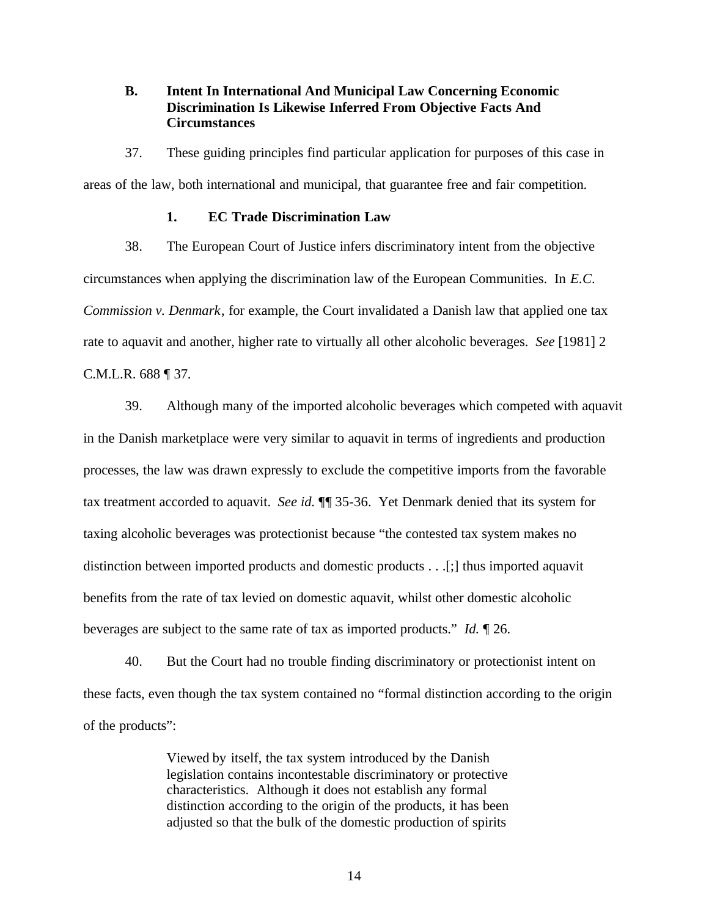**B. Intent In International And Municipal Law Concerning Economic Discrimination Is Likewise Inferred From Objective Facts And Circumstances**

37. These guiding principles find particular application for purposes of this case in areas of the law, both international and municipal, that guarantee free and fair competition.

## **1. EC Trade Discrimination Law**

38. The European Court of Justice infers discriminatory intent from the objective circumstances when applying the discrimination law of the European Communities. In *E.C. Commission v. Denmark*, for example, the Court invalidated a Danish law that applied one tax rate to aquavit and another, higher rate to virtually all other alcoholic beverages. *See* [1981] 2 C.M.L.R. 688 ¶ 37.

39. Although many of the imported alcoholic beverages which competed with aquavit in the Danish marketplace were very similar to aquavit in terms of ingredients and production processes, the law was drawn expressly to exclude the competitive imports from the favorable tax treatment accorded to aquavit. *See id.* ¶¶ 35-36. Yet Denmark denied that its system for taxing alcoholic beverages was protectionist because "the contested tax system makes no distinction between imported products and domestic products . . .[;] thus imported aquavit benefits from the rate of tax levied on domestic aquavit, whilst other domestic alcoholic beverages are subject to the same rate of tax as imported products." *Id.* ¶ 26.

40. But the Court had no trouble finding discriminatory or protectionist intent on these facts, even though the tax system contained no "formal distinction according to the origin of the products":

> Viewed by itself, the tax system introduced by the Danish legislation contains incontestable discriminatory or protective characteristics. Although it does not establish any formal distinction according to the origin of the products, it has been adjusted so that the bulk of the domestic production of spirits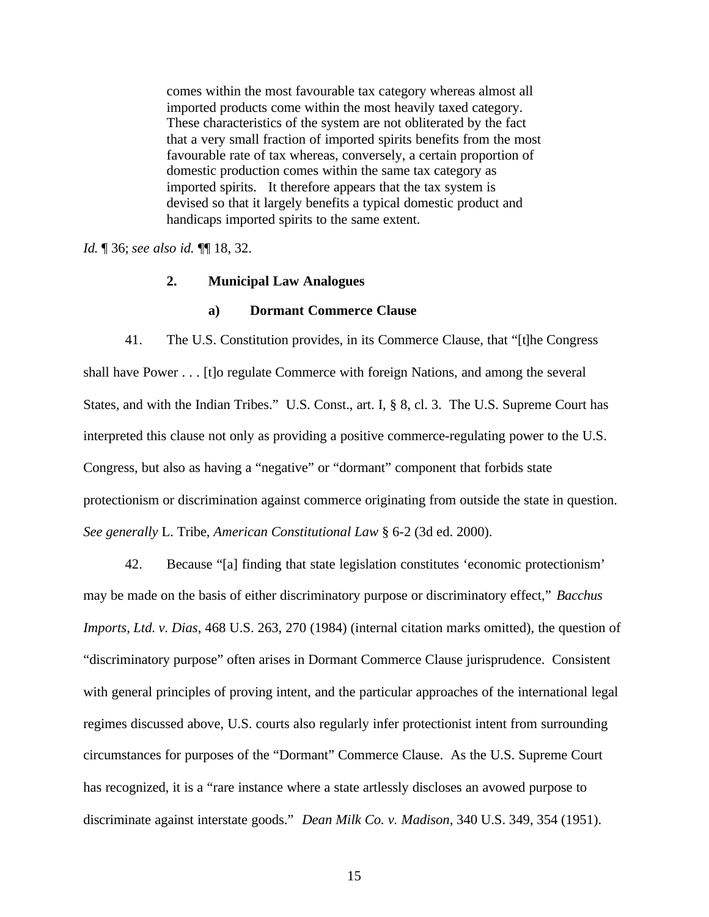comes within the most favourable tax category whereas almost all imported products come within the most heavily taxed category. These characteristics of the system are not obliterated by the fact that a very small fraction of imported spirits benefits from the most favourable rate of tax whereas, conversely, a certain proportion of domestic production comes within the same tax category as imported spirits. It therefore appears that the tax system is devised so that it largely benefits a typical domestic product and handicaps imported spirits to the same extent.

*Id.* ¶ 36; *see also id.* ¶¶ 18, 32.

## **2. Municipal Law Analogues**

#### **a) Dormant Commerce Clause**

41. The U.S. Constitution provides, in its Commerce Clause, that "[t]he Congress shall have Power . . . [t]o regulate Commerce with foreign Nations, and among the several States, and with the Indian Tribes." U.S. Const., art. I, § 8, cl. 3. The U.S. Supreme Court has interpreted this clause not only as providing a positive commerce-regulating power to the U.S. Congress, but also as having a "negative" or "dormant" component that forbids state protectionism or discrimination against commerce originating from outside the state in question. *See generally* L. Tribe, *American Constitutional Law* § 6-2 (3d ed. 2000).

42. Because "[a] finding that state legislation constitutes 'economic protectionism' may be made on the basis of either discriminatory purpose or discriminatory effect," *Bacchus Imports, Ltd. v. Dias*, 468 U.S. 263, 270 (1984) (internal citation marks omitted), the question of "discriminatory purpose" often arises in Dormant Commerce Clause jurisprudence. Consistent with general principles of proving intent, and the particular approaches of the international legal regimes discussed above, U.S. courts also regularly infer protectionist intent from surrounding circumstances for purposes of the "Dormant" Commerce Clause. As the U.S. Supreme Court has recognized, it is a "rare instance where a state artlessly discloses an avowed purpose to discriminate against interstate goods." *Dean Milk Co. v. Madison*, 340 U.S. 349, 354 (1951).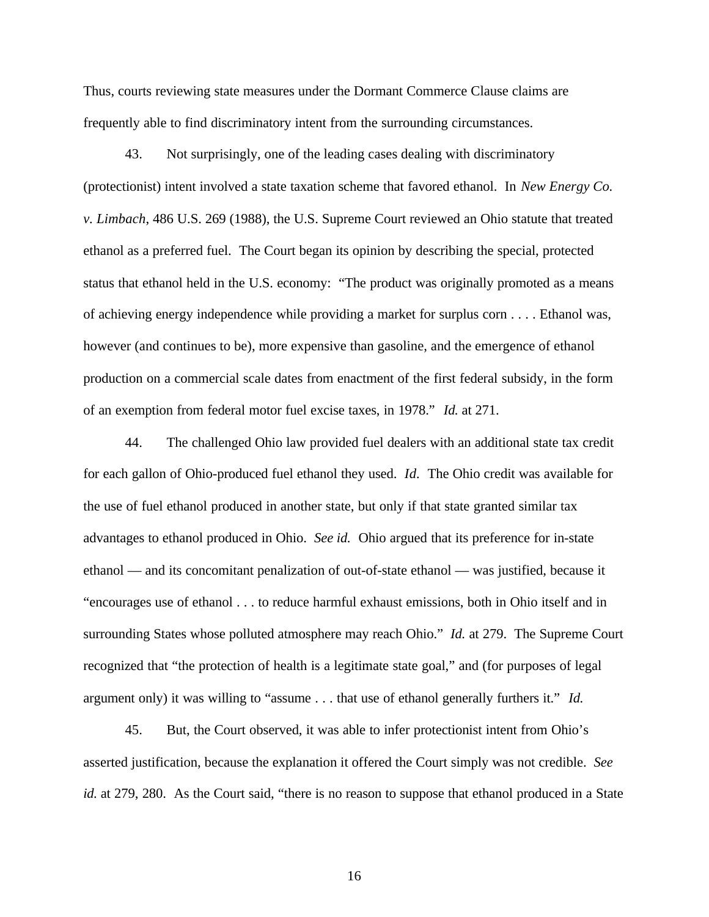Thus, courts reviewing state measures under the Dormant Commerce Clause claims are frequently able to find discriminatory intent from the surrounding circumstances.

43. Not surprisingly, one of the leading cases dealing with discriminatory (protectionist) intent involved a state taxation scheme that favored ethanol. In *New Energy Co. v. Limbach*, 486 U.S. 269 (1988), the U.S. Supreme Court reviewed an Ohio statute that treated ethanol as a preferred fuel. The Court began its opinion by describing the special, protected status that ethanol held in the U.S. economy: "The product was originally promoted as a means of achieving energy independence while providing a market for surplus corn . . . . Ethanol was, however (and continues to be), more expensive than gasoline, and the emergence of ethanol production on a commercial scale dates from enactment of the first federal subsidy, in the form of an exemption from federal motor fuel excise taxes, in 1978." *Id.* at 271.

44. The challenged Ohio law provided fuel dealers with an additional state tax credit for each gallon of Ohio-produced fuel ethanol they used. *Id.* The Ohio credit was available for the use of fuel ethanol produced in another state, but only if that state granted similar tax advantages to ethanol produced in Ohio. *See id.* Ohio argued that its preference for in-state ethanol — and its concomitant penalization of out-of-state ethanol — was justified, because it "encourages use of ethanol . . . to reduce harmful exhaust emissions, both in Ohio itself and in surrounding States whose polluted atmosphere may reach Ohio." *Id.* at 279. The Supreme Court recognized that "the protection of health is a legitimate state goal," and (for purposes of legal argument only) it was willing to "assume . . . that use of ethanol generally furthers it." *Id.*

45. But, the Court observed, it was able to infer protectionist intent from Ohio's asserted justification, because the explanation it offered the Court simply was not credible. *See id.* at 279, 280. As the Court said, "there is no reason to suppose that ethanol produced in a State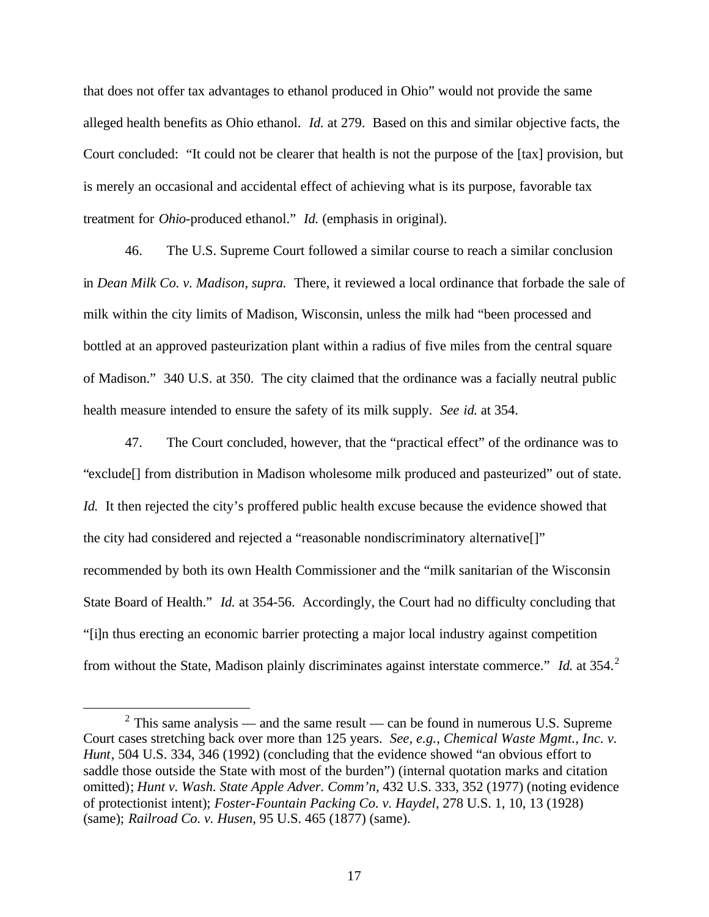that does not offer tax advantages to ethanol produced in Ohio" would not provide the same alleged health benefits as Ohio ethanol. *Id.* at 279. Based on this and similar objective facts, the Court concluded: "It could not be clearer that health is not the purpose of the [tax] provision, but is merely an occasional and accidental effect of achieving what is its purpose, favorable tax treatment for *Ohio*-produced ethanol." *Id.* (emphasis in original).

46. The U.S. Supreme Court followed a similar course to reach a similar conclusion in *Dean Milk Co. v. Madison*, *supra.* There, it reviewed a local ordinance that forbade the sale of milk within the city limits of Madison, Wisconsin, unless the milk had "been processed and bottled at an approved pasteurization plant within a radius of five miles from the central square of Madison." 340 U.S. at 350. The city claimed that the ordinance was a facially neutral public health measure intended to ensure the safety of its milk supply. *See id.* at 354.

47. The Court concluded, however, that the "practical effect" of the ordinance was to "exclude[] from distribution in Madison wholesome milk produced and pasteurized" out of state. *Id.* It then rejected the city's proffered public health excuse because the evidence showed that the city had considered and rejected a "reasonable nondiscriminatory alternative[]" recommended by both its own Health Commissioner and the "milk sanitarian of the Wisconsin State Board of Health." *Id.* at 354-56. Accordingly, the Court had no difficulty concluding that "[i]n thus erecting an economic barrier protecting a major local industry against competition from without the State, Madison plainly discriminates against interstate commerce." *Id.* at 354.<sup>2</sup>

 $\overline{a}$ 

<sup>&</sup>lt;sup>2</sup> This same analysis — and the same result — can be found in numerous U.S. Supreme Court cases stretching back over more than 125 years. *See, e.g.*, *Chemical Waste Mgmt., Inc. v. Hunt*, 504 U.S. 334, 346 (1992) (concluding that the evidence showed "an obvious effort to saddle those outside the State with most of the burden") (internal quotation marks and citation omitted); *Hunt v. Wash. State Apple Adver. Comm'n*, 432 U.S. 333, 352 (1977) (noting evidence of protectionist intent); *Foster-Fountain Packing Co. v. Haydel*, 278 U.S. 1, 10, 13 (1928) (same); *Railroad Co. v. Husen*, 95 U.S. 465 (1877) (same).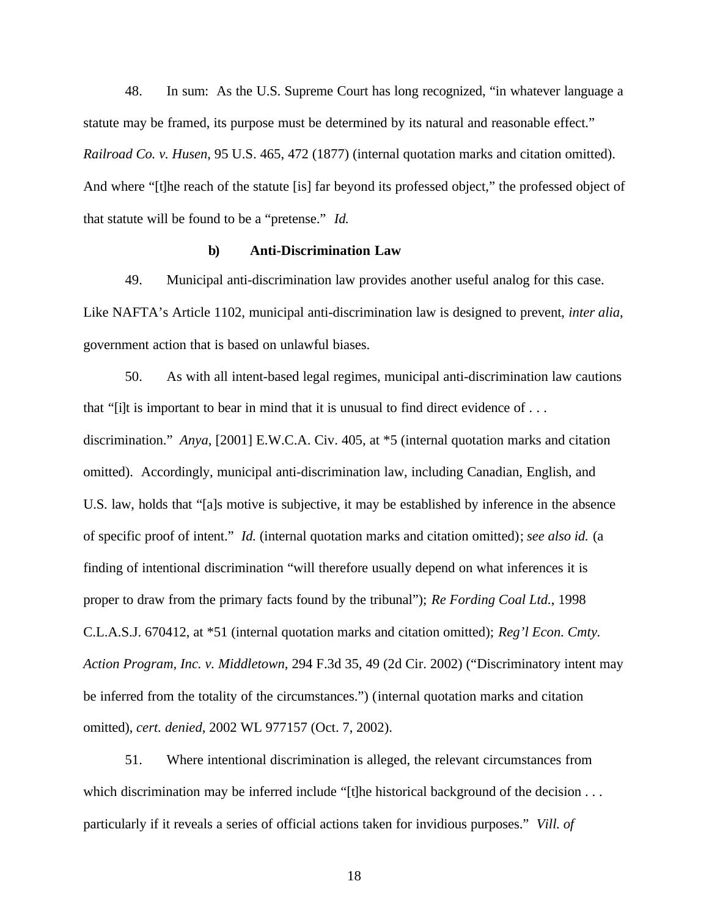48. In sum: As the U.S. Supreme Court has long recognized, "in whatever language a statute may be framed, its purpose must be determined by its natural and reasonable effect." *Railroad Co. v. Husen*, 95 U.S. 465, 472 (1877) (internal quotation marks and citation omitted). And where "[t]he reach of the statute [is] far beyond its professed object," the professed object of that statute will be found to be a "pretense." *Id.*

#### **b) Anti-Discrimination Law**

49. Municipal anti-discrimination law provides another useful analog for this case. Like NAFTA's Article 1102, municipal anti-discrimination law is designed to prevent, *inter alia*, government action that is based on unlawful biases.

50. As with all intent-based legal regimes, municipal anti-discrimination law cautions that "[i]t is important to bear in mind that it is unusual to find direct evidence of . . . discrimination." *Anya*, [2001] E.W.C.A. Civ. 405, at \*5 (internal quotation marks and citation omitted). Accordingly, municipal anti-discrimination law, including Canadian, English, and U.S. law, holds that "[a]s motive is subjective, it may be established by inference in the absence of specific proof of intent." *Id.* (internal quotation marks and citation omitted); *see also id.* (a finding of intentional discrimination "will therefore usually depend on what inferences it is proper to draw from the primary facts found by the tribunal"); *Re Fording Coal Ltd.*, 1998 C.L.A.S.J. 670412, at \*51 (internal quotation marks and citation omitted); *Reg'l Econ. Cmty. Action Program, Inc. v. Middletown*, 294 F.3d 35, 49 (2d Cir. 2002) ("Discriminatory intent may be inferred from the totality of the circumstances.") (internal quotation marks and citation omitted), *cert. denied*, 2002 WL 977157 (Oct. 7, 2002).

51. Where intentional discrimination is alleged, the relevant circumstances from which discrimination may be inferred include "[t]he historical background of the decision . . . particularly if it reveals a series of official actions taken for invidious purposes." *Vill. of*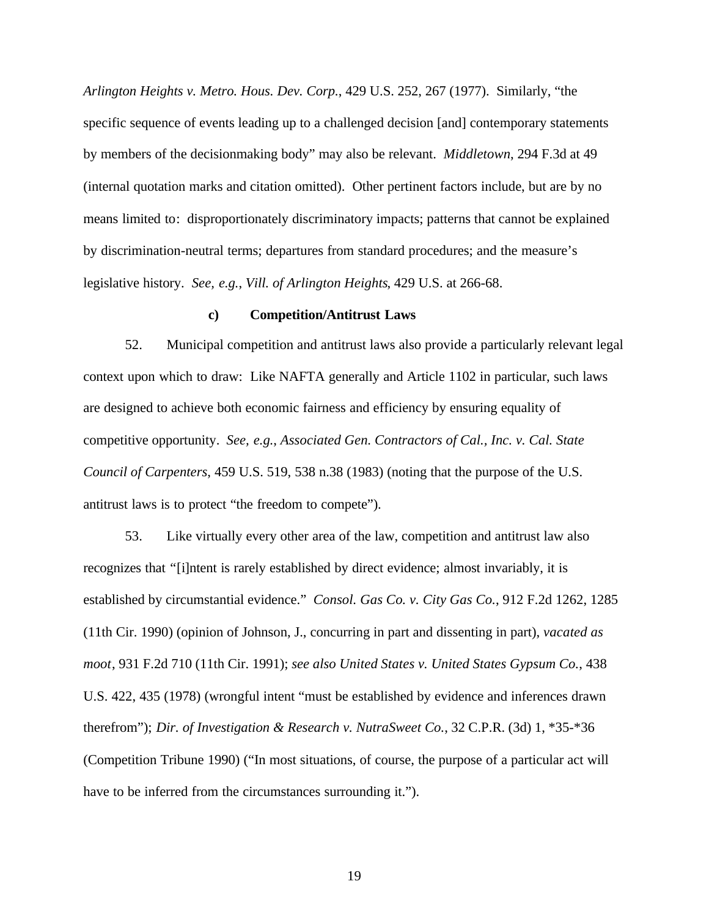*Arlington Heights v. Metro. Hous. Dev. Corp.*, 429 U.S. 252, 267 (1977). Similarly, "the specific sequence of events leading up to a challenged decision [and] contemporary statements by members of the decisionmaking body" may also be relevant. *Middletown*, 294 F.3d at 49 (internal quotation marks and citation omitted). Other pertinent factors include, but are by no means limited to: disproportionately discriminatory impacts; patterns that cannot be explained by discrimination-neutral terms; departures from standard procedures; and the measure's legislative history. *See, e.g.*, *Vill. of Arlington Heights*, 429 U.S. at 266-68.

#### **c) Competition/Antitrust Laws**

52. Municipal competition and antitrust laws also provide a particularly relevant legal context upon which to draw: Like NAFTA generally and Article 1102 in particular, such laws are designed to achieve both economic fairness and efficiency by ensuring equality of competitive opportunity. *See, e.g.*, *Associated Gen. Contractors of Cal., Inc. v. Cal. State Council of Carpenters*, 459 U.S. 519, 538 n.38 (1983) (noting that the purpose of the U.S. antitrust laws is to protect "the freedom to compete").

53. Like virtually every other area of the law, competition and antitrust law also recognizes that "[i]ntent is rarely established by direct evidence; almost invariably, it is established by circumstantial evidence." *Consol. Gas Co. v. City Gas Co.*, 912 F.2d 1262, 1285 (11th Cir. 1990) (opinion of Johnson, J., concurring in part and dissenting in part), *vacated as moot*, 931 F.2d 710 (11th Cir. 1991); *see also United States v. United States Gypsum Co.*, 438 U.S. 422, 435 (1978) (wrongful intent "must be established by evidence and inferences drawn therefrom"); *Dir. of Investigation & Research v. NutraSweet Co.*, 32 C.P.R. (3d) 1, \*35-\*36 (Competition Tribune 1990) ("In most situations, of course, the purpose of a particular act will have to be inferred from the circumstances surrounding it.").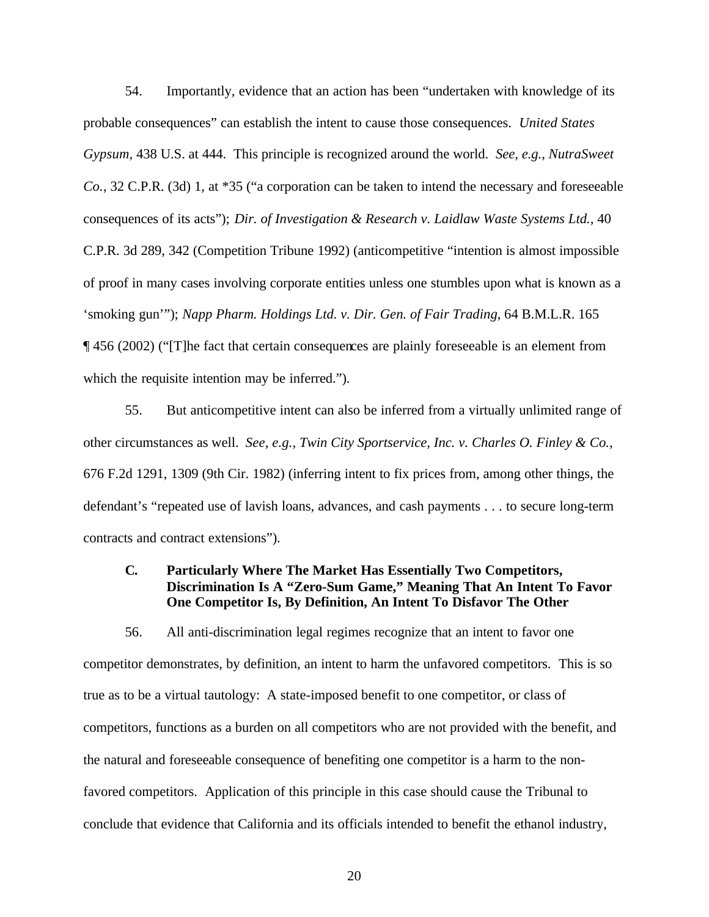54. Importantly, evidence that an action has been "undertaken with knowledge of its probable consequences" can establish the intent to cause those consequences. *United States Gypsum*, 438 U.S. at 444. This principle is recognized around the world. *See, e.g.*, *NutraSweet Co.*, 32 C.P.R. (3d) 1, at \*35 ("a corporation can be taken to intend the necessary and foreseeable consequences of its acts"); *Dir. of Investigation & Research v. Laidlaw Waste Systems Ltd.*, 40 C.P.R. 3d 289, 342 (Competition Tribune 1992) (anticompetitive "intention is almost impossible of proof in many cases involving corporate entities unless one stumbles upon what is known as a 'smoking gun'"); *Napp Pharm. Holdings Ltd. v. Dir. Gen. of Fair Trading*, 64 B.M.L.R. 165 ¶ 456 (2002) ("[T]he fact that certain consequences are plainly foreseeable is an element from which the requisite intention may be inferred.").

55. But anticompetitive intent can also be inferred from a virtually unlimited range of other circumstances as well. *See, e.g.*, *Twin City Sportservice, Inc. v. Charles O. Finley & Co.*, 676 F.2d 1291, 1309 (9th Cir. 1982) (inferring intent to fix prices from, among other things, the defendant's "repeated use of lavish loans, advances, and cash payments . . . to secure long-term contracts and contract extensions").

## **C. Particularly Where The Market Has Essentially Two Competitors, Discrimination Is A "Zero-Sum Game," Meaning That An Intent To Favor One Competitor Is, By Definition, An Intent To Disfavor The Other**

56. All anti-discrimination legal regimes recognize that an intent to favor one competitor demonstrates, by definition, an intent to harm the unfavored competitors. This is so true as to be a virtual tautology: A state-imposed benefit to one competitor, or class of competitors, functions as a burden on all competitors who are not provided with the benefit, and the natural and foreseeable consequence of benefiting one competitor is a harm to the nonfavored competitors. Application of this principle in this case should cause the Tribunal to conclude that evidence that California and its officials intended to benefit the ethanol industry,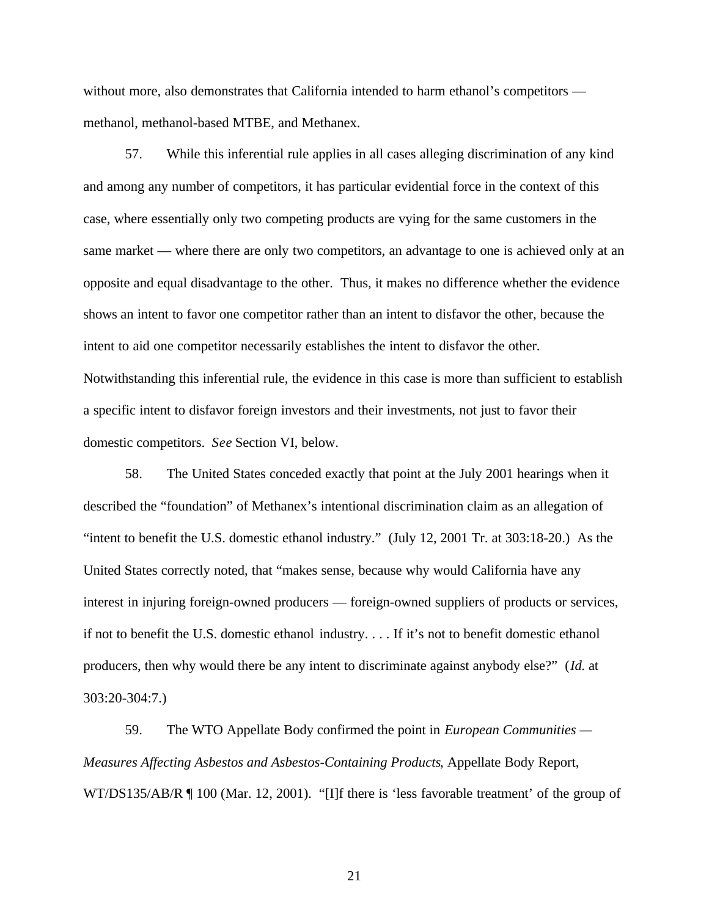without more, also demonstrates that California intended to harm ethanol's competitors methanol, methanol-based MTBE, and Methanex.

57. While this inferential rule applies in all cases alleging discrimination of any kind and among any number of competitors, it has particular evidential force in the context of this case, where essentially only two competing products are vying for the same customers in the same market — where there are only two competitors, an advantage to one is achieved only at an opposite and equal disadvantage to the other. Thus, it makes no difference whether the evidence shows an intent to favor one competitor rather than an intent to disfavor the other, because the intent to aid one competitor necessarily establishes the intent to disfavor the other. Notwithstanding this inferential rule, the evidence in this case is more than sufficient to establish a specific intent to disfavor foreign investors and their investments, not just to favor their domestic competitors. *See* Section VI, below.

58. The United States conceded exactly that point at the July 2001 hearings when it described the "foundation" of Methanex's intentional discrimination claim as an allegation of "intent to benefit the U.S. domestic ethanol industry." (July 12, 2001 Tr. at 303:18-20.) As the United States correctly noted, that "makes sense, because why would California have any interest in injuring foreign-owned producers — foreign-owned suppliers of products or services, if not to benefit the U.S. domestic ethanol industry. . . . If it's not to benefit domestic ethanol producers, then why would there be any intent to discriminate against anybody else?" (*Id.* at 303:20-304:7.)

59. The WTO Appellate Body confirmed the point in *European Communities — Measures Affecting Asbestos and Asbestos-Containing Products*, Appellate Body Report, WT/DS135/AB/R ¶ 100 (Mar. 12, 2001). "[I]f there is 'less favorable treatment' of the group of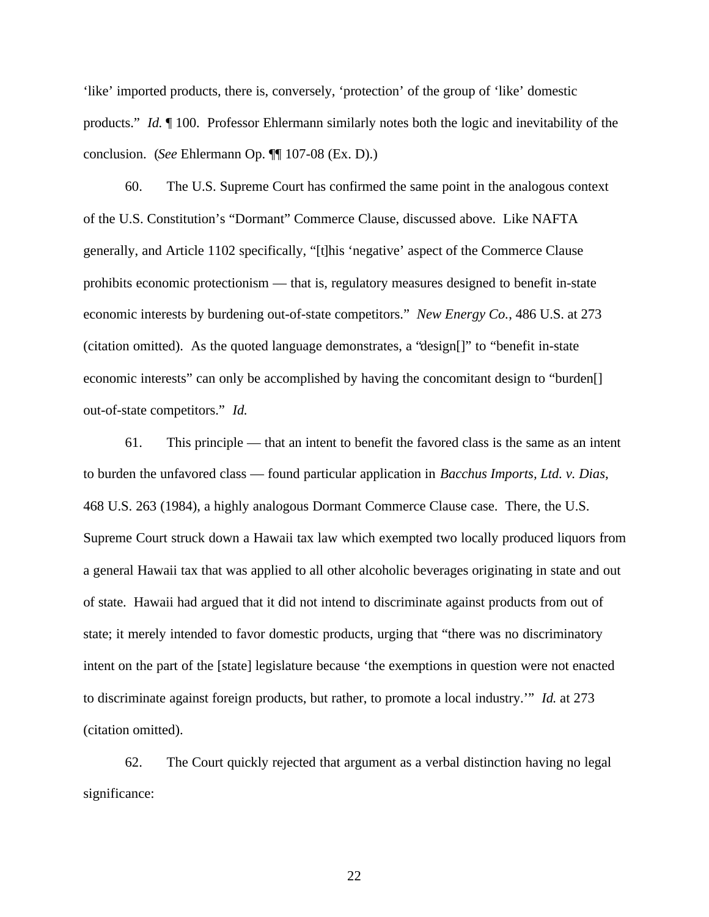'like' imported products, there is, conversely, 'protection' of the group of 'like' domestic products." *Id.* ¶ 100. Professor Ehlermann similarly notes both the logic and inevitability of the conclusion. (*See* Ehlermann Op. ¶¶ 107-08 (Ex. D).)

60. The U.S. Supreme Court has confirmed the same point in the analogous context of the U.S. Constitution's "Dormant" Commerce Clause, discussed above. Like NAFTA generally, and Article 1102 specifically, "[t]his 'negative' aspect of the Commerce Clause prohibits economic protectionism — that is, regulatory measures designed to benefit in-state economic interests by burdening out-of-state competitors." *New Energy Co.*, 486 U.S. at 273 (citation omitted). As the quoted language demonstrates, a "design[]" to "benefit in-state economic interests" can only be accomplished by having the concomitant design to "burden[] out-of-state competitors." *Id.*

61. This principle — that an intent to benefit the favored class is the same as an intent to burden the unfavored class — found particular application in *Bacchus Imports, Ltd. v. Dias*, 468 U.S. 263 (1984), a highly analogous Dormant Commerce Clause case. There, the U.S. Supreme Court struck down a Hawaii tax law which exempted two locally produced liquors from a general Hawaii tax that was applied to all other alcoholic beverages originating in state and out of state. Hawaii had argued that it did not intend to discriminate against products from out of state; it merely intended to favor domestic products, urging that "there was no discriminatory intent on the part of the [state] legislature because 'the exemptions in question were not enacted to discriminate against foreign products, but rather, to promote a local industry.'" *Id.* at 273 (citation omitted).

62. The Court quickly rejected that argument as a verbal distinction having no legal significance: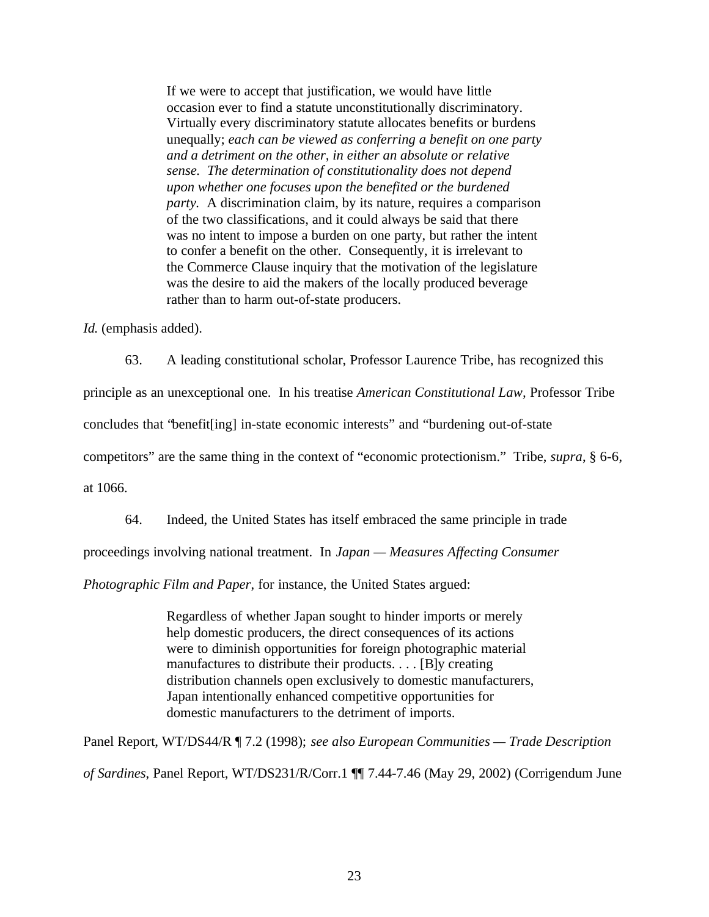If we were to accept that justification, we would have little occasion ever to find a statute unconstitutionally discriminatory. Virtually every discriminatory statute allocates benefits or burdens unequally; *each can be viewed as conferring a benefit on one party and a detriment on the other, in either an absolute or relative sense. The determination of constitutionality does not depend upon whether one focuses upon the benefited or the burdened party.* A discrimination claim, by its nature, requires a comparison of the two classifications, and it could always be said that there was no intent to impose a burden on one party, but rather the intent to confer a benefit on the other. Consequently, it is irrelevant to the Commerce Clause inquiry that the motivation of the legislature was the desire to aid the makers of the locally produced beverage rather than to harm out-of-state producers.

*Id.* (emphasis added).

63. A leading constitutional scholar, Professor Laurence Tribe, has recognized this

principle as an unexceptional one. In his treatise *American Constitutional Law,* Professor Tribe

concludes that "benefit[ing] in-state economic interests" and "burdening out-of-state

competitors" are the same thing in the context of "economic protectionism." Tribe, *supra*, § 6-6,

at 1066.

64. Indeed, the United States has itself embraced the same principle in trade

proceedings involving national treatment. In *Japan — Measures Affecting Consumer*

*Photographic Film and Paper*, for instance, the United States argued:

Regardless of whether Japan sought to hinder imports or merely help domestic producers, the direct consequences of its actions were to diminish opportunities for foreign photographic material manufactures to distribute their products. . . . [B]y creating distribution channels open exclusively to domestic manufacturers, Japan intentionally enhanced competitive opportunities for domestic manufacturers to the detriment of imports.

Panel Report, WT/DS44/R ¶ 7.2 (1998); *see also European Communities — Trade Description of Sardines*, Panel Report, WT/DS231/R/Corr.1 ¶¶ 7.44-7.46 (May 29, 2002) (Corrigendum June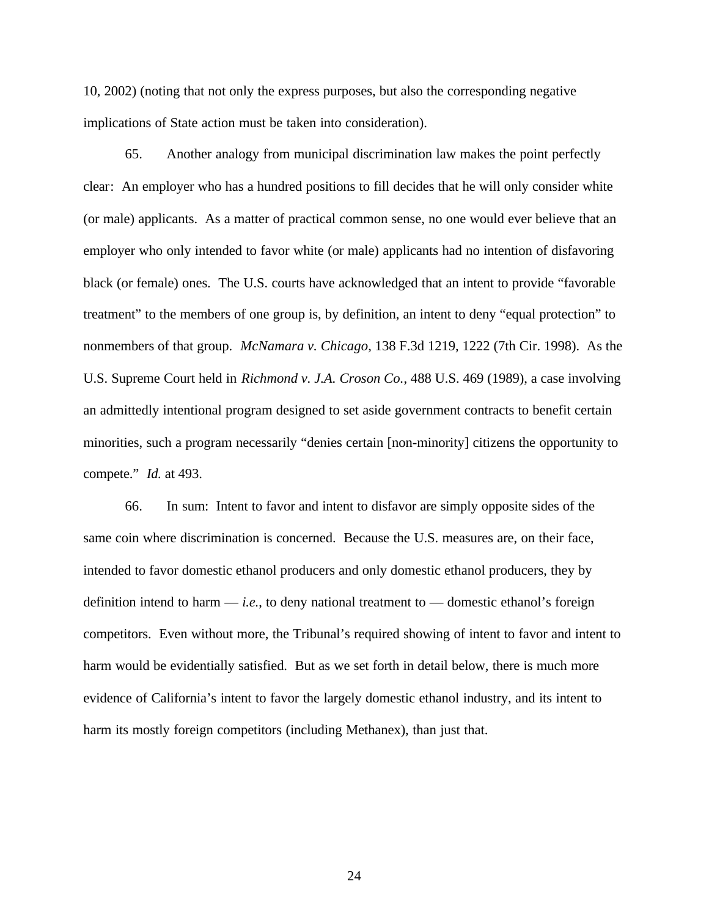10, 2002) (noting that not only the express purposes, but also the corresponding negative implications of State action must be taken into consideration).

65. Another analogy from municipal discrimination law makes the point perfectly clear: An employer who has a hundred positions to fill decides that he will only consider white (or male) applicants. As a matter of practical common sense, no one would ever believe that an employer who only intended to favor white (or male) applicants had no intention of disfavoring black (or female) ones. The U.S. courts have acknowledged that an intent to provide "favorable treatment" to the members of one group is, by definition, an intent to deny "equal protection" to nonmembers of that group. *McNamara v. Chicago*, 138 F.3d 1219, 1222 (7th Cir. 1998). As the U.S. Supreme Court held in *Richmond v. J.A. Croson Co.*, 488 U.S. 469 (1989), a case involving an admittedly intentional program designed to set aside government contracts to benefit certain minorities, such a program necessarily "denies certain [non-minority] citizens the opportunity to compete." *Id.* at 493.

66. In sum: Intent to favor and intent to disfavor are simply opposite sides of the same coin where discrimination is concerned. Because the U.S. measures are, on their face, intended to favor domestic ethanol producers and only domestic ethanol producers, they by definition intend to harm  $-i.e.,$  to deny national treatment to  $-$  domestic ethanol's foreign competitors. Even without more, the Tribunal's required showing of intent to favor and intent to harm would be evidentially satisfied. But as we set forth in detail below, there is much more evidence of California's intent to favor the largely domestic ethanol industry, and its intent to harm its mostly foreign competitors (including Methanex), than just that.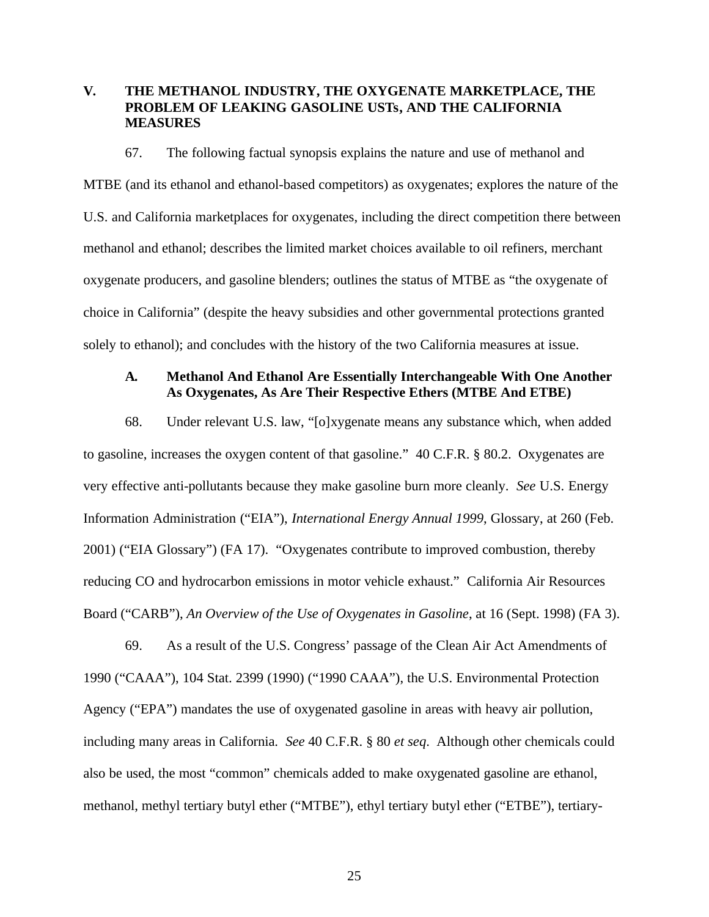## **V. THE METHANOL INDUSTRY, THE OXYGENATE MARKETPLACE, THE PROBLEM OF LEAKING GASOLINE USTs, AND THE CALIFORNIA MEASURES**

67. The following factual synopsis explains the nature and use of methanol and MTBE (and its ethanol and ethanol-based competitors) as oxygenates; explores the nature of the U.S. and California marketplaces for oxygenates, including the direct competition there between methanol and ethanol; describes the limited market choices available to oil refiners, merchant oxygenate producers, and gasoline blenders; outlines the status of MTBE as "the oxygenate of choice in California" (despite the heavy subsidies and other governmental protections granted solely to ethanol); and concludes with the history of the two California measures at issue.

## **A. Methanol And Ethanol Are Essentially Interchangeable With One Another As Oxygenates, As Are Their Respective Ethers (MTBE And ETBE)**

68. Under relevant U.S. law, "[o]xygenate means any substance which, when added to gasoline, increases the oxygen content of that gasoline." 40 C.F.R. § 80.2.Oxygenates are very effective anti-pollutants because they make gasoline burn more cleanly. *See* U.S. Energy Information Administration ("EIA"), *International Energy Annual 1999*, Glossary, at 260 (Feb. 2001) ("EIA Glossary") (FA 17). "Oxygenates contribute to improved combustion, thereby reducing CO and hydrocarbon emissions in motor vehicle exhaust." California Air Resources Board ("CARB"), *An Overview of the Use of Oxygenates in Gasoline*, at 16 (Sept. 1998) (FA 3).

69. As a result of the U.S. Congress' passage of the Clean Air Act Amendments of 1990 ("CAAA"), 104 Stat. 2399 (1990) ("1990 CAAA"), the U.S. Environmental Protection Agency ("EPA") mandates the use of oxygenated gasoline in areas with heavy air pollution, including many areas in California. *See* 40 C.F.R. § 80 *et seq*. Although other chemicals could also be used, the most "common" chemicals added to make oxygenated gasoline are ethanol, methanol, methyl tertiary butyl ether ("MTBE"), ethyl tertiary butyl ether ("ETBE"), tertiary-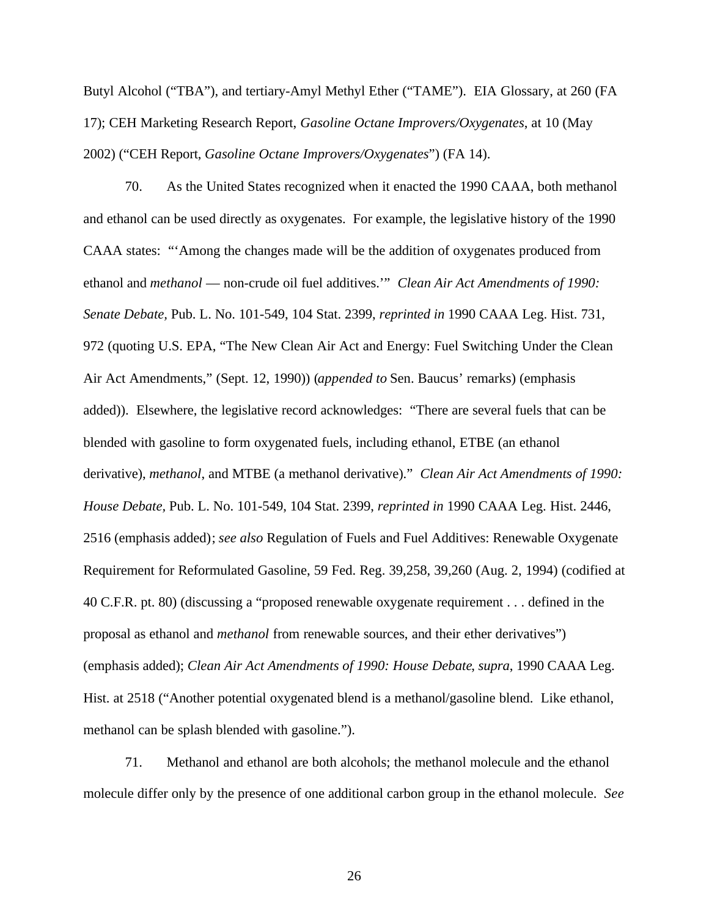Butyl Alcohol ("TBA"), and tertiary-Amyl Methyl Ether ("TAME"). EIA Glossary, at 260 (FA 17); CEH Marketing Research Report, *Gasoline Octane Improvers/Oxygenates*, at 10 (May 2002) ("CEH Report, *Gasoline Octane Improvers/Oxygenates*") (FA 14).

70. As the United States recognized when it enacted the 1990 CAAA, both methanol and ethanol can be used directly as oxygenates. For example, the legislative history of the 1990 CAAA states: "'Among the changes made will be the addition of oxygenates produced from ethanol and *methanol* — non-crude oil fuel additives.'" *Clean Air Act Amendments of 1990: Senate Debate,* Pub. L. No. 101-549, 104 Stat. 2399, *reprinted in* 1990 CAAA Leg. Hist. 731, 972 (quoting U.S. EPA, "The New Clean Air Act and Energy: Fuel Switching Under the Clean Air Act Amendments," (Sept. 12, 1990)) (*appended to* Sen. Baucus' remarks) (emphasis added)). Elsewhere, the legislative record acknowledges: "There are several fuels that can be blended with gasoline to form oxygenated fuels, including ethanol, ETBE (an ethanol derivative), *methanol*, and MTBE (a methanol derivative)." *Clean Air Act Amendments of 1990: House Debate,* Pub. L. No. 101-549, 104 Stat. 2399, *reprinted in* 1990 CAAA Leg. Hist. 2446, 2516 (emphasis added); *see also* Regulation of Fuels and Fuel Additives: Renewable Oxygenate Requirement for Reformulated Gasoline, 59 Fed. Reg. 39,258, 39,260 (Aug. 2, 1994) (codified at 40 C.F.R. pt. 80) (discussing a "proposed renewable oxygenate requirement . . . defined in the proposal as ethanol and *methanol* from renewable sources, and their ether derivatives") (emphasis added); *Clean Air Act Amendments of 1990: House Debate*, *supra*, 1990 CAAA Leg. Hist. at 2518 ("Another potential oxygenated blend is a methanol/gasoline blend. Like ethanol, methanol can be splash blended with gasoline.").

71. Methanol and ethanol are both alcohols; the methanol molecule and the ethanol molecule differ only by the presence of one additional carbon group in the ethanol molecule. *See*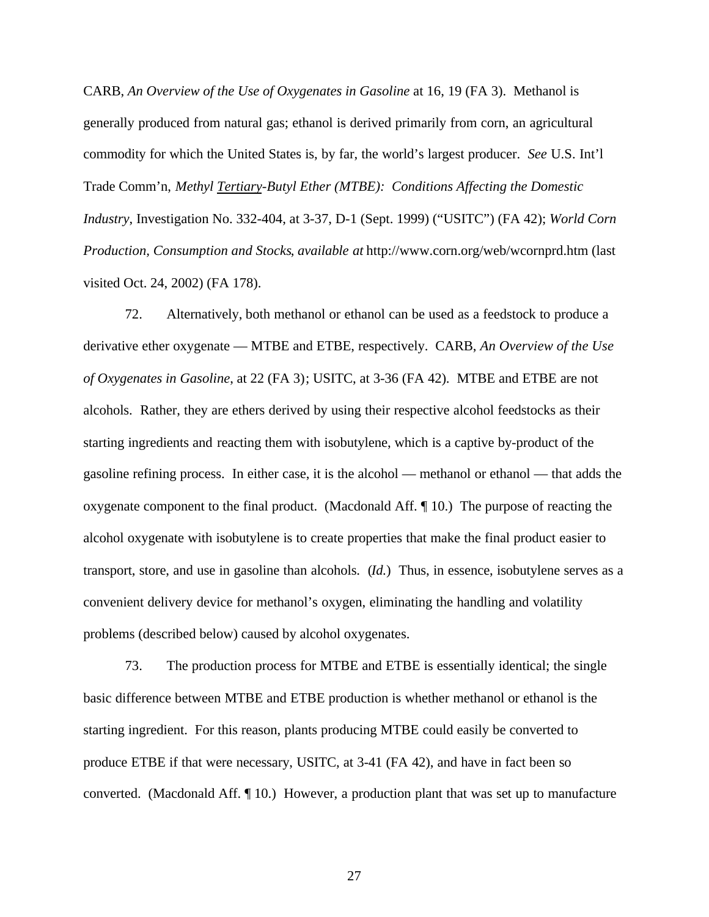CARB, *An Overview of the Use of Oxygenates in Gasoline* at 16, 19 (FA 3). Methanol is generally produced from natural gas; ethanol is derived primarily from corn, an agricultural commodity for which the United States is, by far, the world's largest producer. *See* U.S. Int'l Trade Comm'n, *Methyl Tertiary-Butyl Ether (MTBE): Conditions Affecting the Domestic Industry*, Investigation No. 332-404, at 3-37, D-1 (Sept. 1999) ("USITC") (FA 42); *World Corn Production, Consumption and Stocks*, *available at* http://www.corn.org/web/wcornprd.htm (last visited Oct. 24, 2002) (FA 178).

72. Alternatively, both methanol or ethanol can be used as a feedstock to produce a derivative ether oxygenate — MTBE and ETBE, respectively. CARB, *An Overview of the Use of Oxygenates in Gasoline*, at 22 (FA 3); USITC, at 3-36 (FA 42). MTBE and ETBE are not alcohols. Rather, they are ethers derived by using their respective alcohol feedstocks as their starting ingredients and reacting them with isobutylene, which is a captive by-product of the gasoline refining process. In either case, it is the alcohol — methanol or ethanol — that adds the oxygenate component to the final product. (Macdonald Aff. ¶ 10.) The purpose of reacting the alcohol oxygenate with isobutylene is to create properties that make the final product easier to transport, store, and use in gasoline than alcohols. (*Id.*) Thus, in essence, isobutylene serves as a convenient delivery device for methanol's oxygen, eliminating the handling and volatility problems (described below) caused by alcohol oxygenates.

73. The production process for MTBE and ETBE is essentially identical; the single basic difference between MTBE and ETBE production is whether methanol or ethanol is the starting ingredient. For this reason, plants producing MTBE could easily be converted to produce ETBE if that were necessary, USITC, at 3-41 (FA 42), and have in fact been so converted. (Macdonald Aff. ¶ 10.) However, a production plant that was set up to manufacture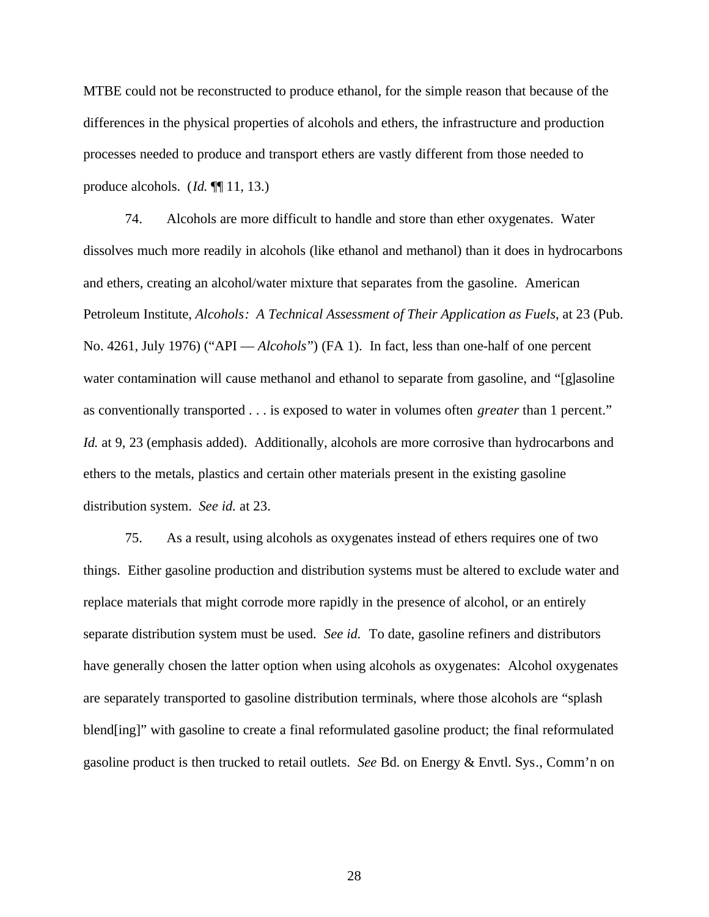MTBE could not be reconstructed to produce ethanol, for the simple reason that because of the differences in the physical properties of alcohols and ethers, the infrastructure and production processes needed to produce and transport ethers are vastly different from those needed to produce alcohols. (*Id.* ¶¶ 11, 13.)

74. Alcohols are more difficult to handle and store than ether oxygenates. Water dissolves much more readily in alcohols (like ethanol and methanol) than it does in hydrocarbons and ethers, creating an alcohol/water mixture that separates from the gasoline. American Petroleum Institute, *Alcohols: A Technical Assessment of Their Application as Fuels*, at 23 (Pub. No. 4261, July 1976) ("API — *Alcohols*") (FA 1). In fact, less than one-half of one percent water contamination will cause methanol and ethanol to separate from gasoline, and "[g]asoline as conventionally transported . . . is exposed to water in volumes often *greater* than 1 percent." *Id.* at 9, 23 (emphasis added). Additionally, alcohols are more corrosive than hydrocarbons and ethers to the metals, plastics and certain other materials present in the existing gasoline distribution system. *See id.* at 23.

75. As a result, using alcohols as oxygenates instead of ethers requires one of two things. Either gasoline production and distribution systems must be altered to exclude water and replace materials that might corrode more rapidly in the presence of alcohol, or an entirely separate distribution system must be used. *See id.* To date, gasoline refiners and distributors have generally chosen the latter option when using alcohols as oxygenates: Alcohol oxygenates are separately transported to gasoline distribution terminals, where those alcohols are "splash blend[ing]" with gasoline to create a final reformulated gasoline product; the final reformulated gasoline product is then trucked to retail outlets. *See* Bd. on Energy & Envtl. Sys., Comm'n on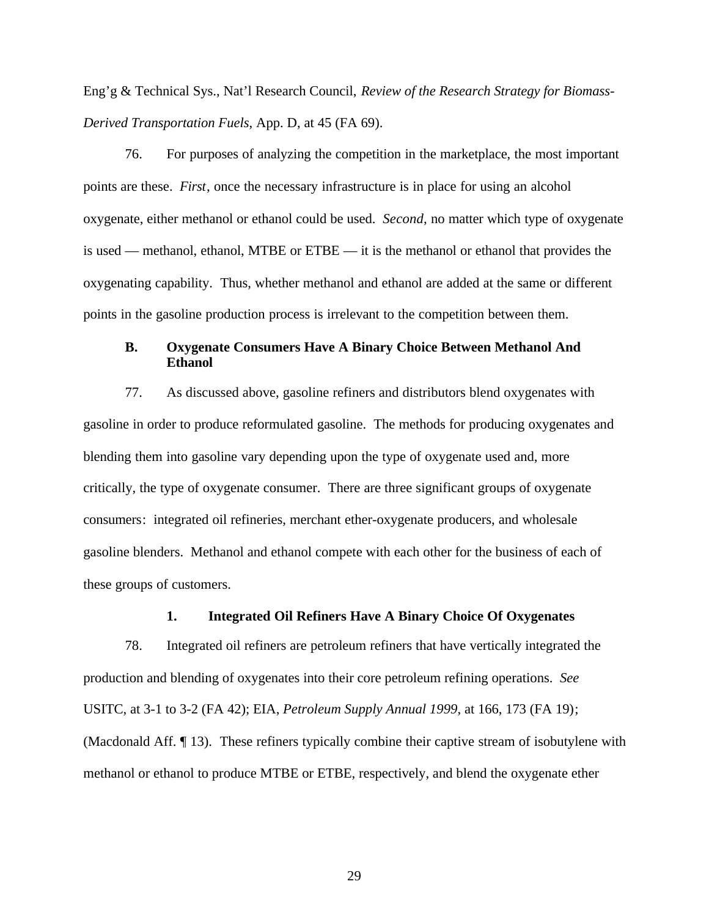Eng'g & Technical Sys., Nat'l Research Council, *Review of the Research Strategy for Biomass-Derived Transportation Fuels*, App. D, at 45 (FA 69).

76. For purposes of analyzing the competition in the marketplace, the most important points are these. *First*, once the necessary infrastructure is in place for using an alcohol oxygenate, either methanol or ethanol could be used. *Second*, no matter which type of oxygenate is used — methanol, ethanol, MTBE or ETBE — it is the methanol or ethanol that provides the oxygenating capability. Thus, whether methanol and ethanol are added at the same or different points in the gasoline production process is irrelevant to the competition between them.

## **B. Oxygenate Consumers Have A Binary Choice Between Methanol And Ethanol**

77. As discussed above, gasoline refiners and distributors blend oxygenates with gasoline in order to produce reformulated gasoline. The methods for producing oxygenates and blending them into gasoline vary depending upon the type of oxygenate used and, more critically, the type of oxygenate consumer. There are three significant groups of oxygenate consumers: integrated oil refineries, merchant ether-oxygenate producers, and wholesale gasoline blenders. Methanol and ethanol compete with each other for the business of each of these groups of customers.

#### **1. Integrated Oil Refiners Have A Binary Choice Of Oxygenates**

78. Integrated oil refiners are petroleum refiners that have vertically integrated the production and blending of oxygenates into their core petroleum refining operations. *See* USITC, at 3-1 to 3-2 (FA 42); EIA, *Petroleum Supply Annual 1999*, at 166, 173 (FA 19); (Macdonald Aff. ¶ 13). These refiners typically combine their captive stream of isobutylene with methanol or ethanol to produce MTBE or ETBE, respectively, and blend the oxygenate ether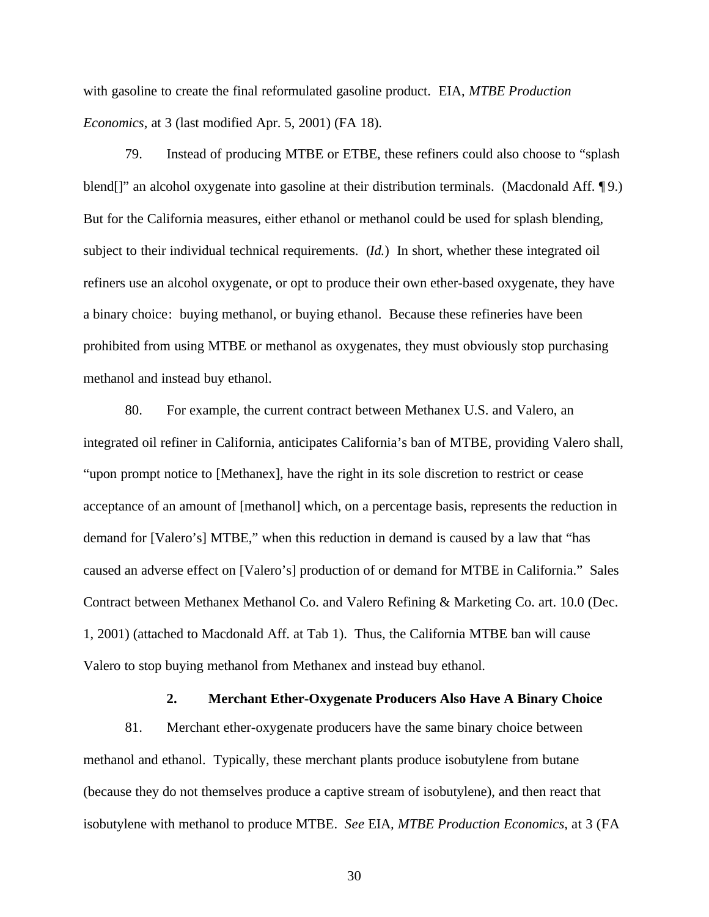with gasoline to create the final reformulated gasoline product. EIA, *MTBE Production Economics*, at 3 (last modified Apr. 5, 2001) (FA 18).

79. Instead of producing MTBE or ETBE, these refiners could also choose to "splash blend[]" an alcohol oxygenate into gasoline at their distribution terminals. (Macdonald Aff. ¶9.) But for the California measures, either ethanol or methanol could be used for splash blending, subject to their individual technical requirements. (*Id.*) In short, whether these integrated oil refiners use an alcohol oxygenate, or opt to produce their own ether-based oxygenate, they have a binary choice: buying methanol, or buying ethanol. Because these refineries have been prohibited from using MTBE or methanol as oxygenates, they must obviously stop purchasing methanol and instead buy ethanol.

80. For example, the current contract between Methanex U.S. and Valero, an integrated oil refiner in California, anticipates California's ban of MTBE, providing Valero shall, "upon prompt notice to [Methanex], have the right in its sole discretion to restrict or cease acceptance of an amount of [methanol] which, on a percentage basis, represents the reduction in demand for [Valero's] MTBE," when this reduction in demand is caused by a law that "has caused an adverse effect on [Valero's] production of or demand for MTBE in California." Sales Contract between Methanex Methanol Co. and Valero Refining & Marketing Co. art. 10.0 (Dec. 1, 2001) (attached to Macdonald Aff. at Tab 1). Thus, the California MTBE ban will cause Valero to stop buying methanol from Methanex and instead buy ethanol.

#### **2. Merchant Ether-Oxygenate Producers Also Have A Binary Choice**

81. Merchant ether-oxygenate producers have the same binary choice between methanol and ethanol. Typically, these merchant plants produce isobutylene from butane (because they do not themselves produce a captive stream of isobutylene), and then react that isobutylene with methanol to produce MTBE. *See* EIA*, MTBE Production Economics*, at 3 (FA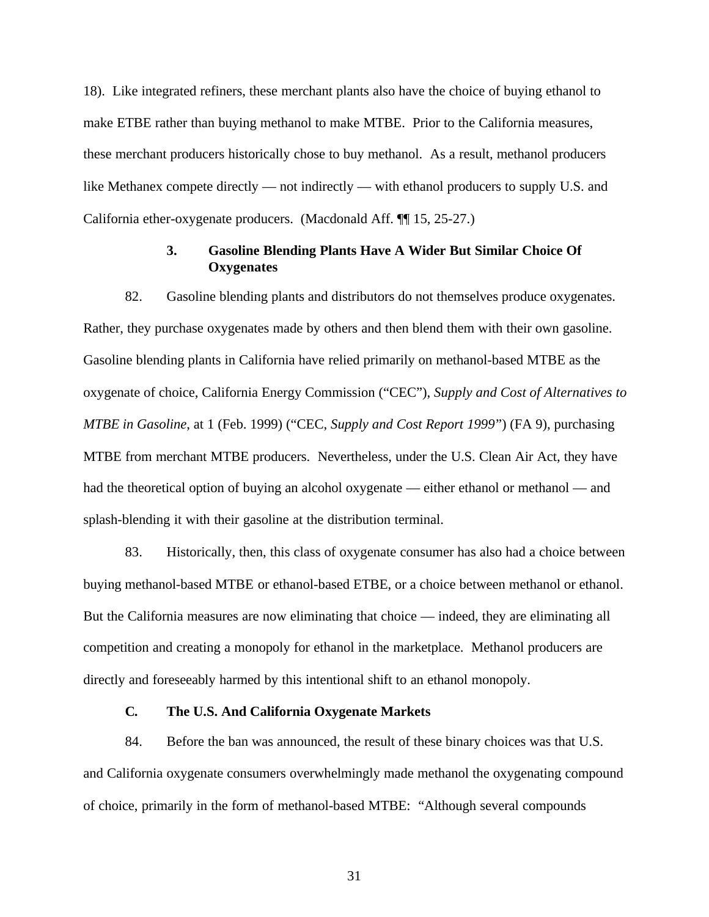18). Like integrated refiners, these merchant plants also have the choice of buying ethanol to make ETBE rather than buying methanol to make MTBE. Prior to the California measures, these merchant producers historically chose to buy methanol. As a result, methanol producers like Methanex compete directly — not indirectly — with ethanol producers to supply U.S. and California ether-oxygenate producers. (Macdonald Aff. ¶¶ 15, 25-27.)

## **3. Gasoline Blending Plants Have A Wider But Similar Choice Of Oxygenates**

82. Gasoline blending plants and distributors do not themselves produce oxygenates. Rather, they purchase oxygenates made by others and then blend them with their own gasoline. Gasoline blending plants in California have relied primarily on methanol-based MTBE as the oxygenate of choice, California Energy Commission ("CEC"), *Supply and Cost of Alternatives to MTBE in Gasoline*, at 1 (Feb. 1999) ("CEC, *Supply and Cost Report 1999*") (FA 9), purchasing MTBE from merchant MTBE producers. Nevertheless, under the U.S. Clean Air Act, they have had the theoretical option of buying an alcohol oxygenate — either ethanol or methanol — and splash-blending it with their gasoline at the distribution terminal.

83. Historically, then, this class of oxygenate consumer has also had a choice between buying methanol-based MTBE or ethanol-based ETBE, or a choice between methanol or ethanol. But the California measures are now eliminating that choice — indeed, they are eliminating all competition and creating a monopoly for ethanol in the marketplace. Methanol producers are directly and foreseeably harmed by this intentional shift to an ethanol monopoly.

### **C. The U.S. And California Oxygenate Markets**

84. Before the ban was announced, the result of these binary choices was that U.S. and California oxygenate consumers overwhelmingly made methanol the oxygenating compound of choice, primarily in the form of methanol-based MTBE: "Although several compounds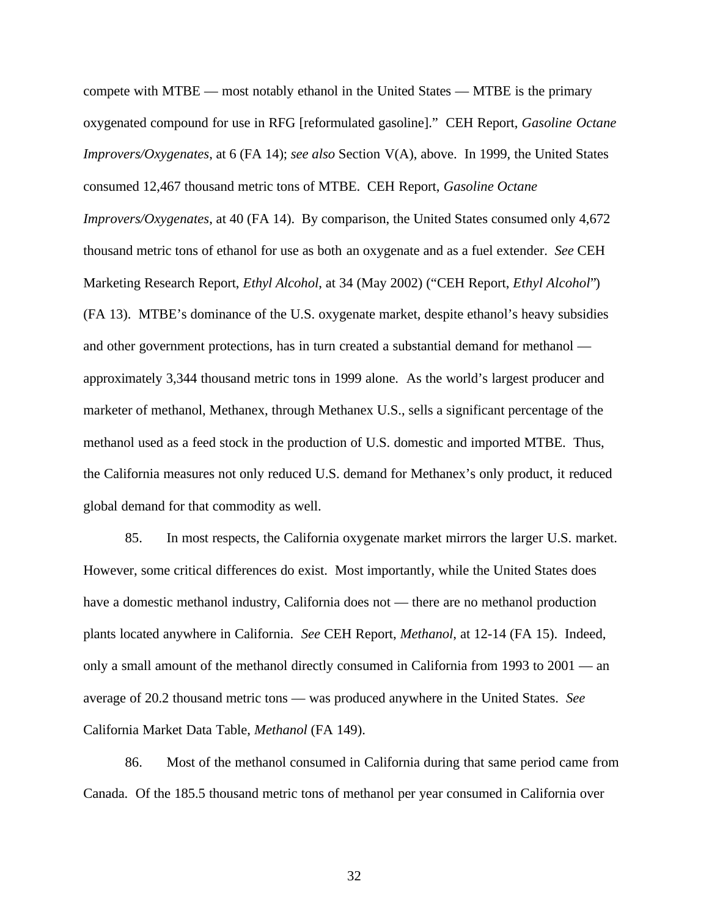compete with MTBE — most notably ethanol in the United States — MTBE is the primary oxygenated compound for use in RFG [reformulated gasoline]." CEH Report, *Gasoline Octane Improvers/Oxygenates*, at 6 (FA 14); *see also* Section V(A), above. In 1999, the United States consumed 12,467 thousand metric tons of MTBE. CEH Report, *Gasoline Octane Improvers/Oxygenates*, at 40 (FA 14). By comparison, the United States consumed only 4,672 thousand metric tons of ethanol for use as both an oxygenate and as a fuel extender. *See* CEH Marketing Research Report, *Ethyl Alcohol*, at 34 (May 2002) ("CEH Report, *Ethyl Alcohol*") (FA 13). MTBE's dominance of the U.S. oxygenate market, despite ethanol's heavy subsidies and other government protections, has in turn created a substantial demand for methanol approximately 3,344 thousand metric tons in 1999 alone. As the world's largest producer and marketer of methanol, Methanex, through Methanex U.S., sells a significant percentage of the methanol used as a feed stock in the production of U.S. domestic and imported MTBE. Thus, the California measures not only reduced U.S. demand for Methanex's only product, it reduced global demand for that commodity as well.

85. In most respects, the California oxygenate market mirrors the larger U.S. market. However, some critical differences do exist. Most importantly, while the United States does have a domestic methanol industry, California does not — there are no methanol production plants located anywhere in California. *See* CEH Report, *Methanol*, at 12-14 (FA 15). Indeed, only a small amount of the methanol directly consumed in California from 1993 to 2001 — an average of 20.2 thousand metric tons — was produced anywhere in the United States. *See* California Market Data Table, *Methanol* (FA 149).

86. Most of the methanol consumed in California during that same period came from Canada. Of the 185.5 thousand metric tons of methanol per year consumed in California over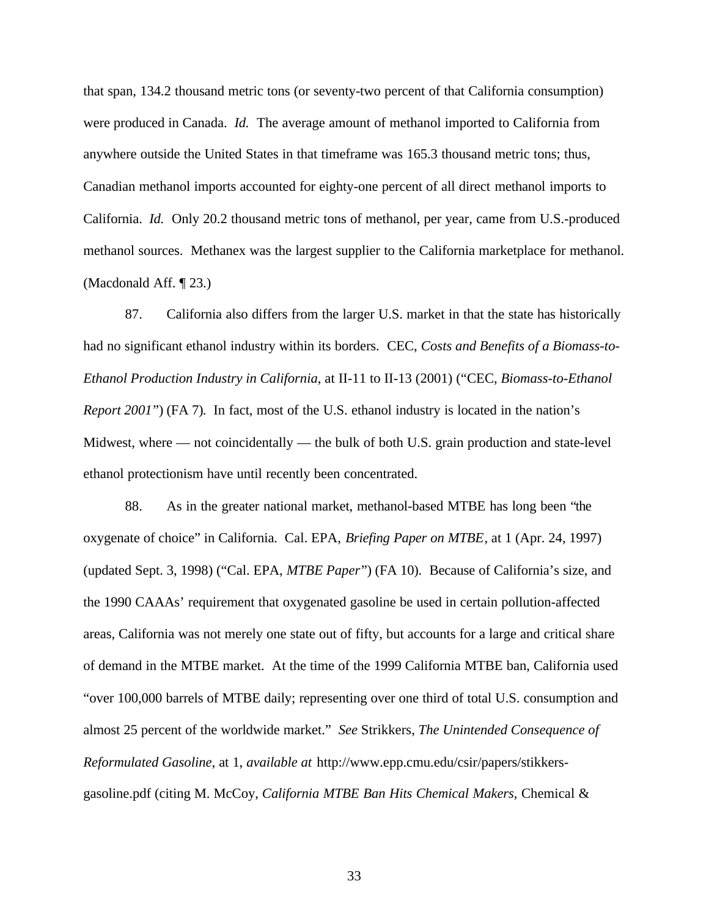that span, 134.2 thousand metric tons (or seventy-two percent of that California consumption) were produced in Canada. *Id.* The average amount of methanol imported to California from anywhere outside the United States in that timeframe was 165.3 thousand metric tons; thus, Canadian methanol imports accounted for eighty-one percent of all direct methanol imports to California. *Id.* Only 20.2 thousand metric tons of methanol, per year, came from U.S.-produced methanol sources. Methanex was the largest supplier to the California marketplace for methanol. (Macdonald Aff. ¶ 23.)

87. California also differs from the larger U.S. market in that the state has historically had no significant ethanol industry within its borders. CEC, *Costs and Benefits of a Biomass-to-Ethanol Production Industry in California*, at II-11 to II-13 (2001) ("CEC, *Biomass-to-Ethanol Report 2001*") (FA 7). In fact, most of the U.S. ethanol industry is located in the nation's Midwest, where — not coincidentally — the bulk of both U.S. grain production and state-level ethanol protectionism have until recently been concentrated.

88. As in the greater national market, methanol-based MTBE has long been "the oxygenate of choice" in California. Cal. EPA, *Briefing Paper on MTBE*, at 1 (Apr. 24, 1997) (updated Sept. 3, 1998) ("Cal. EPA, *MTBE Paper*") (FA 10). Because of California's size, and the 1990 CAAAs' requirement that oxygenated gasoline be used in certain pollution-affected areas, California was not merely one state out of fifty, but accounts for a large and critical share of demand in the MTBE market. At the time of the 1999 California MTBE ban, California used "over 100,000 barrels of MTBE daily; representing over one third of total U.S. consumption and almost 25 percent of the worldwide market." *See* Strikkers, *The Unintended Consequence of Reformulated Gasoline*, at 1, *available at* http://www.epp.cmu.edu/csir/papers/stikkersgasoline.pdf (citing M. McCoy, *California MTBE Ban Hits Chemical Makers*, Chemical &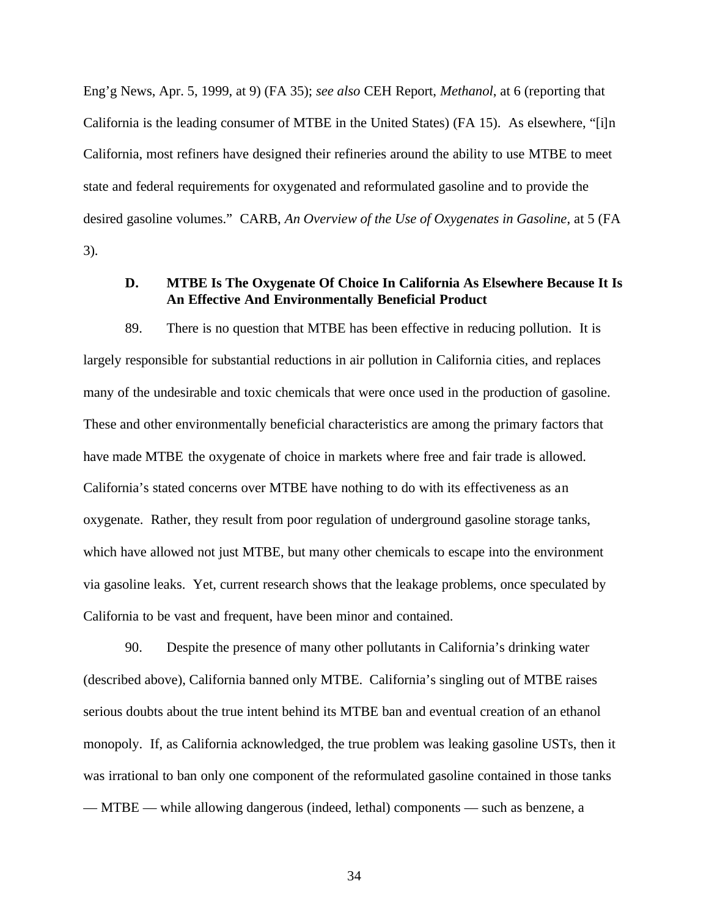Eng'g News, Apr. 5, 1999, at 9) (FA 35); *see also* CEH Report, *Methanol*, at 6 (reporting that California is the leading consumer of MTBE in the United States) (FA 15). As elsewhere, "[i]n California, most refiners have designed their refineries around the ability to use MTBE to meet state and federal requirements for oxygenated and reformulated gasoline and to provide the desired gasoline volumes." CARB, *An Overview of the Use of Oxygenates in Gasoline*, at 5 (FA 3).

# **D. MTBE Is The Oxygenate Of Choice In California As Elsewhere Because It Is An Effective And Environmentally Beneficial Product**

89. There is no question that MTBE has been effective in reducing pollution. It is largely responsible for substantial reductions in air pollution in California cities, and replaces many of the undesirable and toxic chemicals that were once used in the production of gasoline. These and other environmentally beneficial characteristics are among the primary factors that have made MTBE the oxygenate of choice in markets where free and fair trade is allowed. California's stated concerns over MTBE have nothing to do with its effectiveness as an oxygenate. Rather, they result from poor regulation of underground gasoline storage tanks, which have allowed not just MTBE, but many other chemicals to escape into the environment via gasoline leaks. Yet, current research shows that the leakage problems, once speculated by California to be vast and frequent, have been minor and contained.

90. Despite the presence of many other pollutants in California's drinking water (described above), California banned only MTBE. California's singling out of MTBE raises serious doubts about the true intent behind its MTBE ban and eventual creation of an ethanol monopoly. If, as California acknowledged, the true problem was leaking gasoline USTs, then it was irrational to ban only one component of the reformulated gasoline contained in those tanks — MTBE — while allowing dangerous (indeed, lethal) components — such as benzene, a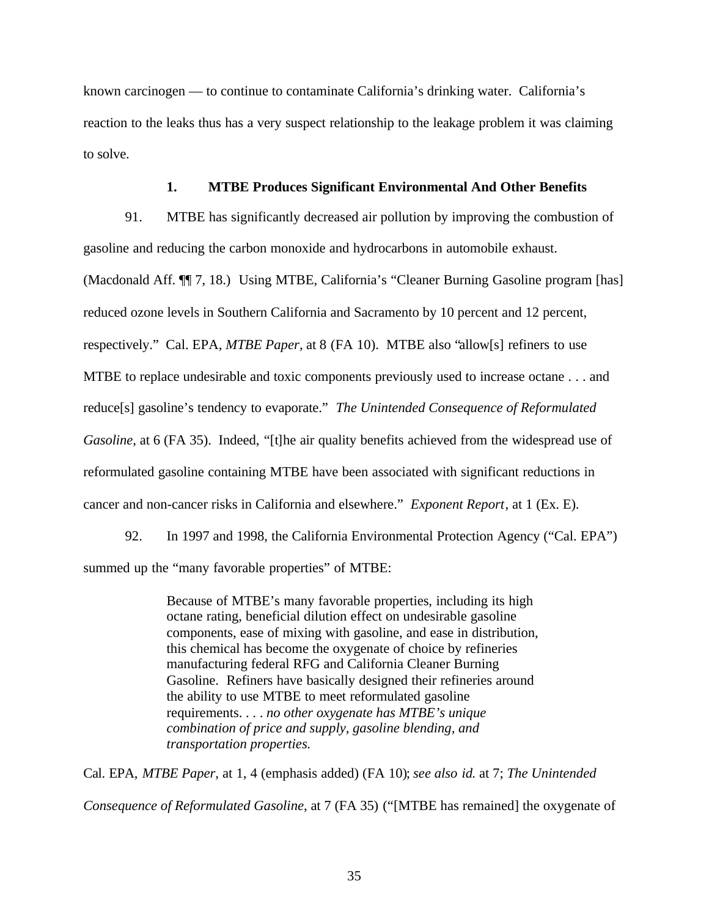known carcinogen — to continue to contaminate California's drinking water. California's reaction to the leaks thus has a very suspect relationship to the leakage problem it was claiming to solve.

### **1. MTBE Produces Significant Environmental And Other Benefits**

91. MTBE has significantly decreased air pollution by improving the combustion of gasoline and reducing the carbon monoxide and hydrocarbons in automobile exhaust. (Macdonald Aff. ¶¶ 7, 18.) Using MTBE, California's "Cleaner Burning Gasoline program [has] reduced ozone levels in Southern California and Sacramento by 10 percent and 12 percent, respectively." Cal. EPA, *MTBE Paper*, at 8 (FA 10). MTBE also "allow[s] refiners to use MTBE to replace undesirable and toxic components previously used to increase octane . . . and reduce[s] gasoline's tendency to evaporate." *The Unintended Consequence of Reformulated Gasoline*, at 6 (FA 35). Indeed, "[t]he air quality benefits achieved from the widespread use of reformulated gasoline containing MTBE have been associated with significant reductions in cancer and non-cancer risks in California and elsewhere." *Exponent Report*, at 1 (Ex. E).

92. In 1997 and 1998, the California Environmental Protection Agency ("Cal. EPA") summed up the "many favorable properties" of MTBE:

> Because of MTBE's many favorable properties, including its high octane rating, beneficial dilution effect on undesirable gasoline components, ease of mixing with gasoline, and ease in distribution, this chemical has become the oxygenate of choice by refineries manufacturing federal RFG and California Cleaner Burning Gasoline. Refiners have basically designed their refineries around the ability to use MTBE to meet reformulated gasoline requirements. . . . *no other oxygenate has MTBE's unique combination of price and supply, gasoline blending, and transportation properties.*

Cal. EPA, *MTBE Paper*, at 1, 4 (emphasis added) (FA 10); *see also id.* at 7; *The Unintended Consequence of Reformulated Gasoline*, at 7 (FA 35) ("[MTBE has remained] the oxygenate of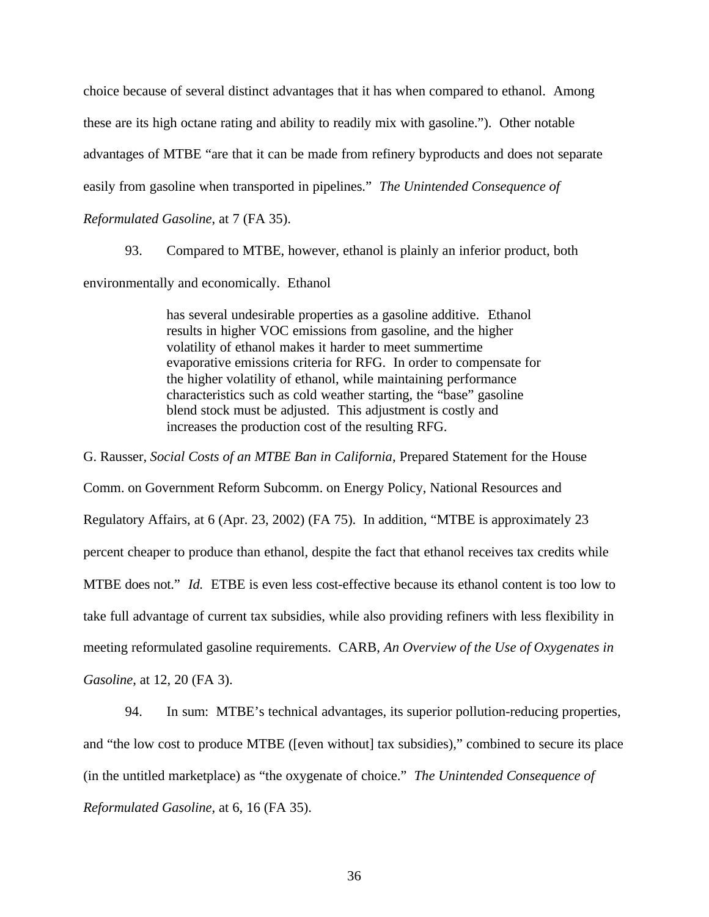choice because of several distinct advantages that it has when compared to ethanol. Among these are its high octane rating and ability to readily mix with gasoline."). Other notable advantages of MTBE "are that it can be made from refinery byproducts and does not separate easily from gasoline when transported in pipelines." *The Unintended Consequence of Reformulated Gasoline*, at 7 (FA 35).

93. Compared to MTBE, however, ethanol is plainly an inferior product, both environmentally and economically. Ethanol

> has several undesirable properties as a gasoline additive. Ethanol results in higher VOC emissions from gasoline, and the higher volatility of ethanol makes it harder to meet summertime evaporative emissions criteria for RFG. In order to compensate for the higher volatility of ethanol, while maintaining performance characteristics such as cold weather starting, the "base" gasoline blend stock must be adjusted. This adjustment is costly and increases the production cost of the resulting RFG.

G. Rausser, *Social Costs of an MTBE Ban in California*, Prepared Statement for the House Comm. on Government Reform Subcomm. on Energy Policy, National Resources and Regulatory Affairs, at 6 (Apr. 23, 2002) (FA 75). In addition, "MTBE is approximately 23 percent cheaper to produce than ethanol, despite the fact that ethanol receives tax credits while MTBE does not." *Id.* ETBE is even less cost-effective because its ethanol content is too low to take full advantage of current tax subsidies, while also providing refiners with less flexibility in meeting reformulated gasoline requirements. CARB, *An Overview of the Use of Oxygenates in Gasoline*, at 12, 20 (FA 3).

94. In sum: MTBE's technical advantages, its superior pollution-reducing properties, and "the low cost to produce MTBE ([even without] tax subsidies)," combined to secure its place (in the untitled marketplace) as "the oxygenate of choice." *The Unintended Consequence of Reformulated Gasoline*, at 6, 16 (FA 35).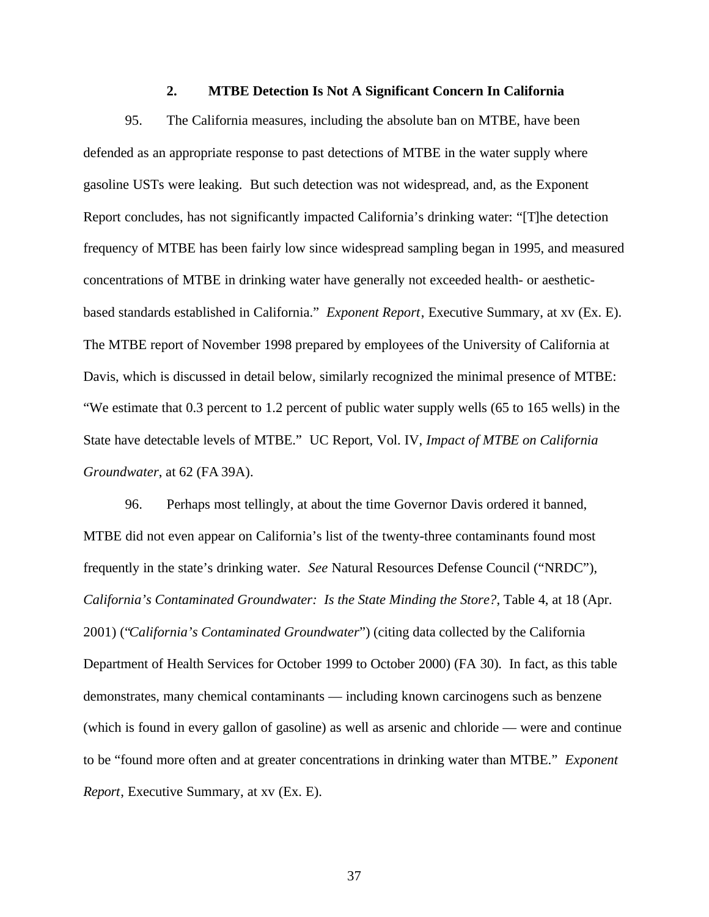#### **2. MTBE Detection Is Not A Significant Concern In California**

95. The California measures, including the absolute ban on MTBE, have been defended as an appropriate response to past detections of MTBE in the water supply where gasoline USTs were leaking. But such detection was not widespread, and, as the Exponent Report concludes, has not significantly impacted California's drinking water: "[T]he detection frequency of MTBE has been fairly low since widespread sampling began in 1995, and measured concentrations of MTBE in drinking water have generally not exceeded health- or aestheticbased standards established in California." *Exponent Report*, Executive Summary, at xv (Ex. E). The MTBE report of November 1998 prepared by employees of the University of California at Davis, which is discussed in detail below, similarly recognized the minimal presence of MTBE: "We estimate that 0.3 percent to 1.2 percent of public water supply wells (65 to 165 wells) in the State have detectable levels of MTBE." UC Report, Vol. IV, *Impact of MTBE on California Groundwater*, at 62 (FA 39A).

96. Perhaps most tellingly, at about the time Governor Davis ordered it banned, MTBE did not even appear on California's list of the twenty-three contaminants found most frequently in the state's drinking water. *See* Natural Resources Defense Council ("NRDC"), *California's Contaminated Groundwater: Is the State Minding the Store?*, Table 4, at 18 (Apr. 2001) ("*California's Contaminated Groundwater*") (citing data collected by the California Department of Health Services for October 1999 to October 2000) (FA 30). In fact, as this table demonstrates, many chemical contaminants — including known carcinogens such as benzene (which is found in every gallon of gasoline) as well as arsenic and chloride — were and continue to be "found more often and at greater concentrations in drinking water than MTBE." *Exponent Report*, Executive Summary, at xv (Ex. E).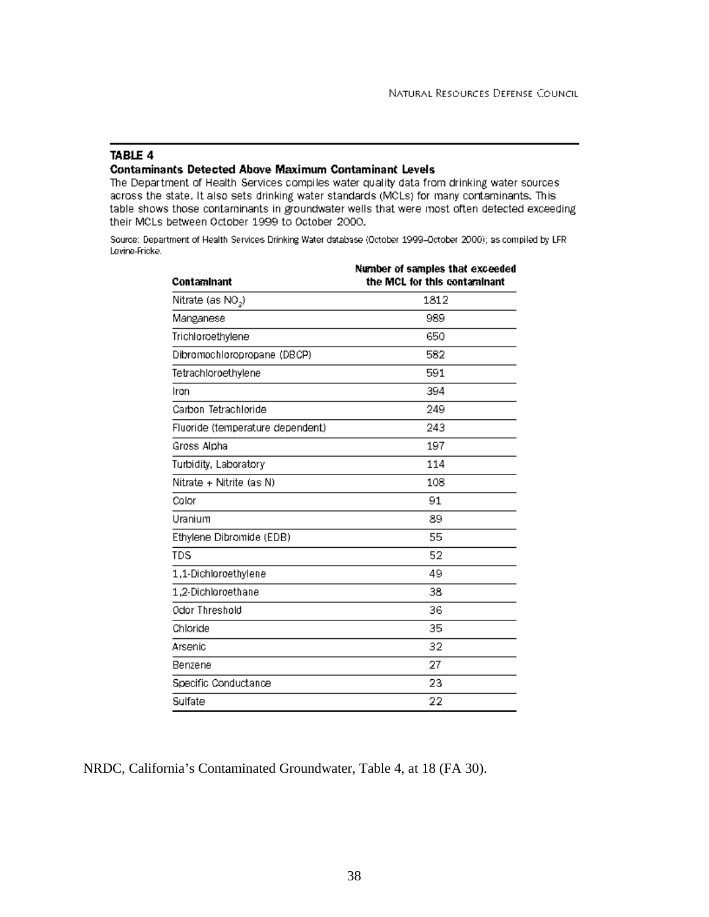### TABLE 4

#### **Contaminants Detected Above Maximum Contaminant Levels**

The Department of Health Services compiles water quality data from drinking water sources across the state. It also sets drinking water standards (MCLs) for many contaminants. This table shows those contaminants in groundwater wells that were most often detected exceeding their MCLs between October 1999 to October 2000.

Source: Department of Health Services Drinking Water database (October 1999-October 2000); as compiled by LFR Lavina-Fricke.

| Contaminant                      | Number of samples that exceeded<br>the MCL for this contaminant |
|----------------------------------|-----------------------------------------------------------------|
| Nitrate (as NO <sub>2</sub> )    | 1812                                                            |
| Manganese                        | 989                                                             |
| Trichloroethylene                | 650                                                             |
| Dibromochloropropane (DBCP)      | 582                                                             |
| Tetrachloroethylene              | 591                                                             |
| Iron                             | 394                                                             |
| Carbon Tetrachloride             | 249                                                             |
| Fluoride (temperature dependent) | 243                                                             |
| Gross Alpha                      | 197                                                             |
| Turbidity, Laboratory            | 114                                                             |
| Nitrate + Nitrite (as N)         | 108                                                             |
| Color                            | 91                                                              |
| Uranium                          | 89                                                              |
| Ethylene Dibromide (EDB)         | 55                                                              |
| <b>TDS</b>                       | 52                                                              |
| 1,1-Dichloroethylene             | 49                                                              |
| 1,2-Dichloroethane               | 38                                                              |
| Odor Threshold                   | 36                                                              |
| Chloride                         | 35                                                              |
| Arsenic                          | 32                                                              |
| Benzene                          | 27                                                              |
| Specific Conductance             | 23                                                              |
| Sulfate                          | 22                                                              |

NRDC, California's Contaminated Groundwater, Table 4, at 18 (FA 30).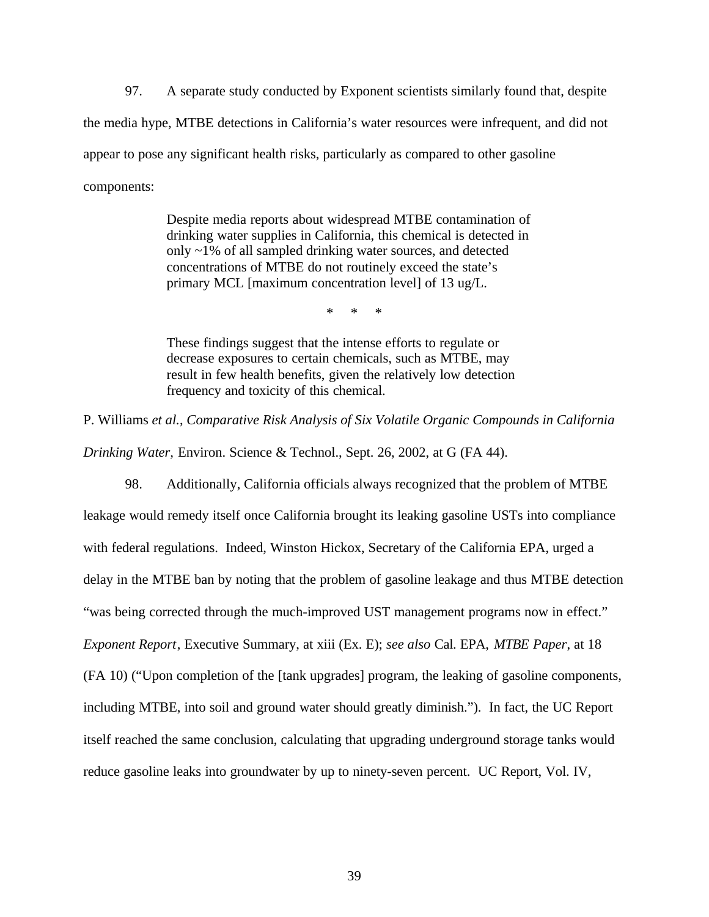97. A separate study conducted by Exponent scientists similarly found that, despite the media hype, MTBE detections in California's water resources were infrequent, and did not appear to pose any significant health risks, particularly as compared to other gasoline components:

> Despite media reports about widespread MTBE contamination of drinking water supplies in California, this chemical is detected in only ~1% of all sampled drinking water sources, and detected concentrations of MTBE do not routinely exceed the state's primary MCL [maximum concentration level] of 13 ug/L.

> > \* \* \*

These findings suggest that the intense efforts to regulate or decrease exposures to certain chemicals, such as MTBE, may result in few health benefits, given the relatively low detection frequency and toxicity of this chemical.

P. Williams *et al.*, *Comparative Risk Analysis of Six Volatile Organic Compounds in California Drinking Water,* Environ. Science & Technol., Sept. 26, 2002, at G (FA 44).

98. Additionally, California officials always recognized that the problem of MTBE leakage would remedy itself once California brought its leaking gasoline USTs into compliance with federal regulations. Indeed, Winston Hickox, Secretary of the California EPA, urged a delay in the MTBE ban by noting that the problem of gasoline leakage and thus MTBE detection "was being corrected through the much-improved UST management programs now in effect." *Exponent Report*, Executive Summary, at xiii (Ex. E); *see also* Cal. EPA, *MTBE Paper*, at 18 (FA 10) ("Upon completion of the [tank upgrades] program, the leaking of gasoline components, including MTBE, into soil and ground water should greatly diminish."). In fact, the UC Report itself reached the same conclusion, calculating that upgrading underground storage tanks would reduce gasoline leaks into groundwater by up to ninety-seven percent. UC Report, Vol. IV,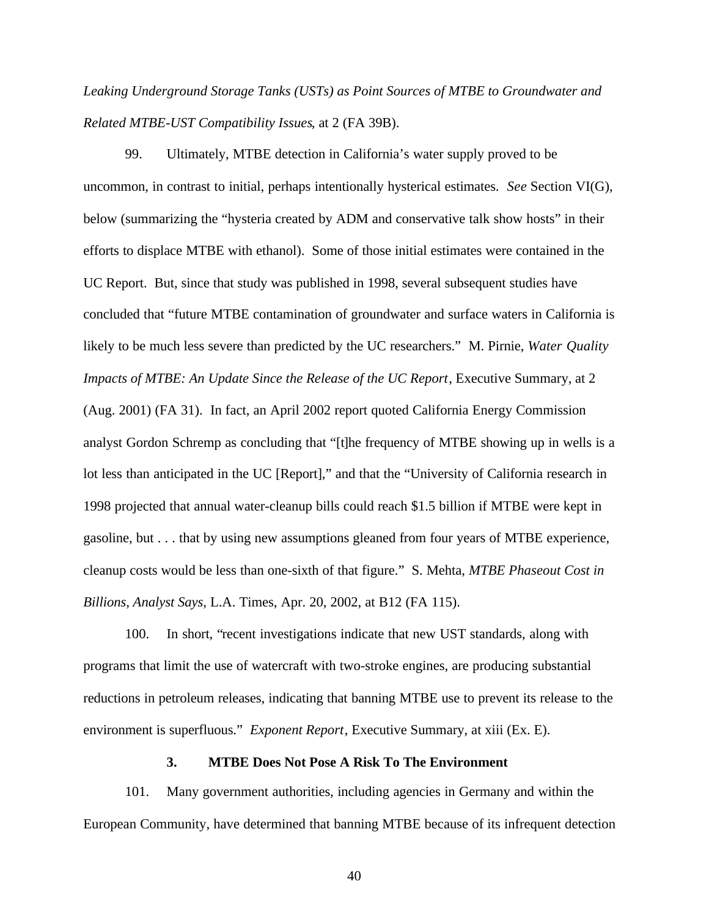*Leaking Underground Storage Tanks (USTs) as Point Sources of MTBE to Groundwater and Related MTBE-UST Compatibility Issues*, at 2 (FA 39B).

99. Ultimately, MTBE detection in California's water supply proved to be uncommon, in contrast to initial, perhaps intentionally hysterical estimates. *See* Section VI(G), below (summarizing the "hysteria created by ADM and conservative talk show hosts" in their efforts to displace MTBE with ethanol). Some of those initial estimates were contained in the UC Report. But, since that study was published in 1998, several subsequent studies have concluded that "future MTBE contamination of groundwater and surface waters in California is likely to be much less severe than predicted by the UC researchers." M. Pirnie, *Water Quality Impacts of MTBE: An Update Since the Release of the UC Report*, Executive Summary, at 2 (Aug. 2001) (FA 31). In fact, an April 2002 report quoted California Energy Commission analyst Gordon Schremp as concluding that "[t]he frequency of MTBE showing up in wells is a lot less than anticipated in the UC [Report]," and that the "University of California research in 1998 projected that annual water-cleanup bills could reach \$1.5 billion if MTBE were kept in gasoline, but . . . that by using new assumptions gleaned from four years of MTBE experience, cleanup costs would be less than one-sixth of that figure." S. Mehta, *MTBE Phaseout Cost in Billions, Analyst Says*, L.A. Times, Apr. 20, 2002, at B12 (FA 115).

100. In short, "recent investigations indicate that new UST standards, along with programs that limit the use of watercraft with two-stroke engines, are producing substantial reductions in petroleum releases, indicating that banning MTBE use to prevent its release to the environment is superfluous." *Exponent Report*, Executive Summary, at xiii (Ex. E).

#### **3. MTBE Does Not Pose A Risk To The Environment**

101. Many government authorities, including agencies in Germany and within the European Community, have determined that banning MTBE because of its infrequent detection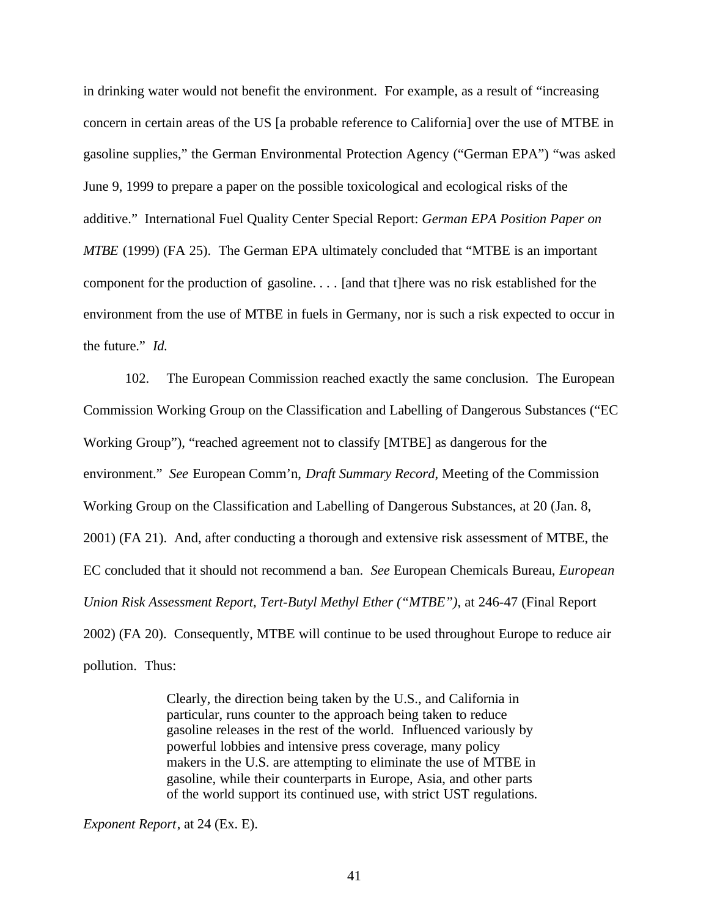in drinking water would not benefit the environment. For example, as a result of "increasing concern in certain areas of the US [a probable reference to California] over the use of MTBE in gasoline supplies," the German Environmental Protection Agency ("German EPA") "was asked June 9, 1999 to prepare a paper on the possible toxicological and ecological risks of the additive." International Fuel Quality Center Special Report: *German EPA Position Paper on MTBE* (1999) (FA 25). The German EPA ultimately concluded that "MTBE is an important component for the production of gasoline. . . . [and that t]here was no risk established for the environment from the use of MTBE in fuels in Germany, nor is such a risk expected to occur in the future." *Id.*

102. The European Commission reached exactly the same conclusion. The European Commission Working Group on the Classification and Labelling of Dangerous Substances ("EC Working Group"), "reached agreement not to classify [MTBE] as dangerous for the environment." *See* European Comm'n, *Draft Summary Record*, Meeting of the Commission Working Group on the Classification and Labelling of Dangerous Substances, at 20 (Jan. 8, 2001) (FA 21). And, after conducting a thorough and extensive risk assessment of MTBE, the EC concluded that it should not recommend a ban. *See* European Chemicals Bureau, *European Union Risk Assessment Report, Tert-Butyl Methyl Ether ("MTBE")*, at 246-47 (Final Report 2002) (FA 20). Consequently, MTBE will continue to be used throughout Europe to reduce air pollution. Thus:

> Clearly, the direction being taken by the U.S., and California in particular, runs counter to the approach being taken to reduce gasoline releases in the rest of the world. Influenced variously by powerful lobbies and intensive press coverage, many policy makers in the U.S. are attempting to eliminate the use of MTBE in gasoline, while their counterparts in Europe, Asia, and other parts of the world support its continued use, with strict UST regulations.

*Exponent Report*, at 24 (Ex. E).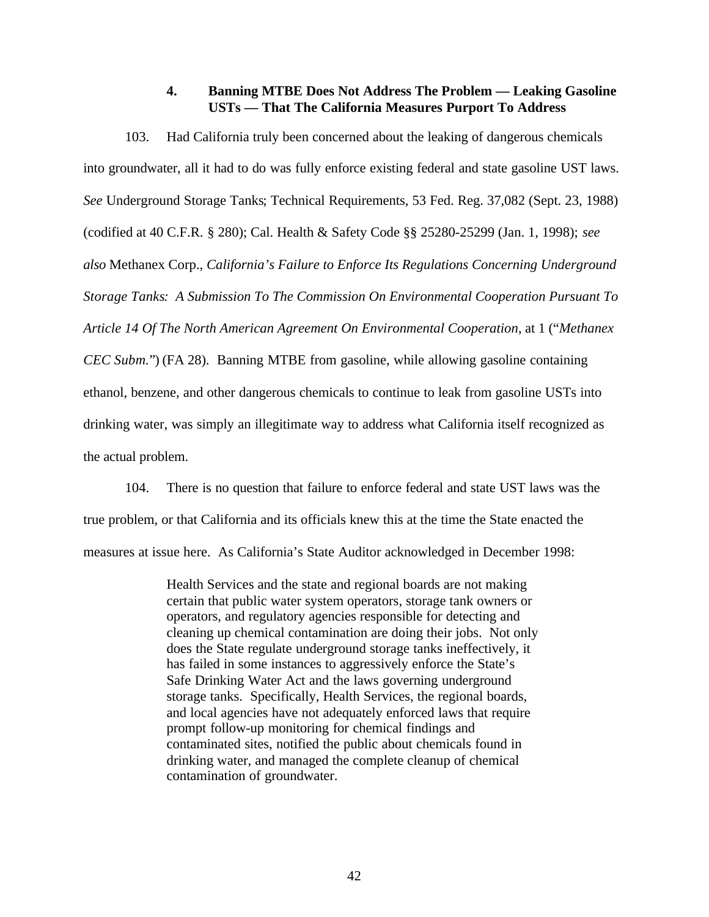## **4. Banning MTBE Does Not Address The Problem — Leaking Gasoline USTs — That The California Measures Purport To Address**

103. Had California truly been concerned about the leaking of dangerous chemicals into groundwater, all it had to do was fully enforce existing federal and state gasoline UST laws. *See* Underground Storage Tanks; Technical Requirements, 53 Fed. Reg. 37,082 (Sept. 23, 1988) (codified at 40 C.F.R. § 280); Cal. Health & Safety Code §§ 25280-25299 (Jan. 1, 1998); *see also* Methanex Corp., *California's Failure to Enforce Its Regulations Concerning Underground Storage Tanks: A Submission To The Commission On Environmental Cooperation Pursuant To Article 14 Of The North American Agreement On Environmental Cooperation*, at 1 ("*Methanex CEC Subm.*") (FA 28). Banning MTBE from gasoline, while allowing gasoline containing ethanol, benzene, and other dangerous chemicals to continue to leak from gasoline USTs into drinking water, was simply an illegitimate way to address what California itself recognized as the actual problem.

104. There is no question that failure to enforce federal and state UST laws was the true problem, or that California and its officials knew this at the time the State enacted the measures at issue here. As California's State Auditor acknowledged in December 1998:

> Health Services and the state and regional boards are not making certain that public water system operators, storage tank owners or operators, and regulatory agencies responsible for detecting and cleaning up chemical contamination are doing their jobs. Not only does the State regulate underground storage tanks ineffectively, it has failed in some instances to aggressively enforce the State's Safe Drinking Water Act and the laws governing underground storage tanks. Specifically, Health Services, the regional boards, and local agencies have not adequately enforced laws that require prompt follow-up monitoring for chemical findings and contaminated sites, notified the public about chemicals found in drinking water, and managed the complete cleanup of chemical contamination of groundwater.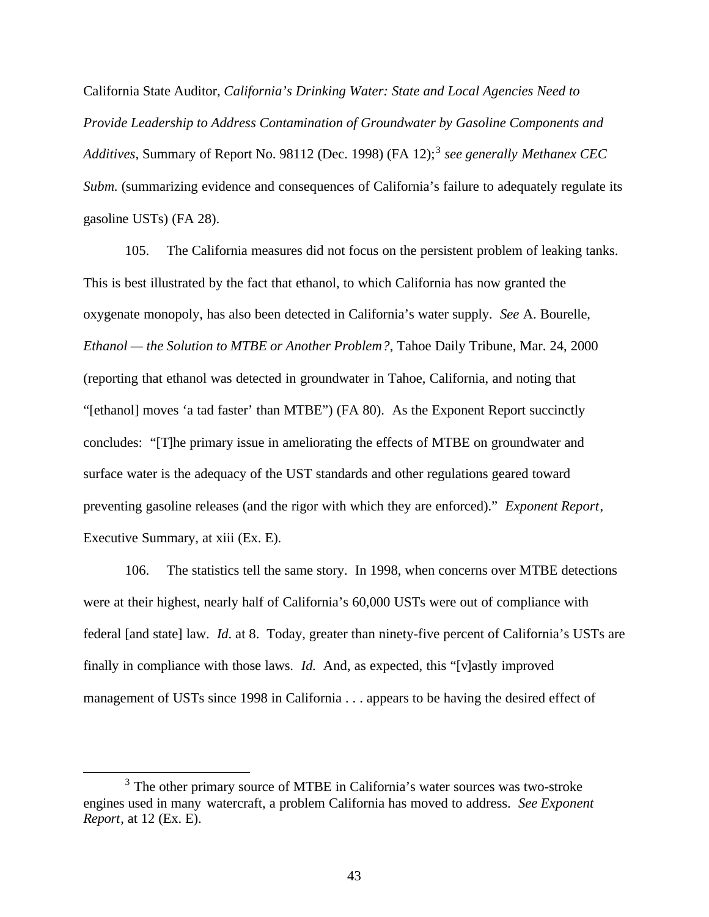California State Auditor, *California's Drinking Water: State and Local Agencies Need to Provide Leadership to Address Contamination of Groundwater by Gasoline Components and* Additives, Summary of Report No. 98112 (Dec. 1998) (FA 12);<sup>3</sup> see generally Methanex CEC *Subm.* (summarizing evidence and consequences of California's failure to adequately regulate its gasoline USTs) (FA 28).

105. The California measures did not focus on the persistent problem of leaking tanks. This is best illustrated by the fact that ethanol, to which California has now granted the oxygenate monopoly, has also been detected in California's water supply. *See* A. Bourelle, *Ethanol — the Solution to MTBE or Another Problem?*, Tahoe Daily Tribune, Mar. 24, 2000 (reporting that ethanol was detected in groundwater in Tahoe, California, and noting that "[ethanol] moves 'a tad faster' than MTBE") (FA 80). As the Exponent Report succinctly concludes: "[T]he primary issue in ameliorating the effects of MTBE on groundwater and surface water is the adequacy of the UST standards and other regulations geared toward preventing gasoline releases (and the rigor with which they are enforced)." *Exponent Report*, Executive Summary, at xiii (Ex. E).

106. The statistics tell the same story. In 1998, when concerns over MTBE detections were at their highest, nearly half of California's 60,000 USTs were out of compliance with federal [and state] law. *Id*. at 8. Today, greater than ninety-five percent of California's USTs are finally in compliance with those laws. *Id.* And, as expected, this "[v]astly improved management of USTs since 1998 in California . . . appears to be having the desired effect of

 $\overline{a}$ 

 $3$  The other primary source of MTBE in California's water sources was two-stroke engines used in many watercraft, a problem California has moved to address. *See Exponent Report*, at 12 (Ex. E).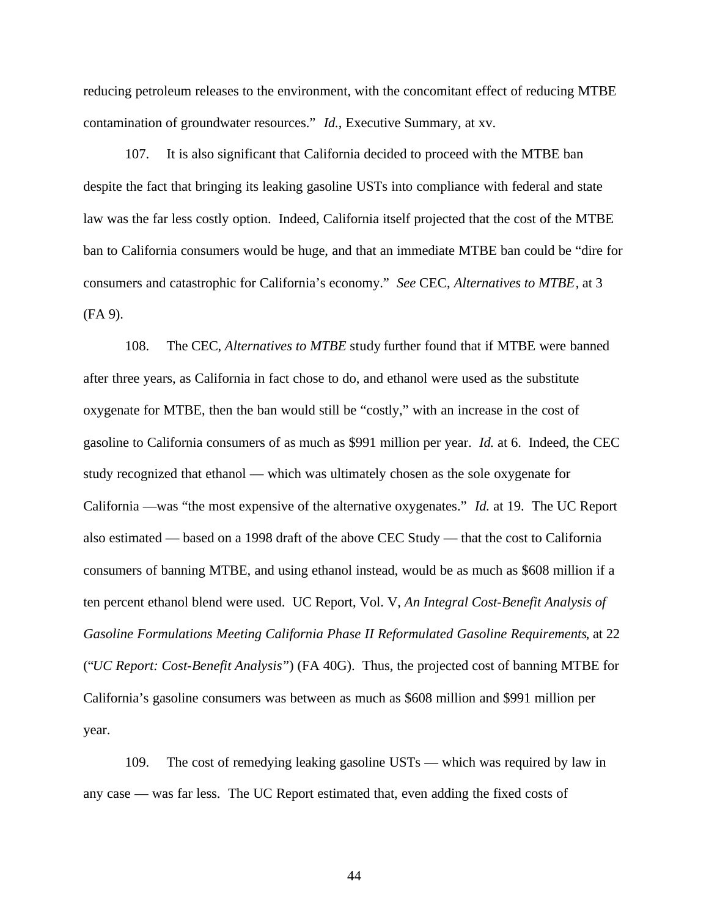reducing petroleum releases to the environment, with the concomitant effect of reducing MTBE contamination of groundwater resources." *Id.*, Executive Summary, at xv.

107. It is also significant that California decided to proceed with the MTBE ban despite the fact that bringing its leaking gasoline USTs into compliance with federal and state law was the far less costly option. Indeed, California itself projected that the cost of the MTBE ban to California consumers would be huge, and that an immediate MTBE ban could be "dire for consumers and catastrophic for California's economy." *See* CEC, *Alternatives to MTBE*, at 3 (FA 9).

108. The CEC, *Alternatives to MTBE* study further found that if MTBE were banned after three years, as California in fact chose to do, and ethanol were used as the substitute oxygenate for MTBE, then the ban would still be "costly," with an increase in the cost of gasoline to California consumers of as much as \$991 million per year. *Id.* at 6. Indeed, the CEC study recognized that ethanol — which was ultimately chosen as the sole oxygenate for California —was "the most expensive of the alternative oxygenates." *Id.* at 19. The UC Report also estimated — based on a 1998 draft of the above CEC Study — that the cost to California consumers of banning MTBE, and using ethanol instead, would be as much as \$608 million if a ten percent ethanol blend were used. UC Report, Vol. V, *An Integral Cost-Benefit Analysis of Gasoline Formulations Meeting California Phase II Reformulated Gasoline Requirements*, at 22 ("*UC Report: Cost-Benefit Analysis*") (FA 40G). Thus, the projected cost of banning MTBE for California's gasoline consumers was between as much as \$608 million and \$991 million per year.

109. The cost of remedying leaking gasoline USTs — which was required by law in any case — was far less. The UC Report estimated that, even adding the fixed costs of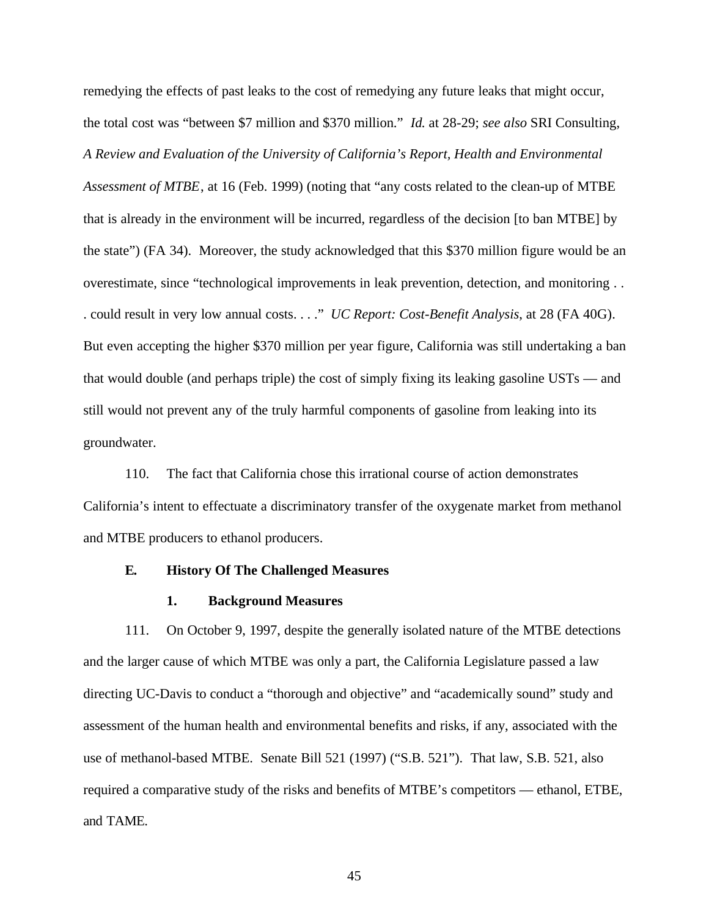remedying the effects of past leaks to the cost of remedying any future leaks that might occur, the total cost was "between \$7 million and \$370 million." *Id.* at 28-29; *see also* SRI Consulting, *A Review and Evaluation of the University of California's Report, Health and Environmental Assessment of MTBE*, at 16 (Feb. 1999) (noting that "any costs related to the clean-up of MTBE that is already in the environment will be incurred, regardless of the decision [to ban MTBE] by the state") (FA 34). Moreover, the study acknowledged that this \$370 million figure would be an overestimate, since "technological improvements in leak prevention, detection, and monitoring . . . could result in very low annual costs. . . ." *UC Report: Cost-Benefit Analysis*, at 28 (FA 40G). But even accepting the higher \$370 million per year figure, California was still undertaking a ban that would double (and perhaps triple) the cost of simply fixing its leaking gasoline USTs — and still would not prevent any of the truly harmful components of gasoline from leaking into its groundwater.

110. The fact that California chose this irrational course of action demonstrates California's intent to effectuate a discriminatory transfer of the oxygenate market from methanol and MTBE producers to ethanol producers.

### **E. History Of The Challenged Measures**

### **1. Background Measures**

111. On October 9, 1997, despite the generally isolated nature of the MTBE detections and the larger cause of which MTBE was only a part, the California Legislature passed a law directing UC-Davis to conduct a "thorough and objective" and "academically sound" study and assessment of the human health and environmental benefits and risks, if any, associated with the use of methanol-based MTBE. Senate Bill 521 (1997) ("S.B. 521").That law, S.B. 521, also required a comparative study of the risks and benefits of MTBE's competitors — ethanol, ETBE, and TAME.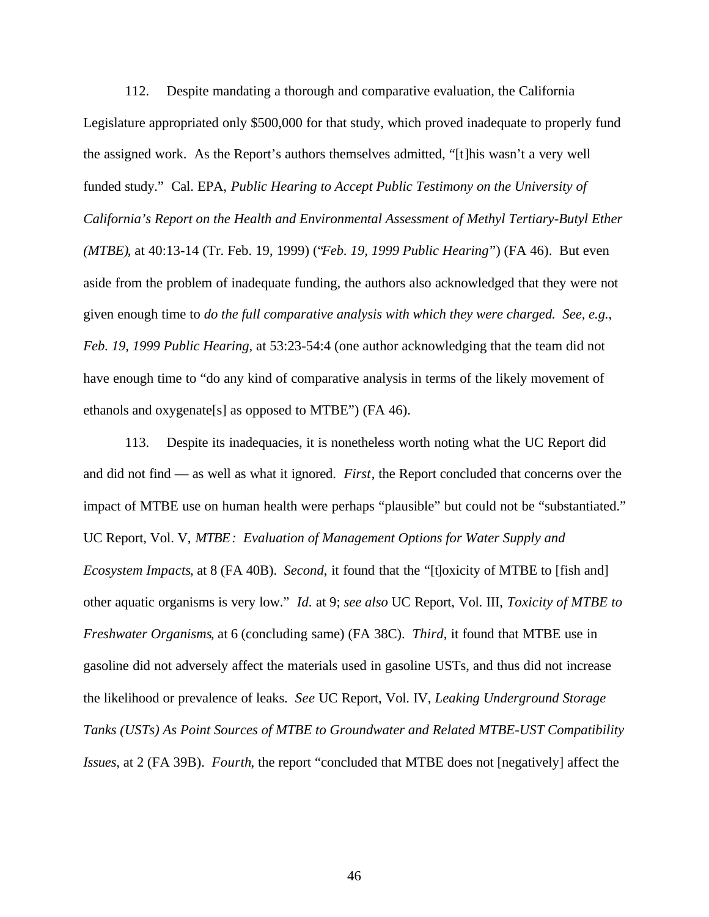112. Despite mandating a thorough and comparative evaluation, the California Legislature appropriated only \$500,000 for that study, which proved inadequate to properly fund the assigned work. As the Report's authors themselves admitted, "[t]his wasn't a very well funded study." Cal. EPA, *Public Hearing to Accept Public Testimony on the University of California's Report on the Health and Environmental Assessment of Methyl Tertiary-Butyl Ether (MTBE)*, at 40:13-14 (Tr. Feb. 19, 1999) ("*Feb. 19, 1999 Public Hearing*") (FA 46). But even aside from the problem of inadequate funding, the authors also acknowledged that they were not given enough time to *do the full comparative analysis with which they were charged. See, e.g.*, *Feb. 19, 1999 Public Hearing*, at 53:23-54:4 (one author acknowledging that the team did not have enough time to "do any kind of comparative analysis in terms of the likely movement of ethanols and oxygenate[s] as opposed to MTBE") (FA 46).

113. Despite its inadequacies, it is nonetheless worth noting what the UC Report did and did not find — as well as what it ignored. *First*, the Report concluded that concerns over the impact of MTBE use on human health were perhaps "plausible" but could not be "substantiated." UC Report, Vol. V, *MTBE: Evaluation of Management Options for Water Supply and Ecosystem Impacts*, at 8 (FA 40B). *Second*, it found that the "[t]oxicity of MTBE to [fish and] other aquatic organisms is very low." *Id.* at 9; *see also* UC Report, Vol. III, *Toxicity of MTBE to Freshwater Organisms*, at 6 (concluding same) (FA 38C). *Third*, it found that MTBE use in gasoline did not adversely affect the materials used in gasoline USTs, and thus did not increase the likelihood or prevalence of leaks. *See* UC Report, Vol. IV, *Leaking Underground Storage Tanks (USTs) As Point Sources of MTBE to Groundwater and Related MTBE-UST Compatibility Issues*, at 2 (FA 39B). *Fourth*, the report "concluded that MTBE does not [negatively] affect the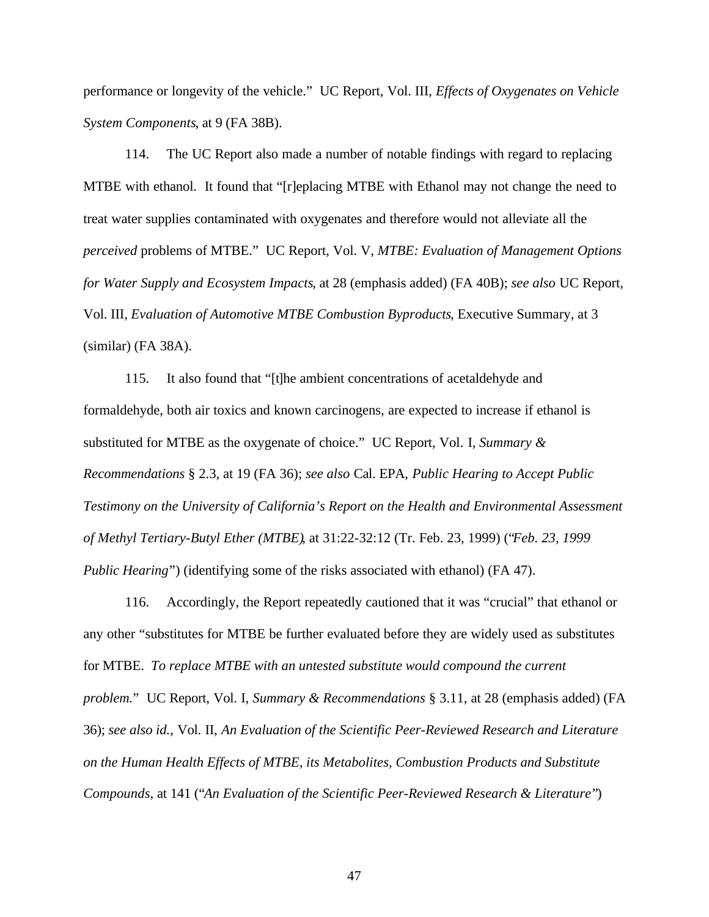performance or longevity of the vehicle." UC Report, Vol. III, *Effects of Oxygenates on Vehicle System Components*, at 9 (FA 38B).

114. The UC Report also made a number of notable findings with regard to replacing MTBE with ethanol. It found that "[r]eplacing MTBE with Ethanol may not change the need to treat water supplies contaminated with oxygenates and therefore would not alleviate all the *perceived* problems of MTBE." UC Report, Vol. V, *MTBE: Evaluation of Management Options for Water Supply and Ecosystem Impacts*, at 28 (emphasis added) (FA 40B); *see also* UC Report, Vol. III, *Evaluation of Automotive MTBE Combustion Byproducts*, Executive Summary, at 3 (similar) (FA 38A).

115. It also found that "[t]he ambient concentrations of acetaldehyde and formaldehyde, both air toxics and known carcinogens, are expected to increase if ethanol is substituted for MTBE as the oxygenate of choice." UC Report, Vol. I, *Summary & Recommendations* § 2.3, at 19 (FA 36); *see also* Cal. EPA, *Public Hearing to Accept Public Testimony on the University of California's Report on the Health and Environmental Assessment of Methyl Tertiary-Butyl Ether (MTBE)*, at 31:22-32:12 (Tr. Feb. 23, 1999) ("*Feb. 23, 1999 Public Hearing*") (identifying some of the risks associated with ethanol) (FA 47).

116. Accordingly, the Report repeatedly cautioned that it was "crucial" that ethanol or any other "substitutes for MTBE be further evaluated before they are widely used as substitutes for MTBE. *To replace MTBE with an untested substitute would compound the current problem.*" UC Report, Vol. I, *Summary & Recommendations* § 3.11, at 28 (emphasis added) (FA 36); *see also id.*, Vol. II, *An Evaluation of the Scientific Peer-Reviewed Research and Literature on the Human Health Effects of MTBE, its Metabolites, Combustion Products and Substitute Compounds*, at 141 ("*An Evaluation of the Scientific Peer-Reviewed Research & Literature*")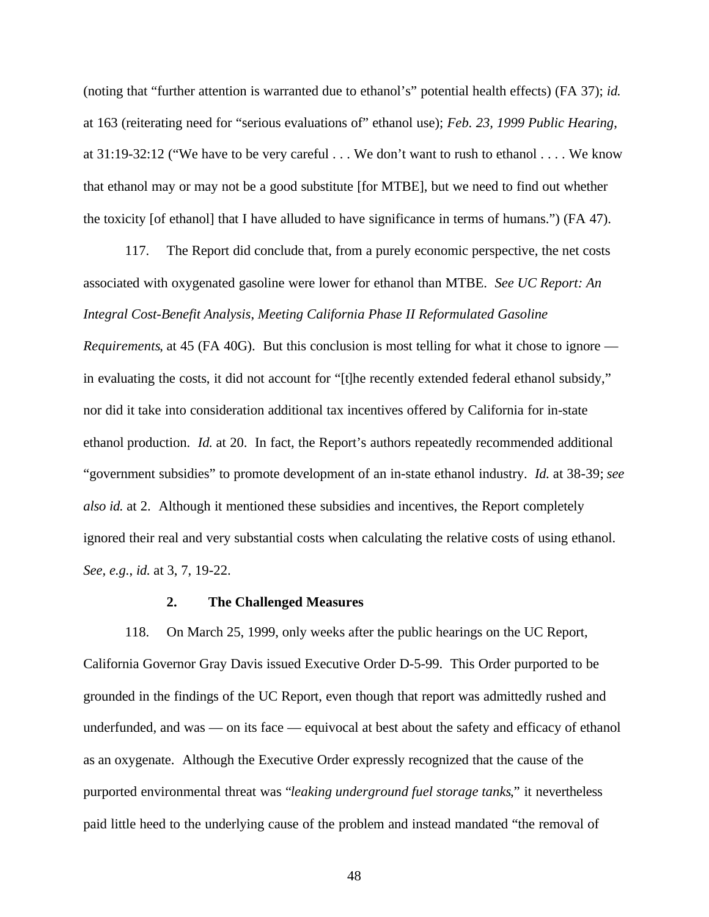(noting that "further attention is warranted due to ethanol's" potential health effects) (FA 37); *id.* at 163 (reiterating need for "serious evaluations of" ethanol use); *Feb. 23, 1999 Public Hearing*, at 31:19-32:12 ("We have to be very careful . . . We don't want to rush to ethanol . . . . We know that ethanol may or may not be a good substitute [for MTBE], but we need to find out whether the toxicity [of ethanol] that I have alluded to have significance in terms of humans.") (FA 47).

117. The Report did conclude that, from a purely economic perspective, the net costs associated with oxygenated gasoline were lower for ethanol than MTBE. *See UC Report: An Integral Cost-Benefit Analysis*, *Meeting California Phase II Reformulated Gasoline*

*Requirements*, at 45 (FA 40G). But this conclusion is most telling for what it chose to ignore in evaluating the costs, it did not account for "[t]he recently extended federal ethanol subsidy," nor did it take into consideration additional tax incentives offered by California for in-state ethanol production. *Id.* at 20. In fact, the Report's authors repeatedly recommended additional "government subsidies" to promote development of an in-state ethanol industry. *Id.* at 38-39; *see also id.* at 2. Although it mentioned these subsidies and incentives, the Report completely ignored their real and very substantial costs when calculating the relative costs of using ethanol. *See, e.g.*, *id.* at 3, 7, 19-22.

#### **2. The Challenged Measures**

118. On March 25, 1999, only weeks after the public hearings on the UC Report, California Governor Gray Davis issued Executive Order D-5-99. This Order purported to be grounded in the findings of the UC Report, even though that report was admittedly rushed and underfunded, and was — on its face — equivocal at best about the safety and efficacy of ethanol as an oxygenate. Although the Executive Order expressly recognized that the cause of the purported environmental threat was "*leaking underground fuel storage tanks*," it nevertheless paid little heed to the underlying cause of the problem and instead mandated "the removal of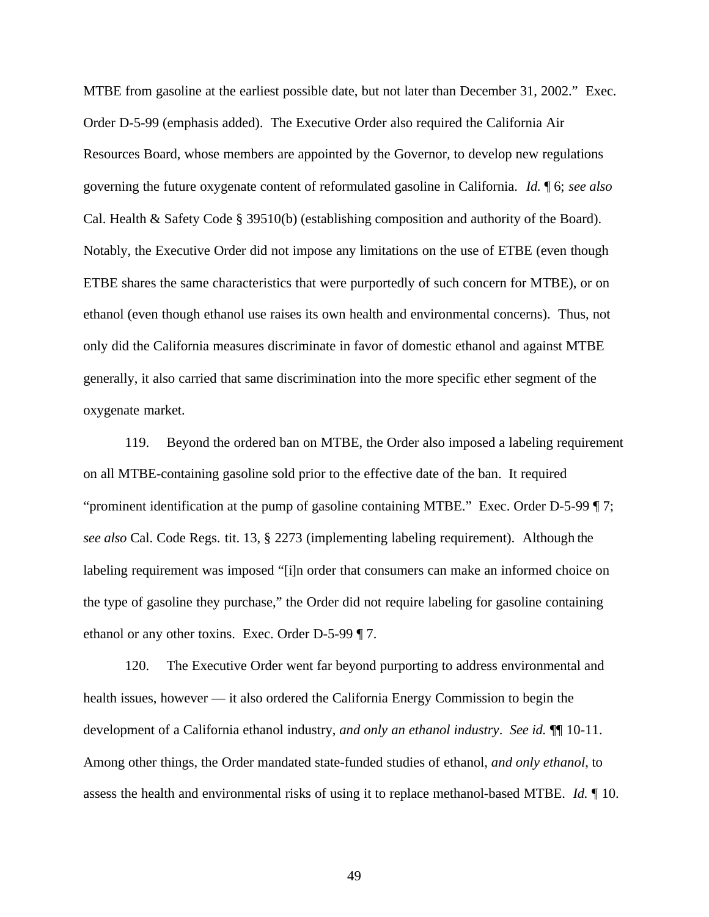MTBE from gasoline at the earliest possible date, but not later than December 31, 2002." Exec. Order D-5-99 (emphasis added). The Executive Order also required the California Air Resources Board, whose members are appointed by the Governor, to develop new regulations governing the future oxygenate content of reformulated gasoline in California. *Id.* ¶ 6; *see also* Cal. Health & Safety Code § 39510(b) (establishing composition and authority of the Board). Notably, the Executive Order did not impose any limitations on the use of ETBE (even though ETBE shares the same characteristics that were purportedly of such concern for MTBE), or on ethanol (even though ethanol use raises its own health and environmental concerns). Thus, not only did the California measures discriminate in favor of domestic ethanol and against MTBE generally, it also carried that same discrimination into the more specific ether segment of the oxygenate market.

119. Beyond the ordered ban on MTBE, the Order also imposed a labeling requirement on all MTBE-containing gasoline sold prior to the effective date of the ban. It required "prominent identification at the pump of gasoline containing MTBE." Exec. Order D-5-99 ¶ 7; *see also* Cal. Code Regs. tit. 13, § 2273 (implementing labeling requirement). Although the labeling requirement was imposed "[i]n order that consumers can make an informed choice on the type of gasoline they purchase," the Order did not require labeling for gasoline containing ethanol or any other toxins. Exec. Order D-5-99 ¶ 7.

120. The Executive Order went far beyond purporting to address environmental and health issues, however — it also ordered the California Energy Commission to begin the development of a California ethanol industry, *and only an ethanol industry*. *See id.* ¶¶ 10-11. Among other things, the Order mandated state-funded studies of ethanol, *and only ethanol*, to assess the health and environmental risks of using it to replace methanol-based MTBE. *Id.* ¶ 10.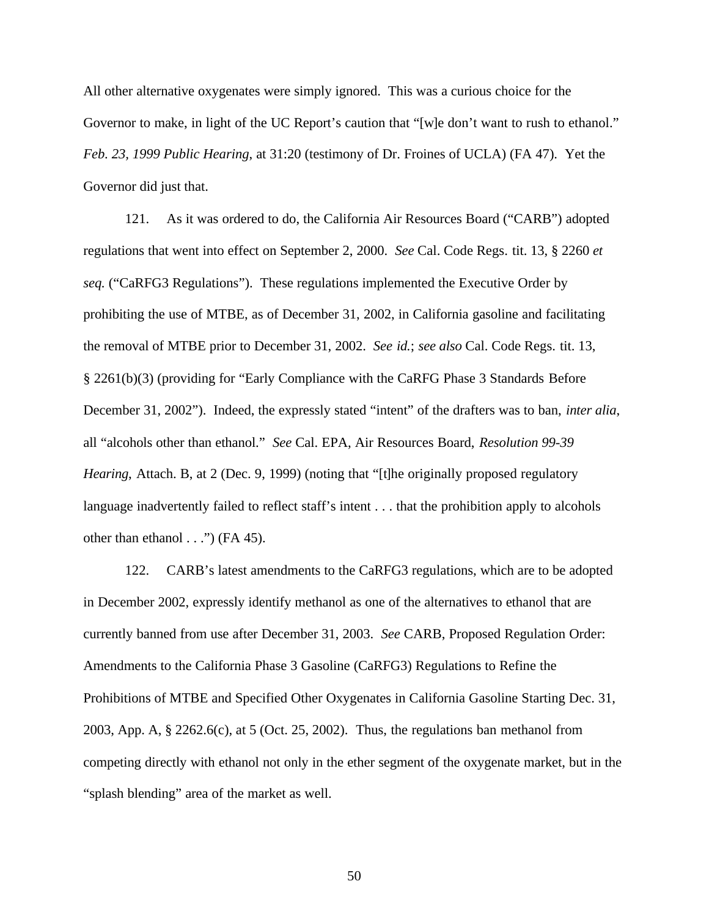All other alternative oxygenates were simply ignored. This was a curious choice for the Governor to make, in light of the UC Report's caution that "[w]e don't want to rush to ethanol." *Feb. 23, 1999 Public Hearing*, at 31:20 (testimony of Dr. Froines of UCLA) (FA 47). Yet the Governor did just that.

121. As it was ordered to do, the California Air Resources Board ("CARB") adopted regulations that went into effect on September 2, 2000. *See* Cal. Code Regs. tit. 13, § 2260 *et seq.* ("CaRFG3 Regulations"). These regulations implemented the Executive Order by prohibiting the use of MTBE, as of December 31, 2002, in California gasoline and facilitating the removal of MTBE prior to December 31, 2002. *See id.*; *see also* Cal. Code Regs. tit. 13, § 2261(b)(3) (providing for "Early Compliance with the CaRFG Phase 3 Standards Before December 31, 2002"). Indeed, the expressly stated "intent" of the drafters was to ban, *inter alia*, all "alcohols other than ethanol." *See* Cal. EPA, Air Resources Board, *Resolution 99-39 Hearing*, Attach. B, at 2 (Dec. 9, 1999) (noting that "[t]he originally proposed regulatory language inadvertently failed to reflect staff's intent . . . that the prohibition apply to alcohols other than ethanol  $\ldots$ ") (FA 45).

122. CARB's latest amendments to the CaRFG3 regulations, which are to be adopted in December 2002, expressly identify methanol as one of the alternatives to ethanol that are currently banned from use after December 31, 2003. *See* CARB, Proposed Regulation Order: Amendments to the California Phase 3 Gasoline (CaRFG3) Regulations to Refine the Prohibitions of MTBE and Specified Other Oxygenates in California Gasoline Starting Dec. 31, 2003, App. A, § 2262.6(c), at 5 (Oct. 25, 2002). Thus, the regulations ban methanol from competing directly with ethanol not only in the ether segment of the oxygenate market, but in the "splash blending" area of the market as well.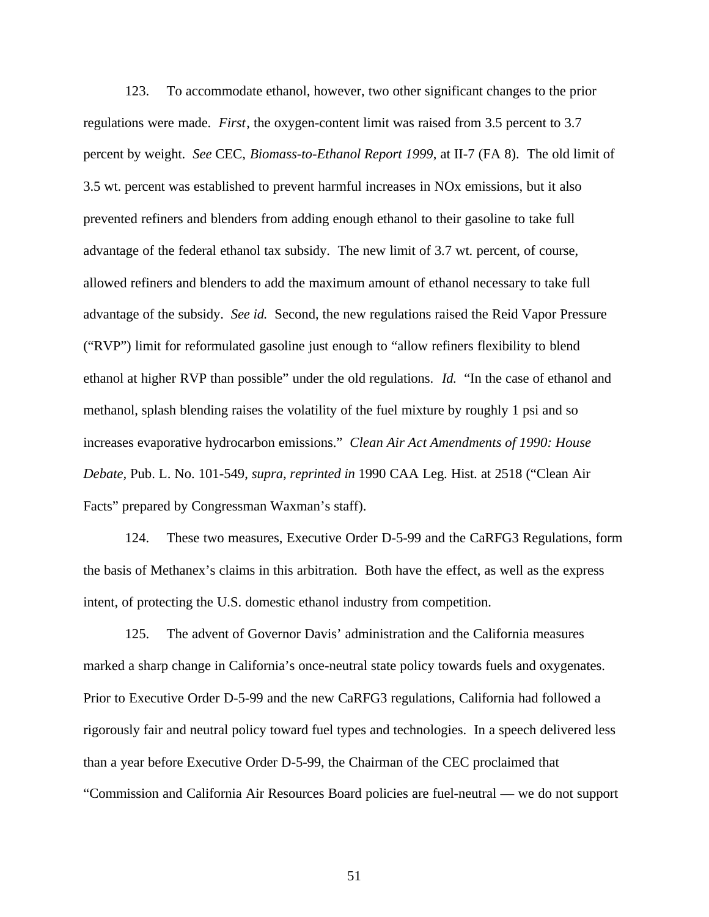123. To accommodate ethanol, however, two other significant changes to the prior regulations were made. *First*, the oxygen-content limit was raised from 3.5 percent to 3.7 percent by weight. *See* CEC, *Biomass-to-Ethanol Report 1999*, at II-7 (FA 8). The old limit of 3.5 wt. percent was established to prevent harmful increases in NOx emissions, but it also prevented refiners and blenders from adding enough ethanol to their gasoline to take full advantage of the federal ethanol tax subsidy. The new limit of 3.7 wt. percent, of course, allowed refiners and blenders to add the maximum amount of ethanol necessary to take full advantage of the subsidy. *See id.* Second, the new regulations raised the Reid Vapor Pressure ("RVP") limit for reformulated gasoline just enough to "allow refiners flexibility to blend ethanol at higher RVP than possible" under the old regulations. *Id.* "In the case of ethanol and methanol, splash blending raises the volatility of the fuel mixture by roughly 1 psi and so increases evaporative hydrocarbon emissions." *Clean Air Act Amendments of 1990: House Debate,* Pub. L. No. 101-549, *supra*, *reprinted in* 1990 CAA Leg. Hist. at 2518 ("Clean Air Facts" prepared by Congressman Waxman's staff).

124. These two measures, Executive Order D-5-99 and the CaRFG3 Regulations, form the basis of Methanex's claims in this arbitration. Both have the effect, as well as the express intent, of protecting the U.S. domestic ethanol industry from competition.

125. The advent of Governor Davis' administration and the California measures marked a sharp change in California's once-neutral state policy towards fuels and oxygenates. Prior to Executive Order D-5-99 and the new CaRFG3 regulations, California had followed a rigorously fair and neutral policy toward fuel types and technologies. In a speech delivered less than a year before Executive Order D-5-99, the Chairman of the CEC proclaimed that "Commission and California Air Resources Board policies are fuel-neutral — we do not support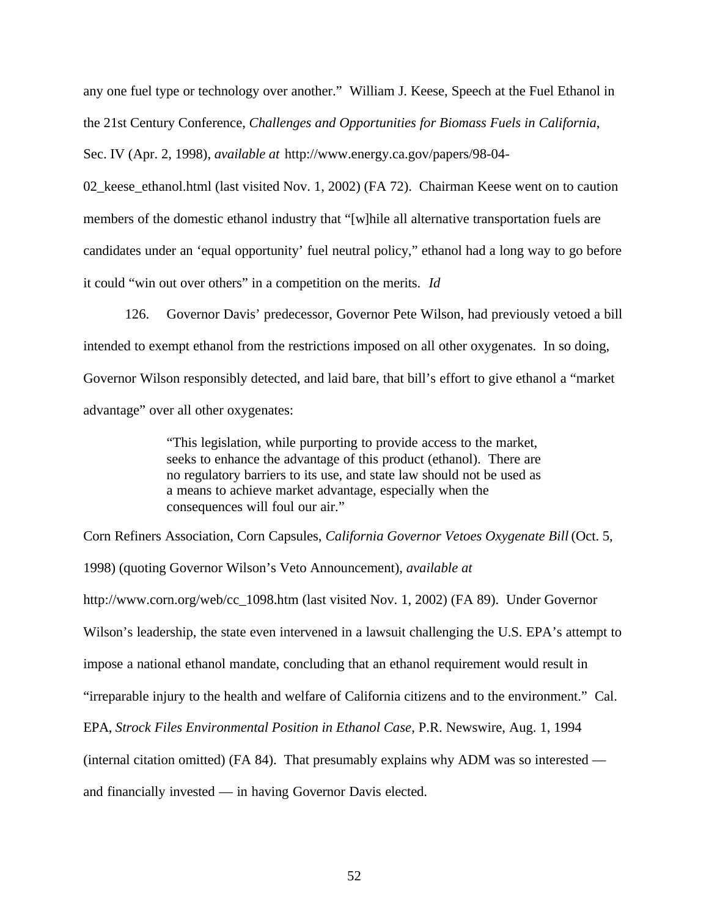any one fuel type or technology over another." William J. Keese, Speech at the Fuel Ethanol in the 21st Century Conference, *Challenges and Opportunities for Biomass Fuels in California*, Sec. IV (Apr. 2, 1998), *available at* http://www.energy.ca.gov/papers/98-04-

02 keese ethanol.html (last visited Nov. 1, 2002) (FA 72). Chairman Keese went on to caution members of the domestic ethanol industry that "[w]hile all alternative transportation fuels are candidates under an 'equal opportunity' fuel neutral policy," ethanol had a long way to go before it could "win out over others" in a competition on the merits. *Id*

126. Governor Davis' predecessor, Governor Pete Wilson, had previously vetoed a bill intended to exempt ethanol from the restrictions imposed on all other oxygenates. In so doing, Governor Wilson responsibly detected, and laid bare, that bill's effort to give ethanol a "market advantage" over all other oxygenates:

> "This legislation, while purporting to provide access to the market, seeks to enhance the advantage of this product (ethanol). There are no regulatory barriers to its use, and state law should not be used as a means to achieve market advantage, especially when the consequences will foul our air."

Corn Refiners Association, Corn Capsules, *California Governor Vetoes Oxygenate Bill* (Oct. 5, 1998) (quoting Governor Wilson's Veto Announcement), *available at* http://www.corn.org/web/cc\_1098.htm (last visited Nov. 1, 2002) (FA 89). Under Governor Wilson's leadership, the state even intervened in a lawsuit challenging the U.S. EPA's attempt to impose a national ethanol mandate, concluding that an ethanol requirement would result in "irreparable injury to the health and welfare of California citizens and to the environment." Cal. EPA, *Strock Files Environmental Position in Ethanol Case*, P.R. Newswire, Aug. 1, 1994 (internal citation omitted) (FA 84). That presumably explains why ADM was so interested and financially invested — in having Governor Davis elected.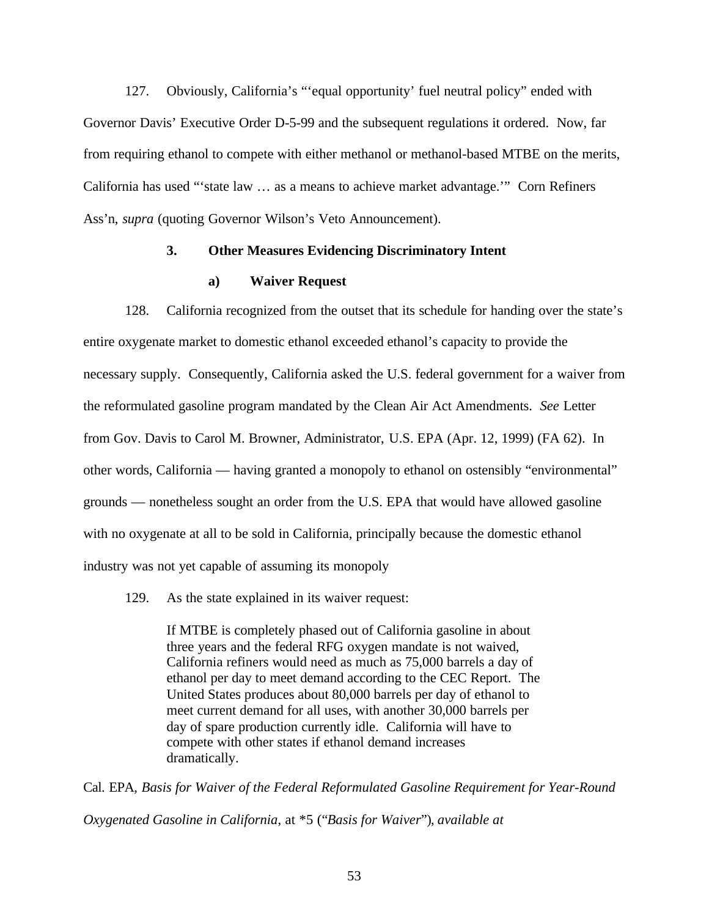127. Obviously, California's "'equal opportunity' fuel neutral policy" ended with Governor Davis' Executive Order D-5-99 and the subsequent regulations it ordered. Now, far from requiring ethanol to compete with either methanol or methanol-based MTBE on the merits, California has used "'state law … as a means to achieve market advantage.'" Corn Refiners Ass'n, *supra* (quoting Governor Wilson's Veto Announcement).

### **3. Other Measures Evidencing Discriminatory Intent**

## **a) Waiver Request**

128. California recognized from the outset that its schedule for handing over the state's entire oxygenate market to domestic ethanol exceeded ethanol's capacity to provide the necessary supply. Consequently, California asked the U.S. federal government for a waiver from the reformulated gasoline program mandated by the Clean Air Act Amendments. *See* Letter from Gov. Davis to Carol M. Browner, Administrator, U.S. EPA (Apr. 12, 1999) (FA 62). In other words, California — having granted a monopoly to ethanol on ostensibly "environmental" grounds — nonetheless sought an order from the U.S. EPA that would have allowed gasoline with no oxygenate at all to be sold in California, principally because the domestic ethanol industry was not yet capable of assuming its monopoly

129. As the state explained in its waiver request:

If MTBE is completely phased out of California gasoline in about three years and the federal RFG oxygen mandate is not waived, California refiners would need as much as 75,000 barrels a day of ethanol per day to meet demand according to the CEC Report. The United States produces about 80,000 barrels per day of ethanol to meet current demand for all uses, with another 30,000 barrels per day of spare production currently idle. California will have to compete with other states if ethanol demand increases dramatically.

Cal. EPA, *Basis for Waiver of the Federal Reformulated Gasoline Requirement for Year-Round Oxygenated Gasoline in California*, at \*5 ("*Basis for Waiver*"), *available at*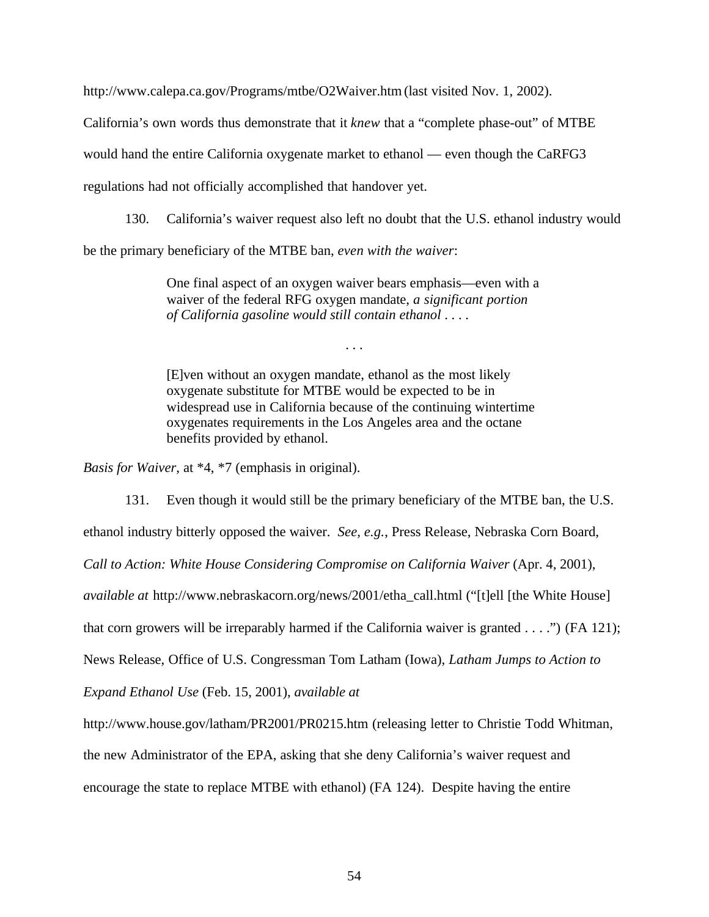http://www.calepa.ca.gov/Programs/mtbe/O2Waiver.htm (last visited Nov. 1, 2002).

California's own words thus demonstrate that it *knew* that a "complete phase-out" of MTBE

would hand the entire California oxygenate market to ethanol — even though the CaRFG3

regulations had not officially accomplished that handover yet.

130. California's waiver request also left no doubt that the U.S. ethanol industry would

be the primary beneficiary of the MTBE ban, *even with the waiver*:

One final aspect of an oxygen waiver bears emphasis—even with a waiver of the federal RFG oxygen mandate, *a significant portion of California gasoline would still contain ethanol* . . . .

. . .

[E]ven without an oxygen mandate, ethanol as the most likely oxygenate substitute for MTBE would be expected to be in widespread use in California because of the continuing wintertime oxygenates requirements in the Los Angeles area and the octane benefits provided by ethanol.

*Basis for Waiver*, at \*4, \*7 (emphasis in original).

131. Even though it would still be the primary beneficiary of the MTBE ban, the U.S.

ethanol industry bitterly opposed the waiver. *See, e.g.*, Press Release, Nebraska Corn Board,

*Call to Action: White House Considering Compromise on California Waiver* (Apr. 4, 2001),

*available at* http://www.nebraskacorn.org/news/2001/etha\_call.html ("[t]ell [the White House]

that corn growers will be irreparably harmed if the California waiver is granted . . . .") (FA 121);

News Release, Office of U.S. Congressman Tom Latham (Iowa), *Latham Jumps to Action to*

*Expand Ethanol Use* (Feb. 15, 2001), *available at*

http://www.house.gov/latham/PR2001/PR0215.htm (releasing letter to Christie Todd Whitman,

the new Administrator of the EPA, asking that she deny California's waiver request and

encourage the state to replace MTBE with ethanol) (FA 124). Despite having the entire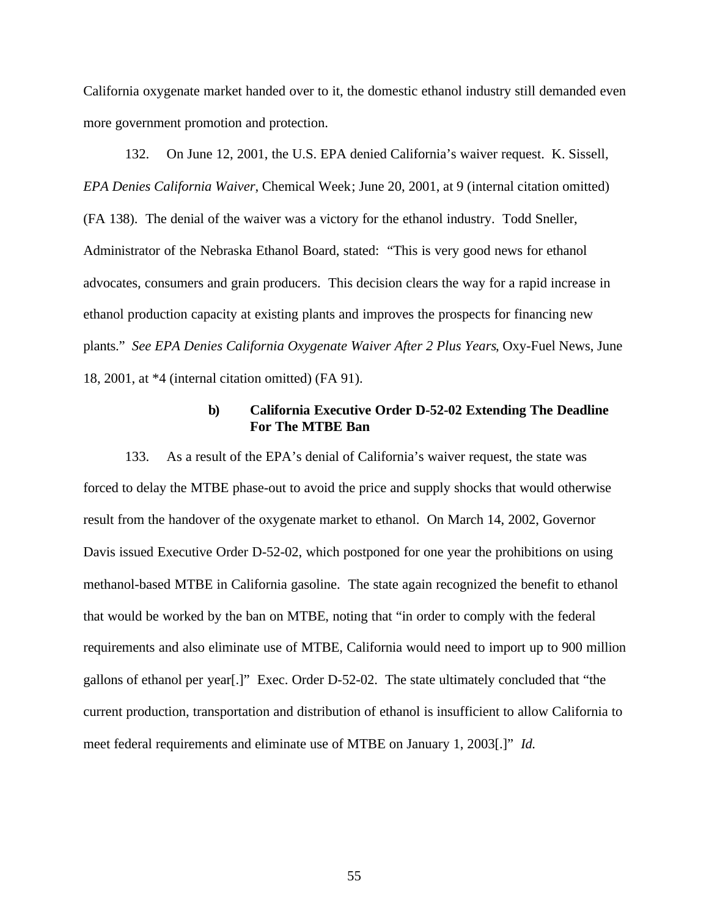California oxygenate market handed over to it, the domestic ethanol industry still demanded even more government promotion and protection.

132. On June 12, 2001, the U.S. EPA denied California's waiver request. K. Sissell, *EPA Denies California Waiver*, Chemical Week; June 20, 2001, at 9 (internal citation omitted) (FA 138). The denial of the waiver was a victory for the ethanol industry. Todd Sneller, Administrator of the Nebraska Ethanol Board, stated: "This is very good news for ethanol advocates, consumers and grain producers. This decision clears the way for a rapid increase in ethanol production capacity at existing plants and improves the prospects for financing new plants." *See EPA Denies California Oxygenate Waiver After 2 Plus Years*, Oxy-Fuel News, June 18, 2001, at \*4 (internal citation omitted) (FA 91).

### **b) California Executive Order D-52-02 Extending The Deadline For The MTBE Ban**

133. As a result of the EPA's denial of California's waiver request, the state was forced to delay the MTBE phase-out to avoid the price and supply shocks that would otherwise result from the handover of the oxygenate market to ethanol. On March 14, 2002, Governor Davis issued Executive Order D-52-02, which postponed for one year the prohibitions on using methanol-based MTBE in California gasoline. The state again recognized the benefit to ethanol that would be worked by the ban on MTBE, noting that "in order to comply with the federal requirements and also eliminate use of MTBE, California would need to import up to 900 million gallons of ethanol per year[.]" Exec. Order D-52-02. The state ultimately concluded that "the current production, transportation and distribution of ethanol is insufficient to allow California to meet federal requirements and eliminate use of MTBE on January 1, 2003[.]" *Id.*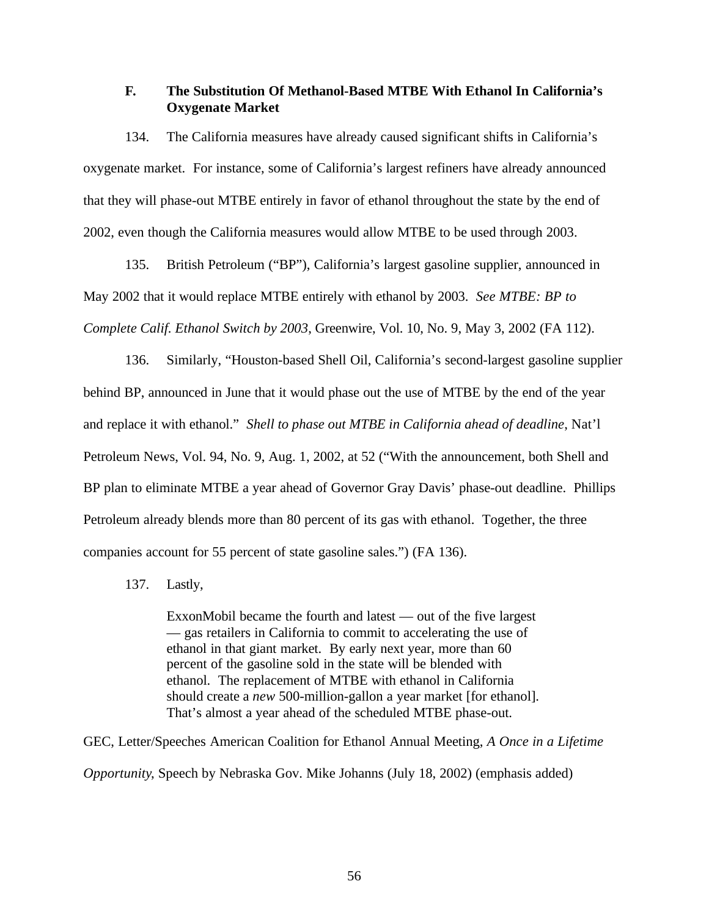# **F. The Substitution Of Methanol-Based MTBE With Ethanol In California's Oxygenate Market**

134. The California measures have already caused significant shifts in California's oxygenate market. For instance, some of California's largest refiners have already announced that they will phase-out MTBE entirely in favor of ethanol throughout the state by the end of 2002, even though the California measures would allow MTBE to be used through 2003.

135. British Petroleum ("BP"), California's largest gasoline supplier, announced in May 2002 that it would replace MTBE entirely with ethanol by 2003. *See MTBE: BP to Complete Calif. Ethanol Switch by 2003*, Greenwire, Vol. 10, No. 9, May 3, 2002 (FA 112).

136. Similarly, "Houston-based Shell Oil, California's second-largest gasoline supplier behind BP, announced in June that it would phase out the use of MTBE by the end of the year and replace it with ethanol." *Shell to phase out MTBE in California ahead of deadline*, Nat'l Petroleum News, Vol. 94, No. 9, Aug. 1, 2002, at 52 ("With the announcement, both Shell and BP plan to eliminate MTBE a year ahead of Governor Gray Davis' phase-out deadline. Phillips Petroleum already blends more than 80 percent of its gas with ethanol. Together, the three companies account for 55 percent of state gasoline sales.") (FA 136).

### 137. Lastly,

ExxonMobil became the fourth and latest — out of the five largest — gas retailers in California to commit to accelerating the use of ethanol in that giant market. By early next year, more than 60 percent of the gasoline sold in the state will be blended with ethanol. The replacement of MTBE with ethanol in California should create a *new* 500-million-gallon a year market [for ethanol]. That's almost a year ahead of the scheduled MTBE phase-out.

GEC, Letter/Speeches American Coalition for Ethanol Annual Meeting, *A Once in a Lifetime Opportunity*, Speech by Nebraska Gov. Mike Johanns (July 18, 2002) (emphasis added)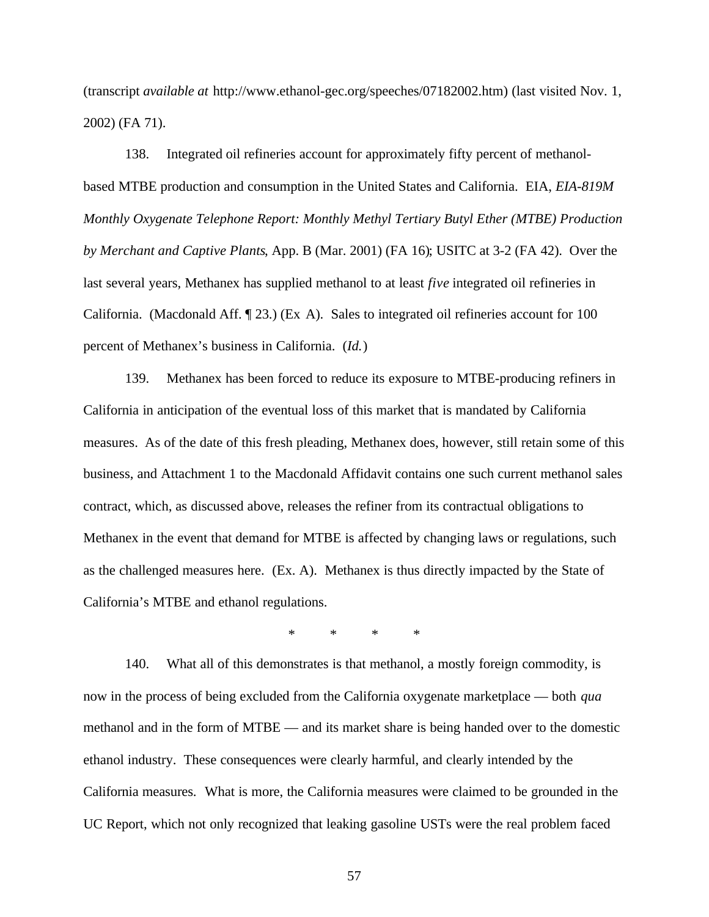(transcript *available at* http://www.ethanol-gec.org/speeches/07182002.htm) (last visited Nov. 1, 2002) (FA 71).

138. Integrated oil refineries account for approximately fifty percent of methanolbased MTBE production and consumption in the United States and California. EIA, *EIA-819M Monthly Oxygenate Telephone Report: Monthly Methyl Tertiary Butyl Ether (MTBE) Production by Merchant and Captive Plants*, App. B (Mar. 2001) (FA 16); USITC at 3-2 (FA 42). Over the last several years, Methanex has supplied methanol to at least *five* integrated oil refineries in California. (Macdonald Aff. ¶ 23.) (Ex A). Sales to integrated oil refineries account for 100 percent of Methanex's business in California. (*Id.*)

139. Methanex has been forced to reduce its exposure to MTBE-producing refiners in California in anticipation of the eventual loss of this market that is mandated by California measures. As of the date of this fresh pleading, Methanex does, however, still retain some of this business, and Attachment 1 to the Macdonald Affidavit contains one such current methanol sales contract, which, as discussed above, releases the refiner from its contractual obligations to Methanex in the event that demand for MTBE is affected by changing laws or regulations, such as the challenged measures here. (Ex. A). Methanex is thus directly impacted by the State of California's MTBE and ethanol regulations.

\* \* \* \*

140. What all of this demonstrates is that methanol, a mostly foreign commodity, is now in the process of being excluded from the California oxygenate marketplace — both *qua* methanol and in the form of MTBE — and its market share is being handed over to the domestic ethanol industry. These consequences were clearly harmful, and clearly intended by the California measures. What is more, the California measures were claimed to be grounded in the UC Report, which not only recognized that leaking gasoline USTs were the real problem faced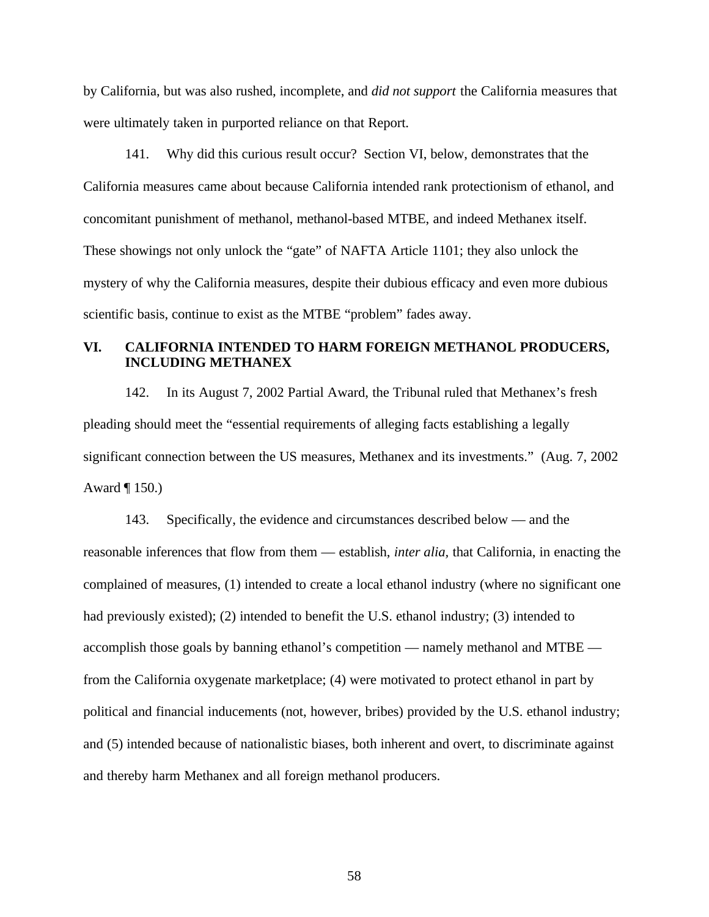by California, but was also rushed, incomplete, and *did not support* the California measures that were ultimately taken in purported reliance on that Report.

141. Why did this curious result occur? Section VI, below, demonstrates that the California measures came about because California intended rank protectionism of ethanol, and concomitant punishment of methanol, methanol-based MTBE, and indeed Methanex itself. These showings not only unlock the "gate" of NAFTA Article 1101; they also unlock the mystery of why the California measures, despite their dubious efficacy and even more dubious scientific basis, continue to exist as the MTBE "problem" fades away.

# **VI. CALIFORNIA INTENDED TO HARM FOREIGN METHANOL PRODUCERS, INCLUDING METHANEX**

142. In its August 7, 2002 Partial Award, the Tribunal ruled that Methanex's fresh pleading should meet the "essential requirements of alleging facts establishing a legally significant connection between the US measures, Methanex and its investments." (Aug. 7, 2002 Award ¶ 150.)

143. Specifically, the evidence and circumstances described below — and the reasonable inferences that flow from them — establish, *inter alia,* that California, in enacting the complained of measures, (1) intended to create a local ethanol industry (where no significant one had previously existed); (2) intended to benefit the U.S. ethanol industry; (3) intended to accomplish those goals by banning ethanol's competition — namely methanol and MTBE from the California oxygenate marketplace; (4) were motivated to protect ethanol in part by political and financial inducements (not, however, bribes) provided by the U.S. ethanol industry; and (5) intended because of nationalistic biases, both inherent and overt, to discriminate against and thereby harm Methanex and all foreign methanol producers.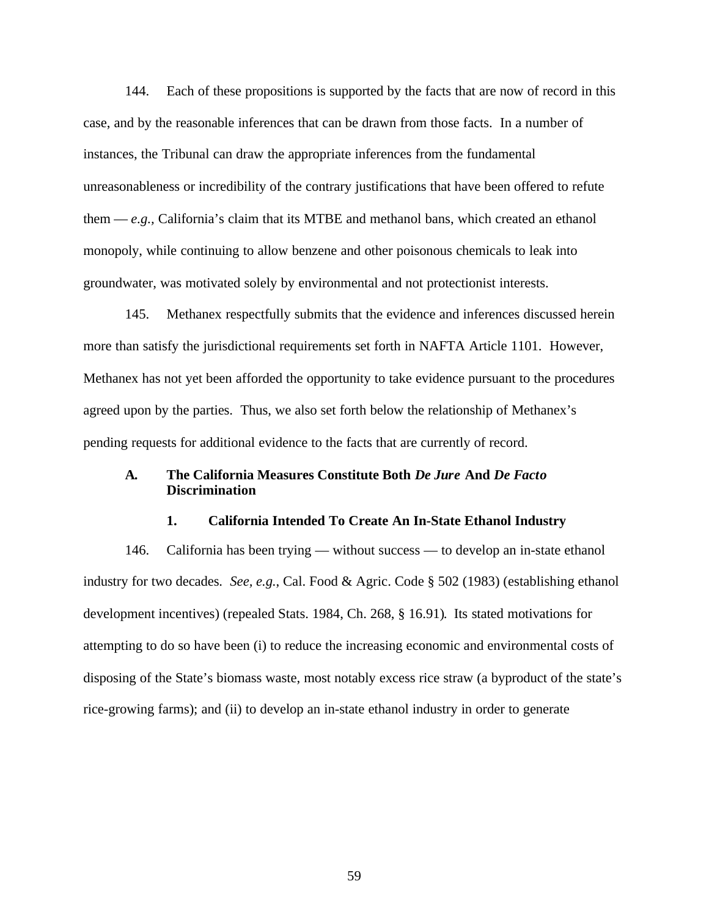144. Each of these propositions is supported by the facts that are now of record in this case, and by the reasonable inferences that can be drawn from those facts. In a number of instances, the Tribunal can draw the appropriate inferences from the fundamental unreasonableness or incredibility of the contrary justifications that have been offered to refute them — *e.g.,* California's claim that its MTBE and methanol bans, which created an ethanol monopoly, while continuing to allow benzene and other poisonous chemicals to leak into groundwater, was motivated solely by environmental and not protectionist interests.

145. Methanex respectfully submits that the evidence and inferences discussed herein more than satisfy the jurisdictional requirements set forth in NAFTA Article 1101. However, Methanex has not yet been afforded the opportunity to take evidence pursuant to the procedures agreed upon by the parties. Thus, we also set forth below the relationship of Methanex's pending requests for additional evidence to the facts that are currently of record.

## **A. The California Measures Constitute Both** *De Jure* **And** *De Facto* **Discrimination**

#### **1. California Intended To Create An In-State Ethanol Industry**

146. California has been trying — without success — to develop an in-state ethanol industry for two decades. *See, e.g.*, Cal. Food & Agric. Code § 502 (1983) (establishing ethanol development incentives) (repealed Stats. 1984, Ch. 268, § 16.91). Its stated motivations for attempting to do so have been (i) to reduce the increasing economic and environmental costs of disposing of the State's biomass waste, most notably excess rice straw (a byproduct of the state's rice-growing farms); and (ii) to develop an in-state ethanol industry in order to generate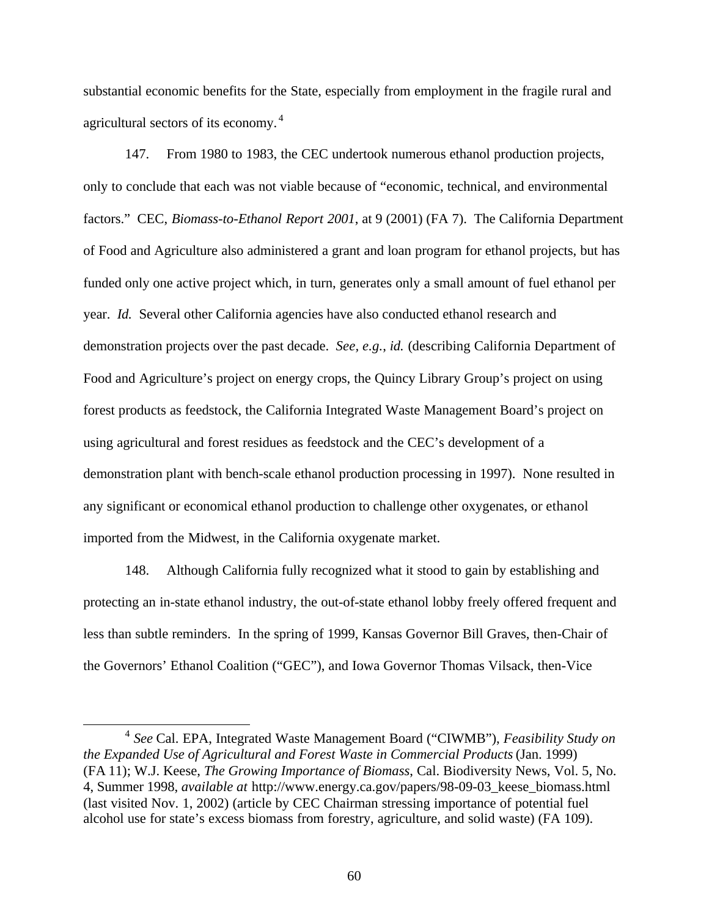substantial economic benefits for the State, especially from employment in the fragile rural and agricultural sectors of its economy. <sup>4</sup>

147. From 1980 to 1983, the CEC undertook numerous ethanol production projects, only to conclude that each was not viable because of "economic, technical, and environmental factors." CEC, *Biomass-to-Ethanol Report 2001*, at 9 (2001) (FA 7). The California Department of Food and Agriculture also administered a grant and loan program for ethanol projects, but has funded only one active project which, in turn, generates only a small amount of fuel ethanol per year. *Id.* Several other California agencies have also conducted ethanol research and demonstration projects over the past decade. *See, e.g.*, *id.* (describing California Department of Food and Agriculture's project on energy crops, the Quincy Library Group's project on using forest products as feedstock, the California Integrated Waste Management Board's project on using agricultural and forest residues as feedstock and the CEC's development of a demonstration plant with bench-scale ethanol production processing in 1997). None resulted in any significant or economical ethanol production to challenge other oxygenates, or ethanol imported from the Midwest, in the California oxygenate market.

148. Although California fully recognized what it stood to gain by establishing and protecting an in-state ethanol industry, the out-of-state ethanol lobby freely offered frequent and less than subtle reminders. In the spring of 1999, Kansas Governor Bill Graves, then-Chair of the Governors' Ethanol Coalition ("GEC"), and Iowa Governor Thomas Vilsack, then-Vice

 $\overline{a}$ 

<sup>4</sup> *See* Cal. EPA, Integrated Waste Management Board ("CIWMB"), *Feasibility Study on the Expanded Use of Agricultural and Forest Waste in Commercial Products* (Jan. 1999) (FA 11); W.J. Keese, *The Growing Importance of Biomass*, Cal. Biodiversity News, Vol. 5, No. 4, Summer 1998, *available at* http://www.energy.ca.gov/papers/98-09-03\_keese\_biomass.html (last visited Nov. 1, 2002) (article by CEC Chairman stressing importance of potential fuel alcohol use for state's excess biomass from forestry, agriculture, and solid waste) (FA 109).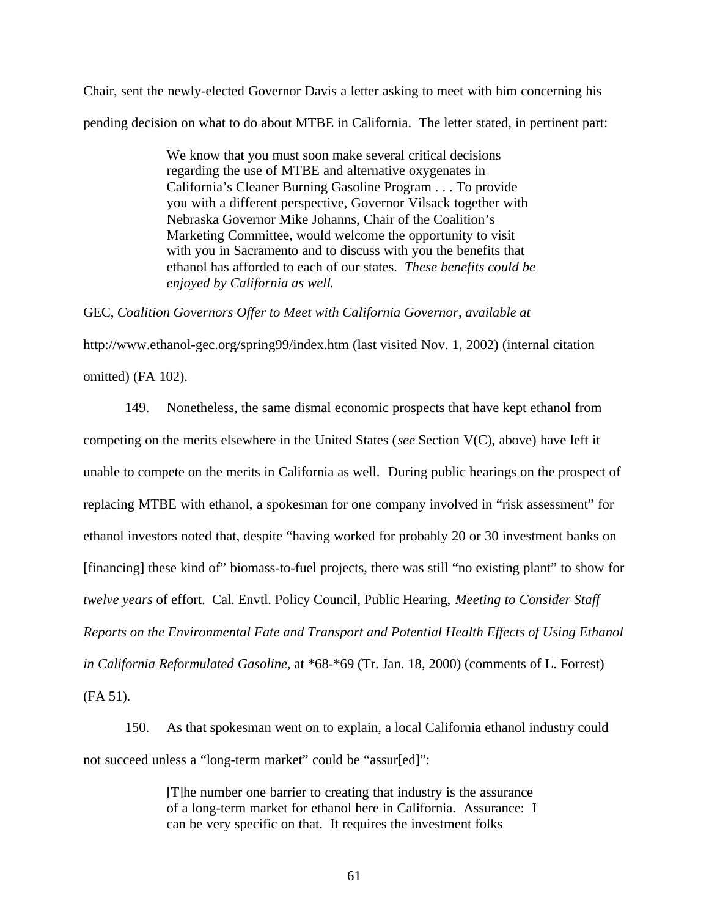Chair, sent the newly-elected Governor Davis a letter asking to meet with him concerning his pending decision on what to do about MTBE in California. The letter stated, in pertinent part:

> We know that you must soon make several critical decisions regarding the use of MTBE and alternative oxygenates in California's Cleaner Burning Gasoline Program . . . To provide you with a different perspective, Governor Vilsack together with Nebraska Governor Mike Johanns, Chair of the Coalition's Marketing Committee, would welcome the opportunity to visit with you in Sacramento and to discuss with you the benefits that ethanol has afforded to each of our states. *These benefits could be enjoyed by California as well*.

GEC, *Coalition Governors Offer to Meet with California Governor*, *available at*

http://www.ethanol-gec.org/spring99/index.htm (last visited Nov. 1, 2002) (internal citation omitted) (FA 102).

149. Nonetheless, the same dismal economic prospects that have kept ethanol from competing on the merits elsewhere in the United States (*see* Section V(C), above) have left it unable to compete on the merits in California as well. During public hearings on the prospect of replacing MTBE with ethanol, a spokesman for one company involved in "risk assessment" for ethanol investors noted that, despite "having worked for probably 20 or 30 investment banks on [financing] these kind of" biomass-to-fuel projects, there was still "no existing plant" to show for *twelve years* of effort. Cal. Envtl. Policy Council, Public Hearing, *Meeting to Consider Staff Reports on the Environmental Fate and Transport and Potential Health Effects of Using Ethanol in California Reformulated Gasoline*, at \*68-\*69 (Tr. Jan. 18, 2000) (comments of L. Forrest) (FA 51).

150. As that spokesman went on to explain, a local California ethanol industry could not succeed unless a "long-term market" could be "assur[ed]":

> [T]he number one barrier to creating that industry is the assurance of a long-term market for ethanol here in California. Assurance: I can be very specific on that. It requires the investment folks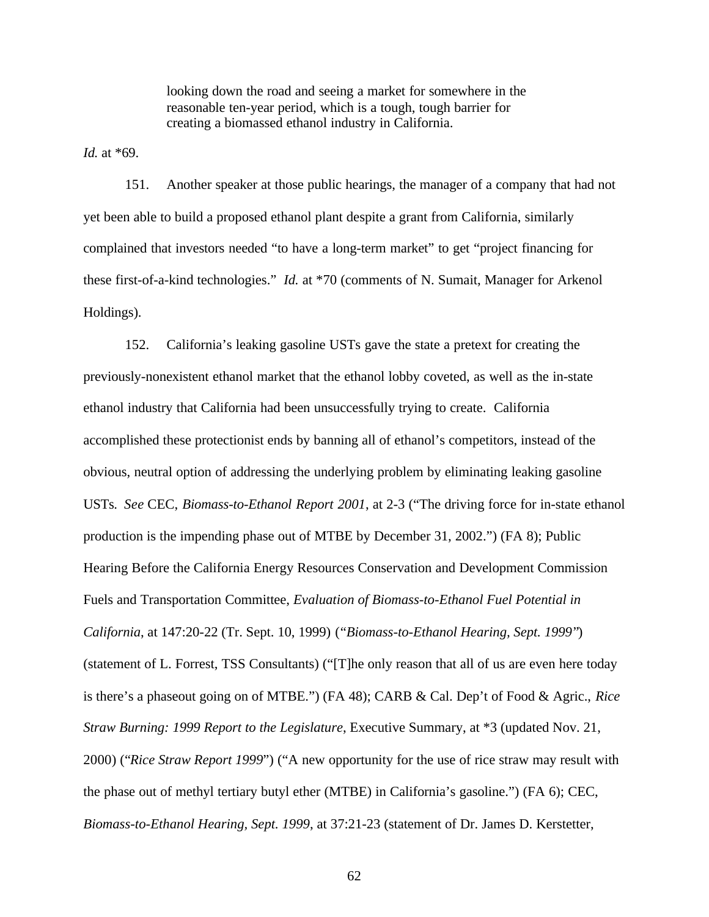looking down the road and seeing a market for somewhere in the reasonable ten-year period, which is a tough, tough barrier for creating a biomassed ethanol industry in California.

*Id.* at \*69.

151. Another speaker at those public hearings, the manager of a company that had not yet been able to build a proposed ethanol plant despite a grant from California, similarly complained that investors needed "to have a long-term market" to get "project financing for these first-of-a-kind technologies." *Id.* at \*70 (comments of N. Sumait, Manager for Arkenol Holdings).

152. California's leaking gasoline USTs gave the state a pretext for creating the previously-nonexistent ethanol market that the ethanol lobby coveted, as well as the in-state ethanol industry that California had been unsuccessfully trying to create. California accomplished these protectionist ends by banning all of ethanol's competitors, instead of the obvious, neutral option of addressing the underlying problem by eliminating leaking gasoline USTs. *See* CEC, *Biomass-to-Ethanol Report 2001*, at 2-3 ("The driving force for in-state ethanol production is the impending phase out of MTBE by December 31, 2002.") (FA 8); Public Hearing Before the California Energy Resources Conservation and Development Commission Fuels and Transportation Committee, *Evaluation of Biomass-to-Ethanol Fuel Potential in California*, at 147:20-22 (Tr. Sept. 10, 1999) ("*Biomass-to-Ethanol Hearing, Sept. 1999*") (statement of L. Forrest, TSS Consultants) ("[T]he only reason that all of us are even here today is there's a phaseout going on of MTBE.") (FA 48); CARB & Cal. Dep't of Food & Agric., *Rice Straw Burning: 1999 Report to the Legislature*, Executive Summary, at \*3 (updated Nov. 21, 2000) ("*Rice Straw Report 1999*") ("A new opportunity for the use of rice straw may result with the phase out of methyl tertiary butyl ether (MTBE) in California's gasoline.") (FA 6); CEC, *Biomass-to-Ethanol Hearing, Sept. 1999*, at 37:21-23 (statement of Dr. James D. Kerstetter,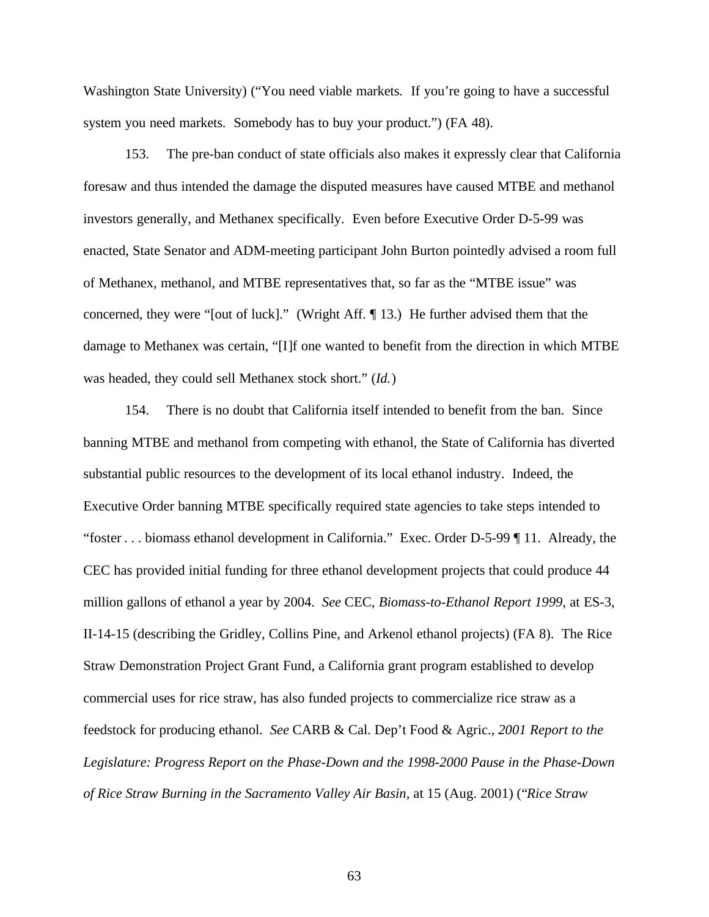Washington State University) ("You need viable markets. If you're going to have a successful system you need markets. Somebody has to buy your product.") (FA 48).

153. The pre-ban conduct of state officials also makes it expressly clear that California foresaw and thus intended the damage the disputed measures have caused MTBE and methanol investors generally, and Methanex specifically. Even before Executive Order D-5-99 was enacted, State Senator and ADM-meeting participant John Burton pointedly advised a room full of Methanex, methanol, and MTBE representatives that, so far as the "MTBE issue" was concerned, they were "[out of luck]." (Wright Aff. ¶ 13.) He further advised them that the damage to Methanex was certain, "[I]f one wanted to benefit from the direction in which MTBE was headed, they could sell Methanex stock short." (*Id.*)

154. There is no doubt that California itself intended to benefit from the ban. Since banning MTBE and methanol from competing with ethanol, the State of California has diverted substantial public resources to the development of its local ethanol industry. Indeed, the Executive Order banning MTBE specifically required state agencies to take steps intended to "foster . . . biomass ethanol development in California." Exec. Order D-5-99 ¶ 11. Already, the CEC has provided initial funding for three ethanol development projects that could produce 44 million gallons of ethanol a year by 2004. *See* CEC, *Biomass-to-Ethanol Report 1999*, at ES-3, II-14-15 (describing the Gridley, Collins Pine, and Arkenol ethanol projects) (FA 8). The Rice Straw Demonstration Project Grant Fund, a California grant program established to develop commercial uses for rice straw, has also funded projects to commercialize rice straw as a feedstock for producing ethanol. *See* CARB & Cal. Dep't Food & Agric., *2001 Report to the Legislature: Progress Report on the Phase-Down and the 1998-2000 Pause in the Phase-Down of Rice Straw Burning in the Sacramento Valley Air Basin*, at 15 (Aug. 2001) ("*Rice Straw*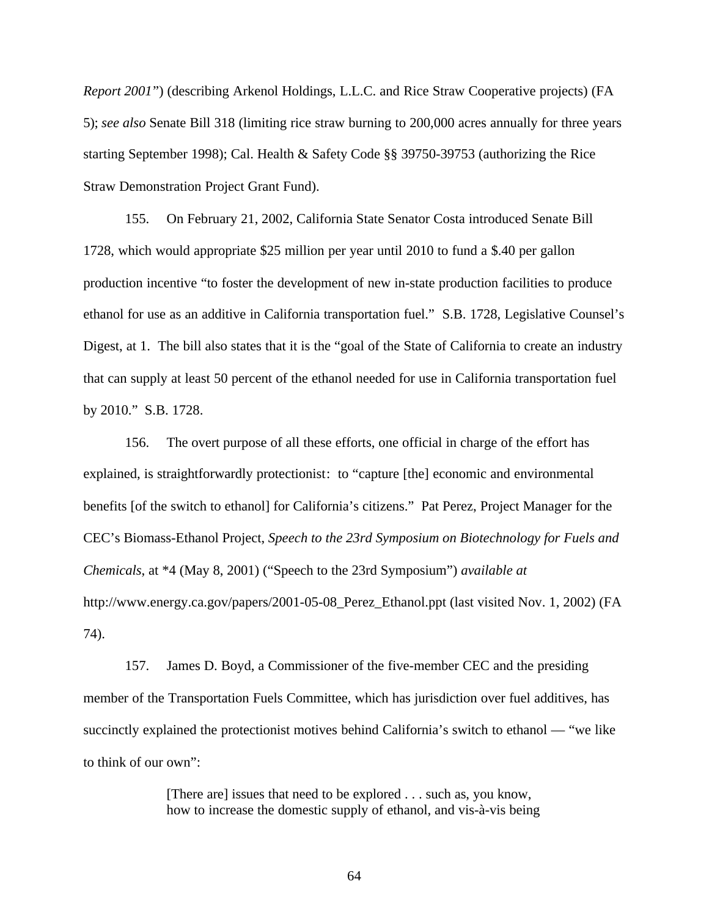*Report 2001*") (describing Arkenol Holdings, L.L.C. and Rice Straw Cooperative projects) (FA 5); *see also* Senate Bill 318 (limiting rice straw burning to 200,000 acres annually for three years starting September 1998); Cal. Health & Safety Code §§ 39750-39753 (authorizing the Rice Straw Demonstration Project Grant Fund).

155. On February 21, 2002, California State Senator Costa introduced Senate Bill 1728, which would appropriate \$25 million per year until 2010 to fund a \$.40 per gallon production incentive "to foster the development of new in-state production facilities to produce ethanol for use as an additive in California transportation fuel." S.B. 1728, Legislative Counsel's Digest, at 1. The bill also states that it is the "goal of the State of California to create an industry that can supply at least 50 percent of the ethanol needed for use in California transportation fuel by 2010." S.B. 1728.

156. The overt purpose of all these efforts, one official in charge of the effort has explained, is straightforwardly protectionist: to "capture [the] economic and environmental benefits [of the switch to ethanol] for California's citizens." Pat Perez, Project Manager for the CEC's Biomass-Ethanol Project, *Speech to the 23rd Symposium on Biotechnology for Fuels and Chemicals*, at \*4 (May 8, 2001) ("Speech to the 23rd Symposium") *available at* http://www.energy.ca.gov/papers/2001-05-08\_Perez\_Ethanol.ppt (last visited Nov. 1, 2002) (FA 74).

157. James D. Boyd, a Commissioner of the five-member CEC and the presiding member of the Transportation Fuels Committee, which has jurisdiction over fuel additives, has succinctly explained the protectionist motives behind California's switch to ethanol — "we like to think of our own":

> [There are] issues that need to be explored . . . such as, you know, how to increase the domestic supply of ethanol, and vis-à-vis being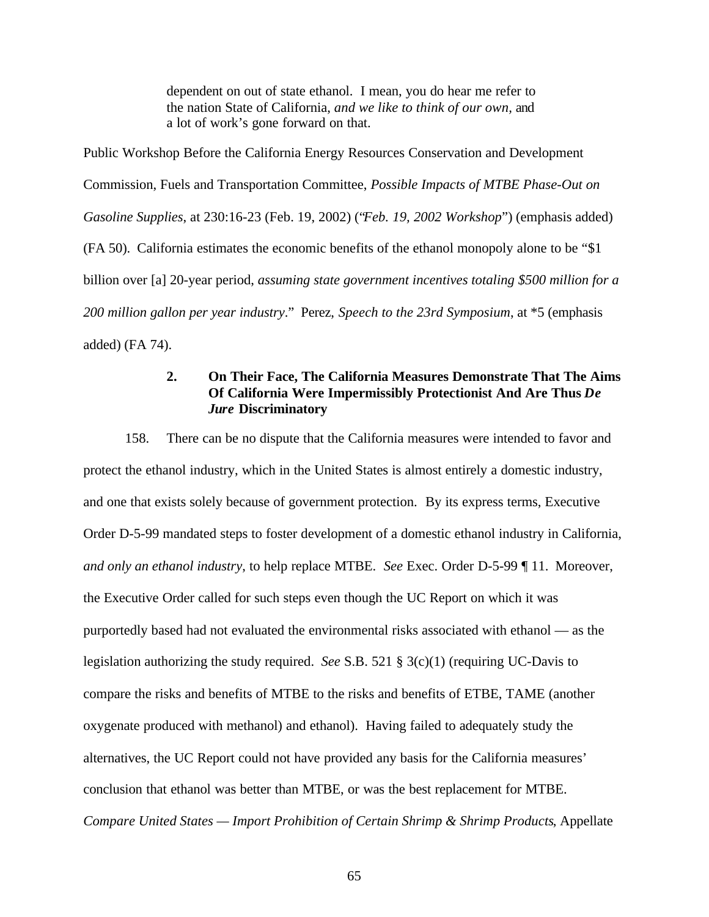dependent on out of state ethanol. I mean, you do hear me refer to the nation State of California, *and we like to think of our own,* and a lot of work's gone forward on that.

Public Workshop Before the California Energy Resources Conservation and Development Commission, Fuels and Transportation Committee, *Possible Impacts of MTBE Phase-Out on Gasoline Supplies*, at 230:16-23 (Feb. 19, 2002) ("*Feb. 19, 2002 Workshop*") (emphasis added) (FA 50). California estimates the economic benefits of the ethanol monopoly alone to be "\$1 billion over [a] 20-year period, *assuming state government incentives totaling \$500 million for a 200 million gallon per year industry*." Perez, *Speech to the 23rd Symposium*, at \*5 (emphasis added) (FA 74).

# **2. On Their Face, The California Measures Demonstrate That The Aims Of California Were Impermissibly Protectionist And Are Thus** *De Jure* **Discriminatory**

158. There can be no dispute that the California measures were intended to favor and protect the ethanol industry, which in the United States is almost entirely a domestic industry, and one that exists solely because of government protection. By its express terms, Executive Order D-5-99 mandated steps to foster development of a domestic ethanol industry in California, *and only an ethanol industry*, to help replace MTBE. *See* Exec. Order D-5-99 ¶ 11. Moreover, the Executive Order called for such steps even though the UC Report on which it was purportedly based had not evaluated the environmental risks associated with ethanol — as the legislation authorizing the study required. *See* S.B. 521 § 3(c)(1) (requiring UC-Davis to compare the risks and benefits of MTBE to the risks and benefits of ETBE, TAME (another oxygenate produced with methanol) and ethanol). Having failed to adequately study the alternatives, the UC Report could not have provided any basis for the California measures' conclusion that ethanol was better than MTBE, or was the best replacement for MTBE. *Compare United States — Import Prohibition of Certain Shrimp & Shrimp Products*, Appellate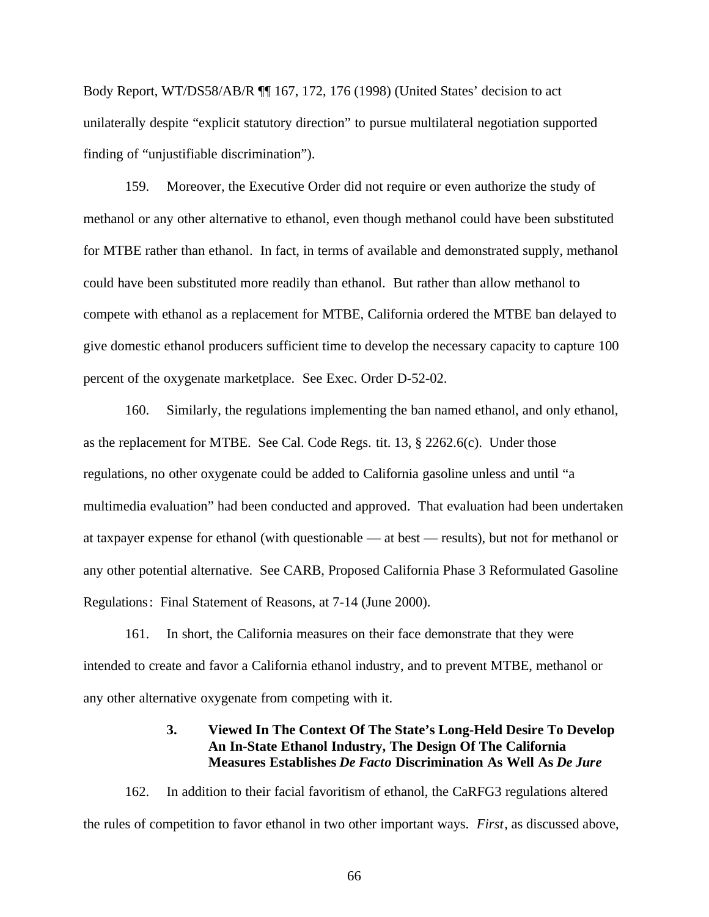Body Report, WT/DS58/AB/R ¶¶ 167, 172, 176 (1998) (United States' decision to act unilaterally despite "explicit statutory direction" to pursue multilateral negotiation supported finding of "unjustifiable discrimination").

159. Moreover, the Executive Order did not require or even authorize the study of methanol or any other alternative to ethanol, even though methanol could have been substituted for MTBE rather than ethanol. In fact, in terms of available and demonstrated supply, methanol could have been substituted more readily than ethanol. But rather than allow methanol to compete with ethanol as a replacement for MTBE, California ordered the MTBE ban delayed to give domestic ethanol producers sufficient time to develop the necessary capacity to capture 100 percent of the oxygenate marketplace. See Exec. Order D-52-02.

160. Similarly, the regulations implementing the ban named ethanol, and only ethanol, as the replacement for MTBE. See Cal. Code Regs. tit. 13, § 2262.6(c). Under those regulations, no other oxygenate could be added to California gasoline unless and until "a multimedia evaluation" had been conducted and approved. That evaluation had been undertaken at taxpayer expense for ethanol (with questionable — at best — results), but not for methanol or any other potential alternative. See CARB, Proposed California Phase 3 Reformulated Gasoline Regulations: Final Statement of Reasons, at 7-14 (June 2000).

161. In short, the California measures on their face demonstrate that they were intended to create and favor a California ethanol industry, and to prevent MTBE, methanol or any other alternative oxygenate from competing with it.

# **3. Viewed In The Context Of The State's Long-Held Desire To Develop An In-State Ethanol Industry, The Design Of The California Measures Establishes** *De Facto* **Discrimination As Well As** *De Jure*

162. In addition to their facial favoritism of ethanol, the CaRFG3 regulations altered the rules of competition to favor ethanol in two other important ways. *First*, as discussed above,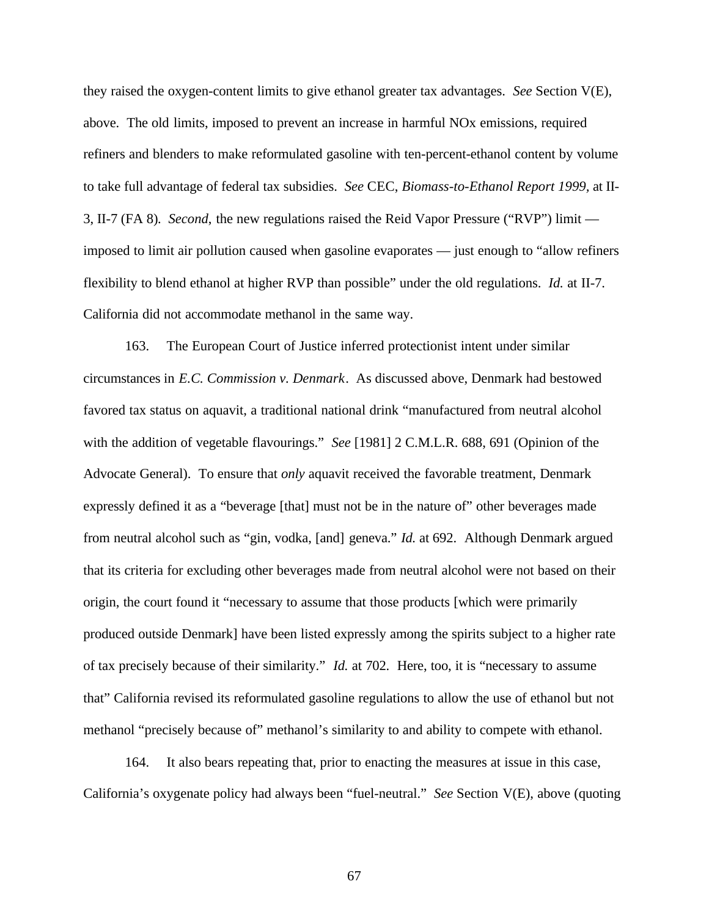they raised the oxygen-content limits to give ethanol greater tax advantages. *See* Section V(E), above. The old limits, imposed to prevent an increase in harmful NOx emissions, required refiners and blenders to make reformulated gasoline with ten-percent-ethanol content by volume to take full advantage of federal tax subsidies. *See* CEC, *Biomass-to-Ethanol Report 1999,* at II-3, II-7 (FA 8)*. Second*, the new regulations raised the Reid Vapor Pressure ("RVP") limit imposed to limit air pollution caused when gasoline evaporates — just enough to "allow refiners flexibility to blend ethanol at higher RVP than possible" under the old regulations. *Id.* at II-7. California did not accommodate methanol in the same way.

163. The European Court of Justice inferred protectionist intent under similar circumstances in *E.C. Commission v. Denmark*. As discussed above, Denmark had bestowed favored tax status on aquavit, a traditional national drink "manufactured from neutral alcohol with the addition of vegetable flavourings." *See* [1981] 2 C.M.L.R. 688, 691 (Opinion of the Advocate General). To ensure that *only* aquavit received the favorable treatment, Denmark expressly defined it as a "beverage [that] must not be in the nature of" other beverages made from neutral alcohol such as "gin, vodka, [and] geneva." *Id.* at 692. Although Denmark argued that its criteria for excluding other beverages made from neutral alcohol were not based on their origin, the court found it "necessary to assume that those products [which were primarily produced outside Denmark] have been listed expressly among the spirits subject to a higher rate of tax precisely because of their similarity." *Id.* at 702. Here, too, it is "necessary to assume that" California revised its reformulated gasoline regulations to allow the use of ethanol but not methanol "precisely because of" methanol's similarity to and ability to compete with ethanol.

164. It also bears repeating that, prior to enacting the measures at issue in this case, California's oxygenate policy had always been "fuel-neutral." *See* Section V(E), above (quoting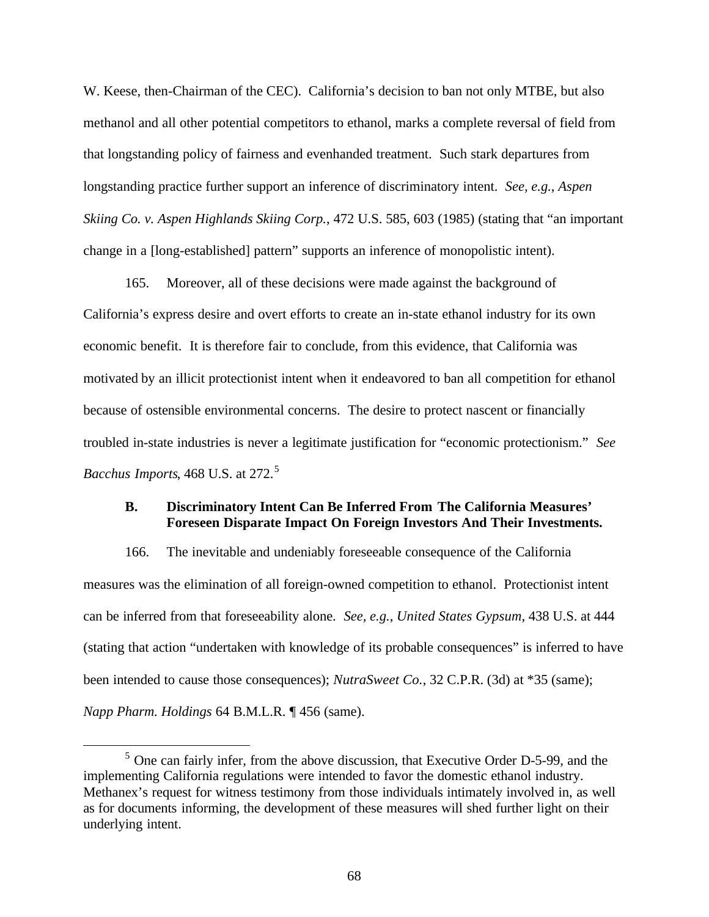W. Keese, then-Chairman of the CEC). California's decision to ban not only MTBE, but also methanol and all other potential competitors to ethanol, marks a complete reversal of field from that longstanding policy of fairness and evenhanded treatment. Such stark departures from longstanding practice further support an inference of discriminatory intent. *See, e.g.*, *Aspen Skiing Co. v. Aspen Highlands Skiing Corp.*, 472 U.S. 585, 603 (1985) (stating that "an important change in a [long-established] pattern" supports an inference of monopolistic intent).

165. Moreover, all of these decisions were made against the background of California's express desire and overt efforts to create an in-state ethanol industry for its own economic benefit. It is therefore fair to conclude, from this evidence, that California was motivated by an illicit protectionist intent when it endeavored to ban all competition for ethanol because of ostensible environmental concerns. The desire to protect nascent or financially troubled in-state industries is never a legitimate justification for "economic protectionism." *See Bacchus Imports*, 468 U.S. at 272.<sup>5</sup>

### **B. Discriminatory Intent Can Be Inferred From The California Measures' Foreseen Disparate Impact On Foreign Investors And Their Investments.**

166. The inevitable and undeniably foreseeable consequence of the California measures was the elimination of all foreign-owned competition to ethanol. Protectionist intent can be inferred from that foreseeability alone. *See, e.g.*, *United States Gypsum*, 438 U.S. at 444 (stating that action "undertaken with knowledge of its probable consequences" is inferred to have been intended to cause those consequences); *NutraSweet Co.*, 32 C.P.R. (3d) at \*35 (same); *Napp Pharm. Holdings* 64 B.M.L.R. ¶ 456 (same).

 $\overline{a}$ 

<sup>&</sup>lt;sup>5</sup> One can fairly infer, from the above discussion, that Executive Order D-5-99, and the implementing California regulations were intended to favor the domestic ethanol industry. Methanex's request for witness testimony from those individuals intimately involved in, as well as for documents informing, the development of these measures will shed further light on their underlying intent.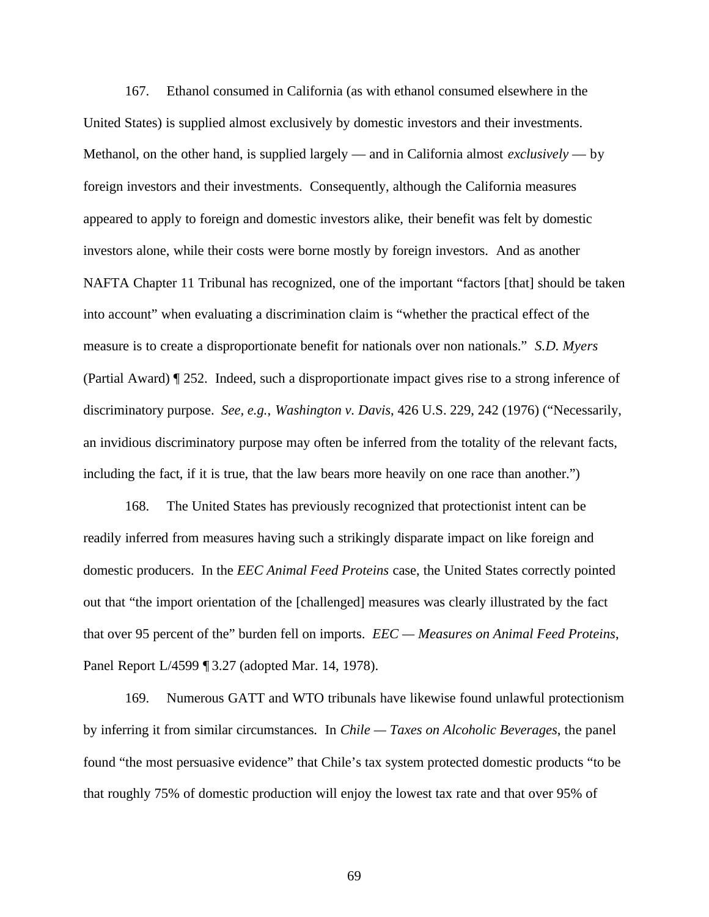167. Ethanol consumed in California (as with ethanol consumed elsewhere in the United States) is supplied almost exclusively by domestic investors and their investments. Methanol, on the other hand, is supplied largely — and in California almost *exclusively* — by foreign investors and their investments. Consequently, although the California measures appeared to apply to foreign and domestic investors alike, their benefit was felt by domestic investors alone, while their costs were borne mostly by foreign investors. And as another NAFTA Chapter 11 Tribunal has recognized, one of the important "factors [that] should be taken into account" when evaluating a discrimination claim is "whether the practical effect of the measure is to create a disproportionate benefit for nationals over non nationals." *S.D. Myers* (Partial Award) ¶ 252. Indeed, such a disproportionate impact gives rise to a strong inference of discriminatory purpose. *See, e.g.*, *Washington v. Davis*, 426 U.S. 229, 242 (1976) ("Necessarily, an invidious discriminatory purpose may often be inferred from the totality of the relevant facts, including the fact, if it is true, that the law bears more heavily on one race than another.")

168. The United States has previously recognized that protectionist intent can be readily inferred from measures having such a strikingly disparate impact on like foreign and domestic producers. In the *EEC Animal Feed Proteins* case, the United States correctly pointed out that "the import orientation of the [challenged] measures was clearly illustrated by the fact that over 95 percent of the" burden fell on imports. *EEC — Measures on Animal Feed Proteins*, Panel Report L/4599 ¶ 3.27 (adopted Mar. 14, 1978).

169. Numerous GATT and WTO tribunals have likewise found unlawful protectionism by inferring it from similar circumstances. In *Chile — Taxes on Alcoholic Beverages*, the panel found "the most persuasive evidence" that Chile's tax system protected domestic products "to be that roughly 75% of domestic production will enjoy the lowest tax rate and that over 95% of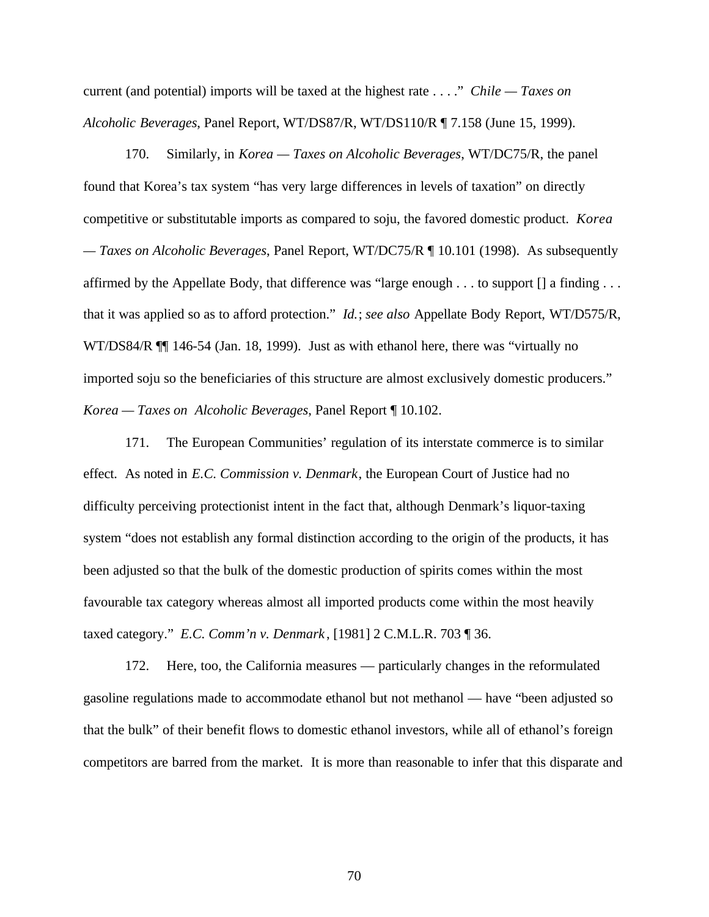current (and potential) imports will be taxed at the highest rate . . . ." *Chile — Taxes on Alcoholic Beverages*, Panel Report, WT/DS87/R, WT/DS110/R ¶ 7.158 (June 15, 1999).

170. Similarly, in *Korea — Taxes on Alcoholic Beverages*, WT/DC75/R, the panel found that Korea's tax system "has very large differences in levels of taxation" on directly competitive or substitutable imports as compared to soju, the favored domestic product. *Korea — Taxes on Alcoholic Beverages*, Panel Report, WT/DC75/R ¶ 10.101 (1998). As subsequently affirmed by the Appellate Body, that difference was "large enough . . . to support [] a finding . . . that it was applied so as to afford protection." *Id.*; *see also* Appellate Body Report, WT/D575/R, WT/DS84/R  $\P$  146-54 (Jan. 18, 1999). Just as with ethanol here, there was "virtually no imported soju so the beneficiaries of this structure are almost exclusively domestic producers." *Korea — Taxes on Alcoholic Beverages*, Panel Report ¶ 10.102.

171. The European Communities' regulation of its interstate commerce is to similar effect. As noted in *E.C. Commission v. Denmark*, the European Court of Justice had no difficulty perceiving protectionist intent in the fact that, although Denmark's liquor-taxing system "does not establish any formal distinction according to the origin of the products, it has been adjusted so that the bulk of the domestic production of spirits comes within the most favourable tax category whereas almost all imported products come within the most heavily taxed category." *E.C. Comm'n v. Denmark* , [1981] 2 C.M.L.R. 703 ¶ 36.

172. Here, too, the California measures — particularly changes in the reformulated gasoline regulations made to accommodate ethanol but not methanol — have "been adjusted so that the bulk" of their benefit flows to domestic ethanol investors, while all of ethanol's foreign competitors are barred from the market. It is more than reasonable to infer that this disparate and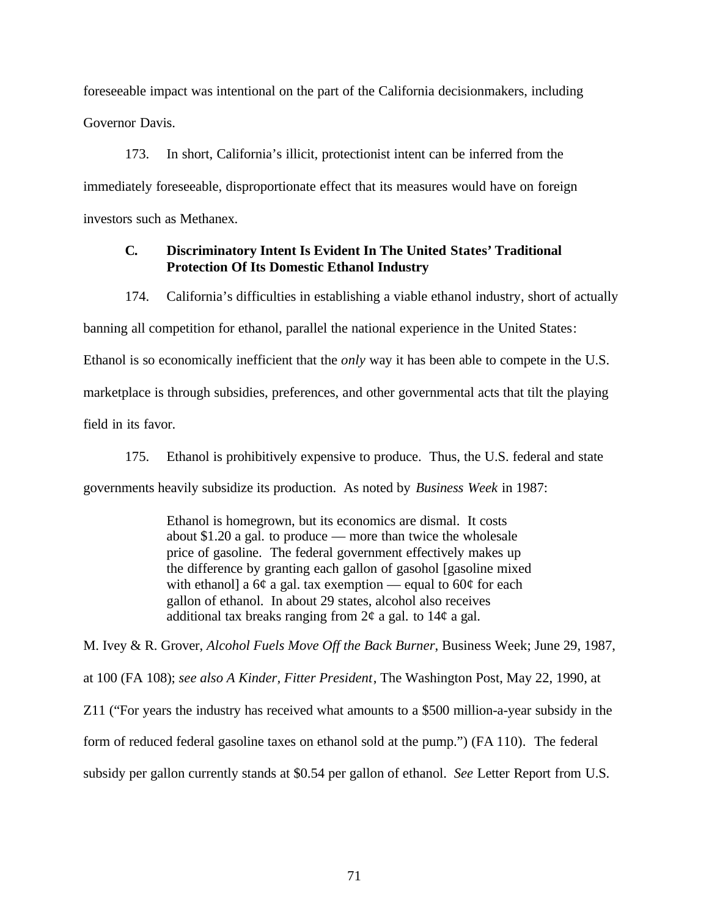foreseeable impact was intentional on the part of the California decisionmakers, including Governor Davis.

173. In short, California's illicit, protectionist intent can be inferred from the immediately foreseeable, disproportionate effect that its measures would have on foreign investors such as Methanex.

# **C. Discriminatory Intent Is Evident In The United States' Traditional Protection Of Its Domestic Ethanol Industry**

174. California's difficulties in establishing a viable ethanol industry, short of actually

banning all competition for ethanol, parallel the national experience in the United States:

Ethanol is so economically inefficient that the *only* way it has been able to compete in the U.S.

marketplace is through subsidies, preferences, and other governmental acts that tilt the playing

field in its favor.

175. Ethanol is prohibitively expensive to produce. Thus, the U.S. federal and state governments heavily subsidize its production. As noted by *Business Week* in 1987:

> Ethanol is homegrown, but its economics are dismal. It costs about \$1.20 a gal. to produce — more than twice the wholesale price of gasoline. The federal government effectively makes up the difference by granting each gallon of gasohol [gasoline mixed with ethanol] a 6¢ a gal. tax exemption — equal to 60 $\varphi$  for each gallon of ethanol. In about 29 states, alcohol also receives additional tax breaks ranging from  $2\phi$  a gal. to  $14\phi$  a gal.

M. Ivey & R. Grover, *Alcohol Fuels Move Off the Back Burner*, Business Week; June 29, 1987, at 100 (FA 108); *see also A Kinder, Fitter President*, The Washington Post, May 22, 1990, at Z11 ("For years the industry has received what amounts to a \$500 million-a-year subsidy in the form of reduced federal gasoline taxes on ethanol sold at the pump.") (FA 110). The federal subsidy per gallon currently stands at \$0.54 per gallon of ethanol. *See* Letter Report from U.S.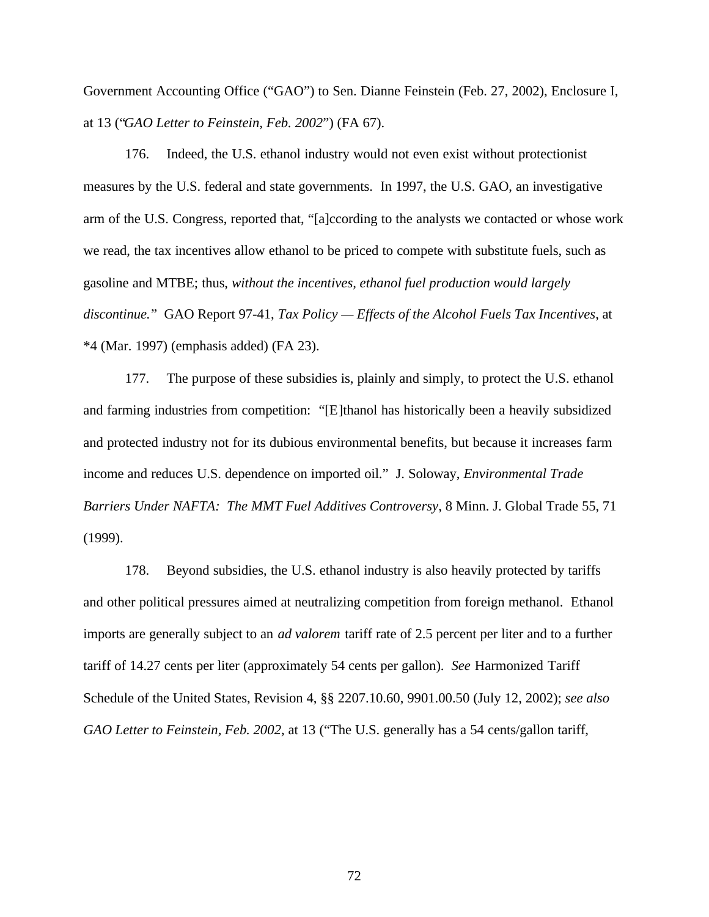Government Accounting Office ("GAO") to Sen. Dianne Feinstein (Feb. 27, 2002), Enclosure I, at 13 ("*GAO Letter to Feinstein, Feb. 2002*") (FA 67).

176. Indeed, the U.S. ethanol industry would not even exist without protectionist measures by the U.S. federal and state governments. In 1997, the U.S. GAO, an investigative arm of the U.S. Congress, reported that, "[a]ccording to the analysts we contacted or whose work we read, the tax incentives allow ethanol to be priced to compete with substitute fuels, such as gasoline and MTBE; thus, *without the incentives, ethanol fuel production would largely discontinue.*" GAO Report 97-41, *Tax Policy — Effects of the Alcohol Fuels Tax Incentives*, at \*4 (Mar. 1997) (emphasis added) (FA 23).

177. The purpose of these subsidies is, plainly and simply, to protect the U.S. ethanol and farming industries from competition: "[E]thanol has historically been a heavily subsidized and protected industry not for its dubious environmental benefits, but because it increases farm income and reduces U.S. dependence on imported oil." J. Soloway, *Environmental Trade Barriers Under NAFTA: The MMT Fuel Additives Controversy*, 8 Minn. J. Global Trade 55, 71 (1999).

178. Beyond subsidies, the U.S. ethanol industry is also heavily protected by tariffs and other political pressures aimed at neutralizing competition from foreign methanol. Ethanol imports are generally subject to an *ad valorem* tariff rate of 2.5 percent per liter and to a further tariff of 14.27 cents per liter (approximately 54 cents per gallon). *See* Harmonized Tariff Schedule of the United States, Revision 4, §§ 2207.10.60, 9901.00.50 (July 12, 2002); *see also GAO Letter to Feinstein, Feb. 2002*, at 13 ("The U.S. generally has a 54 cents/gallon tariff,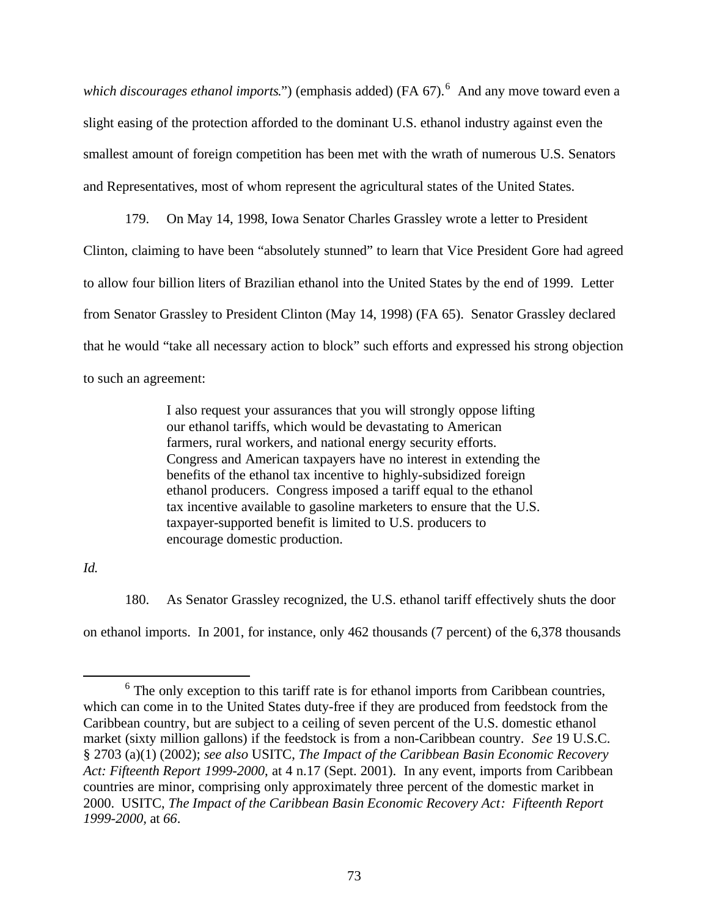which discourages ethanol imports.") (emphasis added) (FA 67).<sup>6</sup> And any move toward even a slight easing of the protection afforded to the dominant U.S. ethanol industry against even the smallest amount of foreign competition has been met with the wrath of numerous U.S. Senators and Representatives, most of whom represent the agricultural states of the United States.

179. On May 14, 1998, Iowa Senator Charles Grassley wrote a letter to President Clinton, claiming to have been "absolutely stunned" to learn that Vice President Gore had agreed to allow four billion liters of Brazilian ethanol into the United States by the end of 1999. Letter from Senator Grassley to President Clinton (May 14, 1998) (FA 65). Senator Grassley declared that he would "take all necessary action to block" such efforts and expressed his strong objection to such an agreement:

> I also request your assurances that you will strongly oppose lifting our ethanol tariffs, which would be devastating to American farmers, rural workers, and national energy security efforts. Congress and American taxpayers have no interest in extending the benefits of the ethanol tax incentive to highly-subsidized foreign ethanol producers. Congress imposed a tariff equal to the ethanol tax incentive available to gasoline marketers to ensure that the U.S. taxpayer-supported benefit is limited to U.S. producers to encourage domestic production.

*Id.*

 $\overline{a}$ 

180. As Senator Grassley recognized, the U.S. ethanol tariff effectively shuts the door

on ethanol imports. In 2001, for instance, only 462 thousands (7 percent) of the 6,378 thousands

 $6$  The only exception to this tariff rate is for ethanol imports from Caribbean countries, which can come in to the United States duty-free if they are produced from feedstock from the Caribbean country, but are subject to a ceiling of seven percent of the U.S. domestic ethanol market (sixty million gallons) if the feedstock is from a non-Caribbean country. *See* 19 U.S.C. § 2703 (a)(1) (2002); *see also* USITC, *The Impact of the Caribbean Basin Economic Recovery Act: Fifteenth Report 1999-2000*, at 4 n.17 (Sept. 2001). In any event, imports from Caribbean countries are minor, comprising only approximately three percent of the domestic market in 2000. USITC, *The Impact of the Caribbean Basin Economic Recovery Act: Fifteenth Report 1999-2000,* at *66*.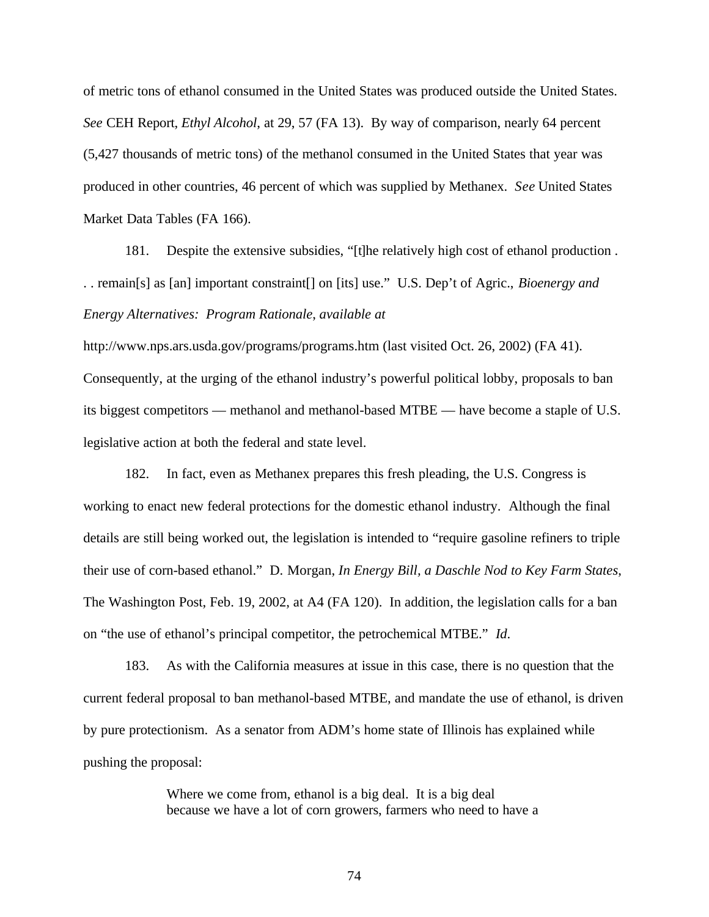of metric tons of ethanol consumed in the United States was produced outside the United States. *See* CEH Report, *Ethyl Alcohol*, at 29, 57 (FA 13). By way of comparison, nearly 64 percent (5,427 thousands of metric tons) of the methanol consumed in the United States that year was produced in other countries, 46 percent of which was supplied by Methanex. *See* United States Market Data Tables (FA 166).

181. Despite the extensive subsidies, "[t]he relatively high cost of ethanol production . . . remain[s] as [an] important constraint[] on [its] use." U.S. Dep't of Agric., *Bioenergy and Energy Alternatives: Program Rationale*, *available at*

http://www.nps.ars.usda.gov/programs/programs.htm (last visited Oct. 26, 2002) (FA 41). Consequently, at the urging of the ethanol industry's powerful political lobby, proposals to ban its biggest competitors — methanol and methanol-based MTBE — have become a staple of U.S. legislative action at both the federal and state level.

182. In fact, even as Methanex prepares this fresh pleading, the U.S. Congress is working to enact new federal protections for the domestic ethanol industry. Although the final details are still being worked out, the legislation is intended to "require gasoline refiners to triple their use of corn-based ethanol." D. Morgan, *In Energy Bill, a Daschle Nod to Key Farm States*, The Washington Post, Feb. 19, 2002, at A4 (FA 120). In addition, the legislation calls for a ban on "the use of ethanol's principal competitor, the petrochemical MTBE." *Id*.

183. As with the California measures at issue in this case, there is no question that the current federal proposal to ban methanol-based MTBE, and mandate the use of ethanol, is driven by pure protectionism. As a senator from ADM's home state of Illinois has explained while pushing the proposal:

> Where we come from, ethanol is a big deal. It is a big deal because we have a lot of corn growers, farmers who need to have a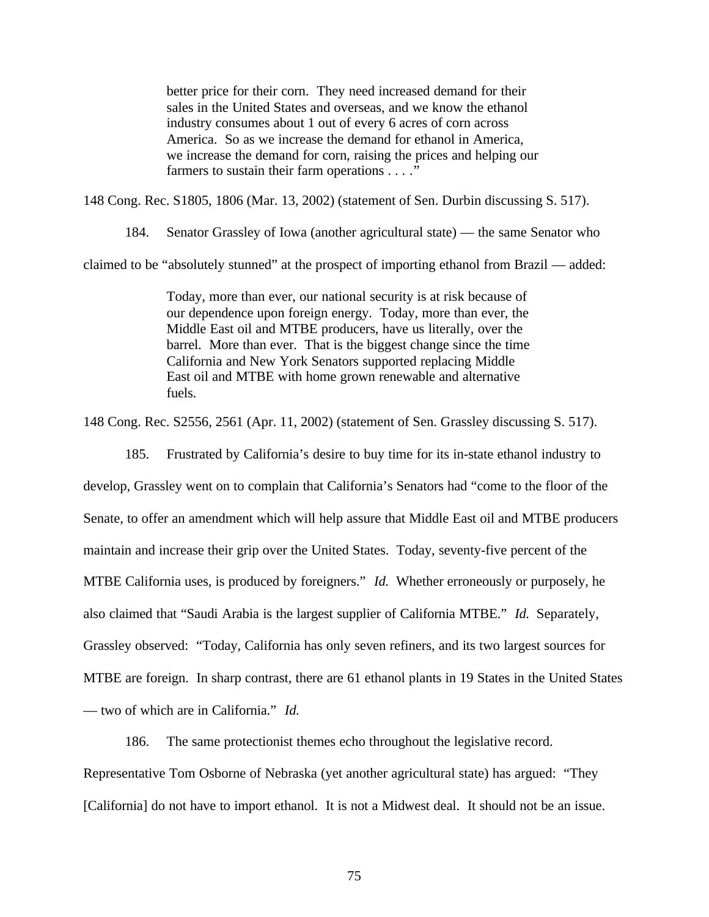better price for their corn. They need increased demand for their sales in the United States and overseas, and we know the ethanol industry consumes about 1 out of every 6 acres of corn across America. So as we increase the demand for ethanol in America, we increase the demand for corn, raising the prices and helping our farmers to sustain their farm operations . . . ."

148 Cong. Rec. S1805, 1806 (Mar. 13, 2002) (statement of Sen. Durbin discussing S. 517).

184. Senator Grassley of Iowa (another agricultural state) — the same Senator who

claimed to be "absolutely stunned" at the prospect of importing ethanol from Brazil — added:

Today, more than ever, our national security is at risk because of our dependence upon foreign energy. Today, more than ever, the Middle East oil and MTBE producers, have us literally, over the barrel. More than ever. That is the biggest change since the time California and New York Senators supported replacing Middle East oil and MTBE with home grown renewable and alternative fuels.

148 Cong. Rec. S2556, 2561 (Apr. 11, 2002) (statement of Sen. Grassley discussing S. 517).

185. Frustrated by California's desire to buy time for its in-state ethanol industry to

develop, Grassley went on to complain that California's Senators had "come to the floor of the Senate, to offer an amendment which will help assure that Middle East oil and MTBE producers maintain and increase their grip over the United States. Today, seventy-five percent of the MTBE California uses, is produced by foreigners." *Id.* Whether erroneously or purposely, he also claimed that "Saudi Arabia is the largest supplier of California MTBE." *Id.* Separately, Grassley observed: "Today, California has only seven refiners, and its two largest sources for MTBE are foreign. In sharp contrast, there are 61 ethanol plants in 19 States in the United States — two of which are in California." *Id.*

186. The same protectionist themes echo throughout the legislative record. Representative Tom Osborne of Nebraska (yet another agricultural state) has argued: "They [California] do not have to import ethanol. It is not a Midwest deal. It should not be an issue.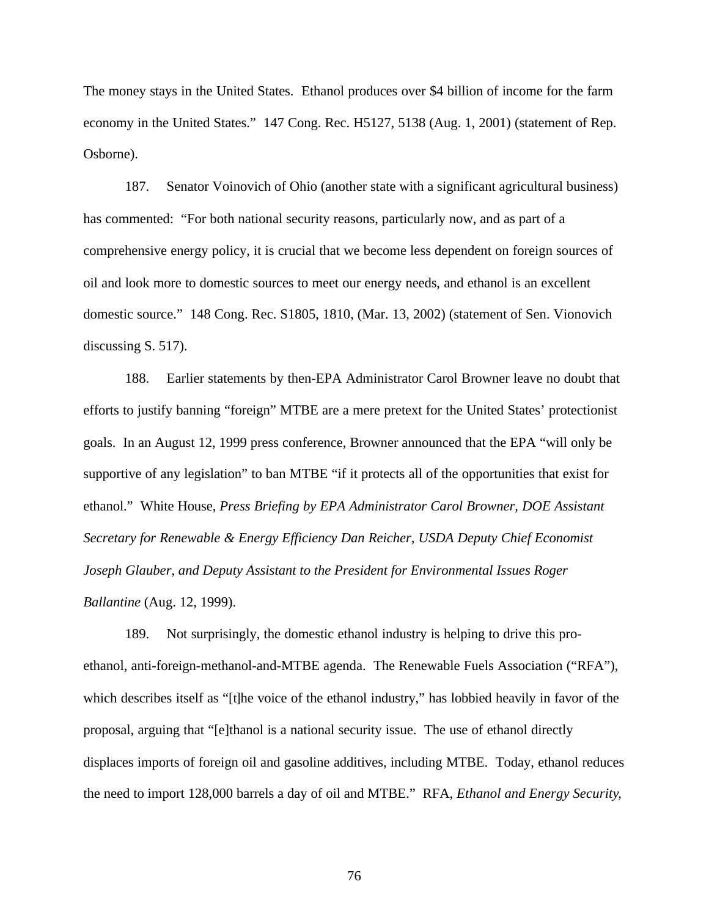The money stays in the United States. Ethanol produces over \$4 billion of income for the farm economy in the United States." 147 Cong. Rec. H5127, 5138 (Aug. 1, 2001) (statement of Rep. Osborne).

187. Senator Voinovich of Ohio (another state with a significant agricultural business) has commented: "For both national security reasons, particularly now, and as part of a comprehensive energy policy, it is crucial that we become less dependent on foreign sources of oil and look more to domestic sources to meet our energy needs, and ethanol is an excellent domestic source." 148 Cong. Rec. S1805, 1810, (Mar. 13, 2002) (statement of Sen. Vionovich discussing S. 517).

188. Earlier statements by then-EPA Administrator Carol Browner leave no doubt that efforts to justify banning "foreign" MTBE are a mere pretext for the United States' protectionist goals. In an August 12, 1999 press conference, Browner announced that the EPA "will only be supportive of any legislation" to ban MTBE "if it protects all of the opportunities that exist for ethanol." White House, *Press Briefing by EPA Administrator Carol Browner, DOE Assistant Secretary for Renewable & Energy Efficiency Dan Reicher, USDA Deputy Chief Economist Joseph Glauber, and Deputy Assistant to the President for Environmental Issues Roger Ballantine* (Aug. 12, 1999).

189. Not surprisingly, the domestic ethanol industry is helping to drive this proethanol, anti-foreign-methanol-and-MTBE agenda. The Renewable Fuels Association ("RFA"), which describes itself as "[t]he voice of the ethanol industry," has lobbied heavily in favor of the proposal, arguing that "[e]thanol is a national security issue. The use of ethanol directly displaces imports of foreign oil and gasoline additives, including MTBE. Today, ethanol reduces the need to import 128,000 barrels a day of oil and MTBE." RFA, *Ethanol and Energy Security*,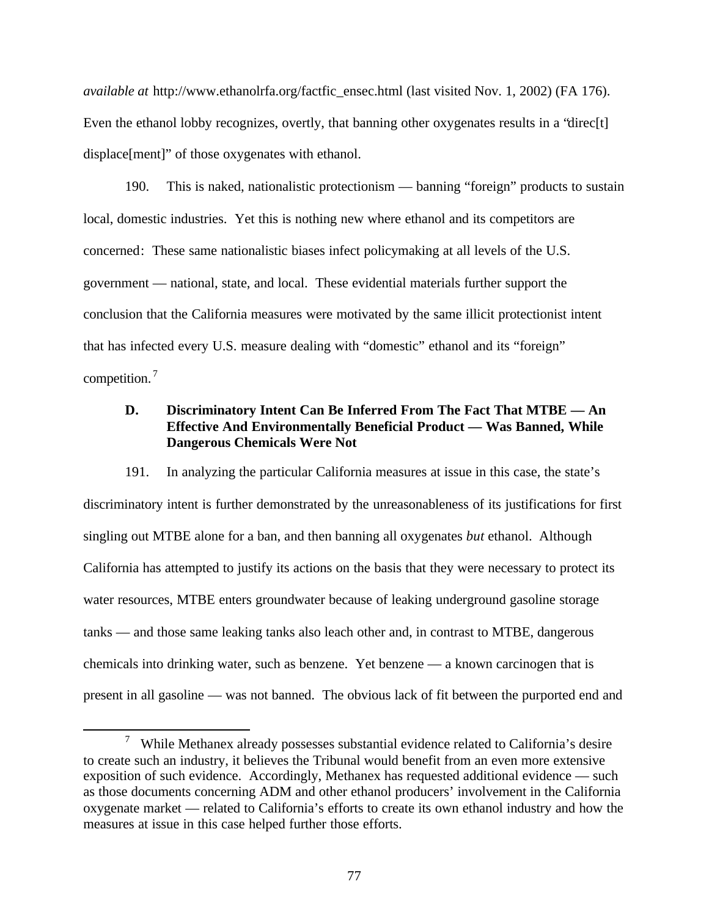*available at* http://www.ethanolrfa.org/factfic\_ensec.html (last visited Nov. 1, 2002) (FA 176). Even the ethanol lobby recognizes, overtly, that banning other oxygenates results in a "direc[t] displace[ment]" of those oxygenates with ethanol.

190. This is naked, nationalistic protectionism — banning "foreign" products to sustain local, domestic industries. Yet this is nothing new where ethanol and its competitors are concerned: These same nationalistic biases infect policymaking at all levels of the U.S. government — national, state, and local. These evidential materials further support the conclusion that the California measures were motivated by the same illicit protectionist intent that has infected every U.S. measure dealing with "domestic" ethanol and its "foreign" competition.<sup>7</sup>

# **D. Discriminatory Intent Can Be Inferred From The Fact That MTBE — An Effective And Environmentally Beneficial Product — Was Banned, While Dangerous Chemicals Were Not**

191. In analyzing the particular California measures at issue in this case, the state's discriminatory intent is further demonstrated by the unreasonableness of its justifications for first singling out MTBE alone for a ban, and then banning all oxygenates *but* ethanol. Although California has attempted to justify its actions on the basis that they were necessary to protect its water resources, MTBE enters groundwater because of leaking underground gasoline storage tanks — and those same leaking tanks also leach other and, in contrast to MTBE, dangerous chemicals into drinking water, such as benzene. Yet benzene — a known carcinogen that is present in all gasoline — was not banned. The obvious lack of fit between the purported end and

 $\overline{a}$ 

<sup>&</sup>lt;sup>7</sup> While Methanex already possesses substantial evidence related to California's desire to create such an industry, it believes the Tribunal would benefit from an even more extensive exposition of such evidence. Accordingly, Methanex has requested additional evidence — such as those documents concerning ADM and other ethanol producers' involvement in the California oxygenate market — related to California's efforts to create its own ethanol industry and how the measures at issue in this case helped further those efforts.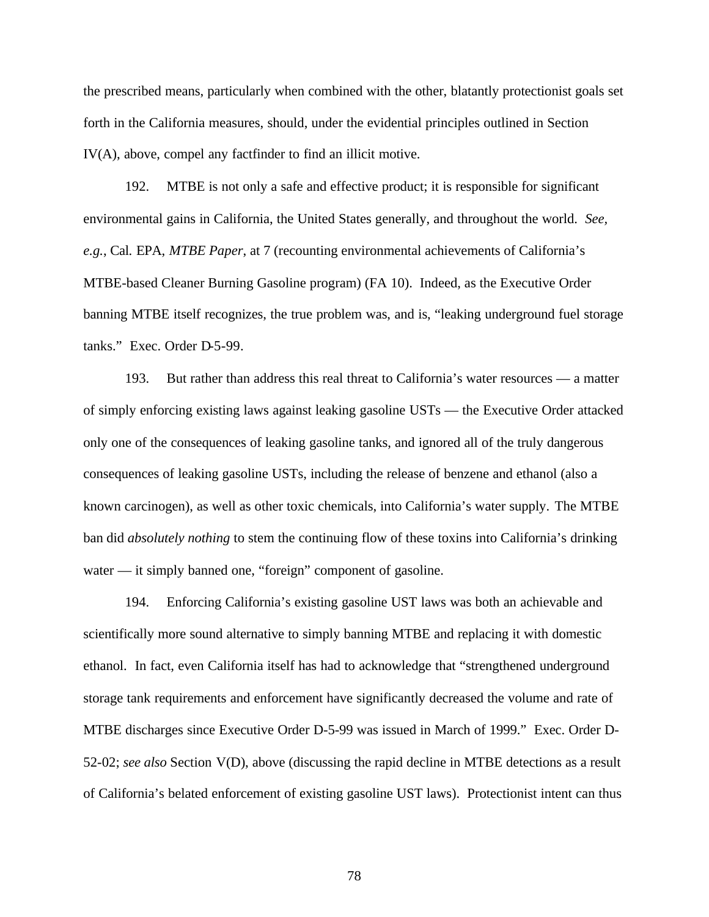the prescribed means, particularly when combined with the other, blatantly protectionist goals set forth in the California measures, should, under the evidential principles outlined in Section IV(A), above, compel any factfinder to find an illicit motive.

192. MTBE is not only a safe and effective product; it is responsible for significant environmental gains in California, the United States generally, and throughout the world. *See, e.g.*, Cal. EPA, *MTBE Paper*, at 7 (recounting environmental achievements of California's MTBE-based Cleaner Burning Gasoline program) (FA 10). Indeed, as the Executive Order banning MTBE itself recognizes, the true problem was, and is, "leaking underground fuel storage tanks." Exec. Order D-5-99.

193. But rather than address this real threat to California's water resources — a matter of simply enforcing existing laws against leaking gasoline USTs — the Executive Order attacked only one of the consequences of leaking gasoline tanks, and ignored all of the truly dangerous consequences of leaking gasoline USTs, including the release of benzene and ethanol (also a known carcinogen), as well as other toxic chemicals, into California's water supply. The MTBE ban did *absolutely nothing* to stem the continuing flow of these toxins into California's drinking water — it simply banned one, "foreign" component of gasoline.

194. Enforcing California's existing gasoline UST laws was both an achievable and scientifically more sound alternative to simply banning MTBE and replacing it with domestic ethanol. In fact, even California itself has had to acknowledge that "strengthened underground storage tank requirements and enforcement have significantly decreased the volume and rate of MTBE discharges since Executive Order D-5-99 was issued in March of 1999." Exec. Order D-52-02; *see also* Section V(D), above (discussing the rapid decline in MTBE detections as a result of California's belated enforcement of existing gasoline UST laws). Protectionist intent can thus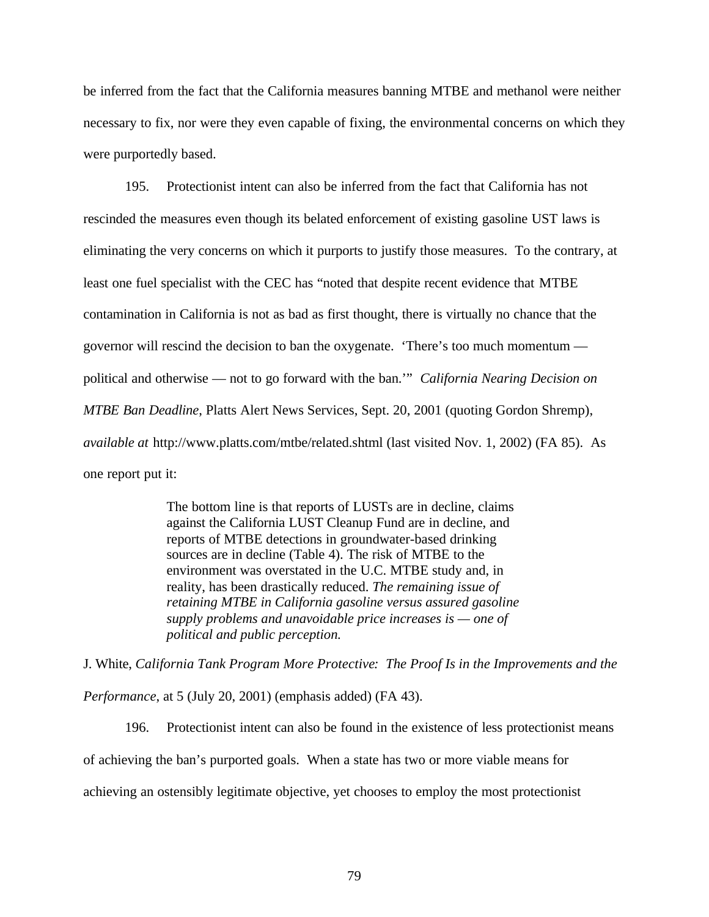be inferred from the fact that the California measures banning MTBE and methanol were neither necessary to fix, nor were they even capable of fixing, the environmental concerns on which they were purportedly based.

195. Protectionist intent can also be inferred from the fact that California has not rescinded the measures even though its belated enforcement of existing gasoline UST laws is eliminating the very concerns on which it purports to justify those measures. To the contrary, at least one fuel specialist with the CEC has "noted that despite recent evidence that MTBE contamination in California is not as bad as first thought, there is virtually no chance that the governor will rescind the decision to ban the oxygenate. 'There's too much momentum political and otherwise — not to go forward with the ban.'" *California Nearing Decision on MTBE Ban Deadline*, Platts Alert News Services, Sept. 20, 2001 (quoting Gordon Shremp), *available at* http://www.platts.com/mtbe/related.shtml (last visited Nov. 1, 2002) (FA 85). As one report put it:

> The bottom line is that reports of LUSTs are in decline, claims against the California LUST Cleanup Fund are in decline, and reports of MTBE detections in groundwater-based drinking sources are in decline (Table 4). The risk of MTBE to the environment was overstated in the U.C. MTBE study and, in reality, has been drastically reduced. *The remaining issue of retaining MTBE in California gasoline versus assured gasoline supply problems and unavoidable price increases is — one of political and public perception.*

J. White, *California Tank Program More Protective: The Proof Is in the Improvements and the Performance*, at 5 (July 20, 2001) (emphasis added) (FA 43).

196. Protectionist intent can also be found in the existence of less protectionist means of achieving the ban's purported goals. When a state has two or more viable means for achieving an ostensibly legitimate objective, yet chooses to employ the most protectionist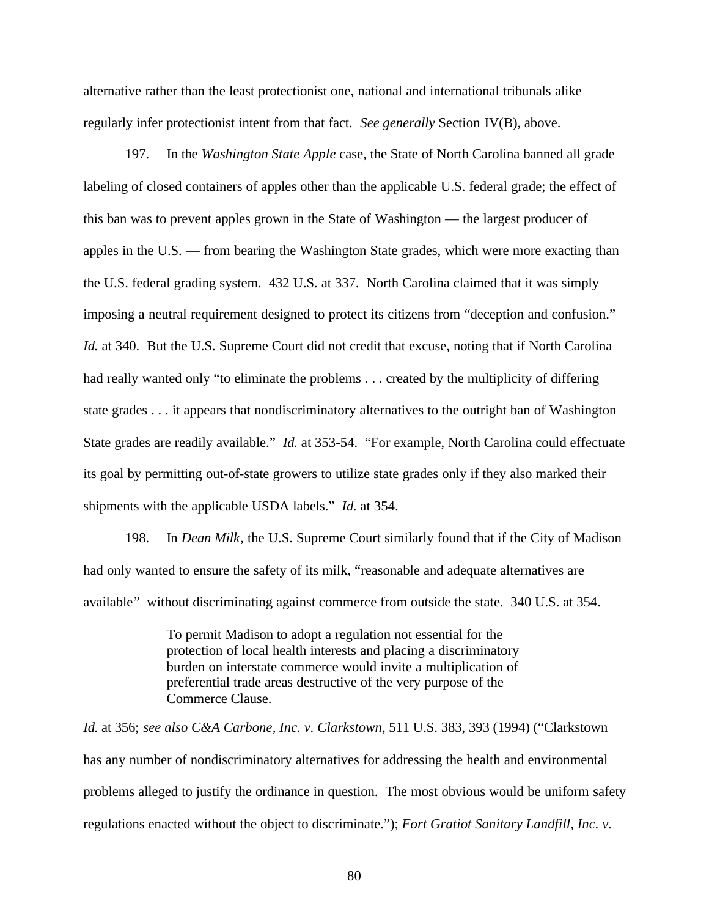alternative rather than the least protectionist one, national and international tribunals alike regularly infer protectionist intent from that fact. *See generally* Section IV(B), above.

197. In the *Washington State Apple* case, the State of North Carolina banned all grade labeling of closed containers of apples other than the applicable U.S. federal grade; the effect of this ban was to prevent apples grown in the State of Washington — the largest producer of apples in the U.S. — from bearing the Washington State grades, which were more exacting than the U.S. federal grading system. 432 U.S. at 337. North Carolina claimed that it was simply imposing a neutral requirement designed to protect its citizens from "deception and confusion." *Id.* at 340. But the U.S. Supreme Court did not credit that excuse, noting that if North Carolina had really wanted only "to eliminate the problems . . . created by the multiplicity of differing state grades . . . it appears that nondiscriminatory alternatives to the outright ban of Washington State grades are readily available." *Id.* at 353-54. "For example, North Carolina could effectuate its goal by permitting out-of-state growers to utilize state grades only if they also marked their shipments with the applicable USDA labels." *Id.* at 354.

198. In *Dean Milk*, the U.S. Supreme Court similarly found that if the City of Madison had only wanted to ensure the safety of its milk, "reasonable and adequate alternatives are available" without discriminating against commerce from outside the state. 340 U.S. at 354.

> To permit Madison to adopt a regulation not essential for the protection of local health interests and placing a discriminatory burden on interstate commerce would invite a multiplication of preferential trade areas destructive of the very purpose of the Commerce Clause.

*Id.* at 356; *see also C&A Carbone, Inc. v. Clarkstown*, 511 U.S. 383, 393 (1994) ("Clarkstown has any number of nondiscriminatory alternatives for addressing the health and environmental problems alleged to justify the ordinance in question. The most obvious would be uniform safety regulations enacted without the object to discriminate."); *Fort Gratiot Sanitary Landfill, Inc. v.*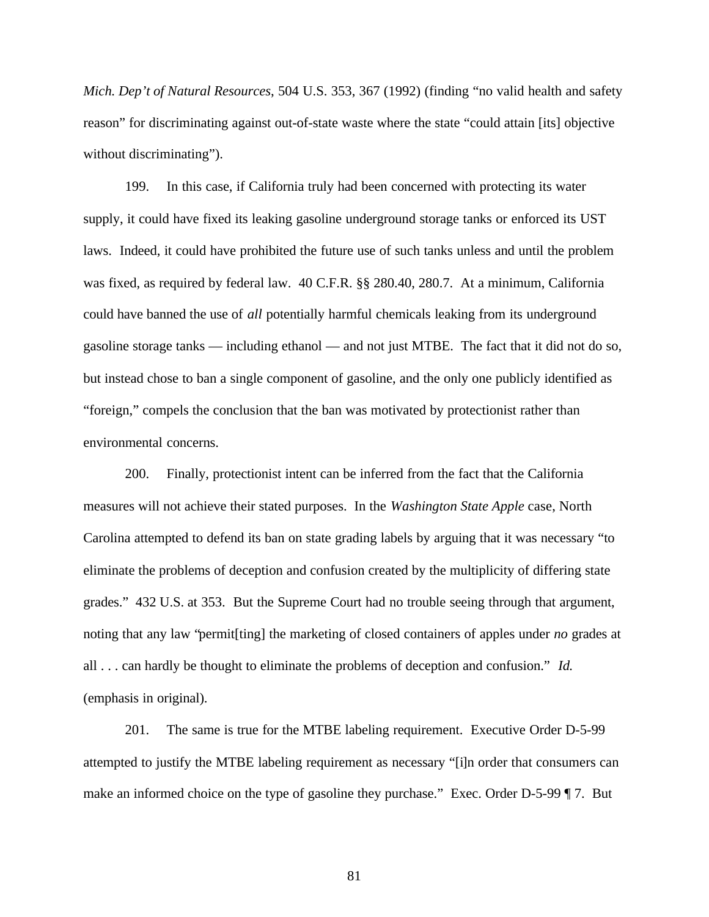*Mich. Dep't of Natural Resources*, 504 U.S. 353, 367 (1992) (finding "no valid health and safety reason" for discriminating against out-of-state waste where the state "could attain [its] objective without discriminating").

199. In this case, if California truly had been concerned with protecting its water supply, it could have fixed its leaking gasoline underground storage tanks or enforced its UST laws. Indeed, it could have prohibited the future use of such tanks unless and until the problem was fixed, as required by federal law. 40 C.F.R. §§ 280.40, 280.7. At a minimum, California could have banned the use of *all* potentially harmful chemicals leaking from its underground gasoline storage tanks — including ethanol — and not just MTBE. The fact that it did not do so, but instead chose to ban a single component of gasoline, and the only one publicly identified as "foreign," compels the conclusion that the ban was motivated by protectionist rather than environmental concerns.

200. Finally, protectionist intent can be inferred from the fact that the California measures will not achieve their stated purposes. In the *Washington State Apple* case, North Carolina attempted to defend its ban on state grading labels by arguing that it was necessary "to eliminate the problems of deception and confusion created by the multiplicity of differing state grades." 432 U.S. at 353. But the Supreme Court had no trouble seeing through that argument, noting that any law "permit[ting] the marketing of closed containers of apples under *no* grades at all . . . can hardly be thought to eliminate the problems of deception and confusion." *Id.* (emphasis in original).

201. The same is true for the MTBE labeling requirement. Executive Order D-5-99 attempted to justify the MTBE labeling requirement as necessary "[i]n order that consumers can make an informed choice on the type of gasoline they purchase." Exec. Order D-5-99 ¶ 7. But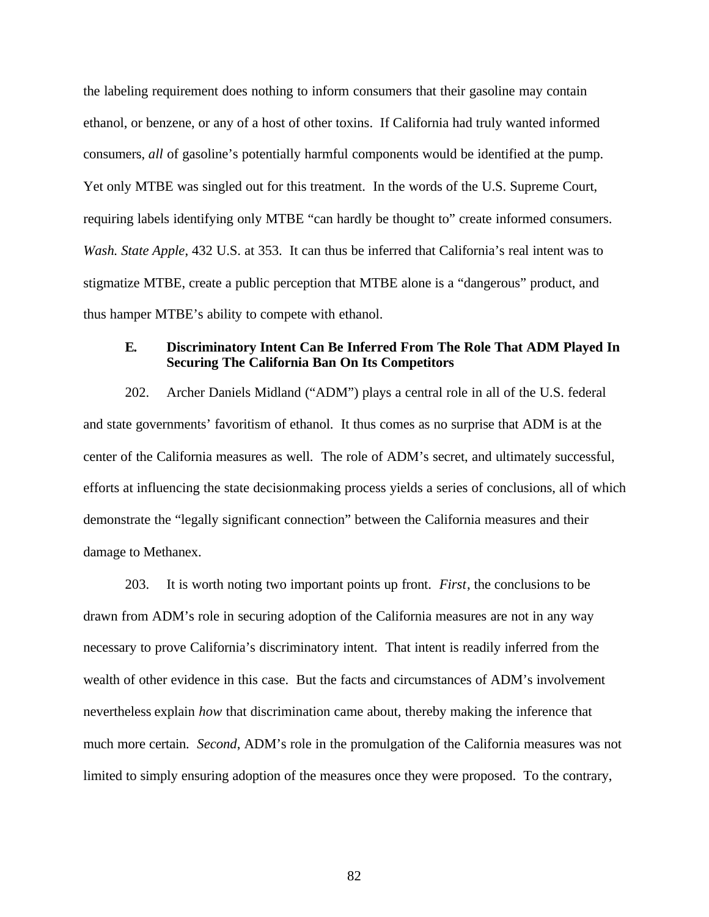the labeling requirement does nothing to inform consumers that their gasoline may contain ethanol, or benzene, or any of a host of other toxins. If California had truly wanted informed consumers, *all* of gasoline's potentially harmful components would be identified at the pump. Yet only MTBE was singled out for this treatment. In the words of the U.S. Supreme Court, requiring labels identifying only MTBE "can hardly be thought to" create informed consumers. *Wash. State Apple*, 432 U.S. at 353. It can thus be inferred that California's real intent was to stigmatize MTBE, create a public perception that MTBE alone is a "dangerous" product, and thus hamper MTBE's ability to compete with ethanol.

#### **E. Discriminatory Intent Can Be Inferred From The Role That ADM Played In Securing The California Ban On Its Competitors**

202. Archer Daniels Midland ("ADM") plays a central role in all of the U.S. federal and state governments' favoritism of ethanol. It thus comes as no surprise that ADM is at the center of the California measures as well. The role of ADM's secret, and ultimately successful, efforts at influencing the state decisionmaking process yields a series of conclusions, all of which demonstrate the "legally significant connection" between the California measures and their damage to Methanex.

203. It is worth noting two important points up front. *First*, the conclusions to be drawn from ADM's role in securing adoption of the California measures are not in any way necessary to prove California's discriminatory intent. That intent is readily inferred from the wealth of other evidence in this case. But the facts and circumstances of ADM's involvement nevertheless explain *how* that discrimination came about, thereby making the inference that much more certain. *Second*, ADM's role in the promulgation of the California measures was not limited to simply ensuring adoption of the measures once they were proposed. To the contrary,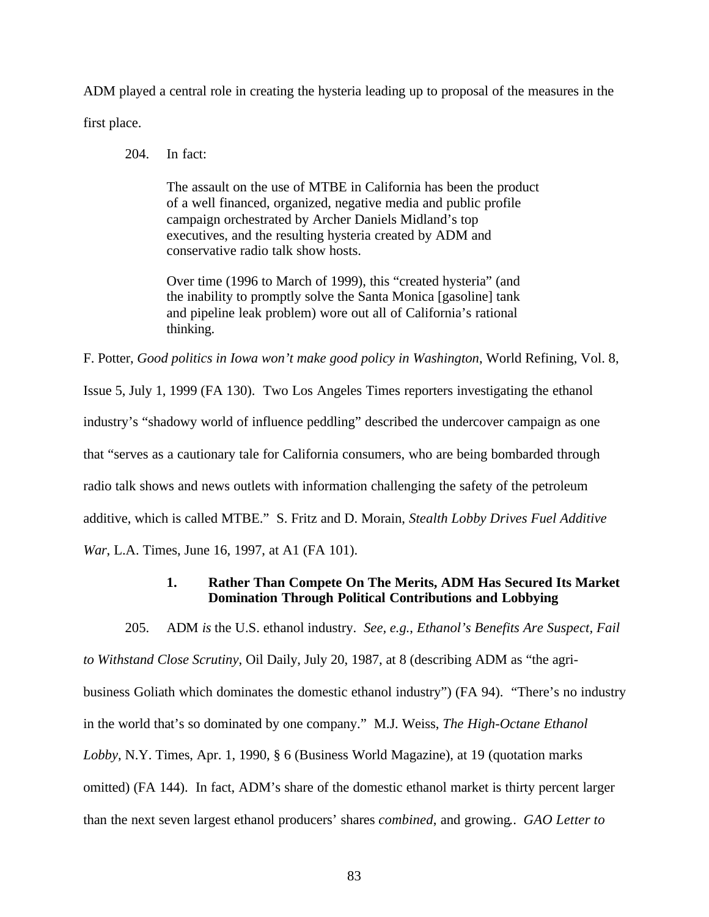ADM played a central role in creating the hysteria leading up to proposal of the measures in the first place.

204. In fact:

The assault on the use of MTBE in California has been the product of a well financed, organized, negative media and public profile campaign orchestrated by Archer Daniels Midland's top executives, and the resulting hysteria created by ADM and conservative radio talk show hosts.

Over time (1996 to March of 1999), this "created hysteria" (and the inability to promptly solve the Santa Monica [gasoline] tank and pipeline leak problem) wore out all of California's rational thinking.

F. Potter, *Good politics in Iowa won't make good policy in Washington*, World Refining, Vol. 8,

Issue 5, July 1, 1999 (FA 130). Two Los Angeles Times reporters investigating the ethanol industry's "shadowy world of influence peddling" described the undercover campaign as one that "serves as a cautionary tale for California consumers, who are being bombarded through radio talk shows and news outlets with information challenging the safety of the petroleum additive, which is called MTBE." S. Fritz and D. Morain, *Stealth Lobby Drives Fuel Additive War*, L.A. Times, June 16, 1997, at A1 (FA 101).

# **1. Rather Than Compete On The Merits, ADM Has Secured Its Market Domination Through Political Contributions and Lobbying**

205. ADM *is* the U.S. ethanol industry. *See, e.g.*, *Ethanol's Benefits Are Suspect, Fail to Withstand Close Scrutiny*, Oil Daily, July 20, 1987, at 8 (describing ADM as "the agribusiness Goliath which dominates the domestic ethanol industry") (FA 94). "There's no industry in the world that's so dominated by one company." M.J. Weiss, *The High-Octane Ethanol Lobby*, N.Y. Times, Apr. 1, 1990, § 6 (Business World Magazine), at 19 (quotation marks omitted) (FA 144). In fact, ADM's share of the domestic ethanol market is thirty percent larger than the next seven largest ethanol producers' shares *combined*, and growing*.*. *GAO Letter to*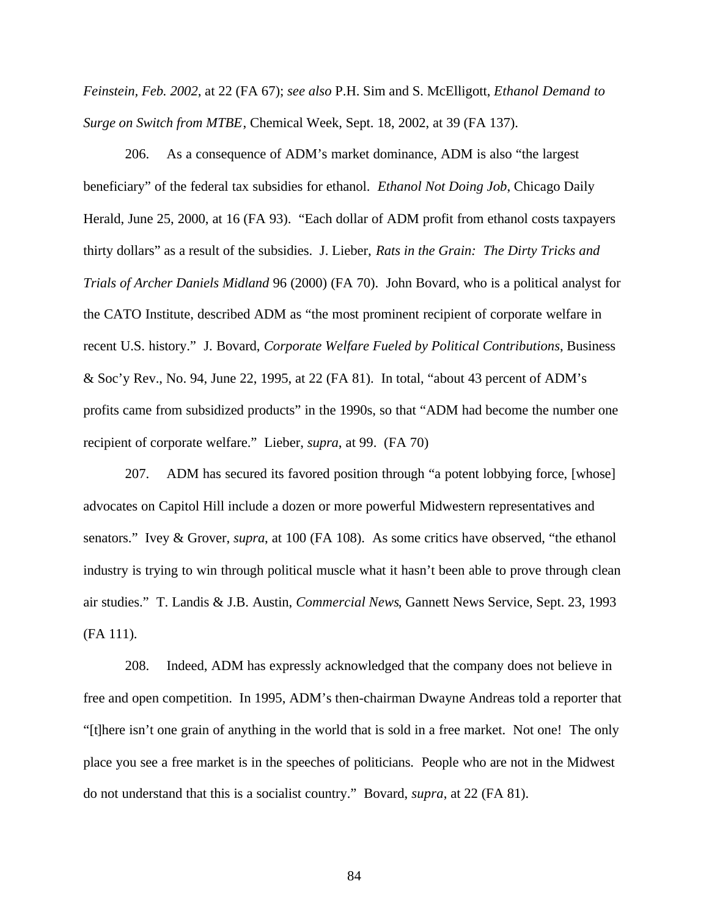*Feinstein, Feb. 2002*, at 22 (FA 67); *see also* P.H. Sim and S. McElligott, *Ethanol Demand to Surge on Switch from MTBE*, Chemical Week, Sept. 18, 2002, at 39 (FA 137).

206. As a consequence of ADM's market dominance, ADM is also "the largest beneficiary" of the federal tax subsidies for ethanol. *Ethanol Not Doing Job*, Chicago Daily Herald, June 25, 2000, at 16 (FA 93). "Each dollar of ADM profit from ethanol costs taxpayers thirty dollars" as a result of the subsidies. J. Lieber, *Rats in the Grain: The Dirty Tricks and Trials of Archer Daniels Midland* 96 (2000) (FA 70). John Bovard, who is a political analyst for the CATO Institute, described ADM as "the most prominent recipient of corporate welfare in recent U.S. history." J. Bovard, *Corporate Welfare Fueled by Political Contributions*, Business & Soc'y Rev., No. 94, June 22, 1995, at 22 (FA 81). In total, "about 43 percent of ADM's profits came from subsidized products" in the 1990s, so that "ADM had become the number one recipient of corporate welfare." Lieber, *supra*, at 99. (FA 70)

207. ADM has secured its favored position through "a potent lobbying force, [whose] advocates on Capitol Hill include a dozen or more powerful Midwestern representatives and senators." Ivey & Grover, *supra*, at 100 (FA 108). As some critics have observed, "the ethanol industry is trying to win through political muscle what it hasn't been able to prove through clean air studies." T. Landis & J.B. Austin, *Commercial News*, Gannett News Service, Sept. 23, 1993 (FA 111).

208. Indeed, ADM has expressly acknowledged that the company does not believe in free and open competition. In 1995, ADM's then-chairman Dwayne Andreas told a reporter that "[t]here isn't one grain of anything in the world that is sold in a free market. Not one! The only place you see a free market is in the speeches of politicians. People who are not in the Midwest do not understand that this is a socialist country." Bovard, *supra*, at 22 (FA 81).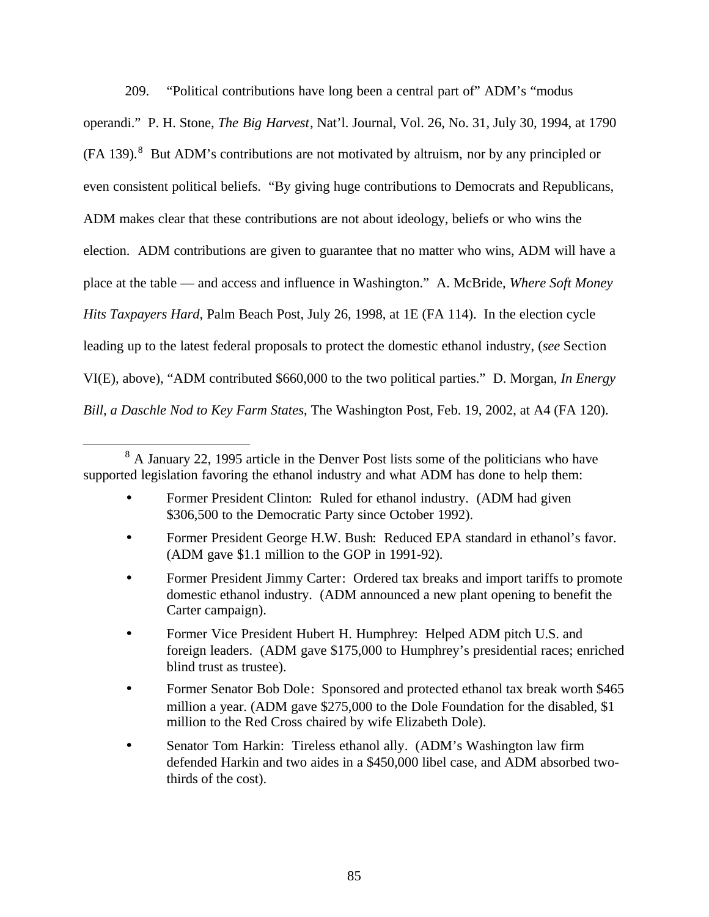209. "Political contributions have long been a central part of" ADM's "modus operandi." P. H. Stone, *The Big Harvest*, Nat'l. Journal, Vol. 26, No. 31, July 30, 1994, at 1790  $(FA 139).$ <sup>8</sup> But ADM's contributions are not motivated by altruism, nor by any principled or even consistent political beliefs. "By giving huge contributions to Democrats and Republicans, ADM makes clear that these contributions are not about ideology, beliefs or who wins the election. ADM contributions are given to guarantee that no matter who wins, ADM will have a place at the table — and access and influence in Washington." A. McBride, *Where Soft Money Hits Taxpayers Hard*, Palm Beach Post, July 26, 1998, at 1E (FA 114). In the election cycle

leading up to the latest federal proposals to protect the domestic ethanol industry, (*see* Section

VI(E), above), "ADM contributed \$660,000 to the two political parties." D. Morgan, *In Energy*

*Bill, a Daschle Nod to Key Farm States*, The Washington Post, Feb. 19, 2002, at A4 (FA 120).

 $\overline{a}$ 

- Former President Clinton: Ruled for ethanol industry. (ADM had given \$306,500 to the Democratic Party since October 1992).
- Former President George H.W. Bush: Reduced EPA standard in ethanol's favor. (ADM gave \$1.1 million to the GOP in 1991-92).
- Former President Jimmy Carter: Ordered tax breaks and import tariffs to promote domestic ethanol industry. (ADM announced a new plant opening to benefit the Carter campaign).
- Former Vice President Hubert H. Humphrey: Helped ADM pitch U.S. and foreign leaders. (ADM gave \$175,000 to Humphrey's presidential races; enriched blind trust as trustee).
- Former Senator Bob Dole: Sponsored and protected ethanol tax break worth \$465 million a year. (ADM gave \$275,000 to the Dole Foundation for the disabled, \$1 million to the Red Cross chaired by wife Elizabeth Dole).
- Senator Tom Harkin: Tireless ethanol ally. (ADM's Washington law firm defended Harkin and two aides in a \$450,000 libel case, and ADM absorbed twothirds of the cost).

 $8<sup>8</sup>$  A January 22, 1995 article in the Denver Post lists some of the politicians who have supported legislation favoring the ethanol industry and what ADM has done to help them: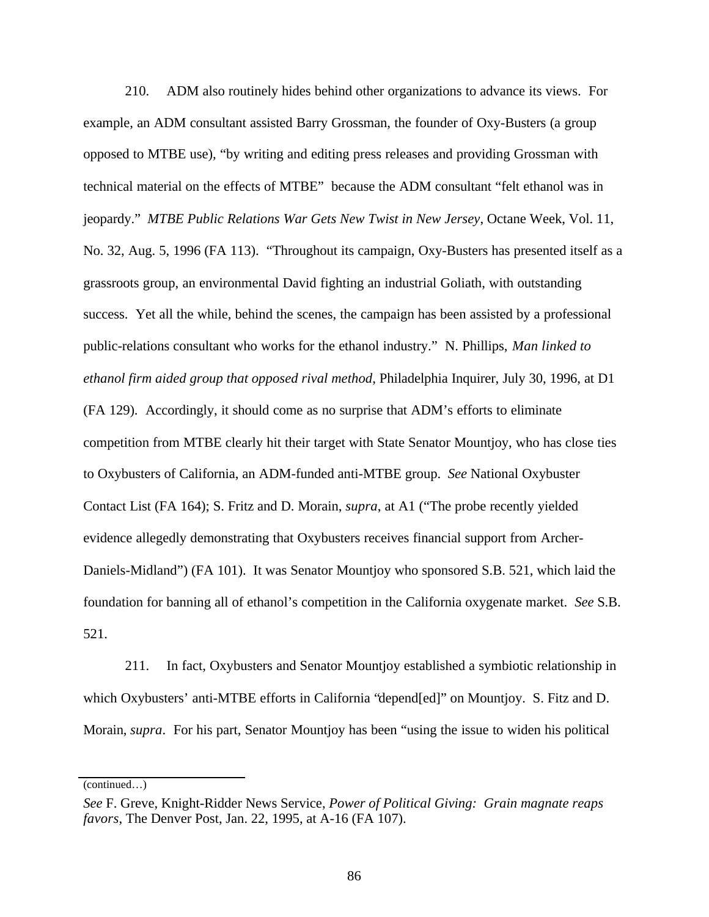210. ADM also routinely hides behind other organizations to advance its views. For example, an ADM consultant assisted Barry Grossman, the founder of Oxy-Busters (a group opposed to MTBE use), "by writing and editing press releases and providing Grossman with technical material on the effects of MTBE" because the ADM consultant "felt ethanol was in jeopardy." *MTBE Public Relations War Gets New Twist in New Jersey*, Octane Week, Vol. 11, No. 32, Aug. 5, 1996 (FA 113). "Throughout its campaign, Oxy-Busters has presented itself as a grassroots group, an environmental David fighting an industrial Goliath, with outstanding success. Yet all the while, behind the scenes, the campaign has been assisted by a professional public-relations consultant who works for the ethanol industry." N. Phillips, *Man linked to ethanol firm aided group that opposed rival method*, Philadelphia Inquirer, July 30, 1996, at D1 (FA 129). Accordingly, it should come as no surprise that ADM's efforts to eliminate competition from MTBE clearly hit their target with State Senator Mountjoy, who has close ties to Oxybusters of California, an ADM-funded anti-MTBE group. *See* National Oxybuster Contact List (FA 164); S. Fritz and D. Morain, *supra*, at A1 ("The probe recently yielded evidence allegedly demonstrating that Oxybusters receives financial support from Archer-Daniels-Midland") (FA 101). It was Senator Mountjoy who sponsored S.B. 521, which laid the foundation for banning all of ethanol's competition in the California oxygenate market. *See* S.B. 521.

211. In fact, Oxybusters and Senator Mountjoy established a symbiotic relationship in which Oxybusters' anti-MTBE efforts in California "depend[ed]" on Mountjoy. S. Fitz and D. Morain, *supra*. For his part, Senator Mountjoy has been "using the issue to widen his political

(continued…)

*See* F. Greve, Knight-Ridder News Service, *Power of Political Giving: Grain magnate reaps favors*, The Denver Post, Jan. 22, 1995, at A-16 (FA 107).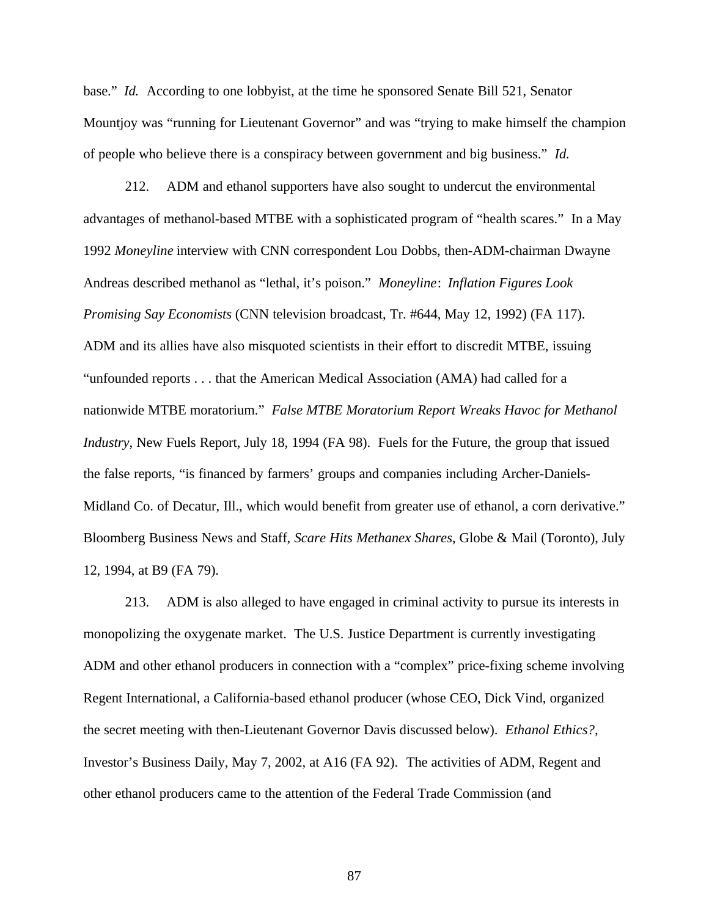base." *Id.* According to one lobbyist, at the time he sponsored Senate Bill 521, Senator Mountjoy was "running for Lieutenant Governor" and was "trying to make himself the champion of people who believe there is a conspiracy between government and big business." *Id.*

212. ADM and ethanol supporters have also sought to undercut the environmental advantages of methanol-based MTBE with a sophisticated program of "health scares." In a May 1992 *Moneyline* interview with CNN correspondent Lou Dobbs, then-ADM-chairman Dwayne Andreas described methanol as "lethal, it's poison." *Moneyline*: *Inflation Figures Look Promising Say Economists* (CNN television broadcast, Tr. #644, May 12, 1992) (FA 117). ADM and its allies have also misquoted scientists in their effort to discredit MTBE, issuing "unfounded reports . . . that the American Medical Association (AMA) had called for a nationwide MTBE moratorium." *False MTBE Moratorium Report Wreaks Havoc for Methanol Industry*, New Fuels Report, July 18, 1994 (FA 98). Fuels for the Future, the group that issued the false reports, "is financed by farmers' groups and companies including Archer-Daniels-Midland Co. of Decatur, Ill., which would benefit from greater use of ethanol, a corn derivative." Bloomberg Business News and Staff, *Scare Hits Methanex Shares*, Globe & Mail (Toronto), July 12, 1994, at B9 (FA 79).

213. ADM is also alleged to have engaged in criminal activity to pursue its interests in monopolizing the oxygenate market. The U.S. Justice Department is currently investigating ADM and other ethanol producers in connection with a "complex" price-fixing scheme involving Regent International, a California-based ethanol producer (whose CEO, Dick Vind, organized the secret meeting with then-Lieutenant Governor Davis discussed below). *Ethanol Ethics?*, Investor's Business Daily, May 7, 2002, at A16 (FA 92). The activities of ADM, Regent and other ethanol producers came to the attention of the Federal Trade Commission (and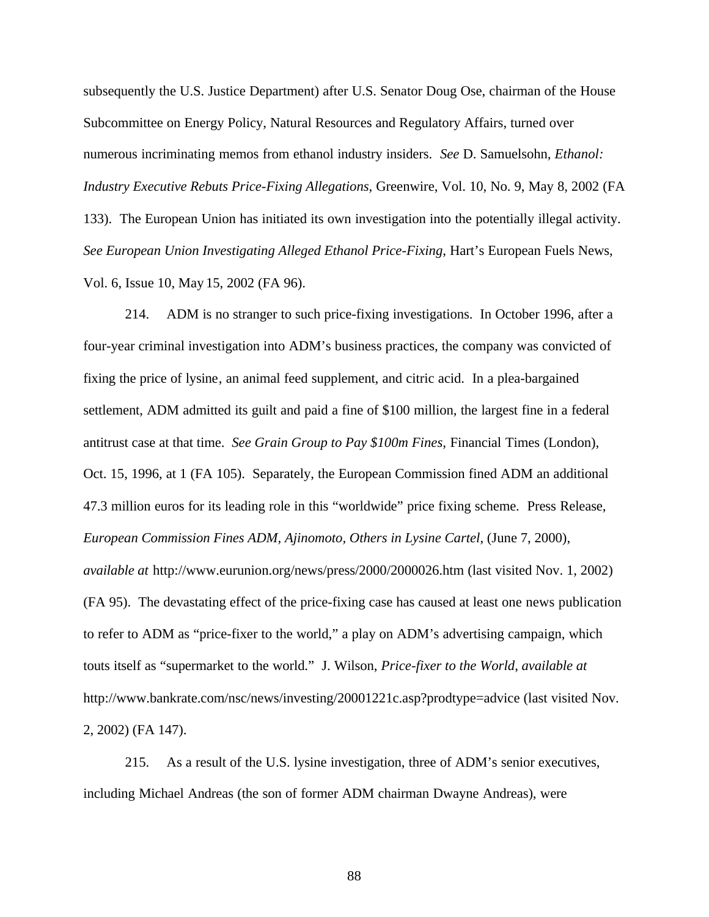subsequently the U.S. Justice Department) after U.S. Senator Doug Ose, chairman of the House Subcommittee on Energy Policy, Natural Resources and Regulatory Affairs, turned over numerous incriminating memos from ethanol industry insiders. *See* D. Samuelsohn, *Ethanol: Industry Executive Rebuts Price-Fixing Allegations*, Greenwire, Vol. 10, No. 9, May 8, 2002 (FA 133). The European Union has initiated its own investigation into the potentially illegal activity. *See European Union Investigating Alleged Ethanol Price-Fixing*, Hart's European Fuels News, Vol. 6, Issue 10, May 15, 2002 (FA 96).

214. ADM is no stranger to such price-fixing investigations. In October 1996, after a four-year criminal investigation into ADM's business practices, the company was convicted of fixing the price of lysine, an animal feed supplement, and citric acid. In a plea-bargained settlement, ADM admitted its guilt and paid a fine of \$100 million, the largest fine in a federal antitrust case at that time. *See Grain Group to Pay \$100m Fines*, Financial Times (London), Oct. 15, 1996, at 1 (FA 105). Separately, the European Commission fined ADM an additional 47.3 million euros for its leading role in this "worldwide" price fixing scheme. Press Release, *European Commission Fines ADM, Ajinomoto, Others in Lysine Cartel*, (June 7, 2000), *available at* http://www.eurunion.org/news/press/2000/2000026.htm (last visited Nov. 1, 2002) (FA 95). The devastating effect of the price-fixing case has caused at least one news publication to refer to ADM as "price-fixer to the world," a play on ADM's advertising campaign, which touts itself as "supermarket to the world." J. Wilson, *Price-fixer to the World*, *available at* http://www.bankrate.com/nsc/news/investing/20001221c.asp?prodtype=advice (last visited Nov. 2, 2002) (FA 147).

215. As a result of the U.S. lysine investigation, three of ADM's senior executives, including Michael Andreas (the son of former ADM chairman Dwayne Andreas), were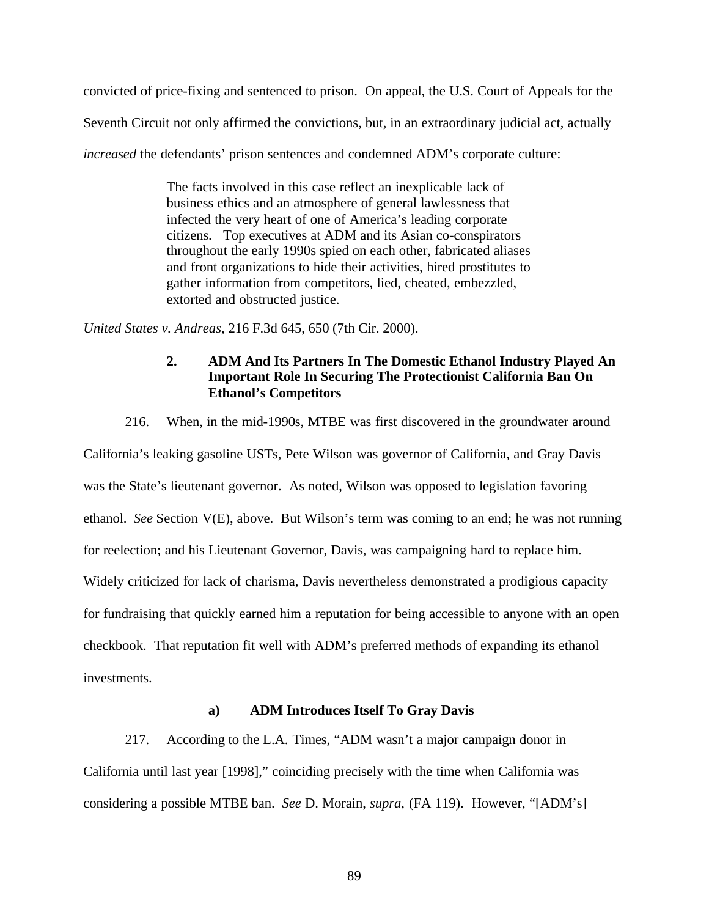convicted of price-fixing and sentenced to prison. On appeal, the U.S. Court of Appeals for the Seventh Circuit not only affirmed the convictions, but, in an extraordinary judicial act, actually *increased* the defendants' prison sentences and condemned ADM's corporate culture:

> The facts involved in this case reflect an inexplicable lack of business ethics and an atmosphere of general lawlessness that infected the very heart of one of America's leading corporate citizens. Top executives at ADM and its Asian co-conspirators throughout the early 1990s spied on each other, fabricated aliases and front organizations to hide their activities, hired prostitutes to gather information from competitors, lied, cheated, embezzled, extorted and obstructed justice.

*United States v. Andreas*, 216 F.3d 645, 650 (7th Cir. 2000).

## **2. ADM And Its Partners In The Domestic Ethanol Industry Played An Important Role In Securing The Protectionist California Ban On Ethanol's Competitors**

216. When, in the mid-1990s, MTBE was first discovered in the groundwater around

California's leaking gasoline USTs, Pete Wilson was governor of California, and Gray Davis was the State's lieutenant governor. As noted, Wilson was opposed to legislation favoring ethanol. *See* Section V(E), above. But Wilson's term was coming to an end; he was not running for reelection; and his Lieutenant Governor, Davis, was campaigning hard to replace him. Widely criticized for lack of charisma, Davis nevertheless demonstrated a prodigious capacity for fundraising that quickly earned him a reputation for being accessible to anyone with an open checkbook. That reputation fit well with ADM's preferred methods of expanding its ethanol investments.

#### **a) ADM Introduces Itself To Gray Davis**

217. According to the L.A. Times, "ADM wasn't a major campaign donor in California until last year [1998]," coinciding precisely with the time when California was considering a possible MTBE ban. *See* D. Morain, *supra*, (FA 119). However, "[ADM's]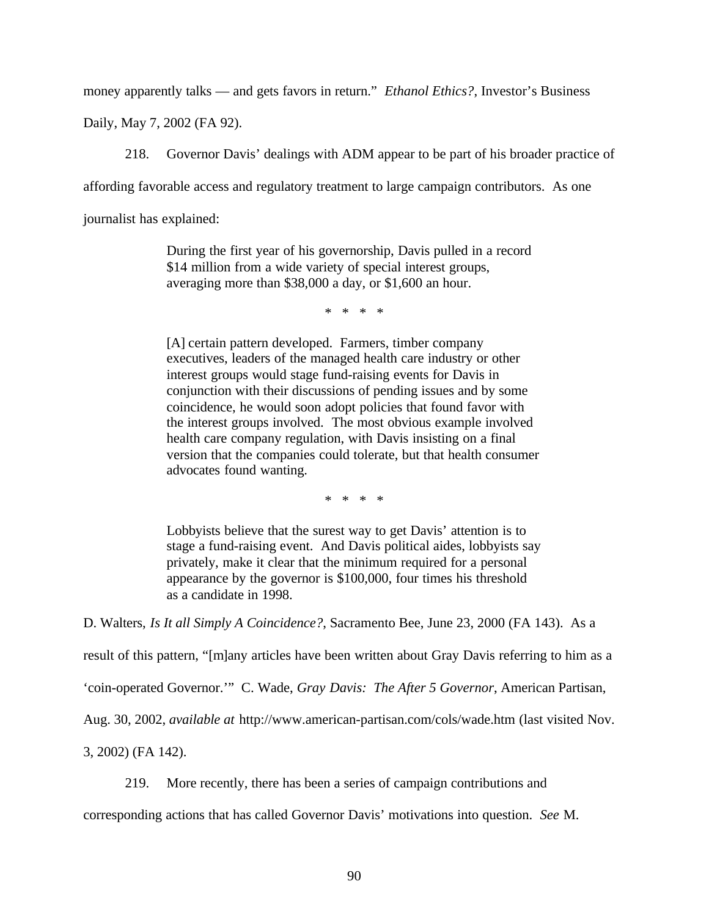money apparently talks — and gets favors in return." *Ethanol Ethics?*, Investor's Business

Daily, May 7, 2002 (FA 92).

218. Governor Davis' dealings with ADM appear to be part of his broader practice of

affording favorable access and regulatory treatment to large campaign contributors. As one

journalist has explained:

During the first year of his governorship, Davis pulled in a record \$14 million from a wide variety of special interest groups, averaging more than \$38,000 a day, or \$1,600 an hour.

\* \* \* \*

[A] certain pattern developed. Farmers, timber company executives, leaders of the managed health care industry or other interest groups would stage fund-raising events for Davis in conjunction with their discussions of pending issues and by some coincidence, he would soon adopt policies that found favor with the interest groups involved. The most obvious example involved health care company regulation, with Davis insisting on a final version that the companies could tolerate, but that health consumer advocates found wanting.

\* \* \* \*

Lobbyists believe that the surest way to get Davis' attention is to stage a fund-raising event. And Davis political aides, lobbyists say privately, make it clear that the minimum required for a personal appearance by the governor is \$100,000, four times his threshold as a candidate in 1998.

D. Walters, *Is It all Simply A Coincidence?*, Sacramento Bee, June 23, 2000 (FA 143). As a

result of this pattern, "[m]any articles have been written about Gray Davis referring to him as a

'coin-operated Governor.'" C. Wade, *Gray Davis: The After 5 Governor*, American Partisan,

Aug. 30, 2002, *available at* http://www.american-partisan.com/cols/wade.htm (last visited Nov.

3, 2002) (FA 142).

219. More recently, there has been a series of campaign contributions and

corresponding actions that has called Governor Davis' motivations into question. *See* M.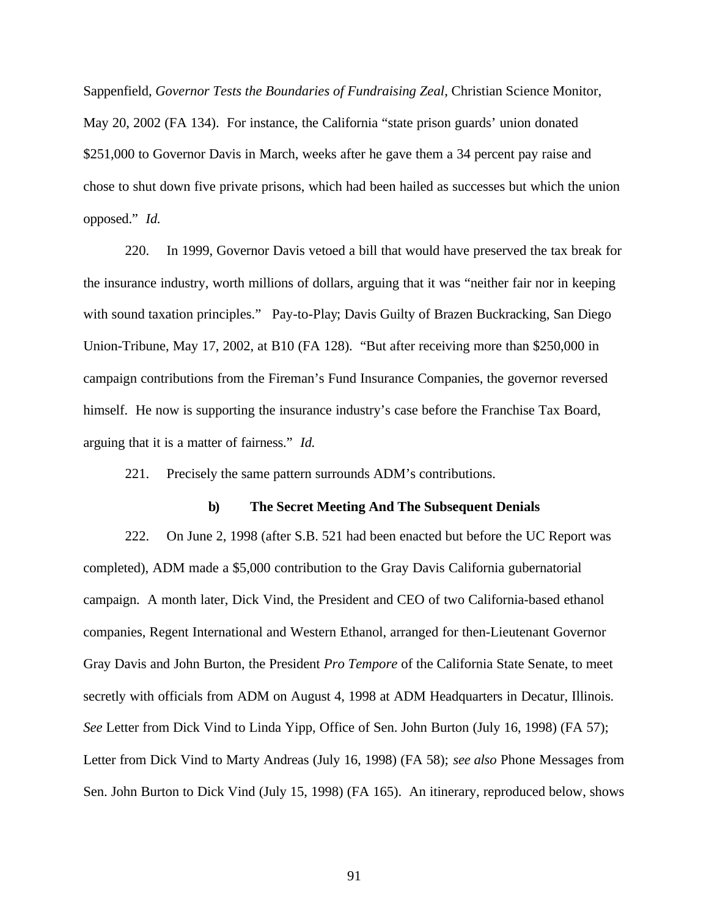Sappenfield, *Governor Tests the Boundaries of Fundraising Zeal*, Christian Science Monitor, May 20, 2002 (FA 134). For instance, the California "state prison guards' union donated \$251,000 to Governor Davis in March, weeks after he gave them a 34 percent pay raise and chose to shut down five private prisons, which had been hailed as successes but which the union opposed." *Id.*

220. In 1999, Governor Davis vetoed a bill that would have preserved the tax break for the insurance industry, worth millions of dollars, arguing that it was "neither fair nor in keeping with sound taxation principles." Pay-to-Play; Davis Guilty of Brazen Buckracking, San Diego Union-Tribune, May 17, 2002, at B10 (FA 128). "But after receiving more than \$250,000 in campaign contributions from the Fireman's Fund Insurance Companies, the governor reversed himself. He now is supporting the insurance industry's case before the Franchise Tax Board, arguing that it is a matter of fairness." *Id.*

221. Precisely the same pattern surrounds ADM's contributions.

#### **b) The Secret Meeting And The Subsequent Denials**

222. On June 2, 1998 (after S.B. 521 had been enacted but before the UC Report was completed), ADM made a \$5,000 contribution to the Gray Davis California gubernatorial campaign. A month later, Dick Vind, the President and CEO of two California-based ethanol companies, Regent International and Western Ethanol, arranged for then-Lieutenant Governor Gray Davis and John Burton, the President *Pro Tempore* of the California State Senate, to meet secretly with officials from ADM on August 4, 1998 at ADM Headquarters in Decatur, Illinois. *See* Letter from Dick Vind to Linda Yipp, Office of Sen. John Burton (July 16, 1998) (FA 57); Letter from Dick Vind to Marty Andreas (July 16, 1998) (FA 58); *see also* Phone Messages from Sen. John Burton to Dick Vind (July 15, 1998) (FA 165). An itinerary, reproduced below, shows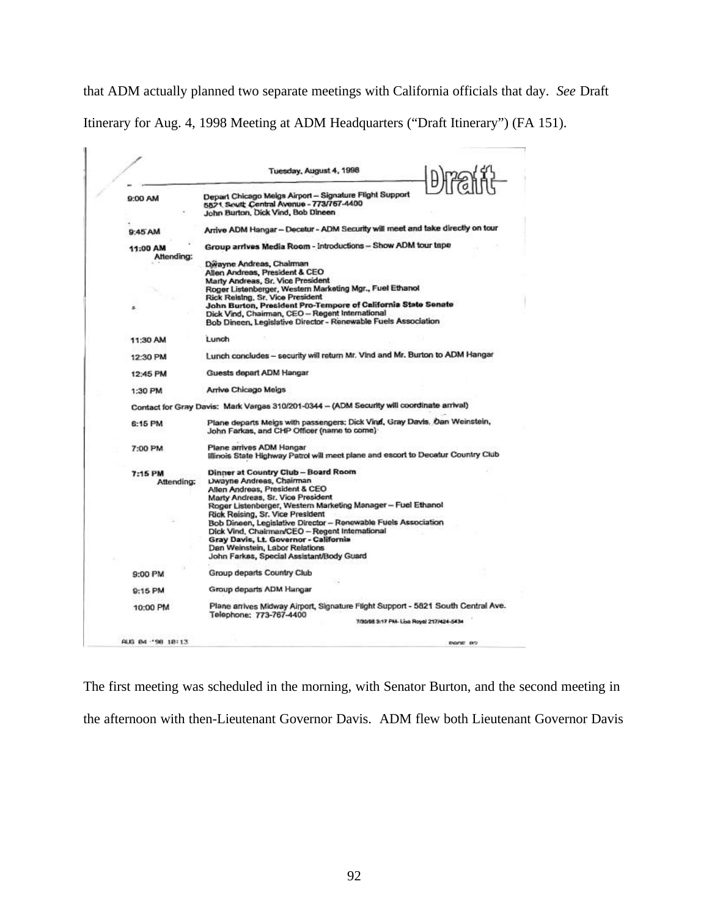that ADM actually planned two separate meetings with California officials that day. *See* Draft Itinerary for Aug. 4, 1998 Meeting at ADM Headquarters ("Draft Itinerary") (FA 151).

|                   | Tuesday, August 4, 1998<br><b>Diraifit</b>                                                                                 |
|-------------------|----------------------------------------------------------------------------------------------------------------------------|
| 9:00 AM           | Depart Chicago Meigs Airport - Signature Flight Support<br>5821 South Central Avenue - 773/767-4400                        |
|                   | John Burton, Dick Vind, Bob Dineen                                                                                         |
| 9:45 AM           | Arrive ADM Hangar - Decetur - ADM Security will meet and take directly on tour                                             |
| 11:00 AM          | Group arrives Media Room - Introductions - Show ADM tour tape                                                              |
| Attending:        | Dwayne Andreas, Chairman                                                                                                   |
|                   | Allen Andreas, President & CEO                                                                                             |
|                   | Marty Andreas, Sr. Vice President                                                                                          |
|                   | Roger Listenberger, Western Marketing Mgr., Fuel Ethanol                                                                   |
|                   | Rick Reising, Sr. Vice President<br>John Burton, President Pro-Tempore of California State Senate                          |
| z                 | Dick Vind, Chairman, CEO - Regent International                                                                            |
|                   | Bob Dineen, Legislative Director - Renewable Fuels Association                                                             |
| 11:30 AM          | Lunch                                                                                                                      |
| 12:30 PM          | Lunch concludes - security will return Mr. Vind and Mr. Burton to ADM Hangar                                               |
| 12:45 PM          | Guests depart ADM Hangar                                                                                                   |
| 1:30 PM           | Arrive Chicago Meigs                                                                                                       |
|                   | Contact for Gray Davis: Mark Vargas 310/201-0344 - (ADM Security will coordinate arrival)                                  |
| 6:15 PM           | Plane departs Meigs with passengers; Dick Vind, Gray Davis, Oan Weinstein,<br>John Farkas, and CHP Officer (name to come). |
| 7:00 PM           | Plane arrives ADM Hangar                                                                                                   |
|                   | Illinois State Highway Patrol will meet plane and escort to Decatur Country Club                                           |
| 7:15 PM           | Dinner at Country Club - Board Room                                                                                        |
| Attending:        | Dwayne Andreas, Chairman                                                                                                   |
|                   | Allen Andreas, President & CEO                                                                                             |
|                   | Marty Andreas, Sr. Vice President<br>Roger Listenberger, Western Marketing Manager -- Fuel Ethanol                         |
|                   | Rick Reising, Sr. Vice President                                                                                           |
|                   | Bob Dineen, Legislative Director - Renewable Fuels Association                                                             |
|                   | Dick Vind, Chairman/CEO - Regent International                                                                             |
|                   | Gray Davis, Lt. Governor - California                                                                                      |
|                   | Dan Weinstein, Labor Relations                                                                                             |
|                   | John Farkas, Special Assistant/Body Guard                                                                                  |
| 9:00 PM           | Group departs Country Club                                                                                                 |
| 9:15 PM           | Group departs ADM Hangar                                                                                                   |
| 10:00 PM          | Plane anives Midway Airport, Signature Flight Support - 5821 South Central Ave.                                            |
|                   | Telephone: 773-767-4400<br>7/30/98 S:17 PM- Lisa Royal 217/424-5434                                                        |
|                   |                                                                                                                            |
| AUG 84 - 98 18:13 | <b>BODE BO</b>                                                                                                             |

The first meeting was scheduled in the morning, with Senator Burton, and the second meeting in the afternoon with then-Lieutenant Governor Davis. ADM flew both Lieutenant Governor Davis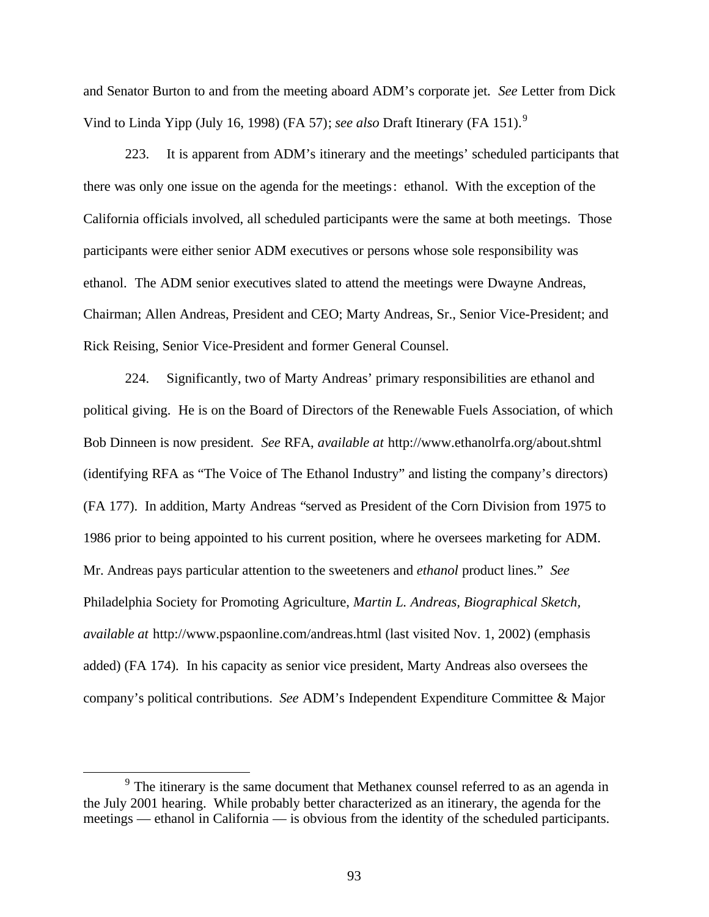and Senator Burton to and from the meeting aboard ADM's corporate jet. *See* Letter from Dick Vind to Linda Yipp (July 16, 1998) (FA 57); *see also* Draft Itinerary (FA 151).<sup>9</sup>

223. It is apparent from ADM's itinerary and the meetings' scheduled participants that there was only one issue on the agenda for the meetings: ethanol. With the exception of the California officials involved, all scheduled participants were the same at both meetings. Those participants were either senior ADM executives or persons whose sole responsibility was ethanol. The ADM senior executives slated to attend the meetings were Dwayne Andreas, Chairman; Allen Andreas, President and CEO; Marty Andreas, Sr., Senior Vice-President; and Rick Reising, Senior Vice-President and former General Counsel.

224. Significantly, two of Marty Andreas' primary responsibilities are ethanol and political giving. He is on the Board of Directors of the Renewable Fuels Association, of which Bob Dinneen is now president. *See* RFA, *available at* http://www.ethanolrfa.org/about.shtml (identifying RFA as "The Voice of The Ethanol Industry" and listing the company's directors) (FA 177). In addition, Marty Andreas "served as President of the Corn Division from 1975 to 1986 prior to being appointed to his current position, where he oversees marketing for ADM. Mr. Andreas pays particular attention to the sweeteners and *ethanol* product lines." *See* Philadelphia Society for Promoting Agriculture, *Martin L. Andreas, Biographical Sketch, available at* http://www.pspaonline.com/andreas.html (last visited Nov. 1, 2002) (emphasis added) (FA 174). In his capacity as senior vice president, Marty Andreas also oversees the company's political contributions. *See* ADM's Independent Expenditure Committee & Major

 $\overline{a}$ 

 $9<sup>9</sup>$  The itinerary is the same document that Methanex counsel referred to as an agenda in the July 2001 hearing. While probably better characterized as an itinerary, the agenda for the meetings — ethanol in California — is obvious from the identity of the scheduled participants.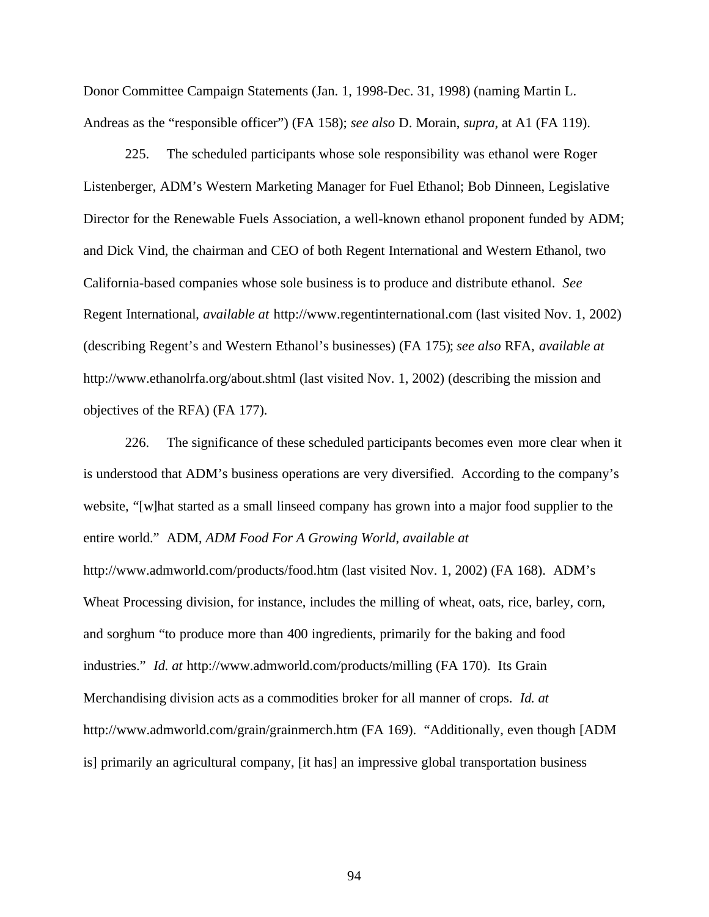Donor Committee Campaign Statements (Jan. 1, 1998-Dec. 31, 1998) (naming Martin L. Andreas as the "responsible officer") (FA 158); *see also* D. Morain, *supra*, at A1 (FA 119).

225. The scheduled participants whose sole responsibility was ethanol were Roger Listenberger, ADM's Western Marketing Manager for Fuel Ethanol; Bob Dinneen, Legislative Director for the Renewable Fuels Association, a well-known ethanol proponent funded by ADM; and Dick Vind, the chairman and CEO of both Regent International and Western Ethanol, two California-based companies whose sole business is to produce and distribute ethanol. *See* Regent International, *available at* http://www.regentinternational.com (last visited Nov. 1, 2002) (describing Regent's and Western Ethanol's businesses) (FA 175); *see also* RFA, *available at* http://www.ethanolrfa.org/about.shtml (last visited Nov. 1, 2002) (describing the mission and objectives of the RFA) (FA 177).

226. The significance of these scheduled participants becomes even more clear when it is understood that ADM's business operations are very diversified. According to the company's website, "[w]hat started as a small linseed company has grown into a major food supplier to the entire world." ADM, *ADM Food For A Growing World*, *available at*

http://www.admworld.com/products/food.htm (last visited Nov. 1, 2002) (FA 168). ADM's Wheat Processing division, for instance, includes the milling of wheat, oats, rice, barley, corn, and sorghum "to produce more than 400 ingredients, primarily for the baking and food industries." *Id. at* http://www.admworld.com/products/milling (FA 170). Its Grain Merchandising division acts as a commodities broker for all manner of crops. *Id. at* http://www.admworld.com/grain/grainmerch.htm (FA 169). "Additionally, even though [ADM is] primarily an agricultural company, [it has] an impressive global transportation business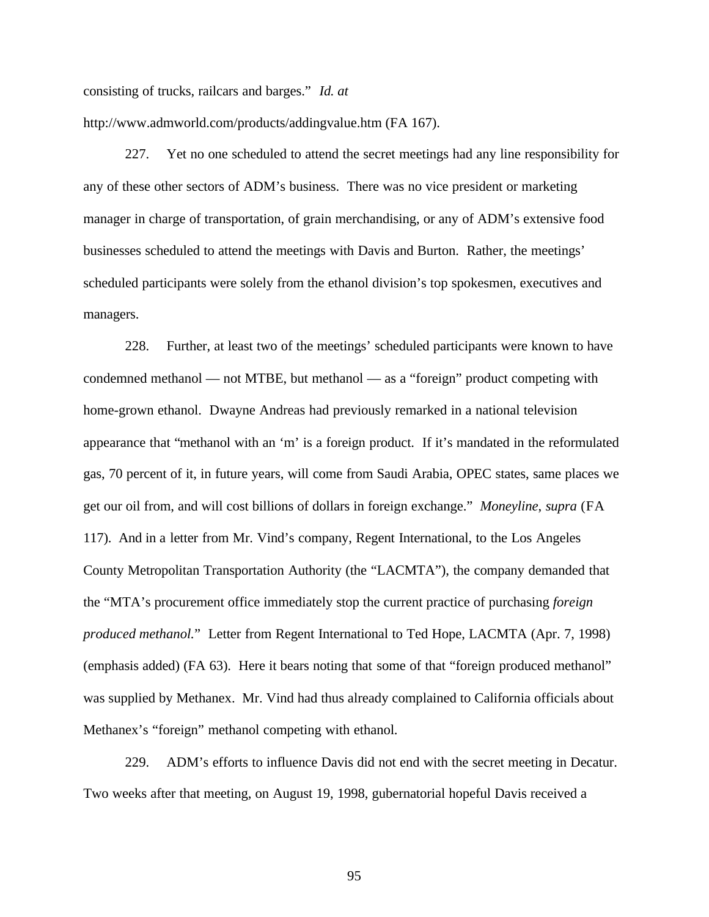consisting of trucks, railcars and barges." *Id. at*

http://www.admworld.com/products/addingvalue.htm (FA 167).

227. Yet no one scheduled to attend the secret meetings had any line responsibility for any of these other sectors of ADM's business. There was no vice president or marketing manager in charge of transportation, of grain merchandising, or any of ADM's extensive food businesses scheduled to attend the meetings with Davis and Burton. Rather, the meetings' scheduled participants were solely from the ethanol division's top spokesmen, executives and managers.

228. Further, at least two of the meetings' scheduled participants were known to have condemned methanol — not MTBE, but methanol — as a "foreign" product competing with home-grown ethanol. Dwayne Andreas had previously remarked in a national television appearance that "methanol with an 'm' is a foreign product. If it's mandated in the reformulated gas, 70 percent of it, in future years, will come from Saudi Arabia, OPEC states, same places we get our oil from, and will cost billions of dollars in foreign exchange." *Moneyline*, *supra* (FA 117). And in a letter from Mr. Vind's company, Regent International, to the Los Angeles County Metropolitan Transportation Authority (the "LACMTA"), the company demanded that the "MTA's procurement office immediately stop the current practice of purchasing *foreign produced methanol.*" Letter from Regent International to Ted Hope, LACMTA (Apr. 7, 1998) (emphasis added) (FA 63). Here it bears noting that some of that "foreign produced methanol" was supplied by Methanex. Mr. Vind had thus already complained to California officials about Methanex's "foreign" methanol competing with ethanol.

229. ADM's efforts to influence Davis did not end with the secret meeting in Decatur. Two weeks after that meeting, on August 19, 1998, gubernatorial hopeful Davis received a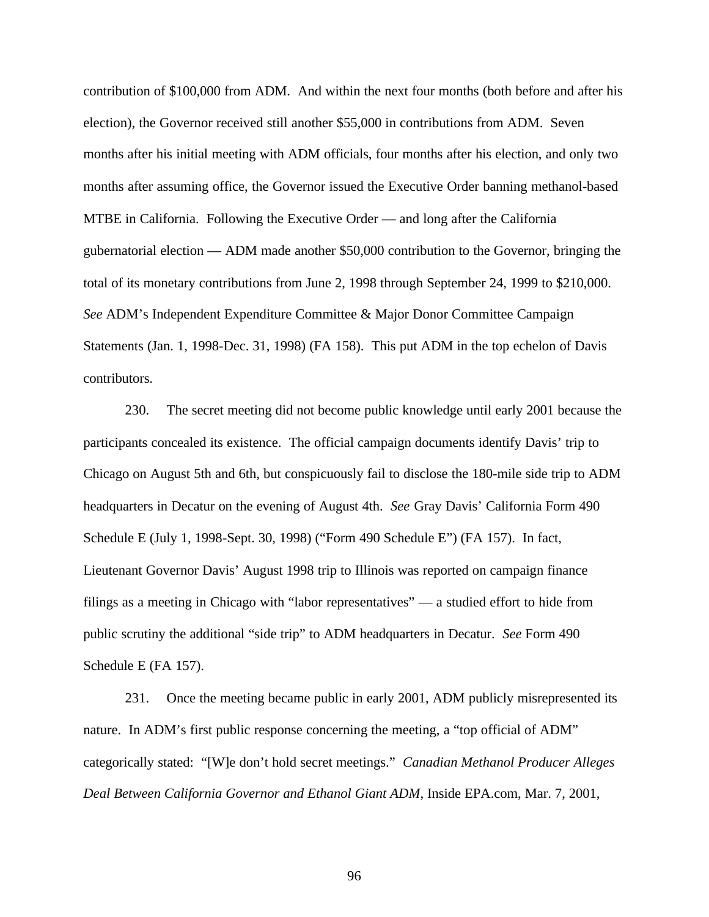contribution of \$100,000 from ADM. And within the next four months (both before and after his election), the Governor received still another \$55,000 in contributions from ADM. Seven months after his initial meeting with ADM officials, four months after his election, and only two months after assuming office, the Governor issued the Executive Order banning methanol-based MTBE in California. Following the Executive Order — and long after the California gubernatorial election — ADM made another \$50,000 contribution to the Governor, bringing the total of its monetary contributions from June 2, 1998 through September 24, 1999 to \$210,000. *See* ADM's Independent Expenditure Committee & Major Donor Committee Campaign Statements (Jan. 1, 1998-Dec. 31, 1998) (FA 158). This put ADM in the top echelon of Davis contributors.

230. The secret meeting did not become public knowledge until early 2001 because the participants concealed its existence. The official campaign documents identify Davis' trip to Chicago on August 5th and 6th, but conspicuously fail to disclose the 180-mile side trip to ADM headquarters in Decatur on the evening of August 4th. *See* Gray Davis' California Form 490 Schedule E (July 1, 1998-Sept. 30, 1998) ("Form 490 Schedule E") (FA 157). In fact, Lieutenant Governor Davis' August 1998 trip to Illinois was reported on campaign finance filings as a meeting in Chicago with "labor representatives" — a studied effort to hide from public scrutiny the additional "side trip" to ADM headquarters in Decatur. *See* Form 490 Schedule E (FA 157).

231. Once the meeting became public in early 2001, ADM publicly misrepresented its nature. In ADM's first public response concerning the meeting, a "top official of ADM" categorically stated: "[W]e don't hold secret meetings." *Canadian Methanol Producer Alleges Deal Between California Governor and Ethanol Giant ADM*, Inside EPA.com, Mar. 7, 2001,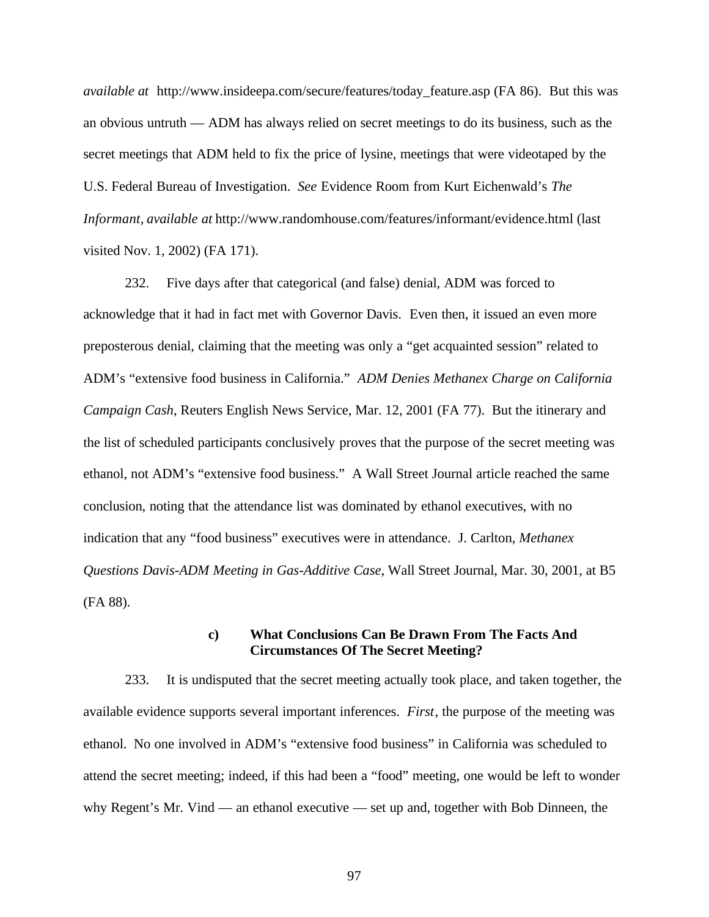*available at* http://www.insideepa.com/secure/features/today\_feature.asp (FA 86). But this was an obvious untruth — ADM has always relied on secret meetings to do its business, such as the secret meetings that ADM held to fix the price of lysine, meetings that were videotaped by the U.S. Federal Bureau of Investigation. *See* Evidence Room from Kurt Eichenwald's *The Informant, available at* http://www.randomhouse.com/features/informant/evidence.html (last visited Nov. 1, 2002) (FA 171).

232. Five days after that categorical (and false) denial, ADM was forced to acknowledge that it had in fact met with Governor Davis. Even then, it issued an even more preposterous denial, claiming that the meeting was only a "get acquainted session" related to ADM's "extensive food business in California." *ADM Denies Methanex Charge on California Campaign Cash*, Reuters English News Service, Mar. 12, 2001 (FA 77). But the itinerary and the list of scheduled participants conclusively proves that the purpose of the secret meeting was ethanol, not ADM's "extensive food business." A Wall Street Journal article reached the same conclusion, noting that the attendance list was dominated by ethanol executives, with no indication that any "food business" executives were in attendance. J. Carlton, *Methanex Questions Davis-ADM Meeting in Gas-Additive Case*, Wall Street Journal, Mar. 30, 2001, at B5 (FA 88).

#### **c) What Conclusions Can Be Drawn From The Facts And Circumstances Of The Secret Meeting?**

233. It is undisputed that the secret meeting actually took place, and taken together, the available evidence supports several important inferences. *First*, the purpose of the meeting was ethanol. No one involved in ADM's "extensive food business" in California was scheduled to attend the secret meeting; indeed, if this had been a "food" meeting, one would be left to wonder why Regent's Mr. Vind — an ethanol executive — set up and, together with Bob Dinneen, the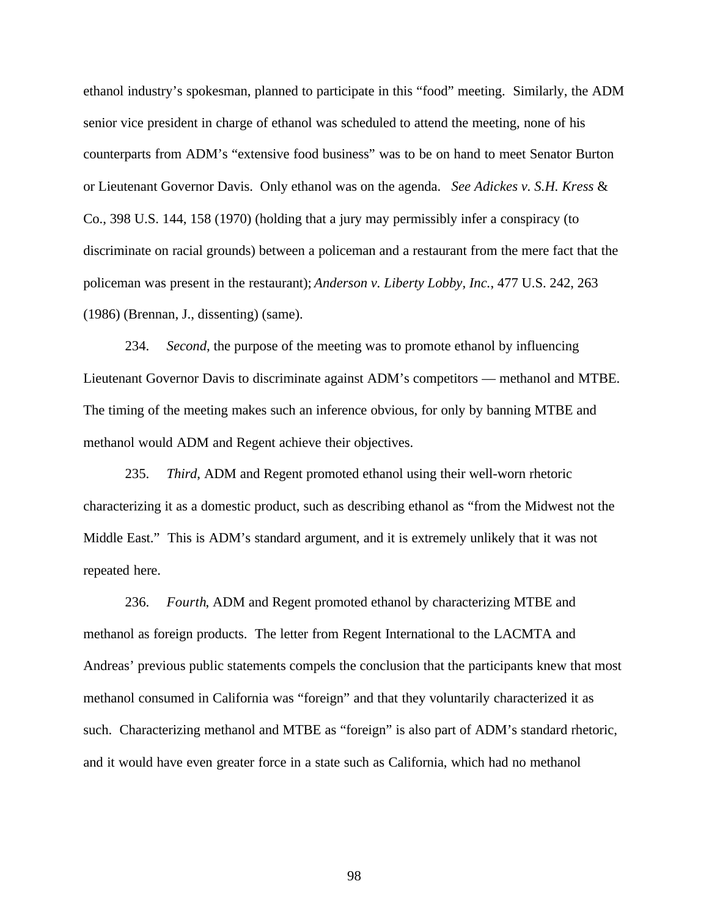ethanol industry's spokesman, planned to participate in this "food" meeting. Similarly, the ADM senior vice president in charge of ethanol was scheduled to attend the meeting, none of his counterparts from ADM's "extensive food business" was to be on hand to meet Senator Burton or Lieutenant Governor Davis. Only ethanol was on the agenda. *See Adickes v. S.H. Kress* & Co., 398 U.S. 144, 158 (1970) (holding that a jury may permissibly infer a conspiracy (to discriminate on racial grounds) between a policeman and a restaurant from the mere fact that the policeman was present in the restaurant); *Anderson v. Liberty Lobby, Inc.*, 477 U.S. 242, 263 (1986) (Brennan, J., dissenting) (same).

234. *Second*, the purpose of the meeting was to promote ethanol by influencing Lieutenant Governor Davis to discriminate against ADM's competitors — methanol and MTBE. The timing of the meeting makes such an inference obvious, for only by banning MTBE and methanol would ADM and Regent achieve their objectives.

235. *Third*, ADM and Regent promoted ethanol using their well-worn rhetoric characterizing it as a domestic product, such as describing ethanol as "from the Midwest not the Middle East." This is ADM's standard argument, and it is extremely unlikely that it was not repeated here.

236. *Fourth*, ADM and Regent promoted ethanol by characterizing MTBE and methanol as foreign products. The letter from Regent International to the LACMTA and Andreas' previous public statements compels the conclusion that the participants knew that most methanol consumed in California was "foreign" and that they voluntarily characterized it as such. Characterizing methanol and MTBE as "foreign" is also part of ADM's standard rhetoric, and it would have even greater force in a state such as California, which had no methanol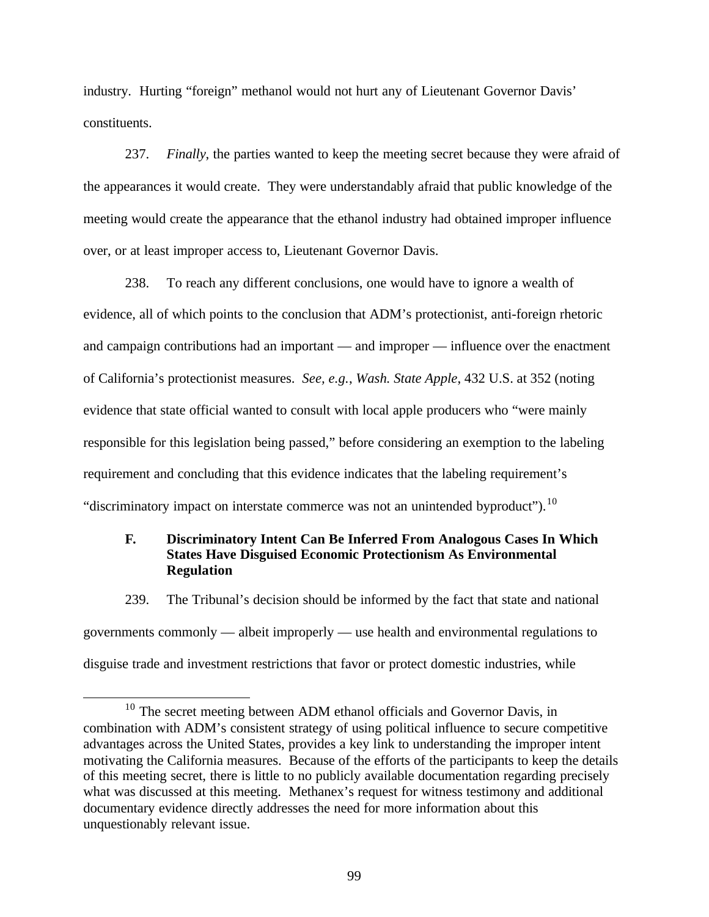industry. Hurting "foreign" methanol would not hurt any of Lieutenant Governor Davis' constituents.

237. *Finally*, the parties wanted to keep the meeting secret because they were afraid of the appearances it would create. They were understandably afraid that public knowledge of the meeting would create the appearance that the ethanol industry had obtained improper influence over, or at least improper access to, Lieutenant Governor Davis.

238. To reach any different conclusions, one would have to ignore a wealth of evidence, all of which points to the conclusion that ADM's protectionist, anti-foreign rhetoric and campaign contributions had an important — and improper — influence over the enactment of California's protectionist measures. *See, e.g.*, *Wash. State Apple*, 432 U.S. at 352 (noting evidence that state official wanted to consult with local apple producers who "were mainly responsible for this legislation being passed," before considering an exemption to the labeling requirement and concluding that this evidence indicates that the labeling requirement's "discriminatory impact on interstate commerce was not an unintended byproduct").<sup>10</sup>

## **F. Discriminatory Intent Can Be Inferred From Analogous Cases In Which States Have Disguised Economic Protectionism As Environmental Regulation**

239. The Tribunal's decision should be informed by the fact that state and national governments commonly — albeit improperly — use health and environmental regulations to disguise trade and investment restrictions that favor or protect domestic industries, while

 $\overline{a}$ 

<sup>&</sup>lt;sup>10</sup> The secret meeting between ADM ethanol officials and Governor Davis, in combination with ADM's consistent strategy of using political influence to secure competitive advantages across the United States, provides a key link to understanding the improper intent motivating the California measures. Because of the efforts of the participants to keep the details of this meeting secret, there is little to no publicly available documentation regarding precisely what was discussed at this meeting. Methanex's request for witness testimony and additional documentary evidence directly addresses the need for more information about this unquestionably relevant issue.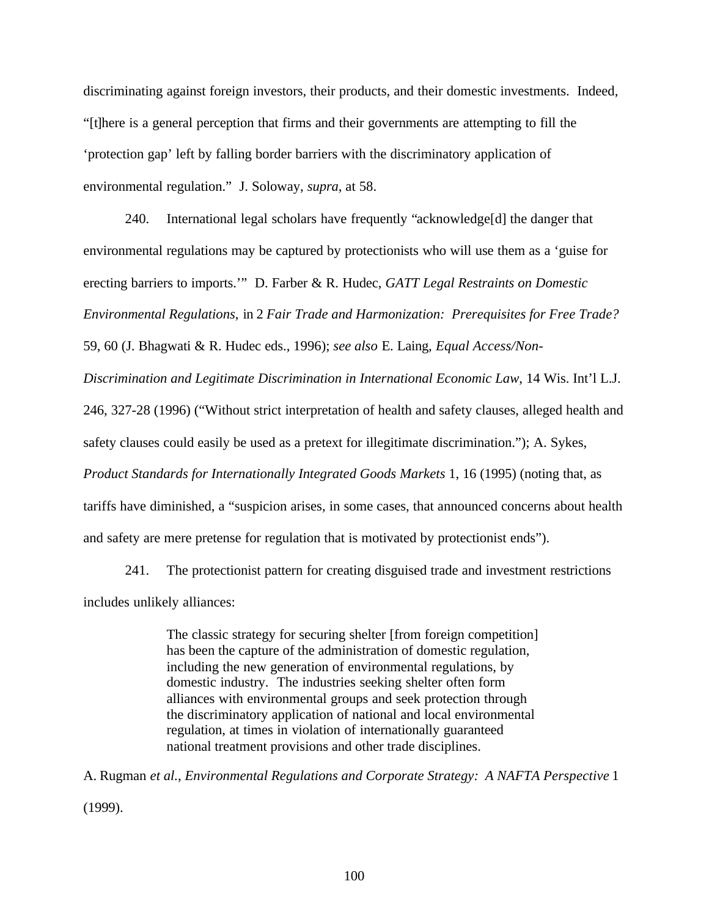discriminating against foreign investors, their products, and their domestic investments. Indeed, "[t]here is a general perception that firms and their governments are attempting to fill the 'protection gap' left by falling border barriers with the discriminatory application of environmental regulation." J. Soloway, *supra*, at 58.

240. International legal scholars have frequently "acknowledge[d] the danger that environmental regulations may be captured by protectionists who will use them as a 'guise for erecting barriers to imports.'" D. Farber & R. Hudec, *GATT Legal Restraints on Domestic Environmental Regulations*, in 2 *Fair Trade and Harmonization: Prerequisites for Free Trade?*

59, 60 (J. Bhagwati & R. Hudec eds., 1996); *see also* E. Laing, *Equal Access/Non-*

*Discrimination and Legitimate Discrimination in International Economic Law*, 14 Wis. Int'l L.J.

246, 327-28 (1996) ("Without strict interpretation of health and safety clauses, alleged health and

safety clauses could easily be used as a pretext for illegitimate discrimination."); A. Sykes,

*Product Standards for Internationally Integrated Goods Markets* 1, 16 (1995) (noting that, as

tariffs have diminished, a "suspicion arises, in some cases, that announced concerns about health

and safety are mere pretense for regulation that is motivated by protectionist ends").

241. The protectionist pattern for creating disguised trade and investment restrictions includes unlikely alliances:

> The classic strategy for securing shelter [from foreign competition] has been the capture of the administration of domestic regulation, including the new generation of environmental regulations, by domestic industry. The industries seeking shelter often form alliances with environmental groups and seek protection through the discriminatory application of national and local environmental regulation, at times in violation of internationally guaranteed national treatment provisions and other trade disciplines.

A. Rugman *et al.*, *Environmental Regulations and Corporate Strategy: A NAFTA Perspective* 1 (1999).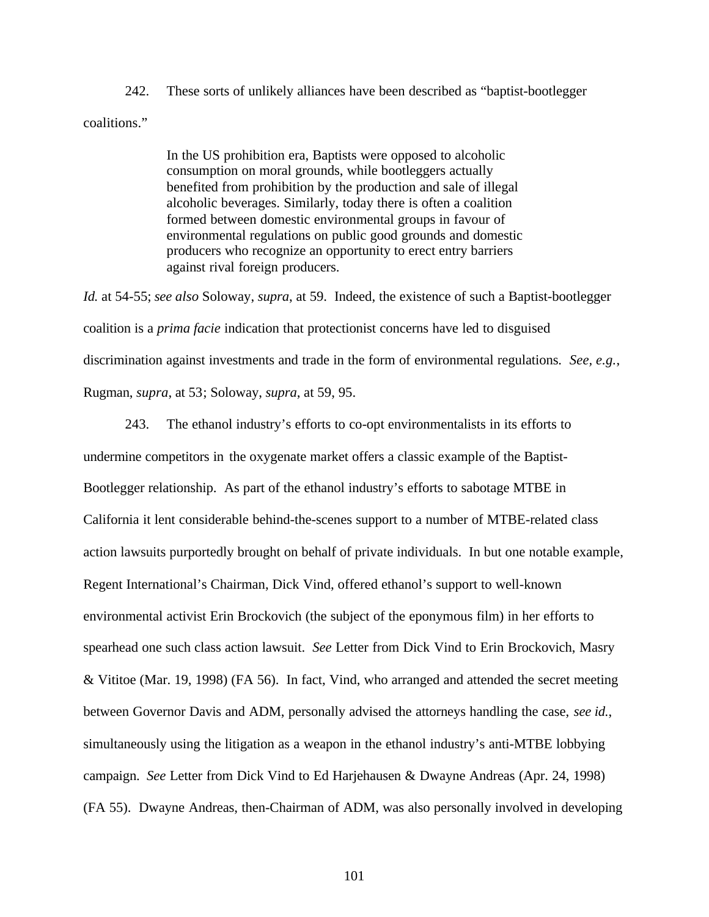242. These sorts of unlikely alliances have been described as "baptist-bootlegger coalitions."

> In the US prohibition era, Baptists were opposed to alcoholic consumption on moral grounds, while bootleggers actually benefited from prohibition by the production and sale of illegal alcoholic beverages. Similarly, today there is often a coalition formed between domestic environmental groups in favour of environmental regulations on public good grounds and domestic producers who recognize an opportunity to erect entry barriers against rival foreign producers.

*Id.* at 54-55; *see also* Soloway, *supra*, at 59. Indeed, the existence of such a Baptist-bootlegger coalition is a *prima facie* indication that protectionist concerns have led to disguised discrimination against investments and trade in the form of environmental regulations. *See, e.g.*, Rugman, *supra*, at 53; Soloway, *supra*, at 59, 95.

243. The ethanol industry's efforts to co-opt environmentalists in its efforts to undermine competitors in the oxygenate market offers a classic example of the Baptist-Bootlegger relationship. As part of the ethanol industry's efforts to sabotage MTBE in California it lent considerable behind-the-scenes support to a number of MTBE-related class action lawsuits purportedly brought on behalf of private individuals. In but one notable example, Regent International's Chairman, Dick Vind, offered ethanol's support to well-known environmental activist Erin Brockovich (the subject of the eponymous film) in her efforts to spearhead one such class action lawsuit. *See* Letter from Dick Vind to Erin Brockovich, Masry & Vititoe (Mar. 19, 1998) (FA 56). In fact, Vind, who arranged and attended the secret meeting between Governor Davis and ADM, personally advised the attorneys handling the case, *see id.*, simultaneously using the litigation as a weapon in the ethanol industry's anti-MTBE lobbying campaign. *See* Letter from Dick Vind to Ed Harjehausen & Dwayne Andreas (Apr. 24, 1998) (FA 55). Dwayne Andreas, then-Chairman of ADM, was also personally involved in developing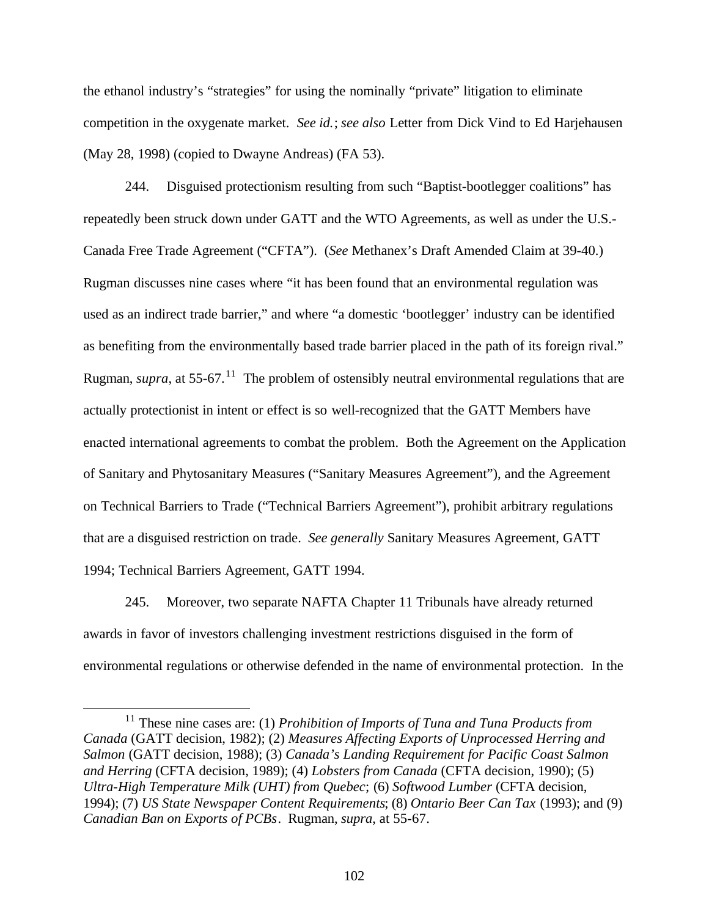the ethanol industry's "strategies" for using the nominally "private" litigation to eliminate competition in the oxygenate market. *See id.*; *see also* Letter from Dick Vind to Ed Harjehausen (May 28, 1998) (copied to Dwayne Andreas) (FA 53).

244. Disguised protectionism resulting from such "Baptist-bootlegger coalitions" has repeatedly been struck down under GATT and the WTO Agreements, as well as under the U.S.- Canada Free Trade Agreement ("CFTA"). (*See* Methanex's Draft Amended Claim at 39-40.) Rugman discusses nine cases where "it has been found that an environmental regulation was used as an indirect trade barrier," and where "a domestic 'bootlegger' industry can be identified as benefiting from the environmentally based trade barrier placed in the path of its foreign rival." Rugman, *supra*, at 55-67.<sup>11</sup> The problem of ostensibly neutral environmental regulations that are actually protectionist in intent or effect is so well-recognized that the GATT Members have enacted international agreements to combat the problem. Both the Agreement on the Application of Sanitary and Phytosanitary Measures ("Sanitary Measures Agreement"), and the Agreement on Technical Barriers to Trade ("Technical Barriers Agreement"), prohibit arbitrary regulations that are a disguised restriction on trade. *See generally* Sanitary Measures Agreement, GATT 1994; Technical Barriers Agreement, GATT 1994.

245. Moreover, two separate NAFTA Chapter 11 Tribunals have already returned awards in favor of investors challenging investment restrictions disguised in the form of environmental regulations or otherwise defended in the name of environmental protection. In the

 $\overline{a}$ 

<sup>11</sup> These nine cases are: (1) *Prohibition of Imports of Tuna and Tuna Products from Canada* (GATT decision, 1982); (2) *Measures Affecting Exports of Unprocessed Herring and Salmon* (GATT decision, 1988); (3) *Canada's Landing Requirement for Pacific Coast Salmon and Herring* (CFTA decision, 1989); (4) *Lobsters from Canada* (CFTA decision, 1990); (5) *Ultra-High Temperature Milk (UHT) from Quebec*; (6) *Softwood Lumber* (CFTA decision, 1994); (7) *US State Newspaper Content Requirements*; (8) *Ontario Beer Can Tax* (1993); and (9) *Canadian Ban on Exports of PCBs*. Rugman, *supra*, at 55-67.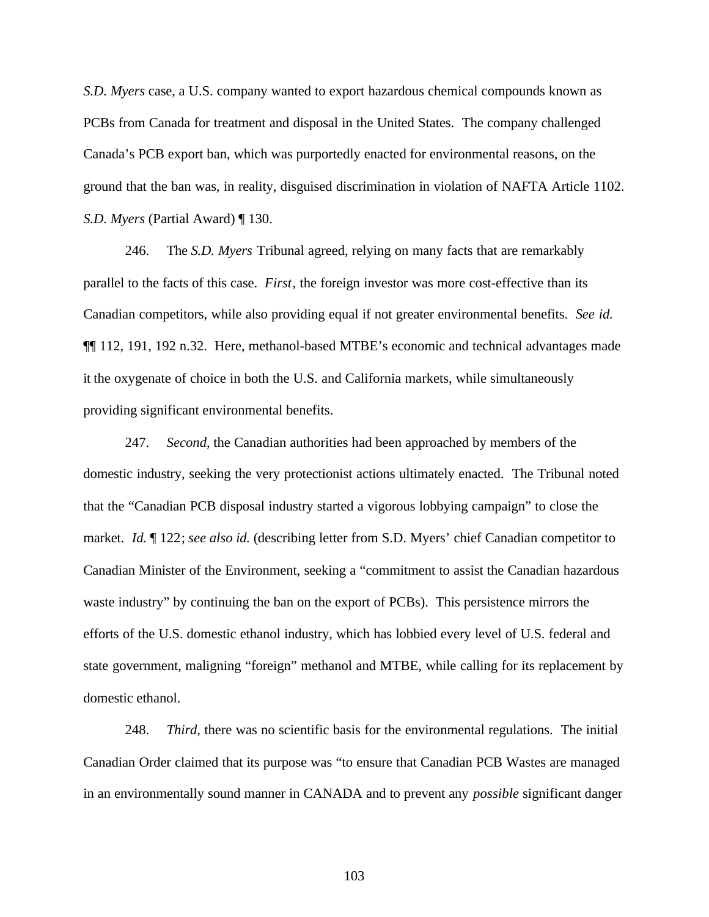*S.D. Myers* case, a U.S. company wanted to export hazardous chemical compounds known as PCBs from Canada for treatment and disposal in the United States. The company challenged Canada's PCB export ban, which was purportedly enacted for environmental reasons, on the ground that the ban was, in reality, disguised discrimination in violation of NAFTA Article 1102. *S.D. Myers* (Partial Award) ¶ 130.

246. The *S.D. Myers* Tribunal agreed, relying on many facts that are remarkably parallel to the facts of this case. *First*, the foreign investor was more cost-effective than its Canadian competitors, while also providing equal if not greater environmental benefits. *See id.* ¶¶ 112, 191, 192 n.32. Here, methanol-based MTBE's economic and technical advantages made it the oxygenate of choice in both the U.S. and California markets, while simultaneously providing significant environmental benefits.

247. *Second*, the Canadian authorities had been approached by members of the domestic industry, seeking the very protectionist actions ultimately enacted. The Tribunal noted that the "Canadian PCB disposal industry started a vigorous lobbying campaign" to close the market. *Id.* ¶ 122; *see also id.* (describing letter from S.D. Myers' chief Canadian competitor to Canadian Minister of the Environment, seeking a "commitment to assist the Canadian hazardous waste industry" by continuing the ban on the export of PCBs). This persistence mirrors the efforts of the U.S. domestic ethanol industry, which has lobbied every level of U.S. federal and state government, maligning "foreign" methanol and MTBE, while calling for its replacement by domestic ethanol.

248. *Third*, there was no scientific basis for the environmental regulations. The initial Canadian Order claimed that its purpose was "to ensure that Canadian PCB Wastes are managed in an environmentally sound manner in CANADA and to prevent any *possible* significant danger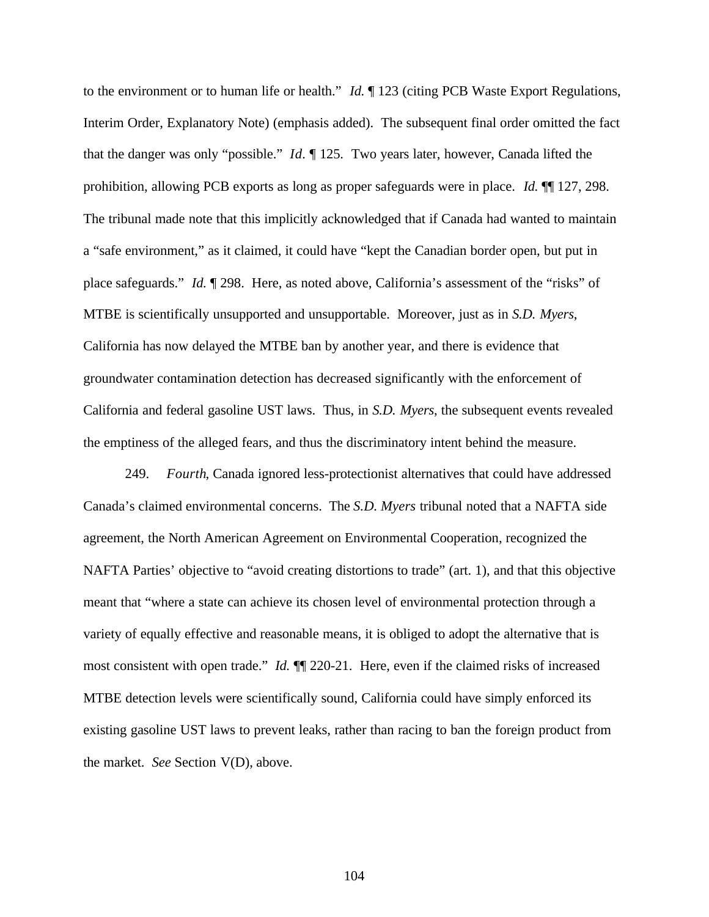to the environment or to human life or health." *Id.* ¶ 123 (citing PCB Waste Export Regulations, Interim Order, Explanatory Note) (emphasis added). The subsequent final order omitted the fact that the danger was only "possible." *Id.* ¶ 125. Two years later, however, Canada lifted the prohibition, allowing PCB exports as long as proper safeguards were in place. *Id.* ¶¶ 127, 298. The tribunal made note that this implicitly acknowledged that if Canada had wanted to maintain a "safe environment," as it claimed, it could have "kept the Canadian border open, but put in place safeguards." *Id.* ¶ 298. Here, as noted above, California's assessment of the "risks" of MTBE is scientifically unsupported and unsupportable. Moreover, just as in *S.D. Myers*, California has now delayed the MTBE ban by another year, and there is evidence that groundwater contamination detection has decreased significantly with the enforcement of California and federal gasoline UST laws. Thus, in *S.D. Myers*, the subsequent events revealed the emptiness of the alleged fears, and thus the discriminatory intent behind the measure.

249. *Fourth*, Canada ignored less-protectionist alternatives that could have addressed Canada's claimed environmental concerns. The *S.D. Myers* tribunal noted that a NAFTA side agreement, the North American Agreement on Environmental Cooperation, recognized the NAFTA Parties' objective to "avoid creating distortions to trade" (art. 1), and that this objective meant that "where a state can achieve its chosen level of environmental protection through a variety of equally effective and reasonable means, it is obliged to adopt the alternative that is most consistent with open trade." *Id.* ¶¶ 220-21. Here, even if the claimed risks of increased MTBE detection levels were scientifically sound, California could have simply enforced its existing gasoline UST laws to prevent leaks, rather than racing to ban the foreign product from the market. *See* Section V(D), above.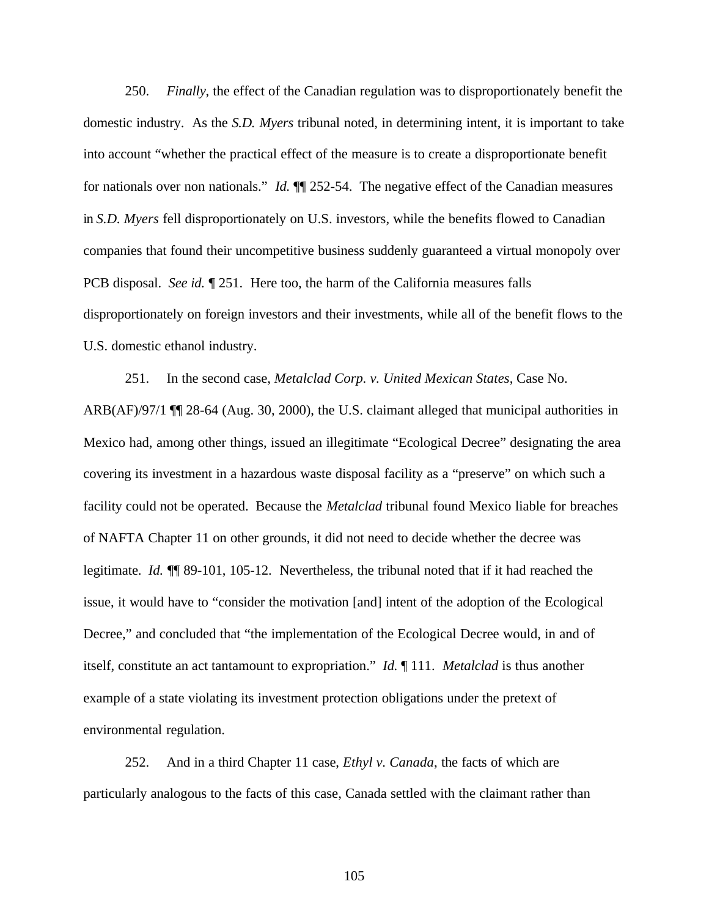250. *Finally*, the effect of the Canadian regulation was to disproportionately benefit the domestic industry. As the *S.D. Myers* tribunal noted, in determining intent, it is important to take into account "whether the practical effect of the measure is to create a disproportionate benefit for nationals over non nationals." *Id.* ¶¶ 252-54. The negative effect of the Canadian measures in *S.D. Myers* fell disproportionately on U.S. investors, while the benefits flowed to Canadian companies that found their uncompetitive business suddenly guaranteed a virtual monopoly over PCB disposal. *See id.* ¶ 251. Here too, the harm of the California measures falls disproportionately on foreign investors and their investments, while all of the benefit flows to the U.S. domestic ethanol industry.

251. In the second case, *Metalclad Corp. v. United Mexican States*, Case No. ARB(AF)/97/1 ¶¶ 28-64 (Aug. 30, 2000), the U.S. claimant alleged that municipal authorities in Mexico had, among other things, issued an illegitimate "Ecological Decree" designating the area covering its investment in a hazardous waste disposal facility as a "preserve" on which such a facility could not be operated. Because the *Metalclad* tribunal found Mexico liable for breaches of NAFTA Chapter 11 on other grounds, it did not need to decide whether the decree was legitimate. *Id.* ¶¶ 89-101, 105-12. Nevertheless, the tribunal noted that if it had reached the issue, it would have to "consider the motivation [and] intent of the adoption of the Ecological Decree," and concluded that "the implementation of the Ecological Decree would, in and of itself, constitute an act tantamount to expropriation." *Id.* ¶ 111. *Metalclad* is thus another example of a state violating its investment protection obligations under the pretext of environmental regulation.

252. And in a third Chapter 11 case, *Ethyl v. Canada*, the facts of which are particularly analogous to the facts of this case, Canada settled with the claimant rather than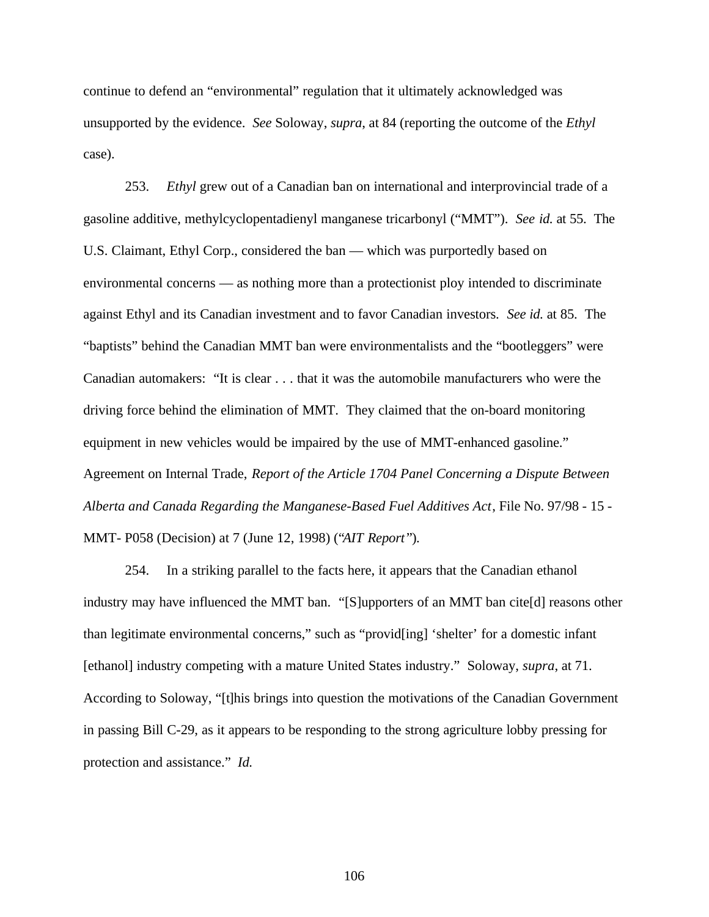continue to defend an "environmental" regulation that it ultimately acknowledged was unsupported by the evidence. *See* Soloway, *supra*, at 84 (reporting the outcome of the *Ethyl* case).

253. *Ethyl* grew out of a Canadian ban on international and interprovincial trade of a gasoline additive, methylcyclopentadienyl manganese tricarbonyl ("MMT"). *See id.* at 55. The U.S. Claimant, Ethyl Corp., considered the ban — which was purportedly based on environmental concerns — as nothing more than a protectionist ploy intended to discriminate against Ethyl and its Canadian investment and to favor Canadian investors. *See id.* at 85. The "baptists" behind the Canadian MMT ban were environmentalists and the "bootleggers" were Canadian automakers: "It is clear . . . that it was the automobile manufacturers who were the driving force behind the elimination of MMT. They claimed that the on-board monitoring equipment in new vehicles would be impaired by the use of MMT-enhanced gasoline." Agreement on Internal Trade, *Report of the Article 1704 Panel Concerning a Dispute Between Alberta and Canada Regarding the Manganese-Based Fuel Additives Act*, File No. 97/98 - 15 - MMT- P058 (Decision) at 7 (June 12, 1998) ("*AIT Report* ").

254. In a striking parallel to the facts here, it appears that the Canadian ethanol industry may have influenced the MMT ban. "[S]upporters of an MMT ban cite[d] reasons other than legitimate environmental concerns," such as "provid[ing] 'shelter' for a domestic infant [ethanol] industry competing with a mature United States industry." Soloway, *supra*, at 71. According to Soloway, "[t]his brings into question the motivations of the Canadian Government in passing Bill C-29, as it appears to be responding to the strong agriculture lobby pressing for protection and assistance." *Id.*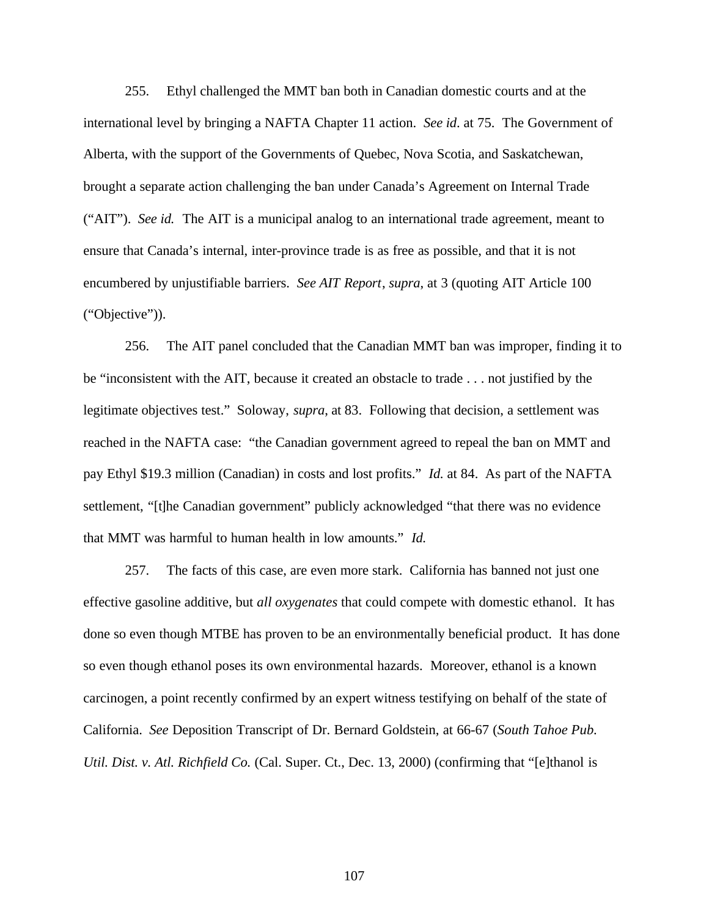255. Ethyl challenged the MMT ban both in Canadian domestic courts and at the international level by bringing a NAFTA Chapter 11 action. *See id*. at 75. The Government of Alberta, with the support of the Governments of Quebec, Nova Scotia, and Saskatchewan, brought a separate action challenging the ban under Canada's Agreement on Internal Trade ("AIT"). *See id.* The AIT is a municipal analog to an international trade agreement, meant to ensure that Canada's internal, inter-province trade is as free as possible, and that it is not encumbered by unjustifiable barriers. *See AIT Report*, *supra*, at 3 (quoting AIT Article 100 ("Objective")).

256. The AIT panel concluded that the Canadian MMT ban was improper, finding it to be "inconsistent with the AIT, because it created an obstacle to trade . . . not justified by the legitimate objectives test." Soloway, *supra*, at 83. Following that decision, a settlement was reached in the NAFTA case: "the Canadian government agreed to repeal the ban on MMT and pay Ethyl \$19.3 million (Canadian) in costs and lost profits." *Id.* at 84. As part of the NAFTA settlement, "[t]he Canadian government" publicly acknowledged "that there was no evidence that MMT was harmful to human health in low amounts." *Id.*

257. The facts of this case, are even more stark. California has banned not just one effective gasoline additive, but *all oxygenates* that could compete with domestic ethanol. It has done so even though MTBE has proven to be an environmentally beneficial product. It has done so even though ethanol poses its own environmental hazards. Moreover, ethanol is a known carcinogen, a point recently confirmed by an expert witness testifying on behalf of the state of California. *See* Deposition Transcript of Dr. Bernard Goldstein, at 66-67 (*South Tahoe Pub. Util. Dist. v. Atl. Richfield Co.* (Cal. Super. Ct., Dec. 13, 2000) (confirming that "[e]thanol is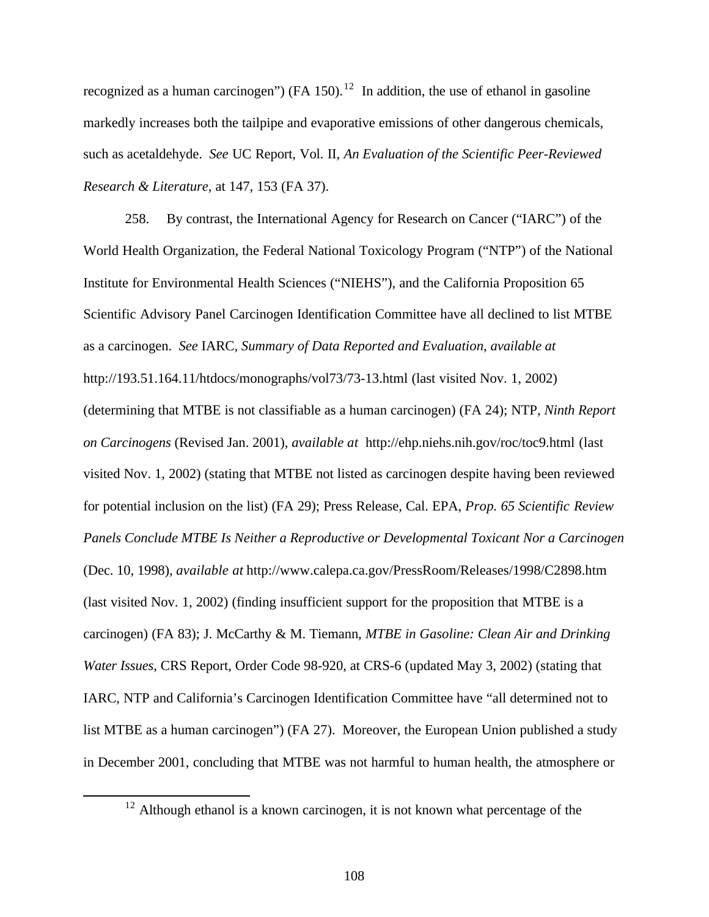recognized as a human carcinogen") (FA 150).<sup>12</sup> In addition, the use of ethanol in gasoline markedly increases both the tailpipe and evaporative emissions of other dangerous chemicals, such as acetaldehyde. *See* UC Report, Vol. II, *An Evaluation of the Scientific Peer-Reviewed Research & Literature*, at 147, 153 (FA 37).

258. By contrast, the International Agency for Research on Cancer ("IARC") of the World Health Organization, the Federal National Toxicology Program ("NTP") of the National Institute for Environmental Health Sciences ("NIEHS"), and the California Proposition 65 Scientific Advisory Panel Carcinogen Identification Committee have all declined to list MTBE as a carcinogen. *See* IARC, *Summary of Data Reported and Evaluation*, *available at* http://193.51.164.11/htdocs/monographs/vol73/73-13.html (last visited Nov. 1, 2002) (determining that MTBE is not classifiable as a human carcinogen) (FA 24); NTP, *Ninth Report on Carcinogens* (Revised Jan. 2001), *available at* http://ehp.niehs.nih.gov/roc/toc9.html (last visited Nov. 1, 2002) (stating that MTBE not listed as carcinogen despite having been reviewed for potential inclusion on the list) (FA 29); Press Release, Cal. EPA, *Prop. 65 Scientific Review Panels Conclude MTBE Is Neither a Reproductive or Developmental Toxicant Nor a Carcinogen* (Dec. 10, 1998), *available at* http://www.calepa.ca.gov/PressRoom/Releases/1998/C2898.htm (last visited Nov. 1, 2002) (finding insufficient support for the proposition that MTBE is a carcinogen) (FA 83); J. McCarthy & M. Tiemann, *MTBE in Gasoline: Clean Air and Drinking Water Issues*, CRS Report, Order Code 98-920, at CRS-6 (updated May 3, 2002) (stating that IARC, NTP and California's Carcinogen Identification Committee have "all determined not to list MTBE as a human carcinogen") (FA 27). Moreover, the European Union published a study in December 2001, concluding that MTBE was not harmful to human health, the atmosphere or

 $\overline{a}$ 

 $12$  Although ethanol is a known carcinogen, it is not known what percentage of the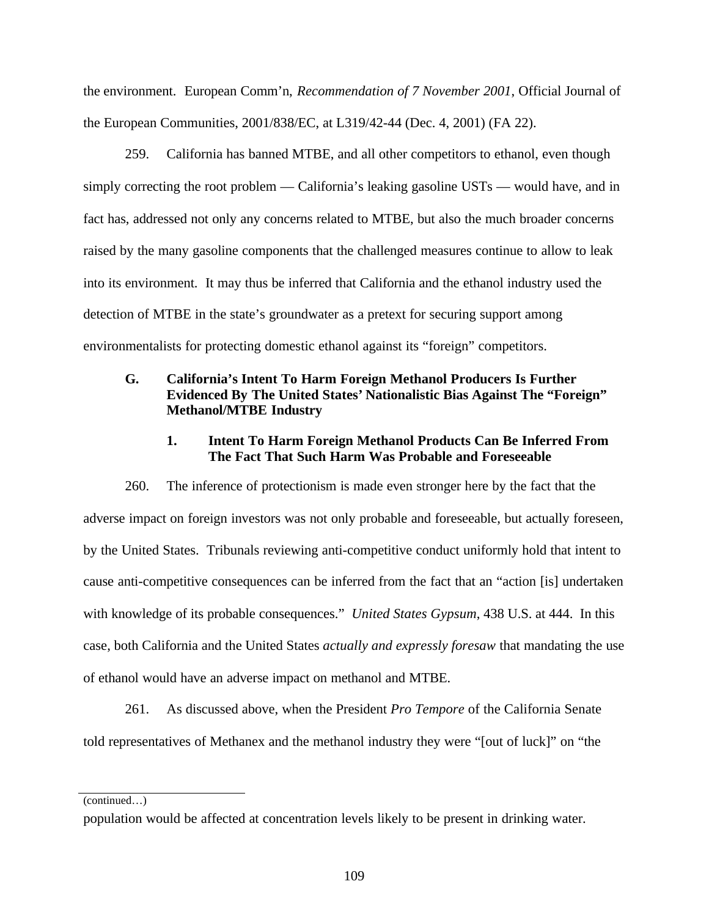the environment. European Comm'n, *Recommendation of 7 November 2001*, Official Journal of the European Communities, 2001/838/EC, at L319/42-44 (Dec. 4, 2001) (FA 22).

259. California has banned MTBE, and all other competitors to ethanol, even though simply correcting the root problem — California's leaking gasoline USTs — would have, and in fact has, addressed not only any concerns related to MTBE, but also the much broader concerns raised by the many gasoline components that the challenged measures continue to allow to leak into its environment. It may thus be inferred that California and the ethanol industry used the detection of MTBE in the state's groundwater as a pretext for securing support among environmentalists for protecting domestic ethanol against its "foreign" competitors.

## **G. California's Intent To Harm Foreign Methanol Producers Is Further Evidenced By The United States' Nationalistic Bias Against The "Foreign" Methanol/MTBE Industry**

#### **1. Intent To Harm Foreign Methanol Products Can Be Inferred From The Fact That Such Harm Was Probable and Foreseeable**

260. The inference of protectionism is made even stronger here by the fact that the adverse impact on foreign investors was not only probable and foreseeable, but actually foreseen, by the United States. Tribunals reviewing anti-competitive conduct uniformly hold that intent to cause anti-competitive consequences can be inferred from the fact that an "action [is] undertaken with knowledge of its probable consequences." *United States Gypsum*, 438 U.S. at 444. In this case, both California and the United States *actually and expressly foresaw* that mandating the use of ethanol would have an adverse impact on methanol and MTBE.

261. As discussed above, when the President *Pro Tempore* of the California Senate told representatives of Methanex and the methanol industry they were "[out of luck]" on "the

(continued…)

population would be affected at concentration levels likely to be present in drinking water.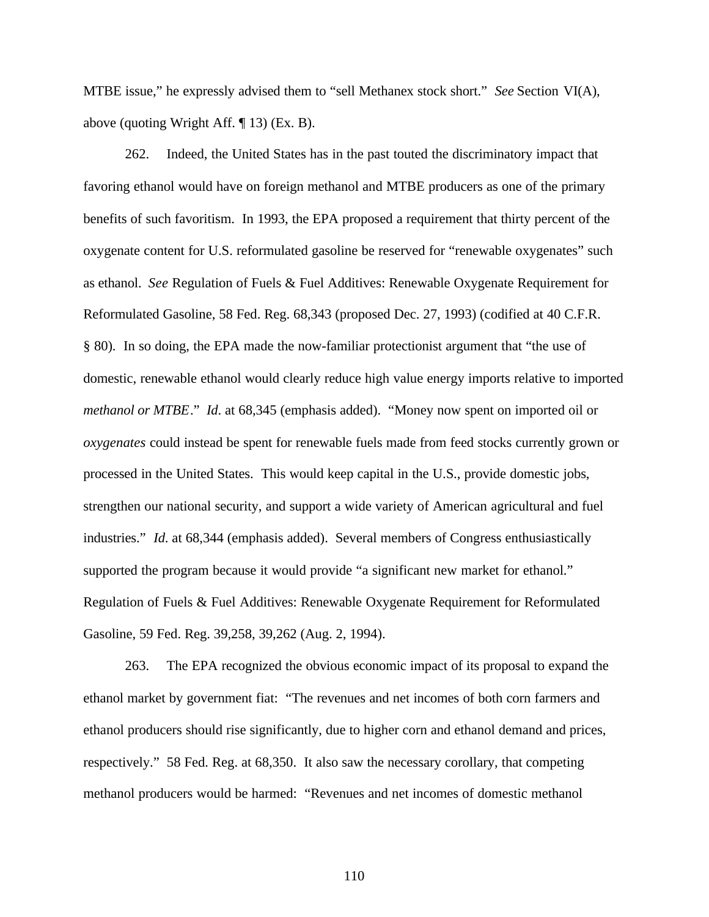MTBE issue," he expressly advised them to "sell Methanex stock short." *See* Section VI(A), above (quoting Wright Aff. ¶ 13) (Ex. B).

262. Indeed, the United States has in the past touted the discriminatory impact that favoring ethanol would have on foreign methanol and MTBE producers as one of the primary benefits of such favoritism. In 1993, the EPA proposed a requirement that thirty percent of the oxygenate content for U.S. reformulated gasoline be reserved for "renewable oxygenates" such as ethanol. *See* Regulation of Fuels & Fuel Additives: Renewable Oxygenate Requirement for Reformulated Gasoline, 58 Fed. Reg. 68,343 (proposed Dec. 27, 1993) (codified at 40 C.F.R. § 80). In so doing, the EPA made the now-familiar protectionist argument that "the use of domestic, renewable ethanol would clearly reduce high value energy imports relative to imported *methanol or MTBE*." *Id*. at 68,345 (emphasis added). "Money now spent on imported oil or *oxygenates* could instead be spent for renewable fuels made from feed stocks currently grown or processed in the United States. This would keep capital in the U.S., provide domestic jobs, strengthen our national security, and support a wide variety of American agricultural and fuel industries." *Id*. at 68,344 (emphasis added). Several members of Congress enthusiastically supported the program because it would provide "a significant new market for ethanol." Regulation of Fuels & Fuel Additives: Renewable Oxygenate Requirement for Reformulated Gasoline, 59 Fed. Reg. 39,258, 39,262 (Aug. 2, 1994).

263. The EPA recognized the obvious economic impact of its proposal to expand the ethanol market by government fiat: "The revenues and net incomes of both corn farmers and ethanol producers should rise significantly, due to higher corn and ethanol demand and prices, respectively." 58 Fed. Reg. at 68,350. It also saw the necessary corollary, that competing methanol producers would be harmed: "Revenues and net incomes of domestic methanol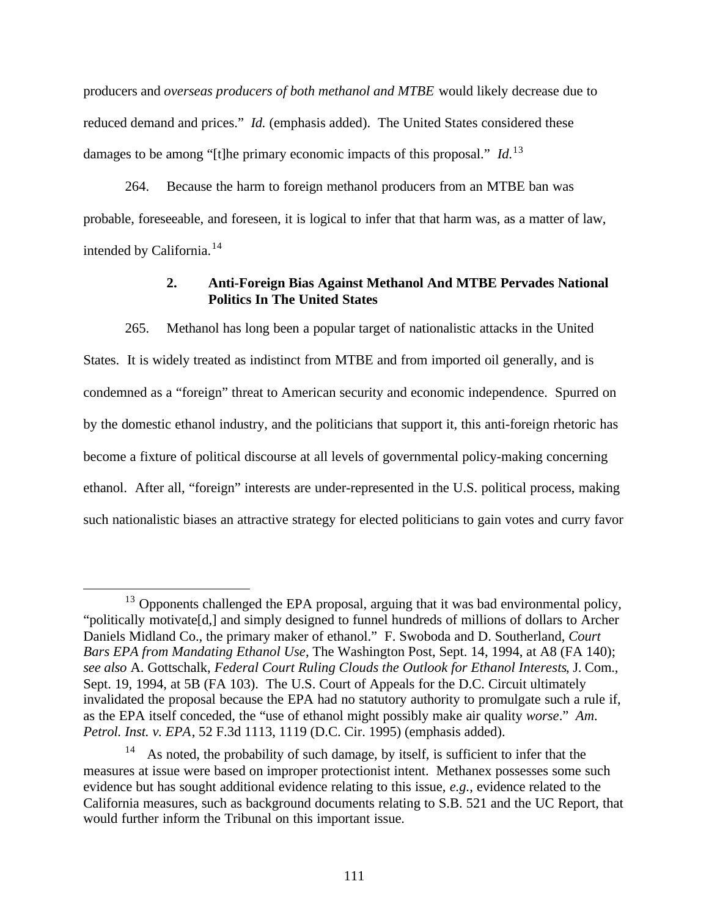producers and *overseas producers of both methanol and MTBE* would likely decrease due to reduced demand and prices." *Id.* (emphasis added). The United States considered these damages to be among "[t]he primary economic impacts of this proposal." *Id*. 13

264. Because the harm to foreign methanol producers from an MTBE ban was probable, foreseeable, and foreseen, it is logical to infer that that harm was, as a matter of law, intended by California.<sup>14</sup>

# **2. Anti-Foreign Bias Against Methanol And MTBE Pervades National Politics In The United States**

265. Methanol has long been a popular target of nationalistic attacks in the United States. It is widely treated as indistinct from MTBE and from imported oil generally, and is condemned as a "foreign" threat to American security and economic independence. Spurred on by the domestic ethanol industry, and the politicians that support it, this anti-foreign rhetoric has become a fixture of political discourse at all levels of governmental policy-making concerning ethanol. After all, "foreign" interests are under-represented in the U.S. political process, making such nationalistic biases an attractive strategy for elected politicians to gain votes and curry favor

 $\overline{a}$ 

 $13$  Opponents challenged the EPA proposal, arguing that it was bad environmental policy, "politically motivate[d,] and simply designed to funnel hundreds of millions of dollars to Archer Daniels Midland Co., the primary maker of ethanol." F. Swoboda and D. Southerland, *Court Bars EPA from Mandating Ethanol Use*, The Washington Post, Sept. 14, 1994, at A8 (FA 140); *see also* A. Gottschalk, *Federal Court Ruling Clouds the Outlook for Ethanol Interests*, J. Com., Sept. 19, 1994, at 5B (FA 103). The U.S. Court of Appeals for the D.C. Circuit ultimately invalidated the proposal because the EPA had no statutory authority to promulgate such a rule if, as the EPA itself conceded, the "use of ethanol might possibly make air quality *worse*." *Am. Petrol. Inst. v. EPA*, 52 F.3d 1113, 1119 (D.C. Cir. 1995) (emphasis added).

As noted, the probability of such damage, by itself, is sufficient to infer that the measures at issue were based on improper protectionist intent. Methanex possesses some such evidence but has sought additional evidence relating to this issue, *e.g.*, evidence related to the California measures, such as background documents relating to S.B. 521 and the UC Report, that would further inform the Tribunal on this important issue.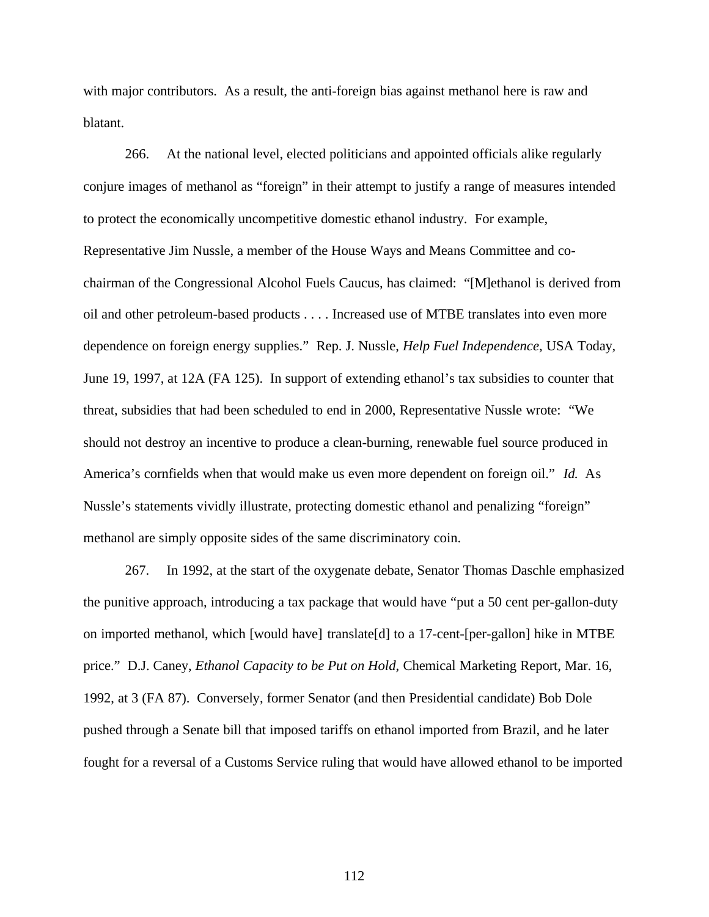with major contributors. As a result, the anti-foreign bias against methanol here is raw and blatant.

266. At the national level, elected politicians and appointed officials alike regularly conjure images of methanol as "foreign" in their attempt to justify a range of measures intended to protect the economically uncompetitive domestic ethanol industry. For example, Representative Jim Nussle, a member of the House Ways and Means Committee and cochairman of the Congressional Alcohol Fuels Caucus, has claimed: "[M]ethanol is derived from oil and other petroleum-based products . . . . Increased use of MTBE translates into even more dependence on foreign energy supplies." Rep. J. Nussle, *Help Fuel Independence*, USA Today, June 19, 1997, at 12A (FA 125). In support of extending ethanol's tax subsidies to counter that threat, subsidies that had been scheduled to end in 2000, Representative Nussle wrote: "We should not destroy an incentive to produce a clean-burning, renewable fuel source produced in America's cornfields when that would make us even more dependent on foreign oil." *Id.* As Nussle's statements vividly illustrate, protecting domestic ethanol and penalizing "foreign" methanol are simply opposite sides of the same discriminatory coin.

267. In 1992, at the start of the oxygenate debate, Senator Thomas Daschle emphasized the punitive approach, introducing a tax package that would have "put a 50 cent per-gallon-duty on imported methanol, which [would have] translate[d] to a 17-cent-[per-gallon] hike in MTBE price." D.J. Caney, *Ethanol Capacity to be Put on Hold*, Chemical Marketing Report, Mar. 16, 1992, at 3 (FA 87). Conversely, former Senator (and then Presidential candidate) Bob Dole pushed through a Senate bill that imposed tariffs on ethanol imported from Brazil, and he later fought for a reversal of a Customs Service ruling that would have allowed ethanol to be imported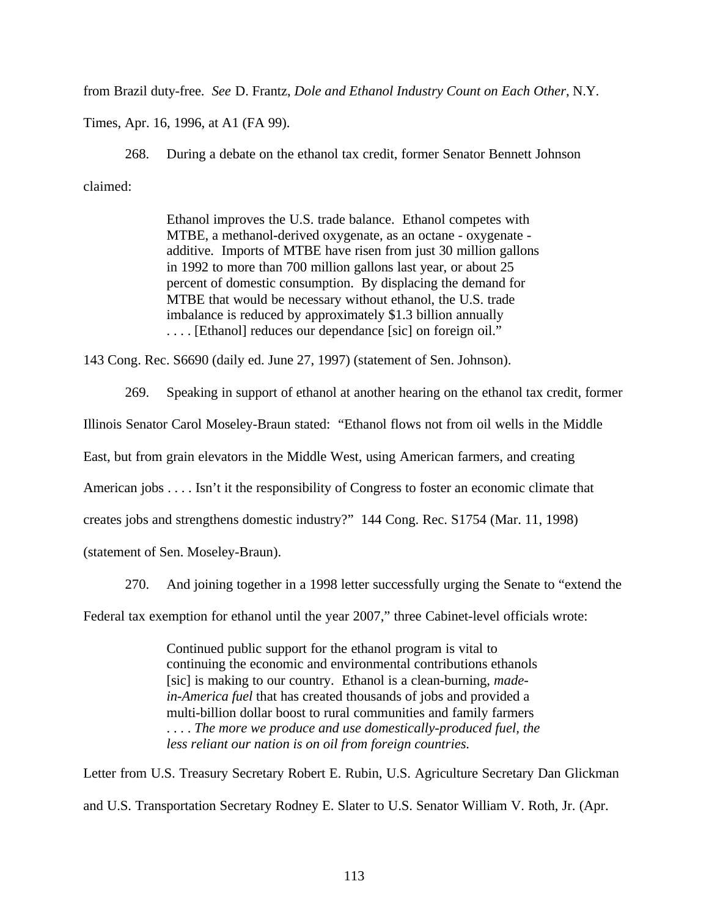from Brazil duty-free. *See* D. Frantz, *Dole and Ethanol Industry Count on Each Other*, N.Y.

Times, Apr. 16, 1996, at A1 (FA 99).

268. During a debate on the ethanol tax credit, former Senator Bennett Johnson claimed:

> Ethanol improves the U.S. trade balance. Ethanol competes with MTBE, a methanol-derived oxygenate, as an octane - oxygenate additive. Imports of MTBE have risen from just 30 million gallons in 1992 to more than 700 million gallons last year, or about 25 percent of domestic consumption. By displacing the demand for MTBE that would be necessary without ethanol, the U.S. trade imbalance is reduced by approximately \$1.3 billion annually . . . . [Ethanol] reduces our dependance [sic] on foreign oil."

143 Cong. Rec. S6690 (daily ed. June 27, 1997) (statement of Sen. Johnson).

269. Speaking in support of ethanol at another hearing on the ethanol tax credit, former Illinois Senator Carol Moseley-Braun stated: "Ethanol flows not from oil wells in the Middle East, but from grain elevators in the Middle West, using American farmers, and creating American jobs . . . . Isn't it the responsibility of Congress to foster an economic climate that creates jobs and strengthens domestic industry?" 144 Cong. Rec. S1754 (Mar. 11, 1998) (statement of Sen. Moseley-Braun).

270. And joining together in a 1998 letter successfully urging the Senate to "extend the

Federal tax exemption for ethanol until the year 2007," three Cabinet-level officials wrote:

Continued public support for the ethanol program is vital to continuing the economic and environmental contributions ethanols [sic] is making to our country. Ethanol is a clean-burning, *madein-America fuel* that has created thousands of jobs and provided a multi-billion dollar boost to rural communities and family farmers . . . . *The more we produce and use domestically-produced fuel, the less reliant our nation is on oil from foreign countries.*

Letter from U.S. Treasury Secretary Robert E. Rubin, U.S. Agriculture Secretary Dan Glickman and U.S. Transportation Secretary Rodney E. Slater to U.S. Senator William V. Roth, Jr. (Apr.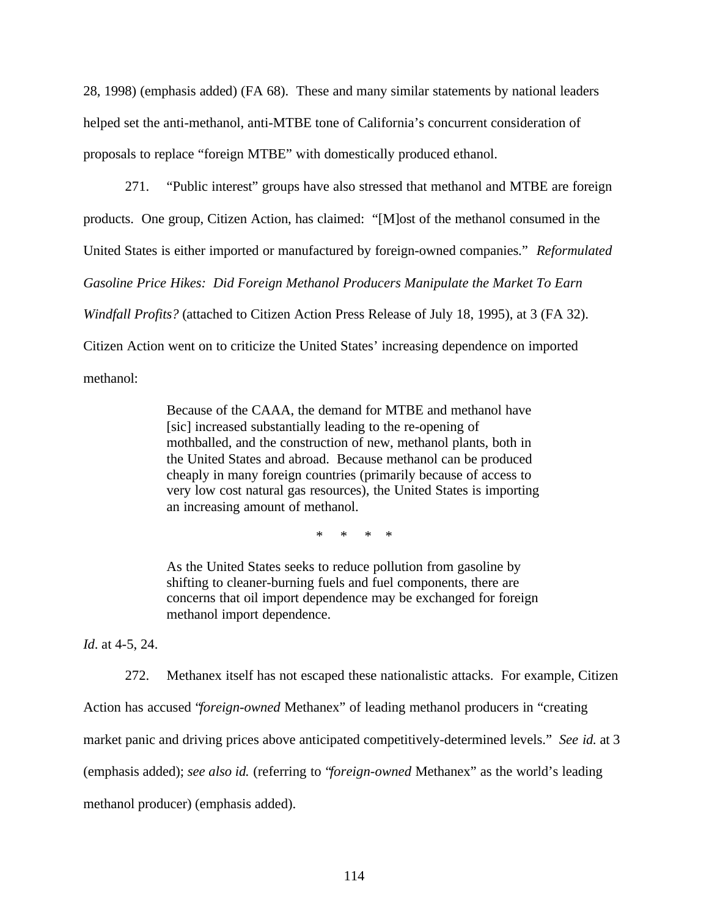28, 1998) (emphasis added) (FA 68). These and many similar statements by national leaders helped set the anti-methanol, anti-MTBE tone of California's concurrent consideration of proposals to replace "foreign MTBE" with domestically produced ethanol.

271. "Public interest" groups have also stressed that methanol and MTBE are foreign products. One group, Citizen Action, has claimed: "[M]ost of the methanol consumed in the United States is either imported or manufactured by foreign-owned companies." *Reformulated Gasoline Price Hikes: Did Foreign Methanol Producers Manipulate the Market To Earn Windfall Profits?* (attached to Citizen Action Press Release of July 18, 1995), at 3 (FA 32). Citizen Action went on to criticize the United States' increasing dependence on imported methanol:

> Because of the CAAA, the demand for MTBE and methanol have [sic] increased substantially leading to the re-opening of mothballed, and the construction of new, methanol plants, both in the United States and abroad. Because methanol can be produced cheaply in many foreign countries (primarily because of access to very low cost natural gas resources), the United States is importing an increasing amount of methanol.

> > \* \* \* \*

As the United States seeks to reduce pollution from gasoline by shifting to cleaner-burning fuels and fuel components, there are concerns that oil import dependence may be exchanged for foreign methanol import dependence.

*Id*. at 4-5, 24.

272. Methanex itself has not escaped these nationalistic attacks. For example, Citizen Action has accused "*foreign-owned* Methanex" of leading methanol producers in "creating market panic and driving prices above anticipated competitively-determined levels." *See id.* at 3 (emphasis added); *see also id.* (referring to "*foreign-owned* Methanex" as the world's leading methanol producer) (emphasis added).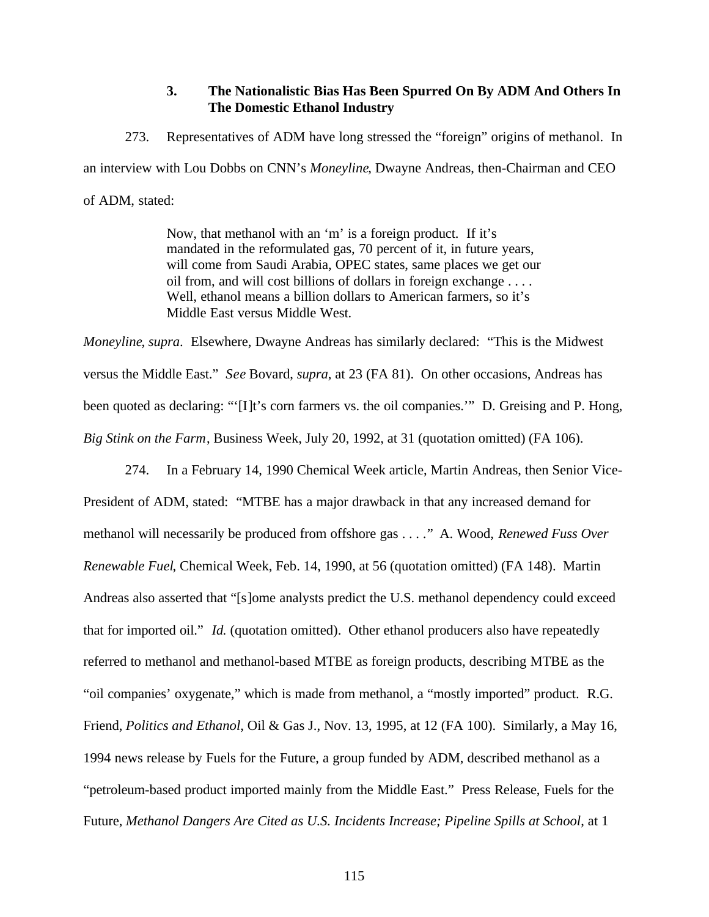## **3. The Nationalistic Bias Has Been Spurred On By ADM And Others In The Domestic Ethanol Industry**

273. Representatives of ADM have long stressed the "foreign" origins of methanol. In an interview with Lou Dobbs on CNN's *Moneyline*, Dwayne Andreas, then-Chairman and CEO of ADM, stated:

> Now, that methanol with an 'm' is a foreign product. If it's mandated in the reformulated gas, 70 percent of it, in future years, will come from Saudi Arabia, OPEC states, same places we get our oil from, and will cost billions of dollars in foreign exchange . . . . Well, ethanol means a billion dollars to American farmers, so it's Middle East versus Middle West.

*Moneyline*, *supra*. Elsewhere, Dwayne Andreas has similarly declared: "This is the Midwest versus the Middle East." *See* Bovard, *supra*, at 23 (FA 81). On other occasions, Andreas has been quoted as declaring: "'[I]t's corn farmers vs. the oil companies." D. Greising and P. Hong, *Big Stink on the Farm*, Business Week, July 20, 1992, at 31 (quotation omitted) (FA 106).

274. In a February 14, 1990 Chemical Week article, Martin Andreas, then Senior Vice-President of ADM, stated: "MTBE has a major drawback in that any increased demand for methanol will necessarily be produced from offshore gas . . . ." A. Wood, *Renewed Fuss Over Renewable Fuel*, Chemical Week, Feb. 14, 1990, at 56 (quotation omitted) (FA 148). Martin Andreas also asserted that "[s]ome analysts predict the U.S. methanol dependency could exceed that for imported oil." *Id.* (quotation omitted). Other ethanol producers also have repeatedly referred to methanol and methanol-based MTBE as foreign products, describing MTBE as the "oil companies' oxygenate," which is made from methanol, a "mostly imported" product. R.G. Friend, *Politics and Ethanol*, Oil & Gas J., Nov. 13, 1995, at 12 (FA 100). Similarly, a May 16, 1994 news release by Fuels for the Future, a group funded by ADM, described methanol as a "petroleum-based product imported mainly from the Middle East." Press Release, Fuels for the Future, *Methanol Dangers Are Cited as U.S. Incidents Increase; Pipeline Spills at School*, at 1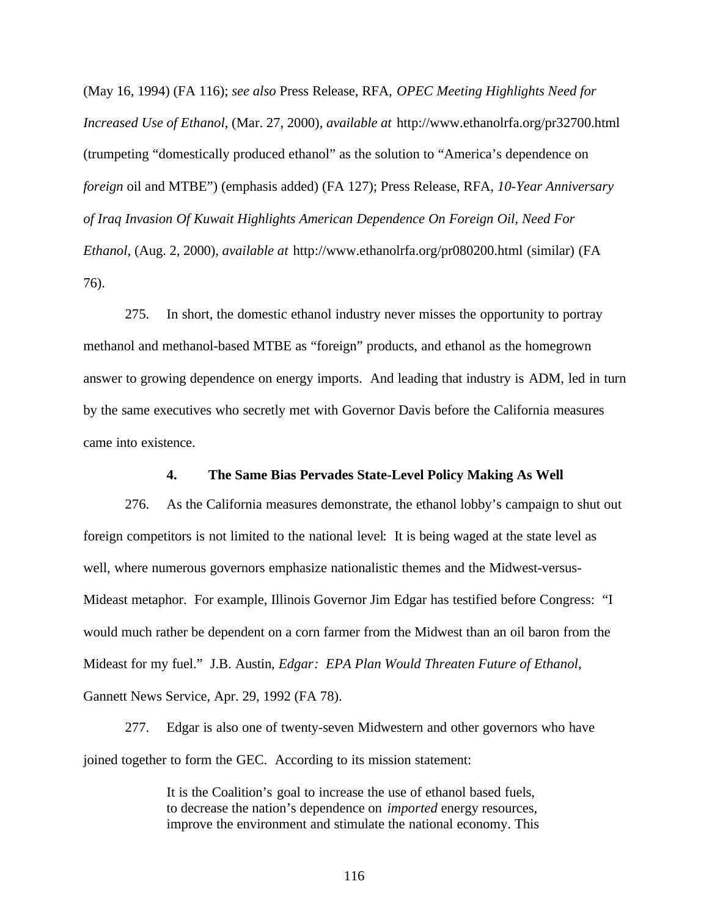(May 16, 1994) (FA 116); *see also* Press Release, RFA, *OPEC Meeting Highlights Need for Increased Use of Ethanol*, (Mar. 27, 2000), *available at* http://www.ethanolrfa.org/pr32700.html (trumpeting "domestically produced ethanol" as the solution to "America's dependence on *foreign* oil and MTBE") (emphasis added) (FA 127); Press Release, RFA, *10-Year Anniversary of Iraq Invasion Of Kuwait Highlights American Dependence On Foreign Oil, Need For Ethanol,* (Aug. 2, 2000), *available at* http://www.ethanolrfa.org/pr080200.html (similar) (FA 76).

275. In short, the domestic ethanol industry never misses the opportunity to portray methanol and methanol-based MTBE as "foreign" products, and ethanol as the homegrown answer to growing dependence on energy imports. And leading that industry is ADM, led in turn by the same executives who secretly met with Governor Davis before the California measures came into existence.

#### **4. The Same Bias Pervades State-Level Policy Making As Well**

276. As the California measures demonstrate, the ethanol lobby's campaign to shut out foreign competitors is not limited to the national level: It is being waged at the state level as well, where numerous governors emphasize nationalistic themes and the Midwest-versus-Mideast metaphor. For example, Illinois Governor Jim Edgar has testified before Congress: "I would much rather be dependent on a corn farmer from the Midwest than an oil baron from the Mideast for my fuel." J.B. Austin, *Edgar: EPA Plan Would Threaten Future of Ethanol*, Gannett News Service, Apr. 29, 1992 (FA 78).

277. Edgar is also one of twenty-seven Midwestern and other governors who have joined together to form the GEC. According to its mission statement:

> It is the Coalition's goal to increase the use of ethanol based fuels, to decrease the nation's dependence on *imported* energy resources, improve the environment and stimulate the national economy. This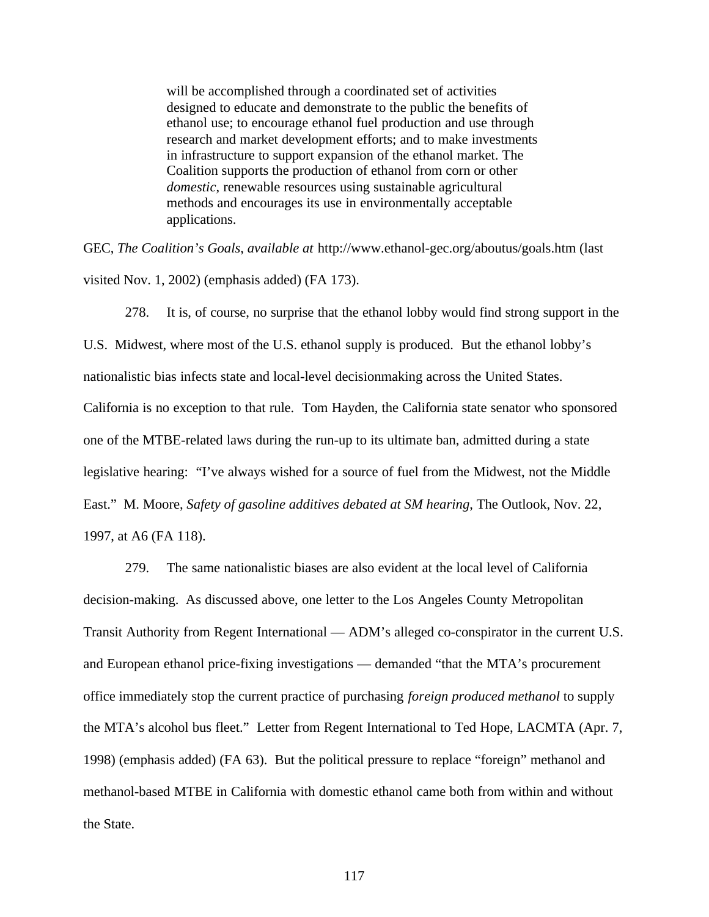will be accomplished through a coordinated set of activities designed to educate and demonstrate to the public the benefits of ethanol use; to encourage ethanol fuel production and use through research and market development efforts; and to make investments in infrastructure to support expansion of the ethanol market. The Coalition supports the production of ethanol from corn or other *domestic*, renewable resources using sustainable agricultural methods and encourages its use in environmentally acceptable applications.

GEC, *The Coalition's Goals*, *available at* http://www.ethanol-gec.org/aboutus/goals.htm (last visited Nov. 1, 2002) (emphasis added) (FA 173).

278. It is, of course, no surprise that the ethanol lobby would find strong support in the U.S. Midwest, where most of the U.S. ethanol supply is produced. But the ethanol lobby's nationalistic bias infects state and local-level decisionmaking across the United States. California is no exception to that rule. Tom Hayden, the California state senator who sponsored one of the MTBE-related laws during the run-up to its ultimate ban, admitted during a state legislative hearing: "I've always wished for a source of fuel from the Midwest, not the Middle East." M. Moore, *Safety of gasoline additives debated at SM hearing*, The Outlook, Nov. 22, 1997, at A6 (FA 118).

279. The same nationalistic biases are also evident at the local level of California decision-making. As discussed above, one letter to the Los Angeles County Metropolitan Transit Authority from Regent International — ADM's alleged co-conspirator in the current U.S. and European ethanol price-fixing investigations — demanded "that the MTA's procurement office immediately stop the current practice of purchasing *foreign produced methanol* to supply the MTA's alcohol bus fleet." Letter from Regent International to Ted Hope, LACMTA (Apr. 7, 1998) (emphasis added) (FA 63). But the political pressure to replace "foreign" methanol and methanol-based MTBE in California with domestic ethanol came both from within and without the State.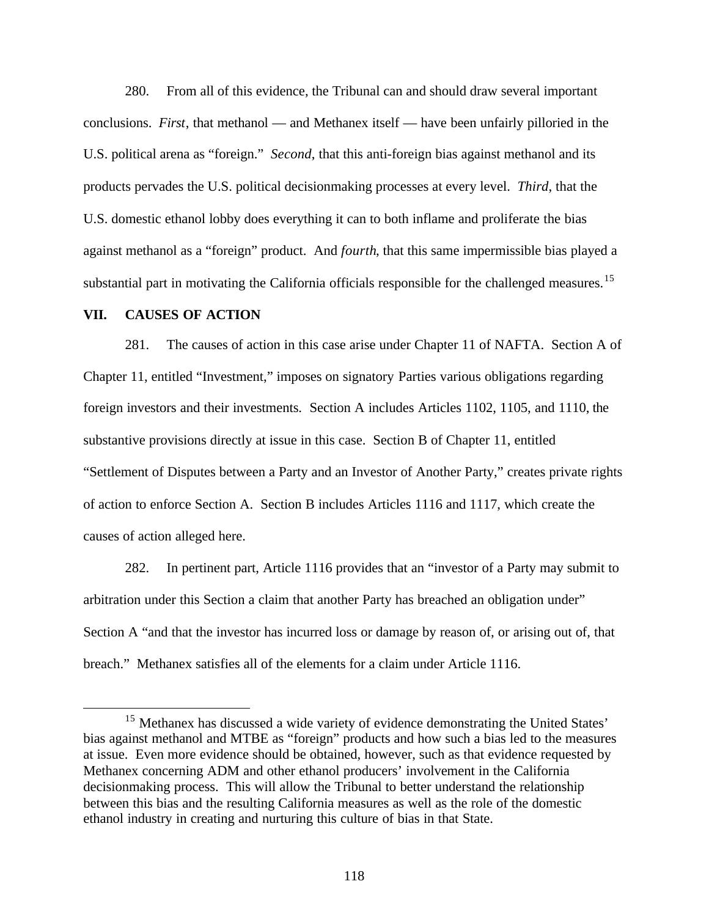280. From all of this evidence, the Tribunal can and should draw several important conclusions. *First*, that methanol — and Methanex itself — have been unfairly pilloried in the U.S. political arena as "foreign." *Second*, that this anti-foreign bias against methanol and its products pervades the U.S. political decisionmaking processes at every level. *Third*, that the U.S. domestic ethanol lobby does everything it can to both inflame and proliferate the bias against methanol as a "foreign" product. And *fourth*, that this same impermissible bias played a substantial part in motivating the California officials responsible for the challenged measures.<sup>15</sup>

#### **VII. CAUSES OF ACTION**

 $\overline{a}$ 

281. The causes of action in this case arise under Chapter 11 of NAFTA. Section A of Chapter 11, entitled "Investment," imposes on signatory Parties various obligations regarding foreign investors and their investments. Section A includes Articles 1102, 1105, and 1110, the substantive provisions directly at issue in this case. Section B of Chapter 11, entitled "Settlement of Disputes between a Party and an Investor of Another Party," creates private rights of action to enforce Section A. Section B includes Articles 1116 and 1117, which create the causes of action alleged here.

282. In pertinent part, Article 1116 provides that an "investor of a Party may submit to arbitration under this Section a claim that another Party has breached an obligation under" Section A "and that the investor has incurred loss or damage by reason of, or arising out of, that breach." Methanex satisfies all of the elements for a claim under Article 1116.

<sup>&</sup>lt;sup>15</sup> Methanex has discussed a wide variety of evidence demonstrating the United States' bias against methanol and MTBE as "foreign" products and how such a bias led to the measures at issue. Even more evidence should be obtained, however, such as that evidence requested by Methanex concerning ADM and other ethanol producers' involvement in the California decisionmaking process. This will allow the Tribunal to better understand the relationship between this bias and the resulting California measures as well as the role of the domestic ethanol industry in creating and nurturing this culture of bias in that State.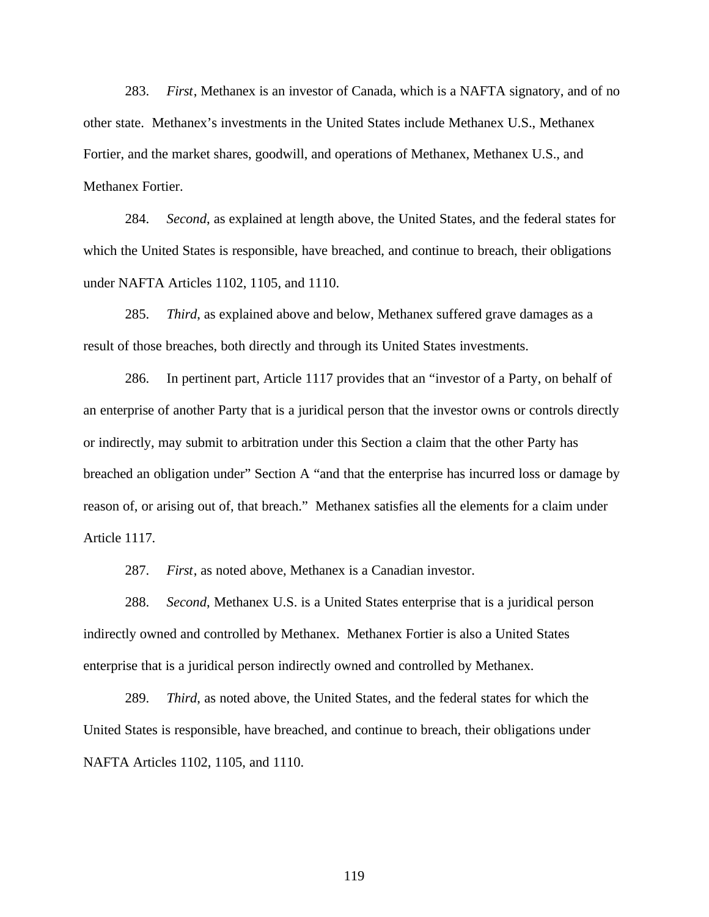283. *First*, Methanex is an investor of Canada, which is a NAFTA signatory, and of no other state. Methanex's investments in the United States include Methanex U.S., Methanex Fortier, and the market shares, goodwill, and operations of Methanex, Methanex U.S., and Methanex Fortier.

284. *Second*, as explained at length above, the United States, and the federal states for which the United States is responsible, have breached, and continue to breach, their obligations under NAFTA Articles 1102, 1105, and 1110.

285. *Third*, as explained above and below, Methanex suffered grave damages as a result of those breaches, both directly and through its United States investments.

286. In pertinent part, Article 1117 provides that an "investor of a Party, on behalf of an enterprise of another Party that is a juridical person that the investor owns or controls directly or indirectly, may submit to arbitration under this Section a claim that the other Party has breached an obligation under" Section A "and that the enterprise has incurred loss or damage by reason of, or arising out of, that breach." Methanex satisfies all the elements for a claim under Article 1117.

287. *First*, as noted above, Methanex is a Canadian investor.

288. *Second*, Methanex U.S. is a United States enterprise that is a juridical person indirectly owned and controlled by Methanex. Methanex Fortier is also a United States enterprise that is a juridical person indirectly owned and controlled by Methanex.

289. *Third*, as noted above, the United States, and the federal states for which the United States is responsible, have breached, and continue to breach, their obligations under NAFTA Articles 1102, 1105, and 1110.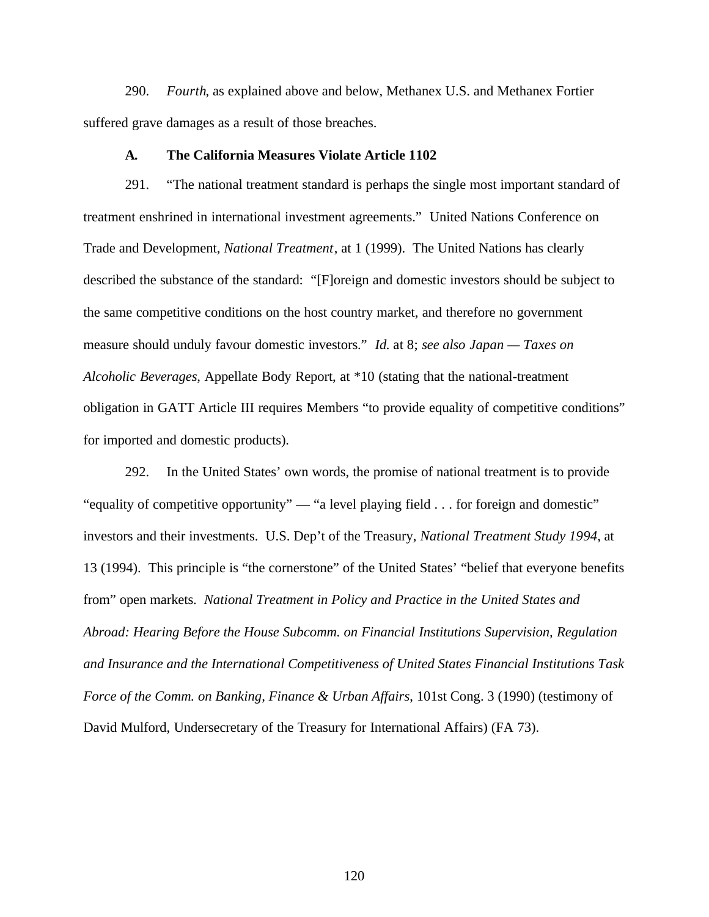290. *Fourth*, as explained above and below, Methanex U.S. and Methanex Fortier suffered grave damages as a result of those breaches.

#### **A. The California Measures Violate Article 1102**

291. "The national treatment standard is perhaps the single most important standard of treatment enshrined in international investment agreements." United Nations Conference on Trade and Development, *National Treatment*, at 1 (1999). The United Nations has clearly described the substance of the standard: "[F]oreign and domestic investors should be subject to the same competitive conditions on the host country market, and therefore no government measure should unduly favour domestic investors." *Id.* at 8; *see also Japan — Taxes on Alcoholic Beverages*, Appellate Body Report, at \*10 (stating that the national-treatment obligation in GATT Article III requires Members "to provide equality of competitive conditions" for imported and domestic products).

292. In the United States' own words, the promise of national treatment is to provide "equality of competitive opportunity" — "a level playing field . . . for foreign and domestic" investors and their investments. U.S. Dep't of the Treasury, *National Treatment Study 1994*, at 13 (1994). This principle is "the cornerstone" of the United States' "belief that everyone benefits from" open markets. *National Treatment in Policy and Practice in the United States and Abroad: Hearing Before the House Subcomm. on Financial Institutions Supervision, Regulation and Insurance and the International Competitiveness of United States Financial Institutions Task Force of the Comm. on Banking, Finance & Urban Affairs*, 101st Cong. 3 (1990) (testimony of David Mulford, Undersecretary of the Treasury for International Affairs) (FA 73).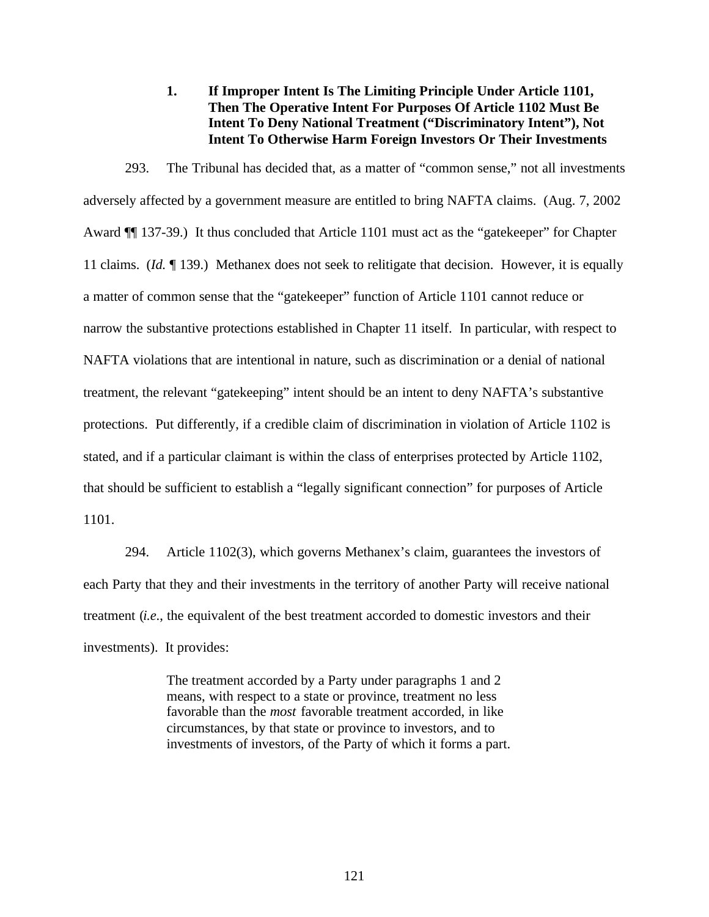**1. If Improper Intent Is The Limiting Principle Under Article 1101, Then The Operative Intent For Purposes Of Article 1102 Must Be Intent To Deny National Treatment ("Discriminatory Intent"), Not Intent To Otherwise Harm Foreign Investors Or Their Investments**

293. The Tribunal has decided that, as a matter of "common sense," not all investments adversely affected by a government measure are entitled to bring NAFTA claims. (Aug. 7, 2002 Award ¶¶ 137-39.) It thus concluded that Article 1101 must act as the "gatekeeper" for Chapter 11 claims. (*Id.* ¶ 139.) Methanex does not seek to relitigate that decision. However, it is equally a matter of common sense that the "gatekeeper" function of Article 1101 cannot reduce or narrow the substantive protections established in Chapter 11 itself. In particular, with respect to NAFTA violations that are intentional in nature, such as discrimination or a denial of national treatment, the relevant "gatekeeping" intent should be an intent to deny NAFTA's substantive protections. Put differently, if a credible claim of discrimination in violation of Article 1102 is stated, and if a particular claimant is within the class of enterprises protected by Article 1102, that should be sufficient to establish a "legally significant connection" for purposes of Article 1101.

294. Article 1102(3), which governs Methanex's claim, guarantees the investors of each Party that they and their investments in the territory of another Party will receive national treatment (*i.e*., the equivalent of the best treatment accorded to domestic investors and their investments). It provides:

> The treatment accorded by a Party under paragraphs 1 and 2 means, with respect to a state or province, treatment no less favorable than the *most* favorable treatment accorded, in like circumstances, by that state or province to investors, and to investments of investors, of the Party of which it forms a part.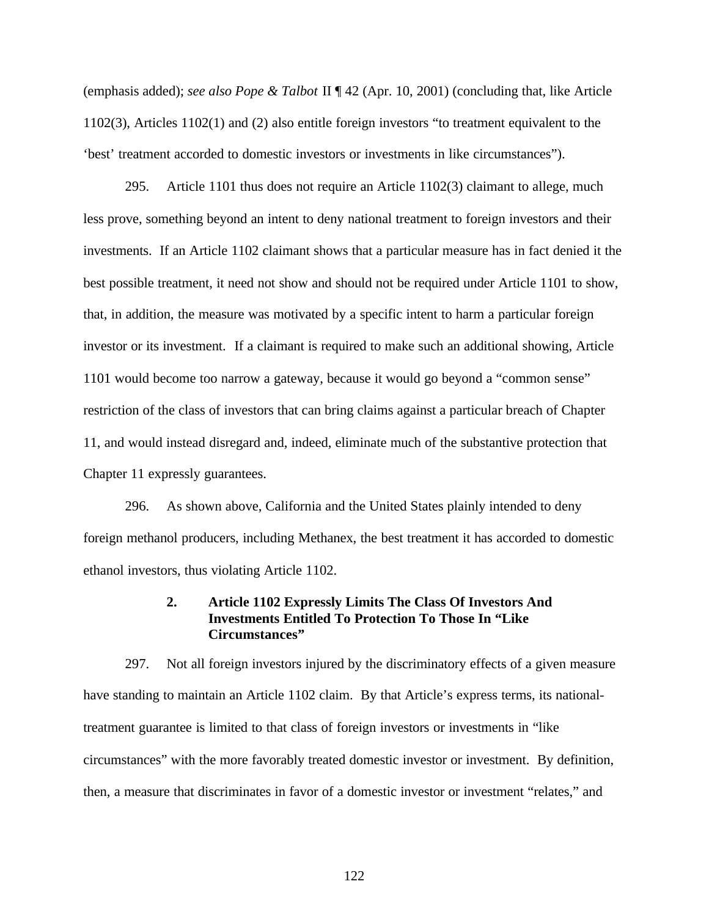(emphasis added); *see also Pope & Talbot* II ¶ 42 (Apr. 10, 2001) (concluding that, like Article 1102(3), Articles 1102(1) and (2) also entitle foreign investors "to treatment equivalent to the 'best' treatment accorded to domestic investors or investments in like circumstances").

295. Article 1101 thus does not require an Article 1102(3) claimant to allege, much less prove, something beyond an intent to deny national treatment to foreign investors and their investments. If an Article 1102 claimant shows that a particular measure has in fact denied it the best possible treatment, it need not show and should not be required under Article 1101 to show, that, in addition, the measure was motivated by a specific intent to harm a particular foreign investor or its investment. If a claimant is required to make such an additional showing, Article 1101 would become too narrow a gateway, because it would go beyond a "common sense" restriction of the class of investors that can bring claims against a particular breach of Chapter 11, and would instead disregard and, indeed, eliminate much of the substantive protection that Chapter 11 expressly guarantees.

296. As shown above, California and the United States plainly intended to deny foreign methanol producers, including Methanex, the best treatment it has accorded to domestic ethanol investors, thus violating Article 1102.

## **2. Article 1102 Expressly Limits The Class Of Investors And Investments Entitled To Protection To Those In "Like Circumstances"**

297. Not all foreign investors injured by the discriminatory effects of a given measure have standing to maintain an Article 1102 claim. By that Article's express terms, its nationaltreatment guarantee is limited to that class of foreign investors or investments in "like circumstances" with the more favorably treated domestic investor or investment. By definition, then, a measure that discriminates in favor of a domestic investor or investment "relates," and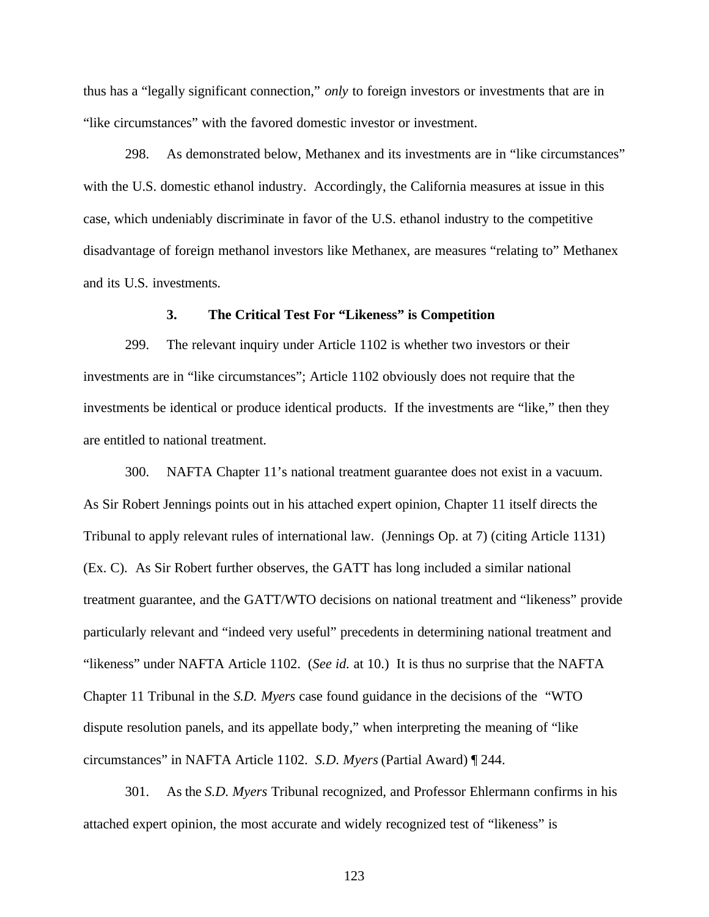thus has a "legally significant connection," *only* to foreign investors or investments that are in "like circumstances" with the favored domestic investor or investment.

298. As demonstrated below, Methanex and its investments are in "like circumstances" with the U.S. domestic ethanol industry. Accordingly, the California measures at issue in this case, which undeniably discriminate in favor of the U.S. ethanol industry to the competitive disadvantage of foreign methanol investors like Methanex, are measures "relating to" Methanex and its U.S. investments.

#### **3. The Critical Test For "Likeness" is Competition**

299. The relevant inquiry under Article 1102 is whether two investors or their investments are in "like circumstances"; Article 1102 obviously does not require that the investments be identical or produce identical products. If the investments are "like," then they are entitled to national treatment.

300. NAFTA Chapter 11's national treatment guarantee does not exist in a vacuum. As Sir Robert Jennings points out in his attached expert opinion, Chapter 11 itself directs the Tribunal to apply relevant rules of international law. (Jennings Op. at 7) (citing Article 1131) (Ex. C). As Sir Robert further observes, the GATT has long included a similar national treatment guarantee, and the GATT/WTO decisions on national treatment and "likeness" provide particularly relevant and "indeed very useful" precedents in determining national treatment and "likeness" under NAFTA Article 1102. (*See id.* at 10.) It is thus no surprise that the NAFTA Chapter 11 Tribunal in the *S.D. Myers* case found guidance in the decisions of the "WTO dispute resolution panels, and its appellate body," when interpreting the meaning of "like circumstances" in NAFTA Article 1102. *S.D. Myers* (Partial Award) ¶ 244.

301. As the *S.D. Myers* Tribunal recognized, and Professor Ehlermann confirms in his attached expert opinion, the most accurate and widely recognized test of "likeness" is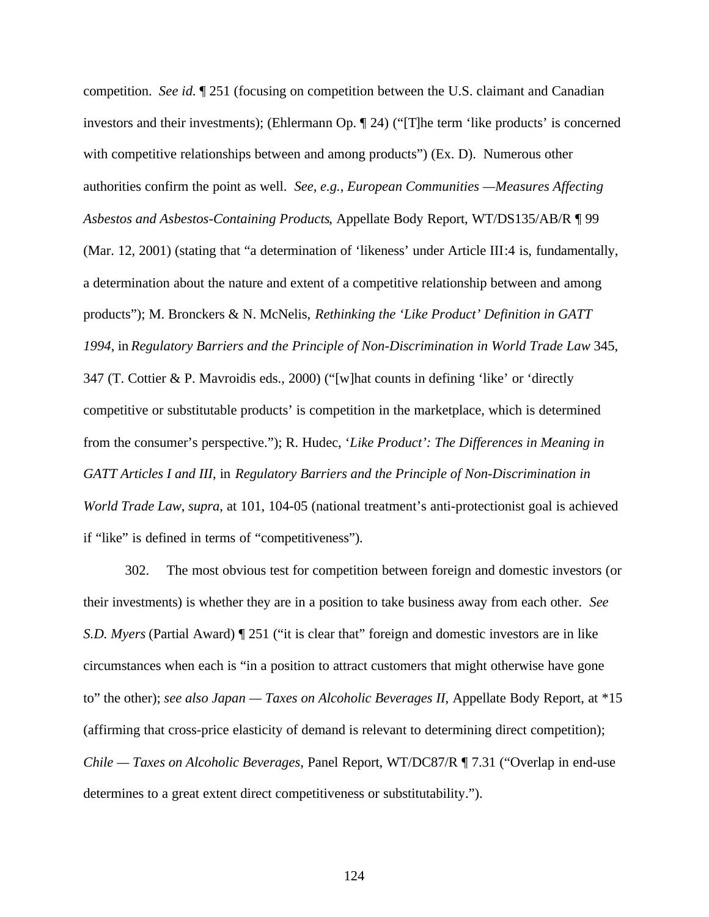competition. *See id.* ¶ 251 (focusing on competition between the U.S. claimant and Canadian investors and their investments); (Ehlermann Op. ¶ 24) ("[T]he term 'like products' is concerned with competitive relationships between and among products") (Ex. D). Numerous other authorities confirm the point as well. *See, e.g.*, *European Communities —Measures Affecting Asbestos and Asbestos-Containing Products*, Appellate Body Report, WT/DS135/AB/R ¶ 99 (Mar. 12, 2001) (stating that "a determination of 'likeness' under Article III:4 is, fundamentally, a determination about the nature and extent of a competitive relationship between and among products"); M. Bronckers & N. McNelis, *Rethinking the 'Like Product' Definition in GATT 1994*, in *Regulatory Barriers and the Principle of Non-Discrimination in World Trade Law* 345, 347 (T. Cottier & P. Mavroidis eds., 2000) ("[w]hat counts in defining 'like' or 'directly competitive or substitutable products' is competition in the marketplace, which is determined from the consumer's perspective."); R. Hudec, '*Like Product': The Differences in Meaning in GATT Articles I and III*, in *Regulatory Barriers and the Principle of Non-Discrimination in World Trade Law*, *supra*, at 101, 104-05 (national treatment's anti-protectionist goal is achieved if "like" is defined in terms of "competitiveness").

302. The most obvious test for competition between foreign and domestic investors (or their investments) is whether they are in a position to take business away from each other. *See S.D. Myers* (Partial Award) ¶ 251 ("it is clear that" foreign and domestic investors are in like circumstances when each is "in a position to attract customers that might otherwise have gone to" the other); *see also Japan — Taxes on Alcoholic Beverages II*, Appellate Body Report, at \*15 (affirming that cross-price elasticity of demand is relevant to determining direct competition); *Chile — Taxes on Alcoholic Beverages*, Panel Report, WT/DC87/R ¶ 7.31 ("Overlap in end-use determines to a great extent direct competitiveness or substitutability.").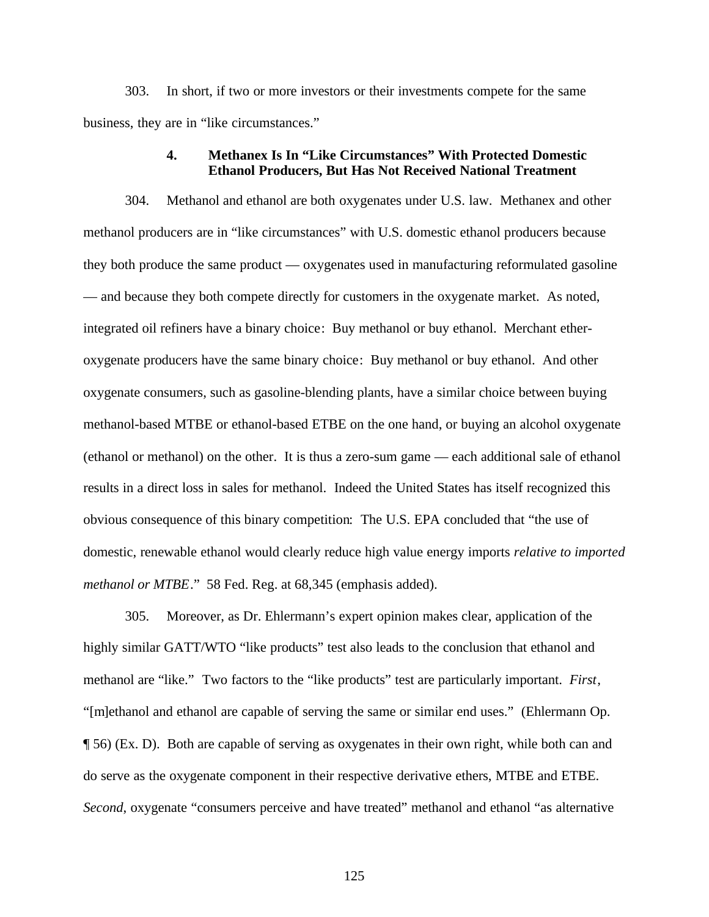303. In short, if two or more investors or their investments compete for the same business, they are in "like circumstances."

## **4. Methanex Is In "Like Circumstances" With Protected Domestic Ethanol Producers, But Has Not Received National Treatment**

304. Methanol and ethanol are both oxygenates under U.S. law. Methanex and other methanol producers are in "like circumstances" with U.S. domestic ethanol producers because they both produce the same product — oxygenates used in manufacturing reformulated gasoline — and because they both compete directly for customers in the oxygenate market. As noted, integrated oil refiners have a binary choice: Buy methanol or buy ethanol. Merchant etheroxygenate producers have the same binary choice: Buy methanol or buy ethanol. And other oxygenate consumers, such as gasoline-blending plants, have a similar choice between buying methanol-based MTBE or ethanol-based ETBE on the one hand, or buying an alcohol oxygenate (ethanol or methanol) on the other. It is thus a zero-sum game — each additional sale of ethanol results in a direct loss in sales for methanol. Indeed the United States has itself recognized this obvious consequence of this binary competition: The U.S. EPA concluded that "the use of domestic, renewable ethanol would clearly reduce high value energy imports *relative to imported methanol or MTBE*." 58 Fed. Reg. at 68,345 (emphasis added).

305. Moreover, as Dr. Ehlermann's expert opinion makes clear, application of the highly similar GATT/WTO "like products" test also leads to the conclusion that ethanol and methanol are "like." Two factors to the "like products" test are particularly important. *First*, "[m]ethanol and ethanol are capable of serving the same or similar end uses." (Ehlermann Op. ¶ 56) (Ex. D). Both are capable of serving as oxygenates in their own right, while both can and do serve as the oxygenate component in their respective derivative ethers, MTBE and ETBE. *Second*, oxygenate "consumers perceive and have treated" methanol and ethanol "as alternative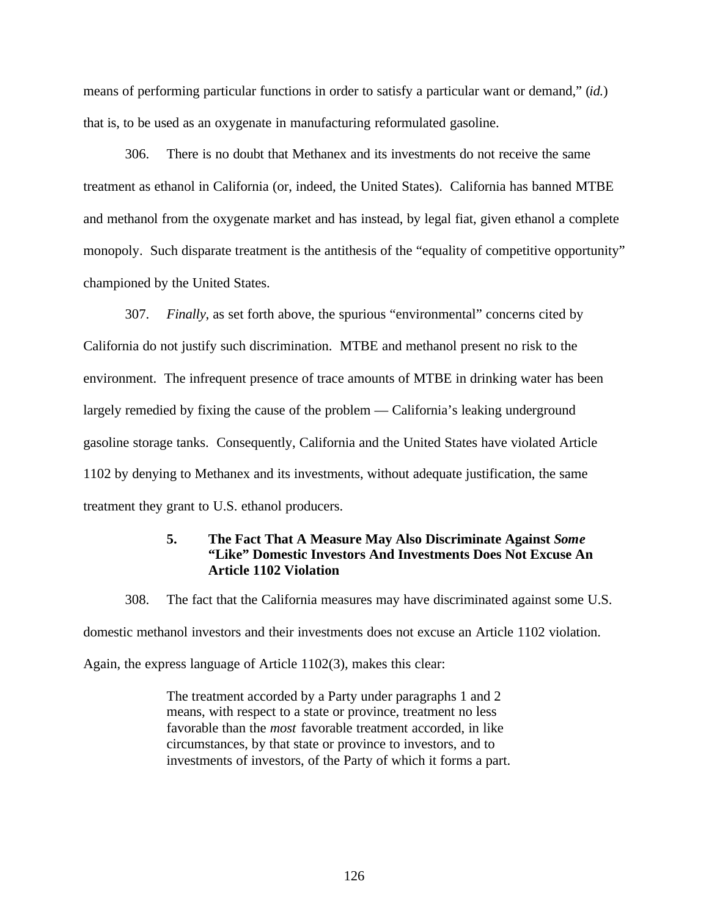means of performing particular functions in order to satisfy a particular want or demand," (*id.*) that is, to be used as an oxygenate in manufacturing reformulated gasoline.

306. There is no doubt that Methanex and its investments do not receive the same treatment as ethanol in California (or, indeed, the United States). California has banned MTBE and methanol from the oxygenate market and has instead, by legal fiat, given ethanol a complete monopoly. Such disparate treatment is the antithesis of the "equality of competitive opportunity" championed by the United States.

307. *Finally*, as set forth above, the spurious "environmental" concerns cited by California do not justify such discrimination. MTBE and methanol present no risk to the environment. The infrequent presence of trace amounts of MTBE in drinking water has been largely remedied by fixing the cause of the problem — California's leaking underground gasoline storage tanks. Consequently, California and the United States have violated Article 1102 by denying to Methanex and its investments, without adequate justification, the same treatment they grant to U.S. ethanol producers.

# **5. The Fact That A Measure May Also Discriminate Against** *Some* **"Like" Domestic Investors And Investments Does Not Excuse An Article 1102 Violation**

308. The fact that the California measures may have discriminated against some U.S.

domestic methanol investors and their investments does not excuse an Article 1102 violation.

Again, the express language of Article 1102(3), makes this clear:

The treatment accorded by a Party under paragraphs 1 and 2 means, with respect to a state or province, treatment no less favorable than the *most* favorable treatment accorded, in like circumstances, by that state or province to investors, and to investments of investors, of the Party of which it forms a part.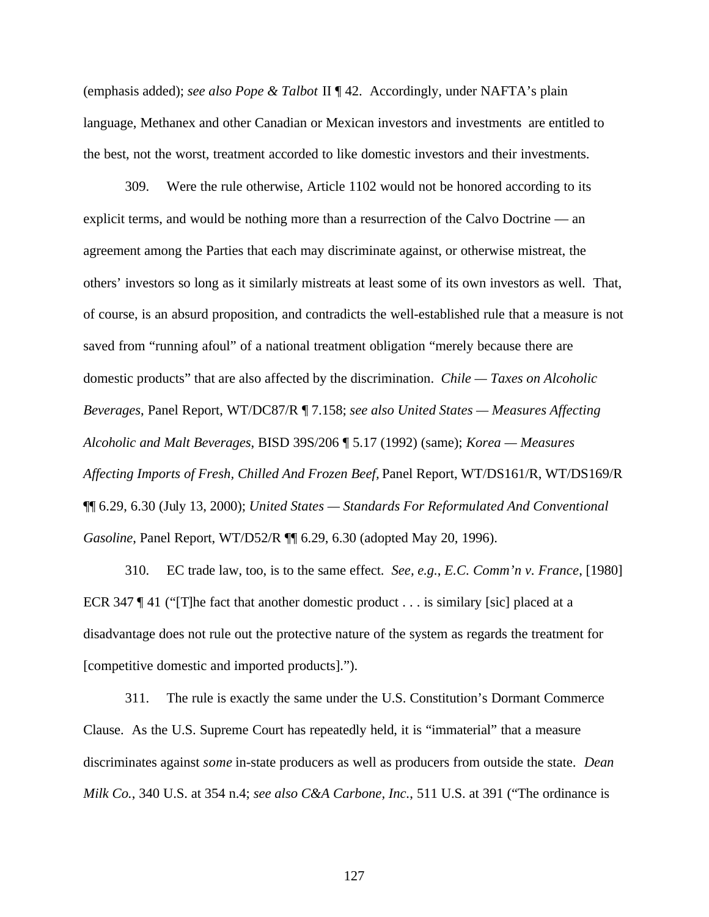(emphasis added); *see also Pope & Talbot* II ¶ 42. Accordingly, under NAFTA's plain language, Methanex and other Canadian or Mexican investors and investments are entitled to the best, not the worst, treatment accorded to like domestic investors and their investments.

309. Were the rule otherwise, Article 1102 would not be honored according to its explicit terms, and would be nothing more than a resurrection of the Calvo Doctrine — an agreement among the Parties that each may discriminate against, or otherwise mistreat, the others' investors so long as it similarly mistreats at least some of its own investors as well. That, of course, is an absurd proposition, and contradicts the well-established rule that a measure is not saved from "running afoul" of a national treatment obligation "merely because there are domestic products" that are also affected by the discrimination. *Chile — Taxes on Alcoholic Beverages*, Panel Report, WT/DC87/R ¶ 7.158; *see also United States — Measures Affecting Alcoholic and Malt Beverages*, BISD 39S/206 ¶ 5.17 (1992) (same); *Korea — Measures Affecting Imports of Fresh, Chilled And Frozen Beef,* Panel Report, WT/DS161/R, WT/DS169/R ¶¶ 6.29, 6.30 (July 13, 2000); *United States — Standards For Reformulated And Conventional Gasoline*, Panel Report, WT/D52/R  $\P$  6.29, 6.30 (adopted May 20, 1996).

310. EC trade law, too, is to the same effect. *See, e.g.*, *E.C. Comm'n v. France*, [1980] ECR 347  $\P$  41 ("The fact that another domestic product . . . is similary [sic] placed at a disadvantage does not rule out the protective nature of the system as regards the treatment for [competitive domestic and imported products].").

311. The rule is exactly the same under the U.S. Constitution's Dormant Commerce Clause. As the U.S. Supreme Court has repeatedly held, it is "immaterial" that a measure discriminates against *some* in-state producers as well as producers from outside the state. *Dean Milk Co.*, 340 U.S. at 354 n.4; *see also C&A Carbone, Inc.*, 511 U.S. at 391 ("The ordinance is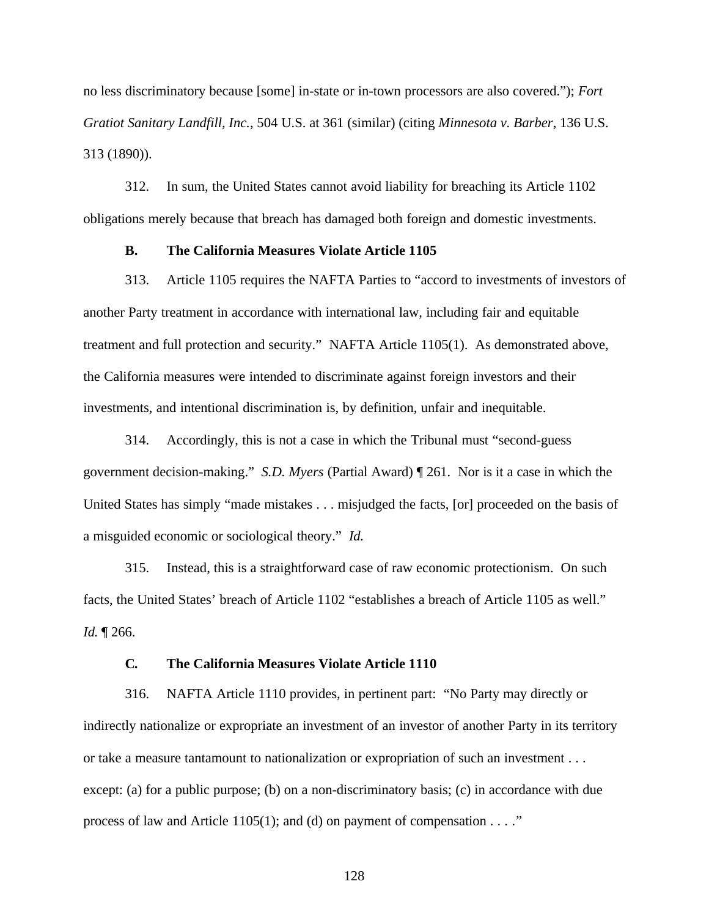no less discriminatory because [some] in-state or in-town processors are also covered."); *Fort Gratiot Sanitary Landfill, Inc.*, 504 U.S. at 361 (similar) (citing *Minnesota v. Barber*, 136 U.S. 313 (1890)).

312. In sum, the United States cannot avoid liability for breaching its Article 1102 obligations merely because that breach has damaged both foreign and domestic investments.

### **B. The California Measures Violate Article 1105**

313. Article 1105 requires the NAFTA Parties to "accord to investments of investors of another Party treatment in accordance with international law, including fair and equitable treatment and full protection and security." NAFTA Article 1105(1). As demonstrated above, the California measures were intended to discriminate against foreign investors and their investments, and intentional discrimination is, by definition, unfair and inequitable.

314. Accordingly, this is not a case in which the Tribunal must "second-guess government decision-making." *S.D. Myers* (Partial Award) ¶ 261. Nor is it a case in which the United States has simply "made mistakes . . . misjudged the facts, [or] proceeded on the basis of a misguided economic or sociological theory." *Id.*

315. Instead, this is a straightforward case of raw economic protectionism. On such facts, the United States' breach of Article 1102 "establishes a breach of Article 1105 as well." *Id.* ¶ 266.

## **C. The California Measures Violate Article 1110**

316. NAFTA Article 1110 provides, in pertinent part: "No Party may directly or indirectly nationalize or expropriate an investment of an investor of another Party in its territory or take a measure tantamount to nationalization or expropriation of such an investment . . . except: (a) for a public purpose; (b) on a non-discriminatory basis; (c) in accordance with due process of law and Article 1105(1); and (d) on payment of compensation  $\dots$ ."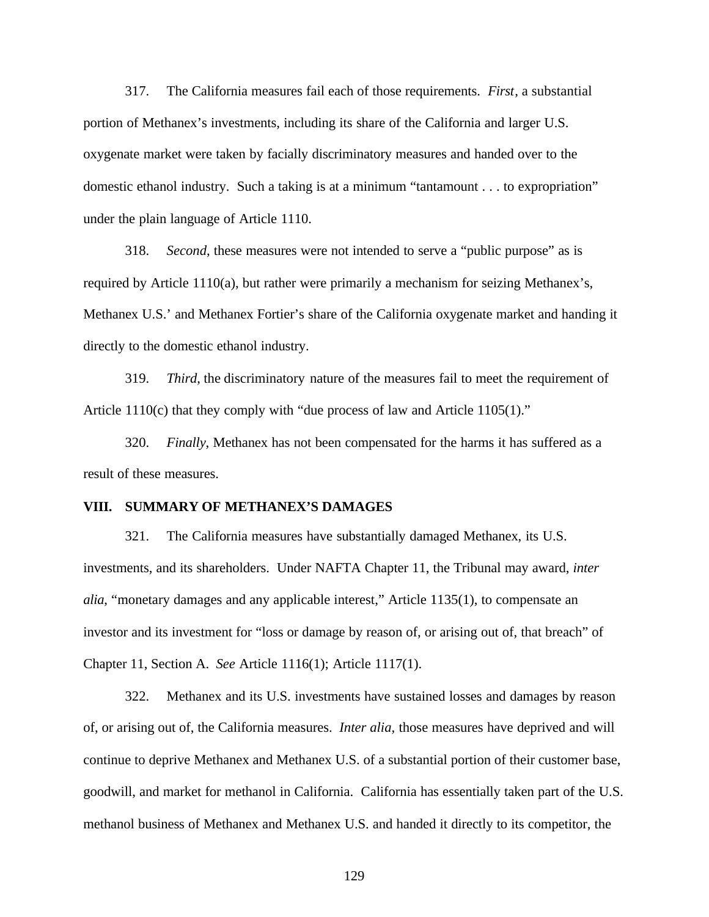317. The California measures fail each of those requirements. *First*, a substantial portion of Methanex's investments, including its share of the California and larger U.S. oxygenate market were taken by facially discriminatory measures and handed over to the domestic ethanol industry. Such a taking is at a minimum "tantamount . . . to expropriation" under the plain language of Article 1110.

318. *Second*, these measures were not intended to serve a "public purpose" as is required by Article 1110(a), but rather were primarily a mechanism for seizing Methanex's, Methanex U.S.' and Methanex Fortier's share of the California oxygenate market and handing it directly to the domestic ethanol industry.

319. *Third*, the discriminatory nature of the measures fail to meet the requirement of Article 1110(c) that they comply with "due process of law and Article 1105(1)."

320. *Finally*, Methanex has not been compensated for the harms it has suffered as a result of these measures.

#### **VIII. SUMMARY OF METHANEX'S DAMAGES**

321. The California measures have substantially damaged Methanex, its U.S. investments, and its shareholders. Under NAFTA Chapter 11, the Tribunal may award, *inter alia*, "monetary damages and any applicable interest," Article 1135(1), to compensate an investor and its investment for "loss or damage by reason of, or arising out of, that breach" of Chapter 11, Section A. *See* Article 1116(1); Article 1117(1).

322. Methanex and its U.S. investments have sustained losses and damages by reason of, or arising out of, the California measures. *Inter alia*, those measures have deprived and will continue to deprive Methanex and Methanex U.S. of a substantial portion of their customer base, goodwill, and market for methanol in California. California has essentially taken part of the U.S. methanol business of Methanex and Methanex U.S. and handed it directly to its competitor, the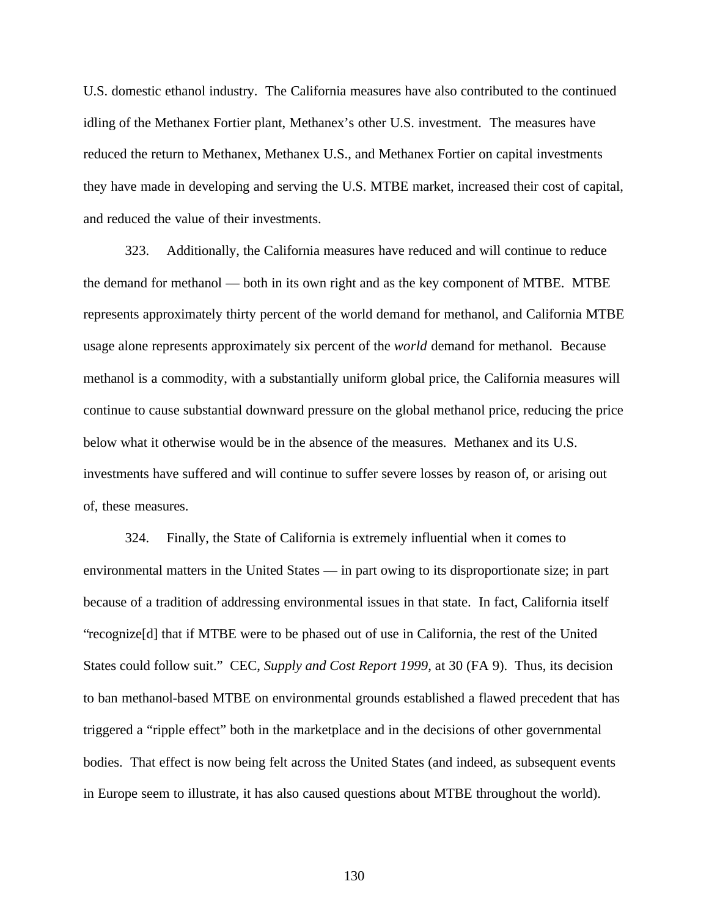U.S. domestic ethanol industry. The California measures have also contributed to the continued idling of the Methanex Fortier plant, Methanex's other U.S. investment. The measures have reduced the return to Methanex, Methanex U.S., and Methanex Fortier on capital investments they have made in developing and serving the U.S. MTBE market, increased their cost of capital, and reduced the value of their investments.

323. Additionally, the California measures have reduced and will continue to reduce the demand for methanol — both in its own right and as the key component of MTBE. MTBE represents approximately thirty percent of the world demand for methanol, and California MTBE usage alone represents approximately six percent of the *world* demand for methanol. Because methanol is a commodity, with a substantially uniform global price, the California measures will continue to cause substantial downward pressure on the global methanol price, reducing the price below what it otherwise would be in the absence of the measures. Methanex and its U.S. investments have suffered and will continue to suffer severe losses by reason of, or arising out of, these measures.

324. Finally, the State of California is extremely influential when it comes to environmental matters in the United States — in part owing to its disproportionate size; in part because of a tradition of addressing environmental issues in that state. In fact, California itself "recognize[d] that if MTBE were to be phased out of use in California, the rest of the United States could follow suit." CEC, *Supply and Cost Report 1999*, at 30 (FA 9). Thus, its decision to ban methanol-based MTBE on environmental grounds established a flawed precedent that has triggered a "ripple effect" both in the marketplace and in the decisions of other governmental bodies. That effect is now being felt across the United States (and indeed, as subsequent events in Europe seem to illustrate, it has also caused questions about MTBE throughout the world).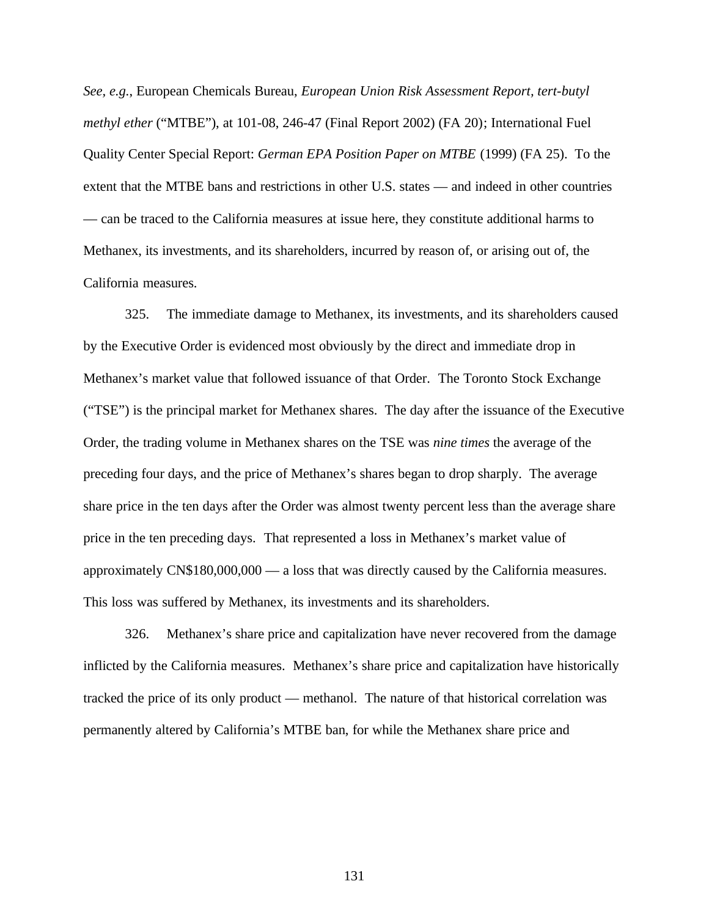*See, e.g.*, European Chemicals Bureau, *European Union Risk Assessment Report, tert-butyl methyl ether* ("MTBE"), at 101-08, 246-47 (Final Report 2002) (FA 20); International Fuel Quality Center Special Report: *German EPA Position Paper on MTBE* (1999) (FA 25). To the extent that the MTBE bans and restrictions in other U.S. states — and indeed in other countries — can be traced to the California measures at issue here, they constitute additional harms to Methanex, its investments, and its shareholders, incurred by reason of, or arising out of, the California measures.

325. The immediate damage to Methanex, its investments, and its shareholders caused by the Executive Order is evidenced most obviously by the direct and immediate drop in Methanex's market value that followed issuance of that Order. The Toronto Stock Exchange ("TSE") is the principal market for Methanex shares. The day after the issuance of the Executive Order, the trading volume in Methanex shares on the TSE was *nine times* the average of the preceding four days, and the price of Methanex's shares began to drop sharply. The average share price in the ten days after the Order was almost twenty percent less than the average share price in the ten preceding days. That represented a loss in Methanex's market value of approximately CN\$180,000,000 — a loss that was directly caused by the California measures. This loss was suffered by Methanex, its investments and its shareholders.

326. Methanex's share price and capitalization have never recovered from the damage inflicted by the California measures. Methanex's share price and capitalization have historically tracked the price of its only product — methanol. The nature of that historical correlation was permanently altered by California's MTBE ban, for while the Methanex share price and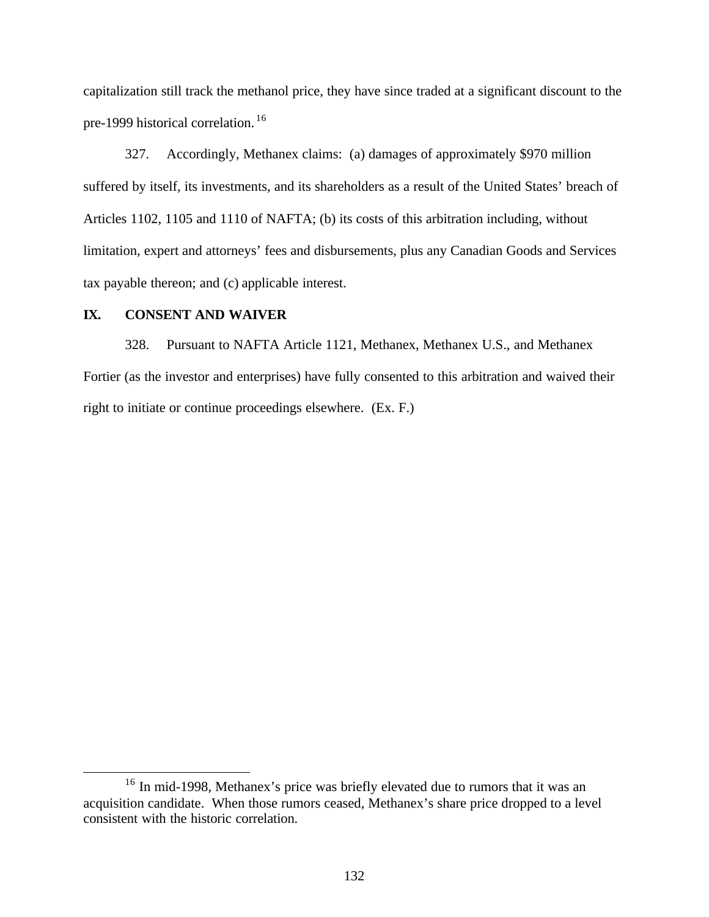capitalization still track the methanol price, they have since traded at a significant discount to the pre-1999 historical correlation. <sup>16</sup>

327. Accordingly, Methanex claims: (a) damages of approximately \$970 million suffered by itself, its investments, and its shareholders as a result of the United States' breach of Articles 1102, 1105 and 1110 of NAFTA; (b) its costs of this arbitration including, without limitation, expert and attorneys' fees and disbursements, plus any Canadian Goods and Services tax payable thereon; and (c) applicable interest.

## **IX. CONSENT AND WAIVER**

 $\overline{a}$ 

328. Pursuant to NAFTA Article 1121, Methanex, Methanex U.S., and Methanex Fortier (as the investor and enterprises) have fully consented to this arbitration and waived their right to initiate or continue proceedings elsewhere. (Ex. F.)

<sup>&</sup>lt;sup>16</sup> In mid-1998, Methanex's price was briefly elevated due to rumors that it was an acquisition candidate. When those rumors ceased, Methanex's share price dropped to a level consistent with the historic correlation.